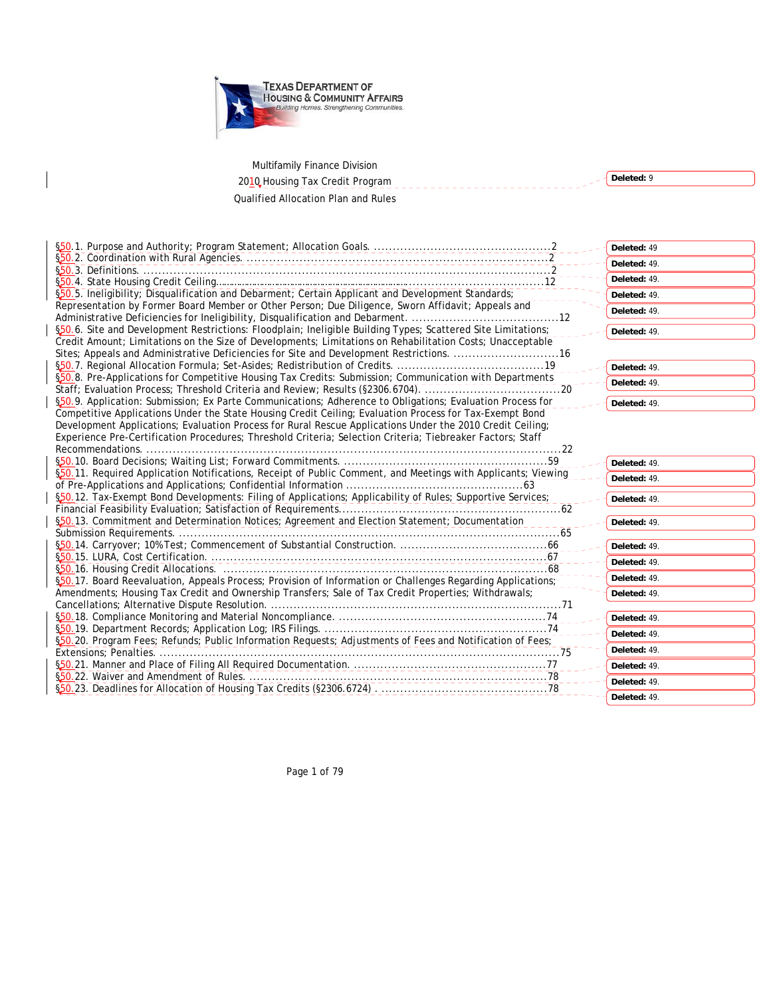

Multifamily Finance Division

 $\mathbf{I}$ 

| 2010 Housing Tax Credit Program                                                                                                                                                                                           | Deleted: 9   |
|---------------------------------------------------------------------------------------------------------------------------------------------------------------------------------------------------------------------------|--------------|
| <b>Qualified Allocation Plan and Rules</b>                                                                                                                                                                                |              |
|                                                                                                                                                                                                                           |              |
|                                                                                                                                                                                                                           |              |
|                                                                                                                                                                                                                           |              |
|                                                                                                                                                                                                                           | Deleted: 49  |
|                                                                                                                                                                                                                           | Deleted: 49. |
|                                                                                                                                                                                                                           | Deleted: 49. |
| \$50.5. Ineligibility; Disqualification and Debarment; Certain Applicant and Development Standards;                                                                                                                       | Deleted: 49. |
| Representation by Former Board Member or Other Person; Due Diligence, Sworn Affidavit; Appeals and                                                                                                                        | Deleted: 49. |
|                                                                                                                                                                                                                           |              |
| §50.6. Site and Development Restrictions: Floodplain; Ineligible Building Types; Scattered Site Limitations;<br>Credit Amount; Limitations on the Size of Developments; Limitations on Rehabilitation Costs; Unacceptable | Deleted: 49. |
| Sites; Appeals and Administrative Deficiencies for Site and Development Restrictions. 16                                                                                                                                  |              |
|                                                                                                                                                                                                                           | Deleted: 49. |
| \$50.8. Pre-Applications for Competitive Housing Tax Credits: Submission; Communication with Departments                                                                                                                  | Deleted: 49. |
|                                                                                                                                                                                                                           |              |
| §50.9. Application: Submission; Ex Parte Communications; Adherence to Obligations; Evaluation Process for                                                                                                                 | Deleted: 49. |
| Competitive Applications Under the State Housing Credit Ceiling; Evaluation Process for Tax-Exempt Bond<br>Development Applications; Evaluation Process for Rural Rescue Applications Under the 2010 Credit Ceiling;      |              |
| Experience Pre-Certification Procedures; Threshold Criteria; Selection Criteria; Tiebreaker Factors; Staff                                                                                                                |              |
|                                                                                                                                                                                                                           |              |
|                                                                                                                                                                                                                           | Deleted: 49. |
| \$50.11. Required Application Notifications, Receipt of Public Comment, and Meetings with Applicants; Viewing                                                                                                             | Deleted: 49. |
|                                                                                                                                                                                                                           |              |
| §50.12. Tax-Exempt Bond Developments: Filing of Applications; Applicability of Rules; Supportive Services;                                                                                                                | Deleted: 49. |
| §50.13. Commitment and Determination Notices; Agreement and Election Statement; Documentation                                                                                                                             |              |
|                                                                                                                                                                                                                           | Deleted: 49. |
|                                                                                                                                                                                                                           | Deleted: 49. |
|                                                                                                                                                                                                                           | Deleted: 49. |
|                                                                                                                                                                                                                           |              |
| \$50.17. Board Reevaluation, Appeals Process; Provision of Information or Challenges Regarding Applications;                                                                                                              | Deleted: 49. |
| Amendments; Housing Tax Credit and Ownership Transfers; Sale of Tax Credit Properties; Withdrawals;                                                                                                                       | Deleted: 49. |
|                                                                                                                                                                                                                           |              |
|                                                                                                                                                                                                                           | Deleted: 49. |
|                                                                                                                                                                                                                           | Deleted: 49. |
| \$50.20. Program Fees; Refunds; Public Information Requests; Adjustments of Fees and Notification of Fees;                                                                                                                | Deleted: 49. |
|                                                                                                                                                                                                                           |              |
|                                                                                                                                                                                                                           | Deleted: 49. |
|                                                                                                                                                                                                                           | Deleted: 49  |

**Deleted:** 49.

Page 1 of 79

§50.23. Deadlines for Allocation of Housing Tax Credits (§2306.6724) . ............................................78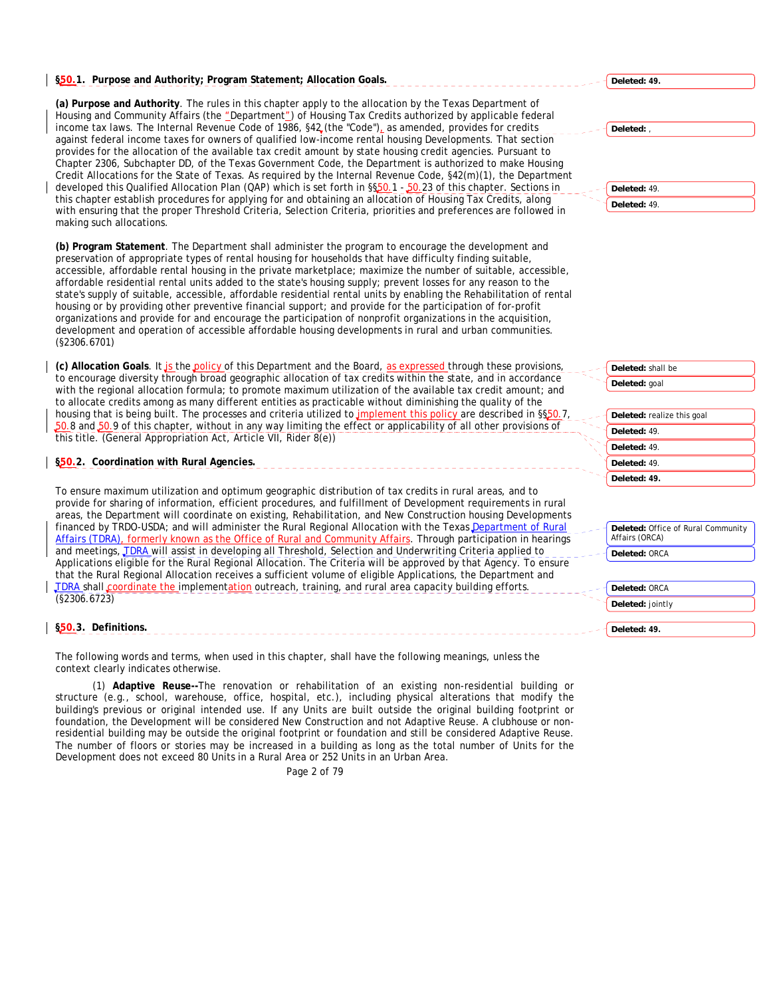# **§50.1. Purpose and Authority; Program Statement; Allocation Goals.**

**(a) Purpose and Authority**. The rules in this chapter apply to the allocation by the Texas Department of Housing and Community Affairs (the "Department") of Housing Tax Credits authorized by applicable federal income tax laws. The Internal Revenue Code of 1986, §42 (the "Code"), as amended, provides for credits against federal income taxes for owners of qualified low-income rental housing Developments. That section provides for the allocation of the available tax credit amount by state housing credit agencies. Pursuant to Chapter 2306, Subchapter DD, of the Texas Government Code, the Department is authorized to make Housing Credit Allocations for the State of Texas. As required by the Internal Revenue Code, §42(m)(1), the Department developed this Qualified Allocation Plan (QAP) which is set forth in §§50.1 - 50.23 of this chapter. Sections in this chapter establish procedures for applying for and obtaining an allocation of Housing Tax Credits, along with ensuring that the proper Threshold Criteria, Selection Criteria, priorities and preferences are followed in making such allocations.

**(b) Program Statement**. The Department shall administer the program to encourage the development and preservation of appropriate types of rental housing for households that have difficulty finding suitable, accessible, affordable rental housing in the private marketplace; maximize the number of suitable, accessible, affordable residential rental units added to the state's housing supply; prevent losses for any reason to the state's supply of suitable, accessible, affordable residential rental units by enabling the Rehabilitation of rental housing or by providing other preventive financial support; and provide for the participation of for-profit organizations and provide for and encourage the participation of nonprofit organizations in the acquisition, development and operation of accessible affordable housing developments in rural and urban communities. (§2306.6701)

(c) Allocation Goals. It *is the policy of this Department and the Board, as expressed through these provisions,* to encourage diversity through broad geographic allocation of tax credits within the state, and in accordance with the regional allocation formula; to promote maximum utilization of the available tax credit amount; and to allocate credits among as many different entities as practicable without diminishing the quality of the housing that is being built. The processes and criteria utilized to *implement this policy* are described in §§50.7 50.8 and 50.9 of this chapter, without in any way limiting the effect or applicability of all other provisions of this title. (General Appropriation Act, Article VII, Rider 8(e))

# **§50.2. Coordination with Rural Agencies.**

To ensure maximum utilization and optimum geographic distribution of tax credits in rural areas, and to provide for sharing of information, efficient procedures, and fulfillment of Development requirements in rural areas, the Department will coordinate on existing, Rehabilitation, and New Construction housing Developments financed by TRDO-USDA; and will administer the Rural Regional Allocation with the Texas Department of Rural Affairs (TDRA), formerly known as the Office of Rural and Community Affairs. Through participation in hearings and meetings, **TDRA** will assist in developing all Threshold, Selection and Underwriting Criteria applied to Applications eligible for the Rural Regional Allocation. The Criteria will be approved by that Agency. To ensure that the Rural Regional Allocation receives a sufficient volume of eligible Applications, the Department and TDRA shall coordinate the implementation outreach, training, and rural area capacity building efforts. (§2306.6723)

## **§50.3. Definitions.**

The following words and terms, when used in this chapter, shall have the following meanings, unless the context clearly indicates otherwise.

(1) **Adaptive Reuse--**The renovation or rehabilitation of an existing non-residential building or structure (e.g., school, warehouse, office, hospital, etc.), including physical alterations that modify the building's previous or original intended use. If any Units are built outside the original building footprint or foundation, the Development will be considered New Construction and not Adaptive Reuse. A clubhouse or nonresidential building may be outside the original footprint or foundation and still be considered Adaptive Reuse. The number of floors or stories may be increased in a building as long as the total number of Units for the Development does not exceed 80 Units in a Rural Area or 252 Units in an Urban Area.

Page 2 of 79

**Deleted: 49.**

**Deleted:** ,

**Deleted:** 49. **Deleted:** 49.

**Deleted:** shall be

| Deleted: goal              |  |
|----------------------------|--|
|                            |  |
| Deleted: realize this goal |  |
| Deleted: 49                |  |
| Deleted: 49.               |  |

**Deleted:** Office of Rural Community Affairs (ORCA)

**Deleted:** ORCA

**Deleted:** 49. **Deleted: 49.**

**Deleted:** ORCA **Deleted:** jointly

**Deleted: 49.**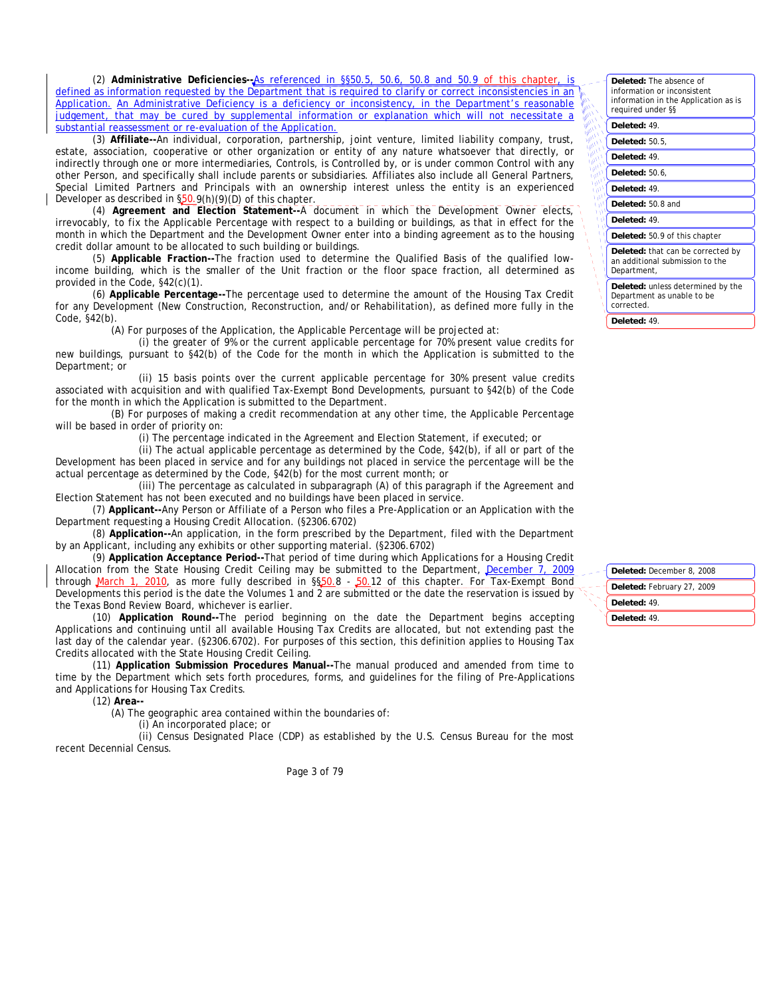(2) Administrative Deficiencies--**As referenced in §§50.5**, 50.6, 50.8 and 50.9 of this defined as information requested by the Department that is required to clarify or correct inconsistencies in an Application. An Administrative Deficiency is a deficiency or inconsistency, in the Department's reasonable judgement, that may be cured by supplemental information or explanation which will not necessitate a substantial reassessment or re-evaluation of the Application.

(3) **Affiliate--**An individual, corporation, partnership, joint venture, limited liability company, trust, estate, association, cooperative or other organization or entity of any nature whatsoever that directly, or indirectly through one or more intermediaries, Controls, is Controlled by, or is under common Control with any other Person, and specifically shall include parents or subsidiaries. Affiliates also include all General Partners, Special Limited Partners and Principals with an ownership interest unless the entity is an experienced Developer as described in §50.9(h)(9)(D) of this chapter.

(4) **Agreement and Election Statement--**A document in which the Development Owner elects, irrevocably, to fix the Applicable Percentage with respect to a building or buildings, as that in effect for the month in which the Department and the Development Owner enter into a binding agreement as to the housing credit dollar amount to be allocated to such building or buildings.

(5) **Applicable Fraction--**The fraction used to determine the Qualified Basis of the qualified lowincome building, which is the smaller of the Unit fraction or the floor space fraction, all determined as provided in the Code, §42(c)(1).

(6) **Applicable Percentage--**The percentage used to determine the amount of the Housing Tax Credit for any Development (New Construction, Reconstruction, and/or Rehabilitation), as defined more fully in the Code, §42(b).

(A) For purposes of the Application, the Applicable Percentage will be projected at:

(i) the greater of 9% or the current applicable percentage for 70% present value credits for new buildings, pursuant to §42(b) of the Code for the month in which the Application is submitted to the Department; or

(ii) 15 basis points over the current applicable percentage for 30% present value credits associated with acquisition and with qualified Tax-Exempt Bond Developments, pursuant to §42(b) of the Code for the month in which the Application is submitted to the Department.

(B) For purposes of making a credit recommendation at any other time, the Applicable Percentage will be based in order of priority on:

(i) The percentage indicated in the Agreement and Election Statement, if executed; or

(ii) The actual applicable percentage as determined by the Code, §42(b), if all or part of the Development has been placed in service and for any buildings not placed in service the percentage will be the actual percentage as determined by the Code, §42(b) for the most current month; or

(iii) The percentage as calculated in subparagraph (A) of this paragraph if the Agreement and Election Statement has not been executed and no buildings have been placed in service.

(7) **Applicant--**Any Person or Affiliate of a Person who files a Pre-Application or an Application with the Department requesting a Housing Credit Allocation. (§2306.6702)

(8) **Application--**An application, in the form prescribed by the Department, filed with the Department by an Applicant, including any exhibits or other supporting material. (§2306.6702)

(9) **Application Acceptance Period--**That period of time during which Applications for a Housing Credit Allocation from the State Housing Credit Ceiling may be submitted to the Department, December 7, 2009 through March 1, 2010, as more fully described in §§50.8 - 50.12 of this chapter. For Tax-Exempt Bond Developments this period is the date the Volumes 1 and 2 are submitted or the date the reservation is issued by the Texas Bond Review Board, whichever is earlier.

(10) **Application Round--**The period beginning on the date the Department begins accepting Applications and continuing until all available Housing Tax Credits are allocated, but not extending past the last day of the calendar year. (§2306.6702). For purposes of this section, this definition applies to Housing Tax Credits allocated with the State Housing Credit Ceiling.

(11) **Application Submission Procedures Manual--**The manual produced and amended from time to time by the Department which sets forth procedures, forms, and guidelines for the filing of Pre-Applications and Applications for Housing Tax Credits.

(12) **Area--**

(A) The geographic area contained within the boundaries of:

(i) An incorporated place; or

(ii) Census Designated Place (CDP) as established by the U.S. Census Bureau for the most recent Decennial Census.

Page 3 of 79

| <b>Deleted:</b> The absence of<br>information or inconsistent<br>information in the Application as is<br>required under §§ |
|----------------------------------------------------------------------------------------------------------------------------|
| Deleted: 49.                                                                                                               |
| <b>Deleted: 50.5,</b>                                                                                                      |
| Deleted: 49.                                                                                                               |
| Deleted: 50.6,                                                                                                             |
| Deleted: 49.                                                                                                               |
| Deleted: 50.8 and                                                                                                          |
| Deleted: 49.                                                                                                               |
| Deleted: 50.9 of this chapter                                                                                              |
| Deleted: that can be corrected by<br>an additional submission to the<br>Department,                                        |
| <b>Deleted:</b> unless determined by the<br>Department as unable to be<br>corrected.                                       |

**Deleted:** 49.

**Deleted:** December 8, 2008 **Deleted:** February 27, 2009 **Deleted:** 49. **Deleted:** 49.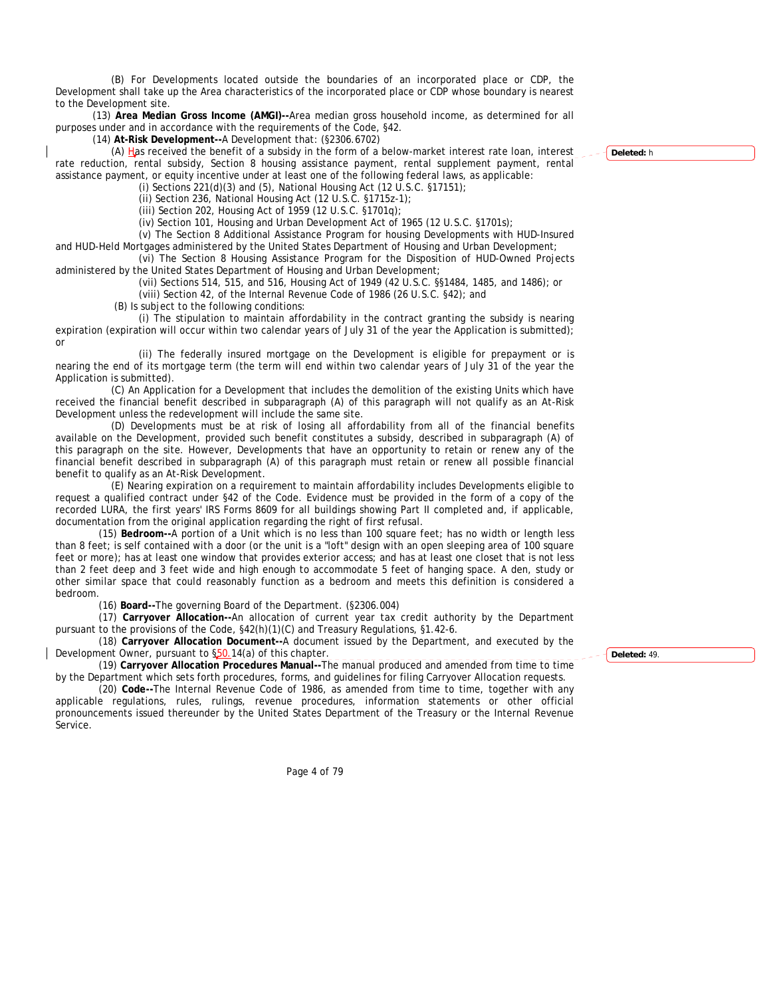(B) For Developments located outside the boundaries of an incorporated place or CDP, the Development shall take up the Area characteristics of the incorporated place or CDP whose boundary is nearest to the Development site.

(13) **Area Median Gross Income (AMGI)--**Area median gross household income, as determined for all purposes under and in accordance with the requirements of the Code, §42.

(14) **At-Risk Development--**A Development that: (§2306.6702)

(A) Has received the benefit of a subsidy in the form of a below-market interest rate loan, interest rate reduction, rental subsidy, Section 8 housing assistance payment, rental supplement payment, rental assistance payment, or equity incentive under at least one of the following federal laws, as applicable:

(i) Sections 221(d)(3) and (5), National Housing Act (12 U.S.C. §17151);

(ii) Section 236, National Housing Act (12 U.S.C. §1715z-1);

(iii) Section 202, Housing Act of 1959 (12 U.S.C. §1701q);

(iv) Section 101, Housing and Urban Development Act of 1965 (12 U.S.C. §1701s);

(v) The Section 8 Additional Assistance Program for housing Developments with HUD-Insured and HUD-Held Mortgages administered by the United States Department of Housing and Urban Development;

(vi) The Section 8 Housing Assistance Program for the Disposition of HUD-Owned Projects administered by the United States Department of Housing and Urban Development;

(vii) Sections 514, 515, and 516, Housing Act of 1949 (42 U.S.C. §§1484, 1485, and 1486); or

(viii) Section 42, of the Internal Revenue Code of 1986 (26 U.S.C. §42); and

(B) Is subject to the following conditions:

(i) The stipulation to maintain affordability in the contract granting the subsidy is nearing expiration (expiration will occur within two calendar years of July 31 of the year the Application is submitted); or

(ii) The federally insured mortgage on the Development is eligible for prepayment or is nearing the end of its mortgage term (the term will end within two calendar years of July 31 of the year the Application is submitted).

(C) An Application for a Development that includes the demolition of the existing Units which have received the financial benefit described in subparagraph (A) of this paragraph will not qualify as an At-Risk Development unless the redevelopment will include the same site.

(D) Developments must be at risk of losing all affordability from all of the financial benefits available on the Development, provided such benefit constitutes a subsidy, described in subparagraph (A) of this paragraph on the site. However, Developments that have an opportunity to retain or renew any of the financial benefit described in subparagraph (A) of this paragraph must retain or renew all possible financial benefit to qualify as an At-Risk Development.

(E) Nearing expiration on a requirement to maintain affordability includes Developments eligible to request a qualified contract under §42 of the Code. Evidence must be provided in the form of a copy of the recorded LURA, the first years' IRS Forms 8609 for all buildings showing Part II completed and, if applicable, documentation from the original application regarding the right of first refusal.

 (15) **Bedroom--**A portion of a Unit which is no less than 100 square feet; has no width or length less than 8 feet; is self contained with a door (or the unit is a "loft" design with an open sleeping area of 100 square feet or more); has at least one window that provides exterior access; and has at least one closet that is not less than 2 feet deep and 3 feet wide and high enough to accommodate 5 feet of hanging space. A den, study or other similar space that could reasonably function as a bedroom and meets this definition is considered a bedroom.

(16) **Board--**The governing Board of the Department. (§2306.004)

 (17) **Carryover Allocation--**An allocation of current year tax credit authority by the Department pursuant to the provisions of the Code, §42(h)(1)(C) and Treasury Regulations, §1.42-6.

 (18) **Carryover Allocation Document--**A document issued by the Department, and executed by the Development Owner, pursuant to §50.14(a) of this chapter.

 (19) **Carryover Allocation Procedures Manual--**The manual produced and amended from time to time by the Department which sets forth procedures, forms, and guidelines for filing Carryover Allocation requests.

 (20) **Code--**The Internal Revenue Code of 1986, as amended from time to time, together with any applicable regulations, rules, rulings, revenue procedures, information statements or other official pronouncements issued thereunder by the United States Department of the Treasury or the Internal Revenue Service.

Page 4 of 79

**Deleted:** h

**Deleted:** 49.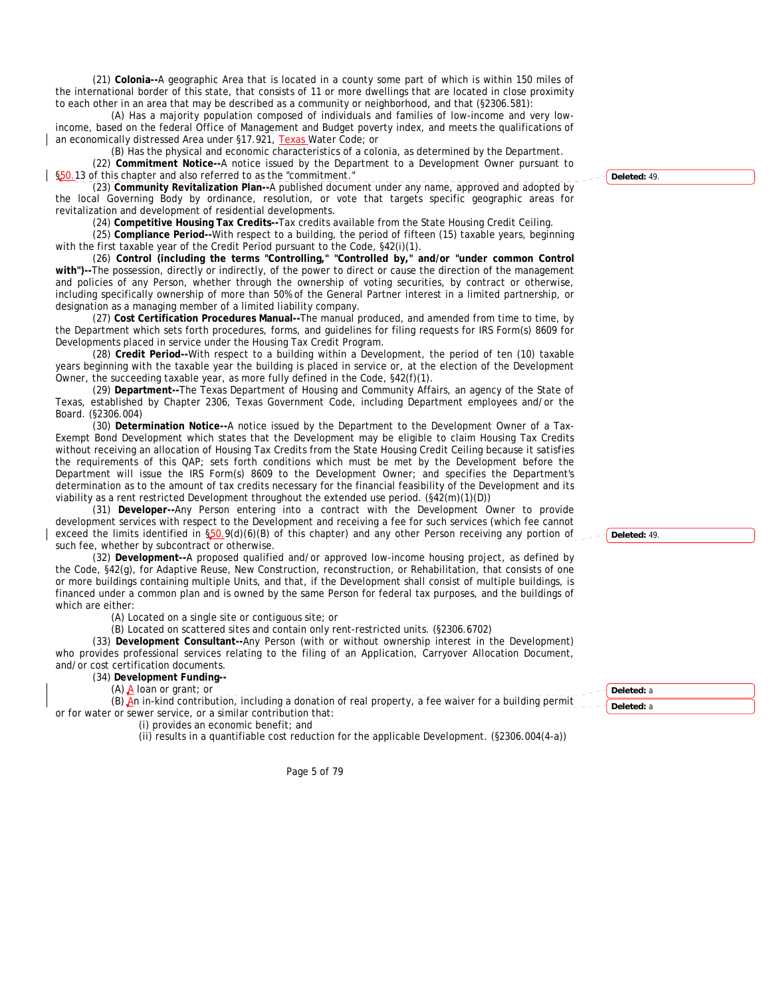(21) **Colonia--**A geographic Area that is located in a county some part of which is within 150 miles of the international border of this state, that consists of 11 or more dwellings that are located in close proximity to each other in an area that may be described as a community or neighborhood, and that (§2306.581):

(A) Has a majority population composed of individuals and families of low-income and very lowincome, based on the federal Office of Management and Budget poverty index, and meets the qualifications of an economically distressed Area under §17.921, Texas Water Code; or

(B) Has the physical and economic characteristics of a colonia, as determined by the Department. (22) **Commitment Notice--**A notice issued by the Department to a Development Owner pursuant to §50.13 of this chapter and also referred to as the "commitment."

(23) **Community Revitalization Plan--**A published document under any name, approved and adopted by the local Governing Body by ordinance, resolution, or vote that targets specific geographic areas for revitalization and development of residential developments.

(24) **Competitive Housing Tax Credits--**Tax credits available from the State Housing Credit Ceiling.

(25) **Compliance Period--**With respect to a building, the period of fifteen (15) taxable years, beginning with the first taxable year of the Credit Period pursuant to the Code, §42(i)(1).

(26) **Control (including the terms "Controlling," "Controlled by," and/or "under common Control with")--**The possession, directly or indirectly, of the power to direct or cause the direction of the management and policies of any Person, whether through the ownership of voting securities, by contract or otherwise, including specifically ownership of more than 50% of the General Partner interest in a limited partnership, or designation as a managing member of a limited liability company.

(27) **Cost Certification Procedures Manual--**The manual produced, and amended from time to time, by the Department which sets forth procedures, forms, and guidelines for filing requests for IRS Form(s) 8609 for Developments placed in service under the Housing Tax Credit Program.

(28) **Credit Period--**With respect to a building within a Development, the period of ten (10) taxable years beginning with the taxable year the building is placed in service or, at the election of the Development Owner, the succeeding taxable year, as more fully defined in the Code, §42(f)(1).

(29) **Department--**The Texas Department of Housing and Community Affairs, an agency of the State of Texas, established by Chapter 2306, Texas Government Code, including Department employees and/or the Board. (§2306.004)

(30) **Determination Notice--**A notice issued by the Department to the Development Owner of a Tax-Exempt Bond Development which states that the Development may be eligible to claim Housing Tax Credits without receiving an allocation of Housing Tax Credits from the State Housing Credit Ceiling because it satisfies the requirements of this QAP; sets forth conditions which must be met by the Development before the Department will issue the IRS Form(s) 8609 to the Development Owner; and specifies the Department's determination as to the amount of tax credits necessary for the financial feasibility of the Development and its viability as a rent restricted Development throughout the extended use period. (§42(m)(1)(D))

(31) **Developer--**Any Person entering into a contract with the Development Owner to provide development services with respect to the Development and receiving a fee for such services (which fee cannot exceed the limits identified in §50.9(d)(6)(B) of this chapter) and any other Person receiving any portion of such fee, whether by subcontract or otherwise.

(32) **Development--**A proposed qualified and/or approved low-income housing project, as defined by the Code, §42(g), for Adaptive Reuse, New Construction, reconstruction, or Rehabilitation, that consists of one or more buildings containing multiple Units, and that, if the Development shall consist of multiple buildings, is financed under a common plan and is owned by the same Person for federal tax purposes, and the buildings of which are either:

(A) Located on a single site or contiguous site; or

(B) Located on scattered sites and contain only rent-restricted units. (§2306.6702)

(33) **Development Consultant--**Any Person (with or without ownership interest in the Development) who provides professional services relating to the filing of an Application, Carryover Allocation Document, and/or cost certification documents.

# (34) **Development Funding--**

(A)  $\underline{A}$  loan or grant; or

(B) An in-kind contribution, including a donation of real property, a fee waiver for a building permit or for water or sewer service, or a similar contribution that:

(i) provides an economic benefit; and

(ii) results in a quantifiable cost reduction for the applicable Development. (§2306.004(4-a))

Page 5 of 79

**Deleted:** 49.

**Deleted:** 49.

**Deleted:** a **Deleted:** a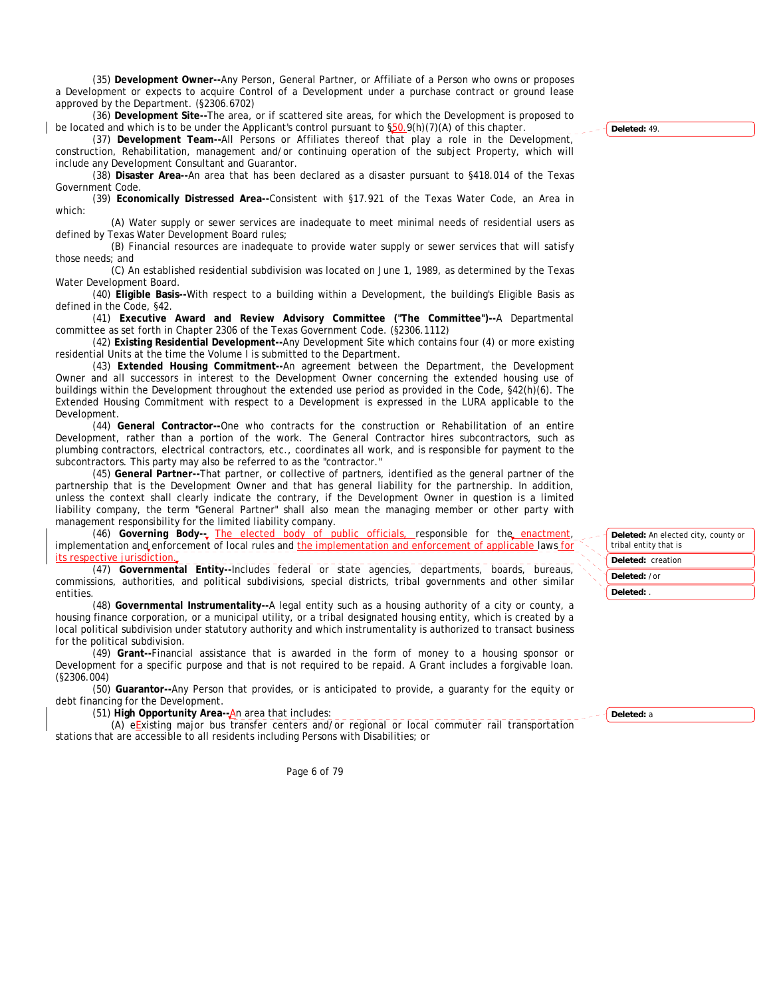(35) **Development Owner--**Any Person, General Partner, or Affiliate of a Person who owns or proposes a Development or expects to acquire Control of a Development under a purchase contract or ground lease approved by the Department. (§2306.6702)

(36) **Development Site--**The area, or if scattered site areas, for which the Development is proposed to be located and which is to be under the Applicant's control pursuant to §50.9(h)(7)(A) of this chapter.

(37) **Development Team--**All Persons or Affiliates thereof that play a role in the Development, construction, Rehabilitation, management and/or continuing operation of the subject Property, which will include any Development Consultant and Guarantor.

(38) **Disaster Area--**An area that has been declared as a disaster pursuant to §418.014 of the Texas Government Code.

(39) **Economically Distressed Area--**Consistent with §17.921 of the Texas Water Code, an Area in which:

(A) Water supply or sewer services are inadequate to meet minimal needs of residential users as defined by Texas Water Development Board rules;

(B) Financial resources are inadequate to provide water supply or sewer services that will satisfy those needs; and

(C) An established residential subdivision was located on June 1, 1989, as determined by the Texas Water Development Board.

(40) **Eligible Basis--**With respect to a building within a Development, the building's Eligible Basis as defined in the Code, §42.

(41) **Executive Award and Review Advisory Committee ("The Committee")--**A Departmental committee as set forth in Chapter 2306 of the Texas Government Code. (§2306.1112)

(42) **Existing Residential Development--**Any Development Site which contains four (4) or more existing residential Units at the time the Volume I is submitted to the Department.

(43) **Extended Housing Commitment--**An agreement between the Department, the Development Owner and all successors in interest to the Development Owner concerning the extended housing use of buildings within the Development throughout the extended use period as provided in the Code, §42(h)(6). The Extended Housing Commitment with respect to a Development is expressed in the LURA applicable to the Development.

(44) **General Contractor--**One who contracts for the construction or Rehabilitation of an entire Development, rather than a portion of the work. The General Contractor hires subcontractors, such as plumbing contractors, electrical contractors, etc., coordinates all work, and is responsible for payment to the subcontractors. This party may also be referred to as the "contractor."

(45) **General Partner--**That partner, or collective of partners, identified as the general partner of the partnership that is the Development Owner and that has general liability for the partnership. In addition, unless the context shall clearly indicate the contrary, if the Development Owner in question is a limited liability company, the term "General Partner" shall also mean the managing member or other party with management responsibility for the limited liability company.

(46) Governing Body-<sub>-</sub> The elected body of public officials, responsible for the enactment, implementation and enforcement of local rules and the implementation and enforcement of applicable laws for ective jurisdi

(47) **Governmental Entity--**Includes federal or state agencies, departments, boards, bureaus, commissions, authorities, and political subdivisions, special districts, tribal governments and other similar entities.

(48) **Governmental Instrumentality--**A legal entity such as a housing authority of a city or county, a housing finance corporation, or a municipal utility, or a tribal designated housing entity, which is created by a local political subdivision under statutory authority and which instrumentality is authorized to transact business for the political subdivision.

(49) **Grant--**Financial assistance that is awarded in the form of money to a housing sponsor or Development for a specific purpose and that is not required to be repaid. A Grant includes a forgivable loan. (§2306.004)

(50) **Guarantor--**Any Person that provides, or is anticipated to provide, a guaranty for the equity or debt financing for the Development.

(51) **High Opportunity Area--**An area that includes:

(A) eExisting major bus transfer centers and/or regional or local commuter rail transportation stations that are accessible to all residents including Persons with Disabilities; or

Page 6 of 79

**Deleted:** 49.

| Deleted: An elected city, county or<br>tribal entity that is |  |
|--------------------------------------------------------------|--|
| <b>Deleted:</b> creation                                     |  |

**Deleted:** /or

**Deleted:** .

**Deleted:** a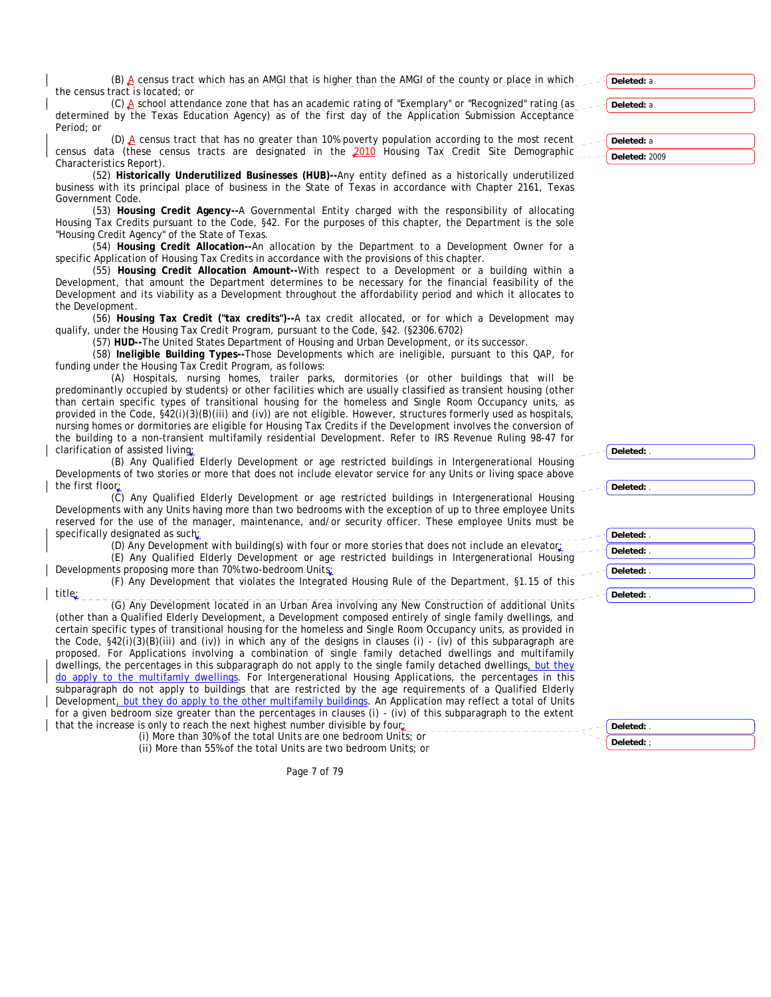(B) A census tract which has an AMGI that is higher than the AMGI of the county or place in which the census tract is located; or

(C) A school attendance zone that has an academic rating of "Exemplary" or "Recognized" rating (as determined by the Texas Education Agency) as of the first day of the Application Submission Acceptance Period; or

(D)  $\triangle$  census tract that has no greater than 10% poverty population according to the most recent census data (these census tracts are designated in the 2010 Housing Tax Credit Site Demographic Characteristics Report).

(52) **Historically Underutilized Businesses (HUB)--**Any entity defined as a historically underutilized business with its principal place of business in the State of Texas in accordance with Chapter 2161, Texas Government Code.

(53) **Housing Credit Agency--**A Governmental Entity charged with the responsibility of allocating Housing Tax Credits pursuant to the Code, §42. For the purposes of this chapter, the Department is the sole "Housing Credit Agency" of the State of Texas.

(54) **Housing Credit Allocation--**An allocation by the Department to a Development Owner for a specific Application of Housing Tax Credits in accordance with the provisions of this chapter.

(55) **Housing Credit Allocation Amount--**With respect to a Development or a building within a Development, that amount the Department determines to be necessary for the financial feasibility of the Development and its viability as a Development throughout the affordability period and which it allocates to the Development.

(56) **Housing Tax Credit ("tax credits")--**A tax credit allocated, or for which a Development may qualify, under the Housing Tax Credit Program, pursuant to the Code, §42. (§2306.6702)

(57) **HUD--**The United States Department of Housing and Urban Development, or its successor.

(58) **Ineligible Building Types--**Those Developments which are ineligible, pursuant to this QAP, for funding under the Housing Tax Credit Program, as follows:

(A) Hospitals, nursing homes, trailer parks, dormitories (or other buildings that will be predominantly occupied by students) or other facilities which are usually classified as transient housing (other than certain specific types of transitional housing for the homeless and Single Room Occupancy units, as provided in the Code, §42(i)(3)(B)(iii) and (iv)) are not eligible. However, structures formerly used as hospitals, nursing homes or dormitories are eligible for Housing Tax Credits if the Development involves the conversion of the building to a non-transient multifamily residential Development. Refer to IRS Revenue Ruling 98-47 for clarification of assisted living:

(B) Any Qualified Elderly Development or age restricted buildings in Intergenerational Housing Developments of two stories or more that does not include elevator service for any Units or living space above the first floor;

(C) Any Qualified Elderly Development or age restricted buildings in Intergenerational Housing Developments with any Units having more than two bedrooms with the exception of up to three employee Units reserved for the use of the manager, maintenance, and/or security officer. These employee Units must be specifically designated as such:

(D) Any Development with building(s) with four or more stories that does not include an elevator; (E) Any Qualified Elderly Development or age restricted buildings in Intergenerational Housing

Developments proposing more than 70% two-bedroom Units;

(F) Any Development that violates the Integrated Housing Rule of the Department, §1.15 of this

title; (G) Any Development located in an Urban Area involving any New Construction of additional Units (other than a Qualified Elderly Development, a Development composed entirely of single family dwellings, and certain specific types of transitional housing for the homeless and Single Room Occupancy units, as provided in the Code,  $\S42(i)(3)(B)(iii)$  and (iv)) in which any of the designs in clauses (i) - (iv) of this subparagraph are proposed. For Applications involving a combination of single family detached dwellings and multifamily dwellings, the percentages in this subparagraph do not apply to the single family detached dwellings, but they do apply to the multifamly dwellings. For Intergenerational Housing Applications, the percentages in this subparagraph do not apply to buildings that are restricted by the age requirements of a Qualified Elderly Development, but they do apply to the other multifamily buildings. An Application may reflect a total of Units for a given bedroom size greater than the percentages in clauses (i) - (iv) of this subparagraph to the extent that the increase is only to reach the next highest number divisible by four

(i) More than 30% of the total Units are one bedroom Units; or (ii) More than 55% of the total Units are two bedroom Units; or **Deleted:** a

**Deleted:** a

**Deleted:** a **Deleted:** 2009

| Deleted: . |
|------------|
|            |
| Deleted: . |
| Deleted: . |
| Deleted: . |
| Deleted: . |
|            |
|            |

**Deleted:** .

| Deleted:   |  |
|------------|--|
| Deleted: : |  |

Page 7 of 79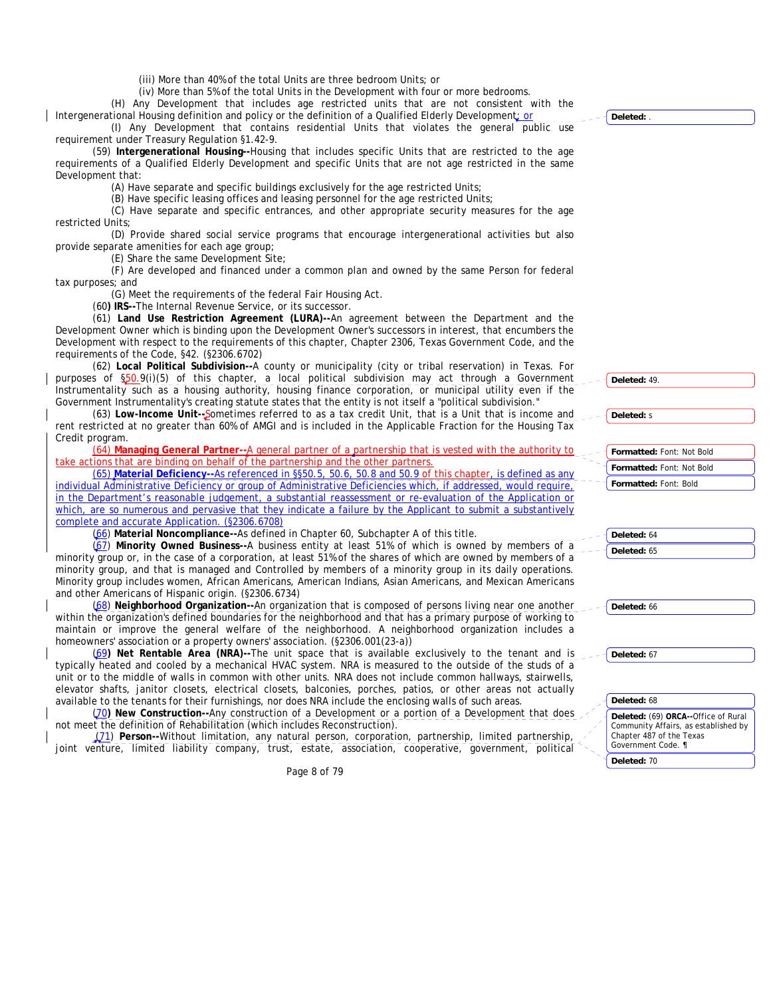(iii) More than 40% of the total Units are three bedroom Units; or

(iv) More than 5% of the total Units in the Development with four or more bedrooms. (H) Any Development that includes age restricted units that are not consistent with the

Intergenerational Housing definition and policy or the definition of a Qualified Elderly Development; or (I) Any Development that contains residential Units that violates the general public use

requirement under Treasury Regulation §1.42-9. (59) **Intergenerational Housing--**Housing that includes specific Units that are restricted to the age requirements of a Qualified Elderly Development and specific Units that are not age restricted in the same Development that:

(A) Have separate and specific buildings exclusively for the age restricted Units;

(B) Have specific leasing offices and leasing personnel for the age restricted Units;

(C) Have separate and specific entrances, and other appropriate security measures for the age restricted Units;

(D) Provide shared social service programs that encourage intergenerational activities but also provide separate amenities for each age group;

(E) Share the same Development Site;

(F) Are developed and financed under a common plan and owned by the same Person for federal tax purposes; and

(G) Meet the requirements of the federal Fair Housing Act.

(60**) IRS--**The Internal Revenue Service, or its successor.

(61) **Land Use Restriction Agreement (LURA)--**An agreement between the Department and the Development Owner which is binding upon the Development Owner's successors in interest, that encumbers the Development with respect to the requirements of this chapter, Chapter 2306, Texas Government Code, and the requirements of the Code, §42. (§2306.6702)

(62) **Local Political Subdivision--**A county or municipality (city or tribal reservation) in Texas. For purposes of §50.9(i)(5) of this chapter, a local political subdivision may act through a Government Instrumentality such as a housing authority, housing finance corporation, or municipal utility even if the Government Instrumentality's creating statute states that the entity is not itself a "political subdivision."

(63) **Low-Income Unit--**Sometimes referred to as a tax credit Unit, that is a Unit that is income and rent restricted at no greater than 60% of AMGI and is included in the Applicable Fraction for the Housing Tax Credit program.

(64) **Managing General Partner--**A general partner of a partnership that is vested with the authority to take actions that are binding on behalf of the partnership and the other partners.

(65) **Material Deficiency--**As referenced in §§50.5, 50.6, 50.8 and 50.9 of this chapter, is defined as any individual Administrative Deficiency or group of Administrative Deficiencies which, if addressed, would require, in the Department's reasonable judgement, a substantial reassessment or re-evaluation of the Application or which, are so numerous and pervasive that they indicate a failure by the Applicant to submit a substantively complete and accurate Application. (§2306.6708)

(66) **Material Noncompliance--**As defined in Chapter 60, Subchapter A of this title.

(67) **Minority Owned Business--**A business entity at least 51% of which is owned by members of a minority group or, in the case of a corporation, at least 51% of the shares of which are owned by members of a minority group, and that is managed and Controlled by members of a minority group in its daily operations. Minority group includes women, African Americans, American Indians, Asian Americans, and Mexican Americans and other Americans of Hispanic origin. (§2306.6734)

(68) **Neighborhood Organization--**An organization that is composed of persons living near one another within the organization's defined boundaries for the neighborhood and that has a primary purpose of working to maintain or improve the general welfare of the neighborhood. A neighborhood organization includes a homeowners' association or a property owners' association. (§2306.001(23-a))

(69**) Net Rentable Area (NRA)--**The unit space that is available exclusively to the tenant and is typically heated and cooled by a mechanical HVAC system. NRA is measured to the outside of the studs of a unit or to the middle of walls in common with other units. NRA does not include common hallways, stairwells, elevator shafts, janitor closets, electrical closets, balconies, porches, patios, or other areas not actually available to the tenants for their furnishings, nor does NRA include the enclosing walls of such areas.

(70**) New Construction--**Any construction of a Development or a portion of a Development that does not meet the definition of Rehabilitation (which includes Reconstruction).

(71) **Person--**Without limitation, any natural person, corporation, partnership, limited partnership, joint venture, limited liability company, trust, estate, association, cooperative, government, political

Page 8 of 79

**Deleted:** .

**Deleted:** 49.

**Deleted:** s

| Formatted: Font: Not Bold |
|---------------------------|
| Formatted: Font: Not Bold |
| Formatted: Font: Bold     |

**Deleted:** 64 **Deleted:** 65

**Deleted:** 66

**Deleted:** 67

#### **Deleted:** 68

**Deleted:** (69) **ORCA--**Office of Rural Community Affairs, as established by Chapter 487 of the Texas Government Code. ¶

**Deleted:** 70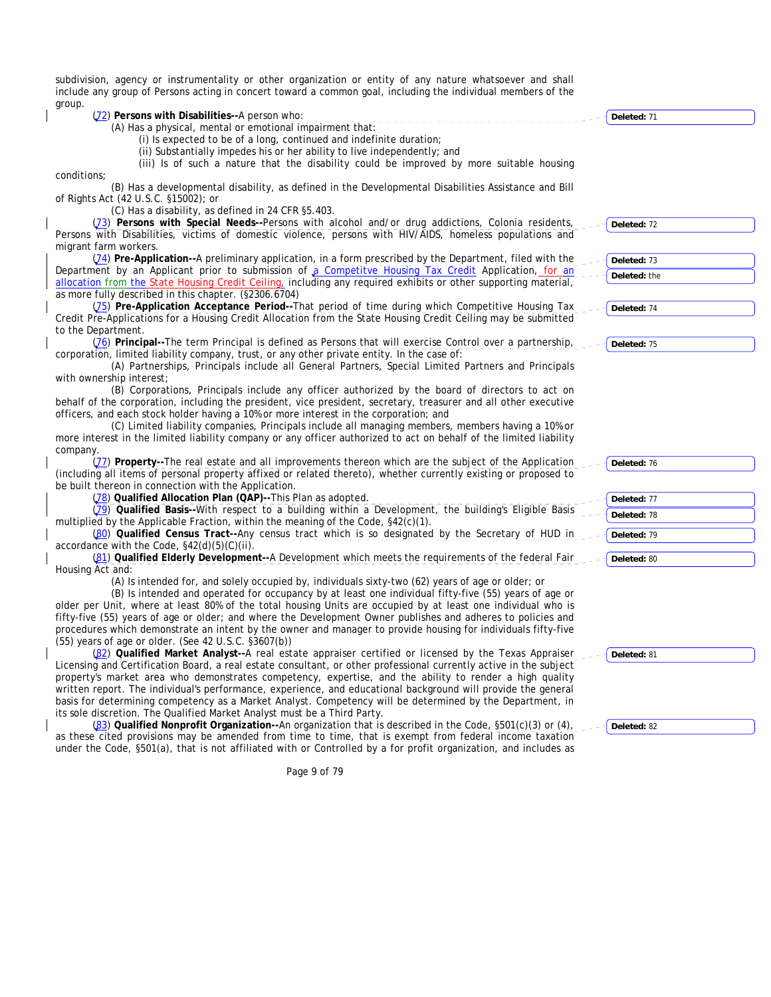subdivision, agency or instrumentality or other organization or entity of any nature whatsoever and shall include any group of Persons acting in concert toward a common goal, including the individual members of the group.  $(72)$  Pe (72) **Persons with Disabilities--**A person who:

| (72) Persons with Disabilities--A person who:                                                                      | Deleted: 71  |
|--------------------------------------------------------------------------------------------------------------------|--------------|
| (A) Has a physical, mental or emotional impairment that:                                                           |              |
| (i) Is expected to be of a long, continued and indefinite duration;                                                |              |
| (ii) Substantially impedes his or her ability to live independently; and                                           |              |
| (iii) Is of such a nature that the disability could be improved by more suitable housing                           |              |
| conditions;                                                                                                        |              |
| (B) Has a developmental disability, as defined in the Developmental Disabilities Assistance and Bill               |              |
| of Rights Act (42 U.S.C. §15002); or                                                                               |              |
| (C) Has a disability, as defined in 24 CFR §5.403.                                                                 |              |
| (73) Persons with Special Needs--Persons with alcohol and/or drug addictions, Colonia residents,                   | Deleted: 72  |
| Persons with Disabilities, victims of domestic violence, persons with HIV/AIDS, homeless populations and           |              |
| migrant farm workers.                                                                                              |              |
| (74) Pre-Application--A preliminary application, in a form prescribed by the Department, filed with the            | Deleted: 73  |
| Department by an Applicant prior to submission of a Competitve Housing Tax Credit Application, for an              | Deleted: the |
| allocation from the State Housing Credit Ceiling, including any required exhibits or other supporting material,    |              |
| as more fully described in this chapter. (§2306.6704)                                                              |              |
| (75) Pre-Application Acceptance Period--That period of time during which Competitive Housing Tax                   | Deleted: 74  |
| Credit Pre-Applications for a Housing Credit Allocation from the State Housing Credit Ceiling may be submitted     |              |
| to the Department.                                                                                                 |              |
| (76) Principal--The term Principal is defined as Persons that will exercise Control over a partnership,            | Deleted: 75  |
| corporation, limited liability company, trust, or any other private entity. In the case of:                        |              |
| (A) Partnerships, Principals include all General Partners, Special Limited Partners and Principals                 |              |
| with ownership interest;                                                                                           |              |
| (B) Corporations, Principals include any officer authorized by the board of directors to act on                    |              |
| behalf of the corporation, including the president, vice president, secretary, treasurer and all other executive   |              |
| officers, and each stock holder having a 10% or more interest in the corporation; and                              |              |
| (C) Limited liability companies, Principals include all managing members, members having a 10% or                  |              |
| more interest in the limited liability company or any officer authorized to act on behalf of the limited liability |              |
| company.                                                                                                           |              |
| (77) Property--The real estate and all improvements thereon which are the subject of the Application               | Deleted: 76  |
| (including all items of personal property affixed or related thereto), whether currently existing or proposed to   |              |
| be built thereon in connection with the Application.                                                               |              |
| (78) Qualified Allocation Plan (QAP)--This Plan as adopted.                                                        | Deleted: 77  |
| (79) Qualified Basis--With respect to a building within a Development, the building's Eligible Basis               | Deleted: 78  |
| multiplied by the Applicable Fraction, within the meaning of the Code, §42(c)(1).                                  |              |
| (80) Qualified Census Tract--Any census tract which is so designated by the Secretary of HUD in                    | Deleted: 79  |
| accordance with the Code, $\S42(d)(5)(C)(ii)$ .                                                                    |              |
| (81) Qualified Elderly Development--A Development which meets the requirements of the federal Fair                 | Deleted: 80  |
| Housing Act and:                                                                                                   |              |
| (A) Is intended for, and solely occupied by, individuals sixty-two (62) years of age or older; or                  |              |
| (B) Is intended and operated for occupancy by at least one individual fifty-five (55) years of age or              |              |
| older per Unit, where at least 80% of the total housing Units are occupied by at least one individual who is       |              |
| fifty-five (55) years of age or older; and where the Development Owner publishes and adheres to policies and       |              |
| procedures which demonstrate an intent by the owner and manager to provide housing for individuals fifty-five      |              |
| (55) years of age or older. (See 42 U.S.C. §3607(b))                                                               |              |
| (82) Qualified Market Analyst--A real estate appraiser certified or licensed by the Texas Appraiser                | Deleted: 81  |
| Licensing and Certification Board, a real estate consultant, or other professional currently active in the subject |              |
| property's market area who demonstrates competency, expertise, and the ability to render a high quality            |              |
| written report. The individual's performance, experience, and educational background will provide the general      |              |
| basis for determining competency as a Market Analyst. Competency will be determined by the Department, in          |              |
| its sole discretion. The Qualified Market Analyst must be a Third Party.                                           |              |
| (83) Qualified Nonprofit Organization--An organization that is described in the Code, §501(c)(3) or (4),           | Deleted: 82  |
| as these cited provisions may be amended from time to time, that is exempt from federal income taxation            |              |
| under the Code, §501(a), that is not affiliated with or Controlled by a for profit organization, and includes as   |              |
| Page 9 of 79                                                                                                       |              |
|                                                                                                                    |              |
|                                                                                                                    |              |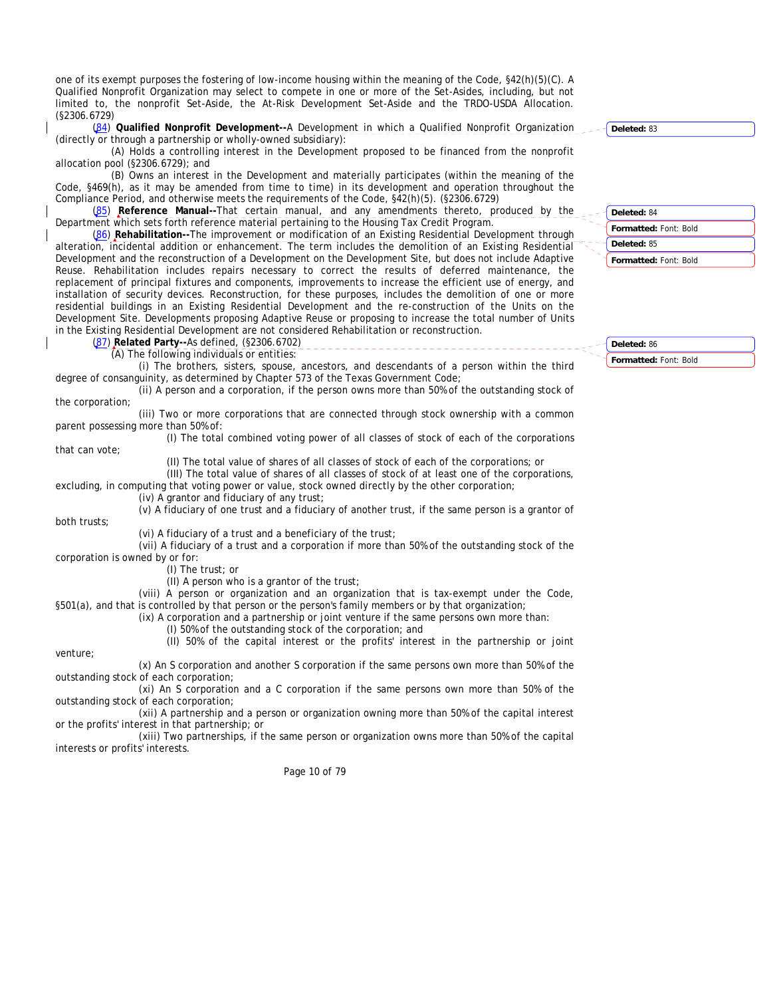one of its exempt purposes the fostering of low-income housing within the meaning of the Code, §42(h)(5)(C). A Qualified Nonprofit Organization may select to compete in one or more of the Set-Asides, including, but not limited to, the nonprofit Set-Aside, the At-Risk Development Set-Aside and the TRDO-USDA Allocation. (§2306.6729)

(84) **Qualified Nonprofit Development--**A Development in which a Qualified Nonprofit Organization (directly or through a partnership or wholly-owned subsidiary):

(A) Holds a controlling interest in the Development proposed to be financed from the nonprofit allocation pool (§2306.6729); and

(B) Owns an interest in the Development and materially participates (within the meaning of the Code, §469(h), as it may be amended from time to time) in its development and operation throughout the Compliance Period, and otherwise meets the requirements of the Code, §42(h)(5). (§2306.6729)

(85) **Reference Manual--**That certain manual, and any amendments thereto, produced by the Department which sets forth reference material pertaining to the Housing Tax Credit Program.

(86) **Rehabilitation--**The improvement or modification of an Existing Residential Development through alteration, incidental addition or enhancement. The term includes the demolition of an Existing Residential Development and the reconstruction of a Development on the Development Site, but does not include Adaptive Reuse. Rehabilitation includes repairs necessary to correct the results of deferred maintenance, the replacement of principal fixtures and components, improvements to increase the efficient use of energy, and installation of security devices. Reconstruction, for these purposes, includes the demolition of one or more residential buildings in an Existing Residential Development and the re-construction of the Units on the Development Site. Developments proposing Adaptive Reuse or proposing to increase the total number of Units in the Existing Residential Development are not considered Rehabilitation or reconstruction.

(87) **Related Party--**As defined, (§2306.6702)

(A) The following individuals or entities: (i) The brothers, sisters, spouse, ancestors, and descendants of a person within the third degree of consanguinity, as determined by Chapter 573 of the Texas Government Code;

(ii) A person and a corporation, if the person owns more than 50% of the outstanding stock of the corporation;

(iii) Two or more corporations that are connected through stock ownership with a common parent possessing more than 50% of:

(I) The total combined voting power of all classes of stock of each of the corporations that can vote;

(II) The total value of shares of all classes of stock of each of the corporations; or

(III) The total value of shares of all classes of stock of at least one of the corporations, excluding, in computing that voting power or value, stock owned directly by the other corporation;

(iv) A grantor and fiduciary of any trust;

(v) A fiduciary of one trust and a fiduciary of another trust, if the same person is a grantor of

both trusts;

(vi) A fiduciary of a trust and a beneficiary of the trust;

(vii) A fiduciary of a trust and a corporation if more than 50% of the outstanding stock of the corporation is owned by or for:

(I) The trust; or

(II) A person who is a grantor of the trust;

(viii) A person or organization and an organization that is tax-exempt under the Code, §501(a), and that is controlled by that person or the person's family members or by that organization;

(ix) A corporation and a partnership or joint venture if the same persons own more than:

(I) 50% of the outstanding stock of the corporation; and

(II) 50% of the capital interest or the profits' interest in the partnership or joint

venture;

(x) An S corporation and another S corporation if the same persons own more than 50% of the outstanding stock of each corporation;

(xi) An S corporation and a C corporation if the same persons own more than 50% of the outstanding stock of each corporation;

(xii) A partnership and a person or organization owning more than 50% of the capital interest or the profits' interest in that partnership; or

(xiii) Two partnerships, if the same person or organization owns more than 50% of the capital interests or profits' interests.

Page 10 of 79

**Deleted:** 83

**Formatted:** Font: Bold **Formatted:** Font: Bold **Deleted:** 84 **Deleted:** 85

**Formatted:** Font: Bold **Deleted:** 86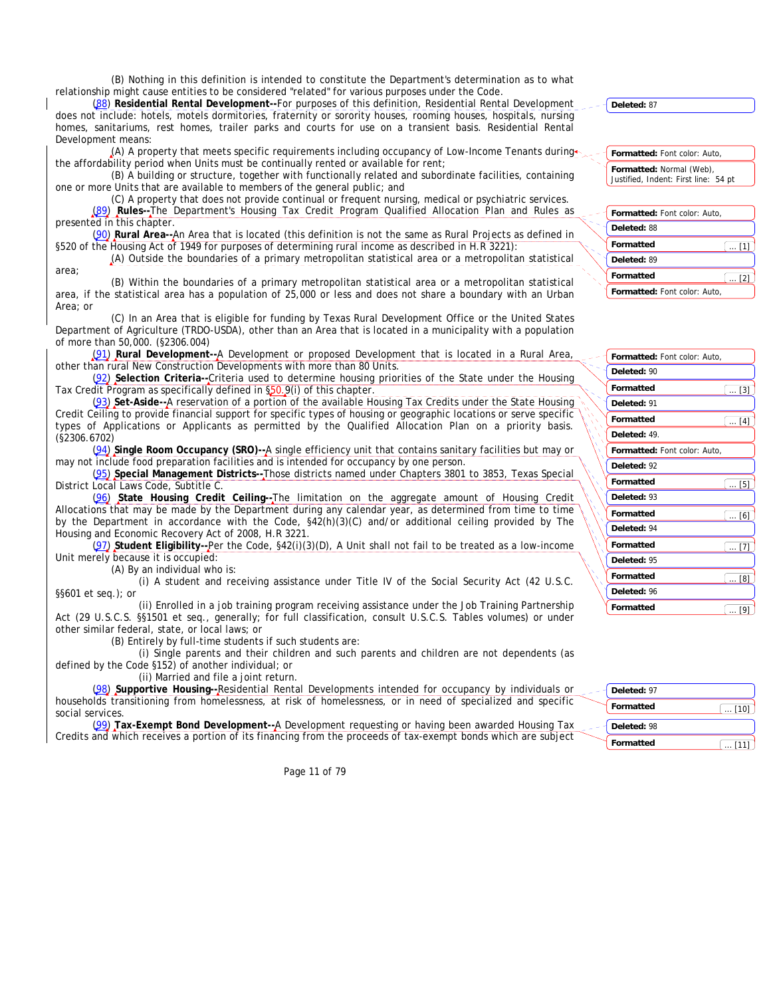(B) Nothing in this definition is intended to constitute the Department's determination as to what relationship might cause entities to be considered "related" for various purposes under the Code.

(88) **Residential Rental Development--**For purposes of this definition, Residential Rental Development does not include: hotels, motels dormitories, fraternity or sorority houses, rooming houses, hospitals, nursing homes, sanitariums, rest homes, trailer parks and courts for use on a transient basis. Residential Rental Development means:

 $(A)$  A property that meets specific requirements including occupancy of Low-Income Tenants during the affordability period when Units must be continually rented or available for rent;

(B) A building or structure, together with functionally related and subordinate facilities, containing one or more Units that are available to members of the general public; and

(C) A property that does not provide continual or frequent nursing, medical or psychiatric services. (89) **Rules--**The Department's Housing Tax Credit Program Qualified Allocation Plan and Rules as presented in this chapter.

(90) **Rural Area--**An Area that is located (this definition is not the same as Rural Projects as defined in §520 of the Housing Act of 1949 for purposes of determining rural income as described in H.R 3221):

(A) Outside the boundaries of a primary metropolitan statistical area or a metropolitan statistical area;

(B) Within the boundaries of a primary metropolitan statistical area or a metropolitan statistical area, if the statistical area has a population of 25,000 or less and does not share a boundary with an Urban Area; or

(C) In an Area that is eligible for funding by Texas Rural Development Office or the United States Department of Agriculture (TRDO-USDA), other than an Area that is located in a municipality with a population of more than 50,000. (§2306.004)

(91) **Rural Development--**A Development or proposed Development that is located in a Rural Area, other than rural New Construction Developments with more than 80 Units.

(92) **Selection Criteria--**Criteria used to determine housing priorities of the State under the Housing Tax Credit Program as specifically defined in §50.9(i) of this chapter.

(93) **Set-Aside--**A reservation of a portion of the available Housing Tax Credits under the State Housing Credit Ceiling to provide financial support for specific types of housing or geographic locations or serve specific types of Applications or Applicants as permitted by the Qualified Allocation Plan on a priority basis. (§2306.6702)

(94) **Single Room Occupancy (SRO)--**A single efficiency unit that contains sanitary facilities but may or may not include food preparation facilities and is intended for occupancy by one person.

(95) **Special Management Districts--**Those districts named under Chapters 3801 to 3853, Texas Special District Local Laws Code, Subtitle C.

(96) **State Housing Credit Ceiling--**The limitation on the aggregate amount of Housing Credit Allocations that may be made by the Department during any calendar year, as determined from time to time by the Department in accordance with the Code,  $\frac{642(h)(3)(C)}{2h}$  and/or additional ceiling provided by The Housing and Economic Recovery Act of 2008, H.R 3221.

(97) **Student Eligibility--**Per the Code, §42(i)(3)(D), A Unit shall not fail to be treated as a low-income Unit merely because it is occupied:

(A) By an individual who is:

(i) A student and receiving assistance under Title IV of the Social Security Act (42 U.S.C. §§601 et seq.); or

(ii) Enrolled in a job training program receiving assistance under the Job Training Partnership Act (29 U.S.C.S. §§1501 et seq., generally; for full classification, consult U.S.C.S. Tables volumes) or under other similar federal, state, or local laws; or

(B) Entirely by full-time students if such students are:

(i) Single parents and their children and such parents and children are not dependents (as defined by the Code §152) of another individual; or

(ii) Married and file a joint return.

(98) **Supportive Housing--**Residential Rental Developments intended for occupancy by individuals or households transitioning from homelessness, at risk of homelessness, or in need of specialized and specific social services.

(99) **Tax-Exempt Bond Development--**A Development requesting or having been awarded Housing Tax Credits and which receives a portion of its financing from the proceeds of tax-exempt bonds which are subject

Page 11 of 79

**Deleted:** 87

**Formatted:** Font color: Auto, **Formatted:** Normal (Web), Justified, Indent: First line: 54 pt

| Formatted: Font color: Auto, |  |
|------------------------------|--|
| Deleted: 88                  |  |
| <b>Formatted</b>             |  |
| Deleted: 89                  |  |
| Formatted                    |  |
| Formatted: Font color: Auto, |  |

| Formatted: Font color: Auto, |              |
|------------------------------|--------------|
| Deleted: 90                  |              |
| Formatted                    | $\ldots$ [3] |
| Deleted: 91                  |              |
| Formatted                    | $\ldots$ [4] |
| Deleted: 49.                 |              |
| Formatted: Font color: Auto, |              |
| Deleted: 92                  |              |
| Formatted                    | $\dots$ [5]  |
| Deleted: 93                  |              |
| Formatted                    | [6]          |
| Deleted: 94                  |              |
| Formatted                    | $\ldots$ [7] |
| Deleted: 95                  |              |
| Formatted                    | [8]          |
| Deleted: 96                  |              |
| Formatted                    | Γ9           |

| Deleted: 97      |       |
|------------------|-------|
| <b>Formatted</b> | .1101 |
| Deleted: 98      |       |
| <b>Formatted</b> | [11]  |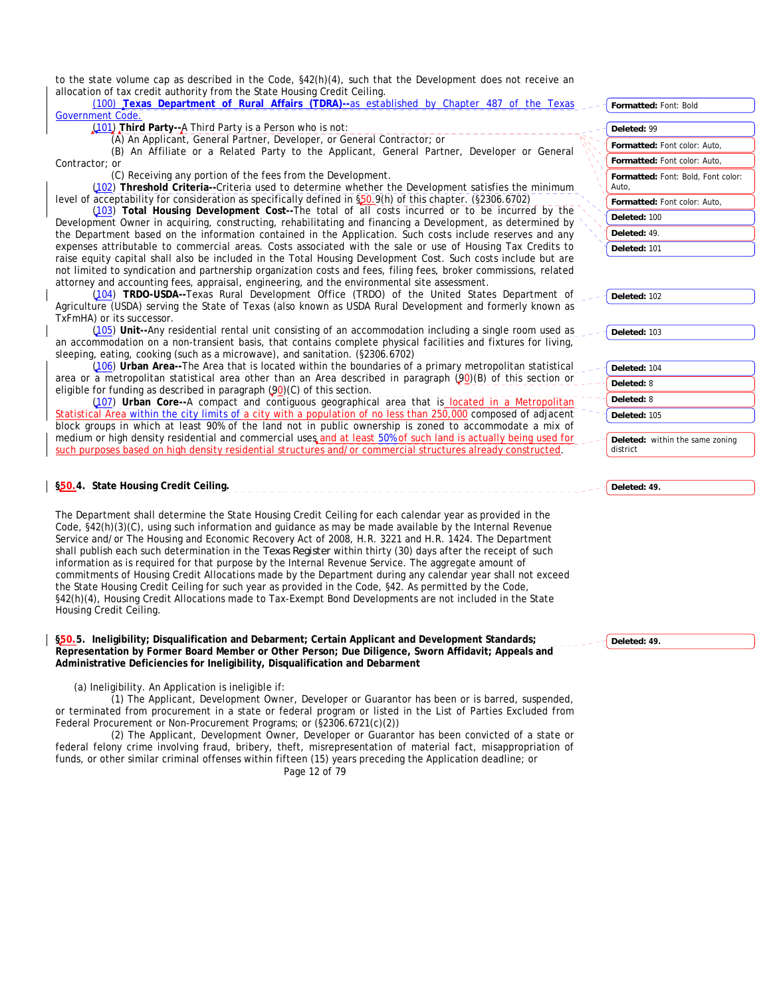to the state volume cap as described in the Code, §42(h)(4), such that the Development does not receive an allocation of tax credit authority from the State Housing Credit Ceiling.

(100) **Texas Department of Rural Affairs (TDRA)--**as established by Chapter 487 of the Texas Government Code.

(101) **Third Party--**A Third Party is a Person who is not:

(A) An Applicant, General Partner, Developer, or General Contractor; or

(B) An Affiliate or a Related Party to the Applicant, General Partner, Developer or General Contractor; or

(C) Receiving any portion of the fees from the Development.

(102) **Threshold Criteria--**Criteria used to determine whether the Development satisfies the minimum level of acceptability for consideration as specifically defined in §50.9(h) of this chapter. (§2306.6702)

(103) **Total Housing Development Cost--**The total of all costs incurred or to be incurred by the Development Owner in acquiring, constructing, rehabilitating and financing a Development, as determined by the Department based on the information contained in the Application. Such costs include reserves and any expenses attributable to commercial areas. Costs associated with the sale or use of Housing Tax Credits to raise equity capital shall also be included in the Total Housing Development Cost. Such costs include but are not limited to syndication and partnership organization costs and fees, filing fees, broker commissions, related attorney and accounting fees, appraisal, engineering, and the environmental site assessment.

(104) **TRDO-USDA--**Texas Rural Development Office (TRDO) of the United States Department of Agriculture (USDA) serving the State of Texas (also known as USDA Rural Development and formerly known as TxFmHA) or its successor.

(105) **Unit--**Any residential rental unit consisting of an accommodation including a single room used as an accommodation on a non-transient basis, that contains complete physical facilities and fixtures for living, sleeping, eating, cooking (such as a microwave), and sanitation. (§2306.6702)

(106) **Urban Area--**The Area that is located within the boundaries of a primary metropolitan statistical area or a metropolitan statistical area other than an Area described in paragraph (90)(B) of this section or eligible for funding as described in paragraph  $(90)(C)$  of this section.

(107) **Urban Core--**A compact and contiguous geographical area that is located in a Metropolitan Statistical Area within the city limits of a city with a population of no less than 250,000 composed of adjacent block groups in which at least 90% of the land not in public ownership is zoned to accommodate a mix of medium or high density residential and commercial uses and at least 50% of such land is actually being used for such purposes based on high density residential structures and/or commercial structures already constructed.

# **§50.4. State Housing Credit Ceiling.**

The Department shall determine the State Housing Credit Ceiling for each calendar year as provided in the Code, §42(h)(3)(C), using such information and guidance as may be made available by the Internal Revenue Service and/or The Housing and Economic Recovery Act of 2008, H.R. 3221 and H.R. 1424. The Department shall publish each such determination in the *Texas Register* within thirty (30) days after the receipt of such information as is required for that purpose by the Internal Revenue Service. The aggregate amount of commitments of Housing Credit Allocations made by the Department during any calendar year shall not exceed the State Housing Credit Ceiling for such year as provided in the Code, §42. As permitted by the Code, §42(h)(4), Housing Credit Allocations made to Tax-Exempt Bond Developments are not included in the State Housing Credit Ceiling.

**§50.5. Ineligibility; Disqualification and Debarment; Certain Applicant and Development Standards; Representation by Former Board Member or Other Person; Due Diligence, Sworn Affidavit; Appeals and Administrative Deficiencies for Ineligibility, Disqualification and Debarment** 

(a) Ineligibility. An Application is ineligible if:

(1) The Applicant, Development Owner, Developer or Guarantor has been or is barred, suspended, or terminated from procurement in a state or federal program or listed in the List of Parties Excluded from Federal Procurement or Non-Procurement Programs; or (§2306.6721(c)(2))

Page 12 of 79 (2) The Applicant, Development Owner, Developer or Guarantor has been convicted of a state or federal felony crime involving fraud, bribery, theft, misrepresentation of material fact, misappropriation of funds, or other similar criminal offenses within fifteen (15) years preceding the Application deadline; or

| <b>Formatted: Font: Bold</b>                       |
|----------------------------------------------------|
|                                                    |
| Deleted: 99                                        |
| <b>Formatted:</b> Font color: Auto.                |
| <b>Formatted:</b> Font color: Auto.                |
| <b>Formatted:</b> Font: Bold, Font color:<br>Auto. |
| <b>Formatted:</b> Font color: Auto.                |
| Deleted: 100                                       |
| Deleted: 49.                                       |
| Deleted: 101                                       |

**Deleted:** 102

**Deleted:** 103

**Deleted:** 104 **Deleted:** 8 **Deleted:** 8 **Deleted:** 105

**Deleted:** within the same zoning district

**Deleted: 49.**

**Deleted: 49.**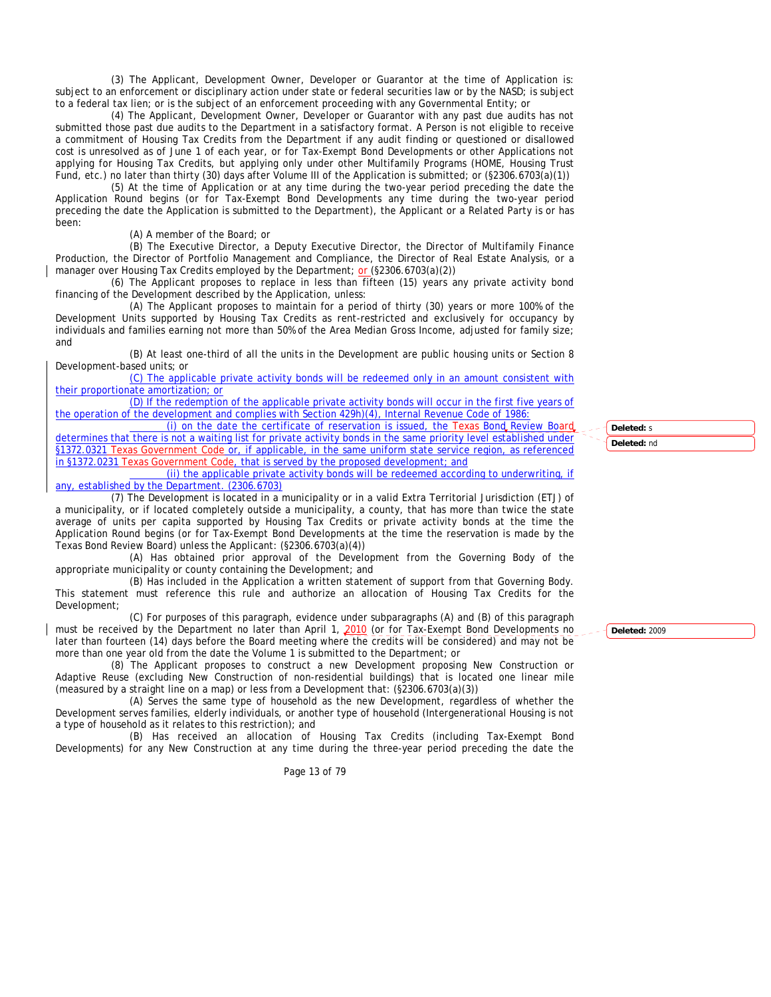(3) The Applicant, Development Owner, Developer or Guarantor at the time of Application is: subject to an enforcement or disciplinary action under state or federal securities law or by the NASD; is subject to a federal tax lien; or is the subject of an enforcement proceeding with any Governmental Entity; or

(4) The Applicant, Development Owner, Developer or Guarantor with any past due audits has not submitted those past due audits to the Department in a satisfactory format. A Person is not eligible to receive a commitment of Housing Tax Credits from the Department if any audit finding or questioned or disallowed cost is unresolved as of June 1 of each year, or for Tax-Exempt Bond Developments or other Applications not applying for Housing Tax Credits, but applying only under other Multifamily Programs (HOME, Housing Trust Fund, etc.) no later than thirty (30) days after Volume III of the Application is submitted; or (§2306.6703(a)(1))

(5) At the time of Application or at any time during the two-year period preceding the date the Application Round begins (or for Tax-Exempt Bond Developments any time during the two-year period preceding the date the Application is submitted to the Department), the Applicant or a Related Party is or has been:

(A) A member of the Board; or

(B) The Executive Director, a Deputy Executive Director, the Director of Multifamily Finance Production, the Director of Portfolio Management and Compliance, the Director of Real Estate Analysis, or a manager over Housing Tax Credits employed by the Department; or (§2306.6703(a)(2))

(6) The Applicant proposes to replace in less than fifteen (15) years any private activity bond financing of the Development described by the Application, unless:

(A) The Applicant proposes to maintain for a period of thirty (30) years or more 100% of the Development Units supported by Housing Tax Credits as rent-restricted and exclusively for occupancy by individuals and families earning not more than 50% of the Area Median Gross Income, adjusted for family size; and

(B) At least one-third of all the units in the Development are public housing units or Section 8 Development-based units; or

(C) The applicable private activity bonds will be redeemed only in an amount consistent with their proportionate amortization; or

(D) If the redemption of the applicable private activity bonds will occur in the first five years of the operation of the development and complies with Section 429h)(4), Internal Revenue Code of 1986:

(i) on the date the certificate of reservation is issued, the Texas Bond Review Board determines that there is not a waiting list for private activity bonds in the same priority level established under §1372.0321 Texas Government Code or, if applicable, in the same uniform state service region, as referenced in §1372.0231 Texas Government Code, that is served by the proposed development; and

 (ii) the applicable private activity bonds will be redeemed according to underwriting, if any, established by the Department. (2306.6703)

(7) The Development is located in a municipality or in a valid Extra Territorial Jurisdiction (ETJ) of a municipality, or if located completely outside a municipality, a county, that has more than twice the state average of units per capita supported by Housing Tax Credits or private activity bonds at the time the Application Round begins (or for Tax-Exempt Bond Developments at the time the reservation is made by the Texas Bond Review Board) unless the Applicant: (§2306.6703(a)(4))

(A) Has obtained prior approval of the Development from the Governing Body of the appropriate municipality or county containing the Development; and

(B) Has included in the Application a written statement of support from that Governing Body. This statement must reference this rule and authorize an allocation of Housing Tax Credits for the Development;

(C) For purposes of this paragraph, evidence under subparagraphs (A) and (B) of this paragraph must be received by the Department no later than April 1, 2010 (or for Tax-Exempt Bond Developments no later than fourteen (14) days before the Board meeting where the credits will be considered) and may not be more than one year old from the date the Volume 1 is submitted to the Department; or

(8) The Applicant proposes to construct a new Development proposing New Construction or Adaptive Reuse (excluding New Construction of non-residential buildings) that is located one linear mile (measured by a straight line on a map) or less from a Development that: (§2306.6703(a)(3))

(A) Serves the same type of household as the new Development, regardless of whether the Development serves families, elderly individuals, or another type of household (Intergenerational Housing is not a type of household as it relates to this restriction); and

(B) Has received an allocation of Housing Tax Credits (including Tax-Exempt Bond Developments) for any New Construction at any time during the three-year period preceding the date the

Page 13 of 79

**Deleted:** nd

**Deleted:** 2009

**Deleted:** s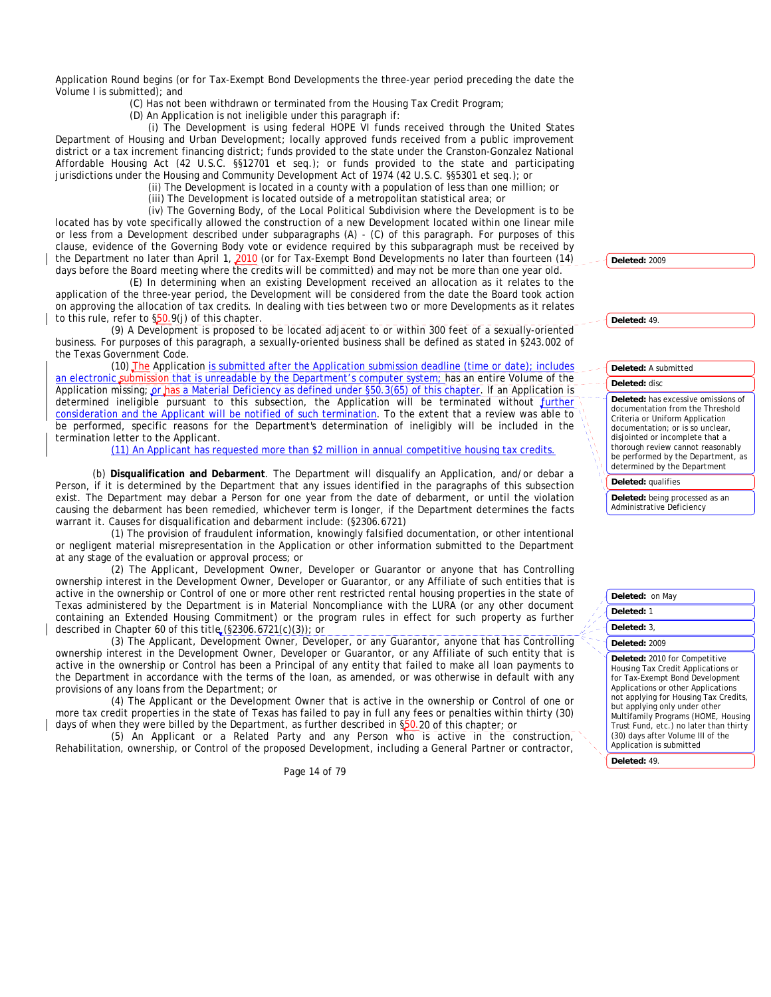Application Round begins (or for Tax-Exempt Bond Developments the three-year period preceding the date the Volume I is submitted); and

(C) Has not been withdrawn or terminated from the Housing Tax Credit Program;

(D) An Application is not ineligible under this paragraph if:

(i) The Development is using federal HOPE VI funds received through the United States Department of Housing and Urban Development; locally approved funds received from a public improvement district or a tax increment financing district; funds provided to the state under the Cranston-Gonzalez National Affordable Housing Act (42 U.S.C. §§12701 et seq.); or funds provided to the state and participating jurisdictions under the Housing and Community Development Act of 1974 (42 U.S.C. §§5301 et seq.); or

(ii) The Development is located in a county with a population of less than one million; or

(iii) The Development is located outside of a metropolitan statistical area; or

(iv) The Governing Body, of the Local Political Subdivision where the Development is to be located has by vote specifically allowed the construction of a new Development located within one linear mile or less from a Development described under subparagraphs (A) - (C) of this paragraph. For purposes of this clause, evidence of the Governing Body vote or evidence required by this subparagraph must be received by the Department no later than April 1, 2010 (or for Tax-Exempt Bond Developments no later than fourteen (14) days before the Board meeting where the credits will be committed) and may not be more than one year old.

(E) In determining when an existing Development received an allocation as it relates to the application of the three-year period, the Development will be considered from the date the Board took action on approving the allocation of tax credits. In dealing with ties between two or more Developments as it relates to this rule, refer to §50.9(j) of this chapter.

(9) A Development is proposed to be located adjacent to or within 300 feet of a sexually-oriented business. For purposes of this paragraph, a sexually-oriented business shall be defined as stated in §243.002 of the Texas Government Code.

(10) The Application is submitted after the Application submission deadline (time or date); includes an electronic submission that is unreadable by the Department's computer system; has an entire Volume of the Application missing; or has a Material Deficiency as defined under §50.3(65) of this chapter. If an Application is determined ineligible pursuant to this subsection, the Application will be terminated without further consideration and the Applicant will be notified of such termination. To the extent that a review was able to be performed, specific reasons for the Department's determination of ineligibly will be included in the termination letter to the Applicant.

(11) An Applicant has requested more than \$2 million in annual competitive housing tax credits.

(b) **Disqualification and Debarment**. The Department will disqualify an Application, and/or debar a Person, if it is determined by the Department that any issues identified in the paragraphs of this subsection exist. The Department may debar a Person for one year from the date of debarment, or until the violation causing the debarment has been remedied, whichever term is longer, if the Department determines the facts warrant it. Causes for disqualification and debarment include: (§2306.6721)

(1) The provision of fraudulent information, knowingly falsified documentation, or other intentional or negligent material misrepresentation in the Application or other information submitted to the Department at any stage of the evaluation or approval process; or

(2) The Applicant, Development Owner, Developer or Guarantor or anyone that has Controlling ownership interest in the Development Owner, Developer or Guarantor, or any Affiliate of such entities that is active in the ownership or Control of one or more other rent restricted rental housing properties in the state of Texas administered by the Department is in Material Noncompliance with the LURA (or any other document containing an Extended Housing Commitment) or the program rules in effect for such property as further described in Chapter 60 of this title (§2306.6721(c)(3)); or

(3) The Applicant, Development Owner, Developer, or any Guarantor, anyone that has Controlling ownership interest in the Development Owner, Developer or Guarantor, or any Affiliate of such entity that is active in the ownership or Control has been a Principal of any entity that failed to make all loan payments to the Department in accordance with the terms of the loan, as amended, or was otherwise in default with any provisions of any loans from the Department; or

(4) The Applicant or the Development Owner that is active in the ownership or Control of one or more tax credit properties in the state of Texas has failed to pay in full any fees or penalties within thirty (30) days of when they were billed by the Department, as further described in §50.20 of this chapter; or

(5) An Applicant or a Related Party and any Person who is active in the construction, Rehabilitation, ownership, or Control of the proposed Development, including a General Partner or contractor,

Page 14 of 79

**Deleted:** 2009

**Deleted:** 49.

#### **Deleted:** A submitted

### **Deleted:** disc

**Deleted:** has excessive omissions of documentation from the Threshold Criteria or Uniform Application documentation; or is so unclear, disjointed or incomplete that a thorough review cannot reasonably be performed by the Department, as determined by the Department

#### **Deleted:** qualifies

**Deleted:** being processed as an Administrative Deficiency

**Deleted:** on May

- **Deleted:** 1
- **Deleted:** 3,

# **Deleted:** 2009

**Deleted:** 2010 for Competitive Housing Tax Credit Applications or for Tax-Exempt Bond Development Applications or other Applications not applying for Housing Tax Credits, but applying only under other Multifamily Programs (HOME, Housing Trust Fund, etc.) no later than thirty (30) days after Volume III of the Application is submitted

**Deleted:** 49.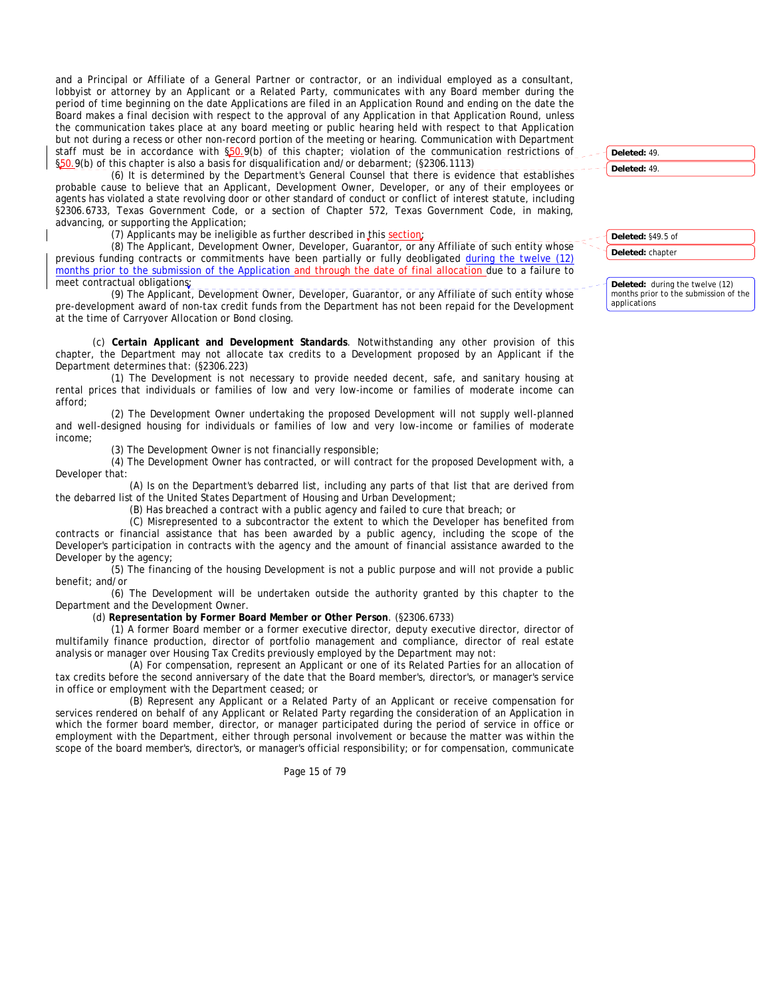and a Principal or Affiliate of a General Partner or contractor, or an individual employed as a consultant, lobbyist or attorney by an Applicant or a Related Party, communicates with any Board member during the period of time beginning on the date Applications are filed in an Application Round and ending on the date the Board makes a final decision with respect to the approval of any Application in that Application Round, unless the communication takes place at any board meeting or public hearing held with respect to that Application but not during a recess or other non-record portion of the meeting or hearing. Communication with Department staff must be in accordance with §50.9(b) of this chapter; violation of the communication restrictions of §50.9(b) of this chapter is also a basis for disqualification and/or debarment; (§2306.1113)

(6) It is determined by the Department's General Counsel that there is evidence that establishes probable cause to believe that an Applicant, Development Owner, Developer, or any of their employees or agents has violated a state revolving door or other standard of conduct or conflict of interest statute, including §2306.6733, Texas Government Code, or a section of Chapter 572, Texas Government Code, in making, advancing, or supporting the Application;

(7) Applicants may be ineligible as further described in this section;

(8) The Applicant, Development Owner, Developer, Guarantor, or any Affiliate of such entity whose previous funding contracts or commitments have been partially or fully deobligated during the twelve (12) months prior to the submission of the Application and through the date of final allocation due to a failure to meet contractual obligations;

(9) The Applicant, Development Owner, Developer, Guarantor, or any Affiliate of such entity whose pre-development award of non-tax credit funds from the Department has not been repaid for the Development at the time of Carryover Allocation or Bond closing.

(c) **Certain Applicant and Development Standards**. Notwithstanding any other provision of this chapter, the Department may not allocate tax credits to a Development proposed by an Applicant if the Department determines that: (§2306.223)

(1) The Development is not necessary to provide needed decent, safe, and sanitary housing at rental prices that individuals or families of low and very low-income or families of moderate income can afford;

(2) The Development Owner undertaking the proposed Development will not supply well-planned and well-designed housing for individuals or families of low and very low-income or families of moderate income;

(3) The Development Owner is not financially responsible;

(4) The Development Owner has contracted, or will contract for the proposed Development with, a Developer that:

(A) Is on the Department's debarred list, including any parts of that list that are derived from the debarred list of the United States Department of Housing and Urban Development;

(B) Has breached a contract with a public agency and failed to cure that breach; or

(C) Misrepresented to a subcontractor the extent to which the Developer has benefited from contracts or financial assistance that has been awarded by a public agency, including the scope of the Developer's participation in contracts with the agency and the amount of financial assistance awarded to the Developer by the agency;

(5) The financing of the housing Development is not a public purpose and will not provide a public benefit; and/or

(6) The Development will be undertaken outside the authority granted by this chapter to the Department and the Development Owner.

(d) **Representation by Former Board Member or Other Person**. (§2306.6733)

(1) A former Board member or a former executive director, deputy executive director, director of multifamily finance production, director of portfolio management and compliance, director of real estate analysis or manager over Housing Tax Credits previously employed by the Department may not:

(A) For compensation, represent an Applicant or one of its Related Parties for an allocation of tax credits before the second anniversary of the date that the Board member's, director's, or manager's service in office or employment with the Department ceased; or

(B) Represent any Applicant or a Related Party of an Applicant or receive compensation for services rendered on behalf of any Applicant or Related Party regarding the consideration of an Application in which the former board member, director, or manager participated during the period of service in office or employment with the Department, either through personal involvement or because the matter was within the scope of the board member's, director's, or manager's official responsibility; or for compensation, communicate

Page 15 of 79

**Deleted:** 49.

**Deleted:** 49.

**Deleted:** §49.5 of

**Deleted:** chapter

**Deleted:** during the twelve (12) months prior to the submission of the applications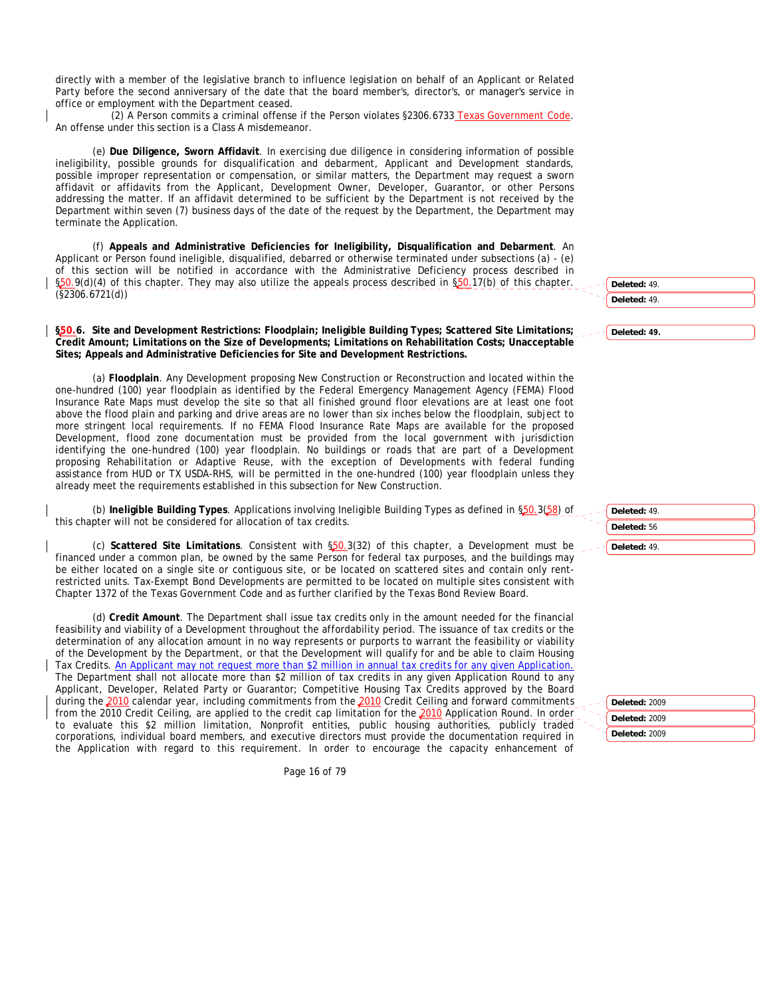directly with a member of the legislative branch to influence legislation on behalf of an Applicant or Related Party before the second anniversary of the date that the board member's, director's, or manager's service in office or employment with the Department ceased.

(2) A Person commits a criminal offense if the Person violates §2306.6733 Texas Government Code. An offense under this section is a Class A misdemeanor.

(e) **Due Diligence, Sworn Affidavit**. In exercising due diligence in considering information of possible ineligibility, possible grounds for disqualification and debarment, Applicant and Development standards, possible improper representation or compensation, or similar matters, the Department may request a sworn affidavit or affidavits from the Applicant, Development Owner, Developer, Guarantor, or other Persons addressing the matter. If an affidavit determined to be sufficient by the Department is not received by the Department within seven (7) business days of the date of the request by the Department, the Department may terminate the Application.

(f) **Appeals and Administrative Deficiencies for Ineligibility, Disqualification and Debarment**. An Applicant or Person found ineligible, disqualified, debarred or otherwise terminated under subsections (a) - (e) of this section will be notified in accordance with the Administrative Deficiency process described in §50.9(d)(4) of this chapter. They may also utilize the appeals process described in §50.17(b) of this chapter. (§2306.6721(d))

§50.6. Site and Development Restrictions: Floodplain; Ineligible Building Types; Scattered Site Limitations; **Credit Amount; Limitations on the Size of Developments; Limitations on Rehabilitation Costs; Unacceptable Sites; Appeals and Administrative Deficiencies for Site and Development Restrictions.** 

(a) **Floodplain**. Any Development proposing New Construction or Reconstruction and located within the one-hundred (100) year floodplain as identified by the Federal Emergency Management Agency (FEMA) Flood Insurance Rate Maps must develop the site so that all finished ground floor elevations are at least one foot above the flood plain and parking and drive areas are no lower than six inches below the floodplain, subject to more stringent local requirements. If no FEMA Flood Insurance Rate Maps are available for the proposed Development, flood zone documentation must be provided from the local government with jurisdiction identifying the one-hundred (100) year floodplain. No buildings or roads that are part of a Development proposing Rehabilitation or Adaptive Reuse, with the exception of Developments with federal funding assistance from HUD or TX USDA-RHS, will be permitted in the one-hundred (100) year floodplain unless they already meet the requirements established in this subsection for New Construction.

(b) **Ineligible Building Types**. Applications involving Ineligible Building Types as defined in §50.3(58) of this chapter will not be considered for allocation of tax credits.

(c) **Scattered Site Limitations**. Consistent with §50.3(32) of this chapter, a Development must be financed under a common plan, be owned by the same Person for federal tax purposes, and the buildings may be either located on a single site or contiguous site, or be located on scattered sites and contain only rentrestricted units. Tax-Exempt Bond Developments are permitted to be located on multiple sites consistent with Chapter 1372 of the Texas Government Code and as further clarified by the Texas Bond Review Board.

(d) **Credit Amount**. The Department shall issue tax credits only in the amount needed for the financial feasibility and viability of a Development throughout the affordability period. The issuance of tax credits or the determination of any allocation amount in no way represents or purports to warrant the feasibility or viability of the Development by the Department, or that the Development will qualify for and be able to claim Housing Tax Credits. An Applicant may not request more than \$2 million in annual tax credits for any given Application. The Department shall not allocate more than \$2 million of tax credits in any given Application Round to any Applicant, Developer, Related Party or Guarantor; Competitive Housing Tax Credits approved by the Board during the 2010 calendar year, including commitments from the 2010 Credit Ceiling and forward commitments from the 2010 Credit Ceiling, are applied to the credit cap limitation for the 2010 Application Round. In order to evaluate this \$2 million limitation, Nonprofit entities, public housing authorities, publicly traded corporations, individual board members, and executive directors must provide the documentation required in the Application with regard to this requirement. In order to encourage the capacity enhancement of

**Deleted:** 49. **Deleted:** 49. **Deleted: 49.**

**Deleted:** 49. **Deleted:** 56 **Deleted:** 49.

**Deleted:** 2009 **Deleted:** 2009 **Deleted:** 2009

Page 16 of 79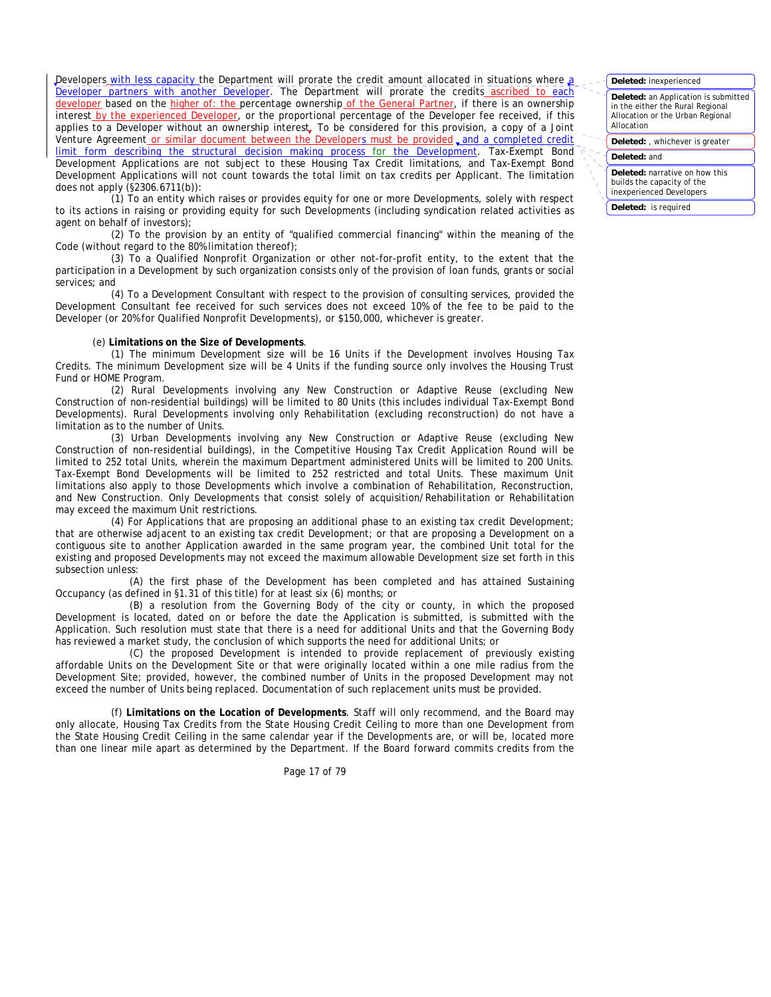Developers with less capacity the Department will prorate the credit amount allocated in situations where a Developer partners with another Developer. The Department will prorate the credits ascribed to each developer based on the higher of: the percentage ownership of the General Partner, if there is an ownership interest by the experienced Developer, or the proportional percentage of the Developer fee received, if this applies to a Developer without an ownership interest. To be considered for this provision, a copy of a Joint Venture Agreement or similar document between the Developers must be provided, and a completed credit limit form describing the structural decision making process for the Development. Tax-Exempt Bond Development Applications are not subject to these Housing Tax Credit limitations, and Tax-Exempt Bond Development Applications will not count towards the total limit on tax credits per Applicant. The limitation does not apply (§2306.6711(b)):

(1) To an entity which raises or provides equity for one or more Developments, solely with respect to its actions in raising or providing equity for such Developments (including syndication related activities as agent on behalf of investors);

(2) To the provision by an entity of "qualified commercial financing" within the meaning of the Code (without regard to the 80% limitation thereof);

(3) To a Qualified Nonprofit Organization or other not-for-profit entity, to the extent that the participation in a Development by such organization consists only of the provision of loan funds, grants or social services; and

(4) To a Development Consultant with respect to the provision of consulting services, provided the Development Consultant fee received for such services does not exceed 10% of the fee to be paid to the Developer (or 20% for Qualified Nonprofit Developments), or \$150,000, whichever is greater.

## (e) **Limitations on the Size of Developments**.

(1) The minimum Development size will be 16 Units if the Development involves Housing Tax Credits. The minimum Development size will be 4 Units if the funding source only involves the Housing Trust Fund or HOME Program.

(2) Rural Developments involving any New Construction or Adaptive Reuse (excluding New Construction of non-residential buildings) will be limited to 80 Units (this includes individual Tax-Exempt Bond Developments). Rural Developments involving only Rehabilitation (excluding reconstruction) do not have a limitation as to the number of Units.

(3) Urban Developments involving any New Construction or Adaptive Reuse (excluding New Construction of non-residential buildings), in the Competitive Housing Tax Credit Application Round will be limited to 252 total Units, wherein the maximum Department administered Units will be limited to 200 Units. Tax-Exempt Bond Developments will be limited to 252 restricted and total Units. These maximum Unit limitations also apply to those Developments which involve a combination of Rehabilitation, Reconstruction, and New Construction. Only Developments that consist solely of acquisition/Rehabilitation or Rehabilitation may exceed the maximum Unit restrictions.

(4) For Applications that are proposing an additional phase to an existing tax credit Development; that are otherwise adjacent to an existing tax credit Development; or that are proposing a Development on a contiguous site to another Application awarded in the same program year, the combined Unit total for the existing and proposed Developments may not exceed the maximum allowable Development size set forth in this subsection unless:

(A) the first phase of the Development has been completed and has attained Sustaining Occupancy (as defined in §1.31 of this title) for at least six (6) months; or

(B) a resolution from the Governing Body of the city or county, in which the proposed Development is located, dated on or before the date the Application is submitted, is submitted with the Application. Such resolution must state that there is a need for additional Units and that the Governing Body has reviewed a market study, the conclusion of which supports the need for additional Units; or

(C) the proposed Development is intended to provide replacement of previously existing affordable Units on the Development Site or that were originally located within a one mile radius from the Development Site; provided, however, the combined number of Units in the proposed Development may not exceed the number of Units being replaced. Documentation of such replacement units must be provided.

(f) **Limitations on the Location of Developments**. Staff will only recommend, and the Board may only allocate, Housing Tax Credits from the State Housing Credit Ceiling to more than one Development from the State Housing Credit Ceiling in the same calendar year if the Developments are, or will be, located more than one linear mile apart as determined by the Department. If the Board forward commits credits from the

Page 17 of 79

## **Deleted:** inexperienced

**Deleted:** an Application is submitted in the either the Rural Regional Allocation or the Urban Regional Allocation

**Deleted:** , whichever is greater

#### **Deleted:** and

**Deleted:** narrative on how this builds the capacity of the inexperienced Developers

**Deleted:** is required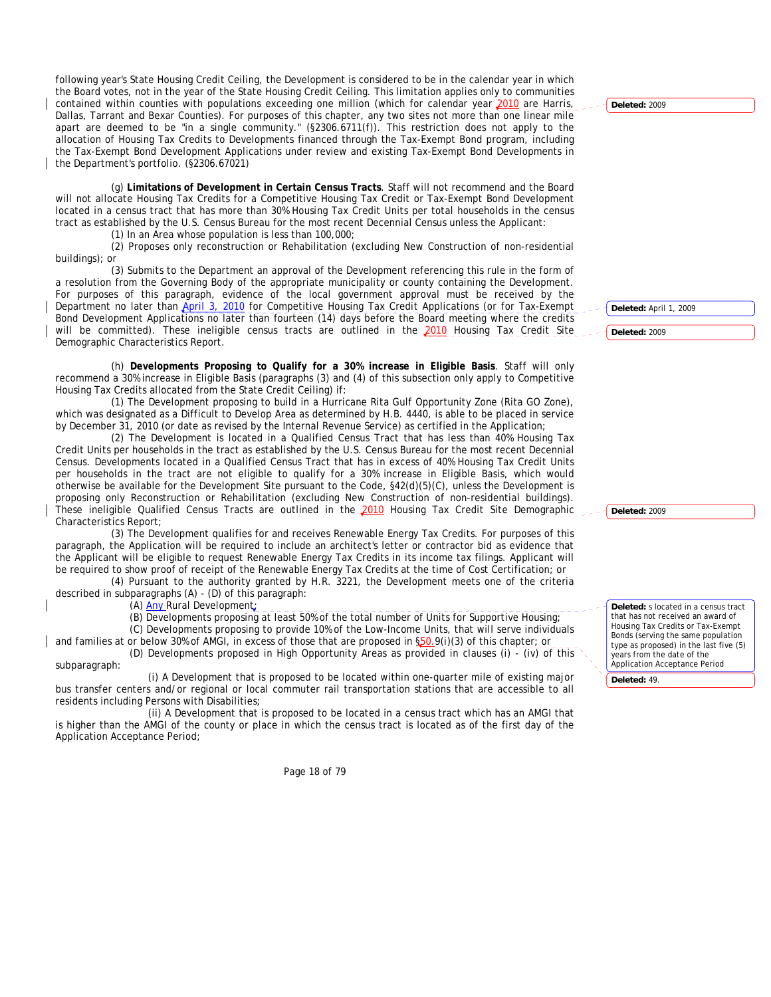following year's State Housing Credit Ceiling, the Development is considered to be in the calendar year in which the Board votes, not in the year of the State Housing Credit Ceiling. This limitation applies only to communities contained within counties with populations exceeding one million (which for calendar year 2010 are Harris, Dallas, Tarrant and Bexar Counties). For purposes of this chapter, any two sites not more than one linear mile apart are deemed to be "in a single community." (§2306.6711(f)). This restriction does not apply to the allocation of Housing Tax Credits to Developments financed through the Tax-Exempt Bond program, including the Tax-Exempt Bond Development Applications under review and existing Tax-Exempt Bond Developments in the Department's portfolio. (§2306.67021)

(g) **Limitations of Development in Certain Census Tracts**. Staff will not recommend and the Board will not allocate Housing Tax Credits for a Competitive Housing Tax Credit or Tax-Exempt Bond Development located in a census tract that has more than 30% Housing Tax Credit Units per total households in the census tract as established by the U.S. Census Bureau for the most recent Decennial Census unless the Applicant:

(1) In an Area whose population is less than 100,000;

(2) Proposes only reconstruction or Rehabilitation (excluding New Construction of non-residential buildings); or

(3) Submits to the Department an approval of the Development referencing this rule in the form of a resolution from the Governing Body of the appropriate municipality or county containing the Development. For purposes of this paragraph, evidence of the local government approval must be received by the Department no later than April 3, 2010 for Competitive Housing Tax Credit Applications (or for Tax-Exempt Bond Development Applications no later than fourteen (14) days before the Board meeting where the credits will be committed). These ineligible census tracts are outlined in the 2010 Housing Tax Credit Site Demographic Characteristics Report.

(h) **Developments Proposing to Qualify for a 30% increase in Eligible Basis**. Staff will only recommend a 30% increase in Eligible Basis (paragraphs (3) and (4) of this subsection only apply to Competitive Housing Tax Credits allocated from the State Credit Ceiling) if:

(1) The Development proposing to build in a Hurricane Rita Gulf Opportunity Zone (Rita GO Zone), which was designated as a Difficult to Develop Area as determined by H.B. 4440, is able to be placed in service by December 31, 2010 (or date as revised by the Internal Revenue Service) as certified in the Application;

(2) The Development is located in a Qualified Census Tract that has less than 40% Housing Tax Credit Units per households in the tract as established by the U.S. Census Bureau for the most recent Decennial Census. Developments located in a Qualified Census Tract that has in excess of 40% Housing Tax Credit Units per households in the tract are not eligible to qualify for a 30% increase in Eligible Basis, which would otherwise be available for the Development Site pursuant to the Code, §42(d)(5)(C), unless the Development is proposing only Reconstruction or Rehabilitation (excluding New Construction of non-residential buildings). These ineligible Qualified Census Tracts are outlined in the 2010 Housing Tax Credit Site Demographic Characteristics Report;

(3) The Development qualifies for and receives Renewable Energy Tax Credits. For purposes of this paragraph, the Application will be required to include an architect's letter or contractor bid as evidence that the Applicant will be eligible to request Renewable Energy Tax Credits in its income tax filings. Applicant will be required to show proof of receipt of the Renewable Energy Tax Credits at the time of Cost Certification; or

(4) Pursuant to the authority granted by H.R. 3221, the Development meets one of the criteria described in subparagraphs (A) - (D) of this paragraph:

(A) **Any Rural Development**;

(B) Developments proposing at least 50% of the total number of Units for Supportive Housing;

(C) Developments proposing to provide 10% of the Low-Income Units, that will serve individuals and families at or below 30% of AMGI, in excess of those that are proposed in §50.9(i)(3) of this chapter; or

(D) Developments proposed in High Opportunity Areas as provided in clauses (i) - (iv) of this subparagraph:

(i) A Development that is proposed to be located within one-quarter mile of existing major bus transfer centers and/or regional or local commuter rail transportation stations that are accessible to all residents including Persons with Disabilities;

(ii) A Development that is proposed to be located in a census tract which has an AMGI that is higher than the AMGI of the county or place in which the census tract is located as of the first day of the Application Acceptance Period;

Page 18 of 79

**Deleted:** 2009

**Deleted:** April 1, 2009

**Deleted:** 2009

**Deleted:** 2009

**Deleted:** s located in a census tract that has not received an award of Housing Tax Credits or Tax-Exempt Bonds (serving the same population type as proposed) in the last five (5) years from the date of the Application Acceptance Period

**Deleted:** 49.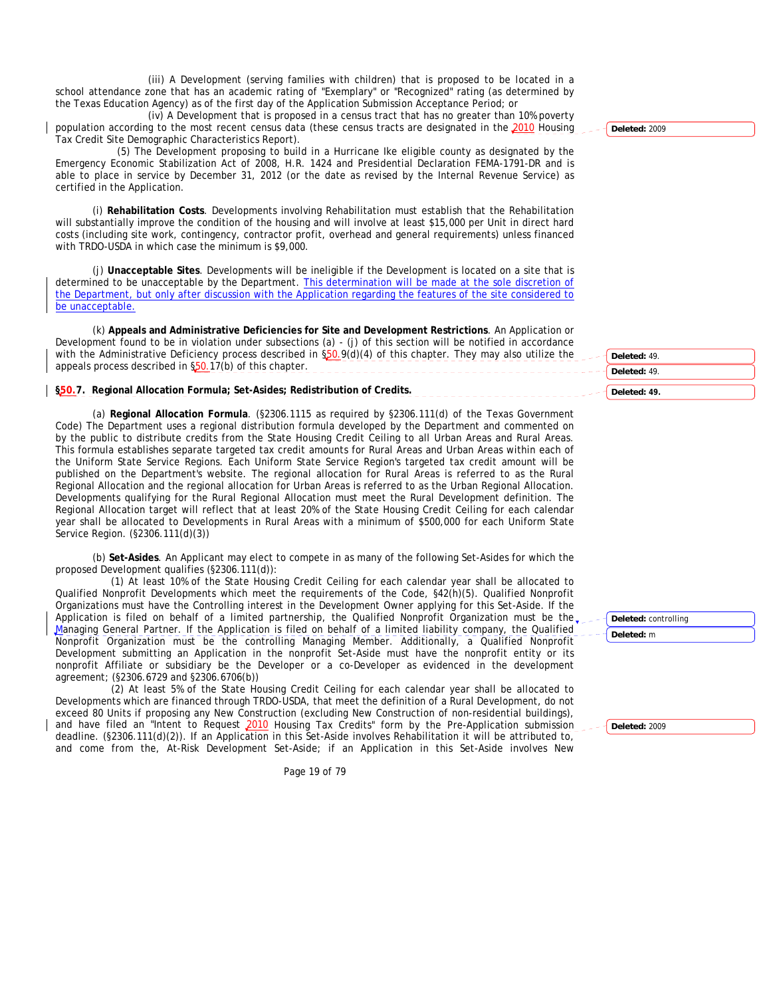(iii) A Development (serving families with children) that is proposed to be located in a school attendance zone that has an academic rating of "Exemplary" or "Recognized" rating (as determined by the Texas Education Agency) as of the first day of the Application Submission Acceptance Period; or

(iv) A Development that is proposed in a census tract that has no greater than 10% poverty population according to the most recent census data (these census tracts are designated in the 2010 Housing Tax Credit Site Demographic Characteristics Report).

 (5) The Development proposing to build in a Hurricane Ike eligible county as designated by the Emergency Economic Stabilization Act of 2008, H.R. 1424 and Presidential Declaration FEMA-1791-DR and is able to place in service by December 31, 2012 (or the date as revised by the Internal Revenue Service) as certified in the Application.

(i) **Rehabilitation Costs**. Developments involving Rehabilitation must establish that the Rehabilitation will substantially improve the condition of the housing and will involve at least \$15,000 per Unit in direct hard costs (including site work, contingency, contractor profit, overhead and general requirements) unless financed with TRDO-USDA in which case the minimum is \$9,000.

(j) **Unacceptable Sites**. Developments will be ineligible if the Development is located on a site that is determined to be unacceptable by the Department. This determination will be made at the sole discretion of the Department, but only after discussion with the Application regarding the features of the site considered to be unacceptable.

(k) **Appeals and Administrative Deficiencies for Site and Development Restrictions**. An Application or Development found to be in violation under subsections (a) - (j) of this section will be notified in accordance with the Administrative Deficiency process described in  $\S50.9(d)(4)$  of this chapter. They may also utilize the appeals process described in \$50.17(b) of this chapter.

**§50.7. Regional Allocation Formula; Set-Asides; Redistribution of Credits.** 

(a) **Regional Allocation Formula**. (§2306.1115 as required by §2306.111(d) of the Texas Government Code) The Department uses a regional distribution formula developed by the Department and commented on by the public to distribute credits from the State Housing Credit Ceiling to all Urban Areas and Rural Areas. This formula establishes separate targeted tax credit amounts for Rural Areas and Urban Areas within each of the Uniform State Service Regions. Each Uniform State Service Region's targeted tax credit amount will be published on the Department's website. The regional allocation for Rural Areas is referred to as the Rural Regional Allocation and the regional allocation for Urban Areas is referred to as the Urban Regional Allocation. Developments qualifying for the Rural Regional Allocation must meet the Rural Development definition. The Regional Allocation target will reflect that at least 20% of the State Housing Credit Ceiling for each calendar year shall be allocated to Developments in Rural Areas with a minimum of \$500,000 for each Uniform State Service Region. (§2306.111(d)(3))

(b) **Set-Asides**. An Applicant may elect to compete in as many of the following Set-Asides for which the proposed Development qualifies (§2306.111(d)):

(1) At least 10% of the State Housing Credit Ceiling for each calendar year shall be allocated to Qualified Nonprofit Developments which meet the requirements of the Code, §42(h)(5). Qualified Nonprofit Organizations must have the Controlling interest in the Development Owner applying for this Set-Aside. If the Application is filed on behalf of a limited partnership, the Qualified Nonprofit Organization must be the Managing General Partner. If the Application is filed on behalf of a limited liability company, the Qualified Nonprofit Organization must be the controlling Managing Member. Additionally, a Qualified Nonprofit Development submitting an Application in the nonprofit Set-Aside must have the nonprofit entity or its nonprofit Affiliate or subsidiary be the Developer or a co-Developer as evidenced in the development agreement; (§2306.6729 and §2306.6706(b))

(2) At least 5% of the State Housing Credit Ceiling for each calendar year shall be allocated to Developments which are financed through TRDO-USDA, that meet the definition of a Rural Development, do not exceed 80 Units if proposing any New Construction (excluding New Construction of non-residential buildings), and have filed an "Intent to Request 2010 Housing Tax Credits" form by the Pre-Application submission deadline. (§2306.111(d)(2)). If an Application in this Set-Aside involves Rehabilitation it will be attributed to, and come from the, At-Risk Development Set-Aside; if an Application in this Set-Aside involves New

Page 19 of 79

**Deleted:** 2009

**Deleted:** 49.

**Deleted:** 49. **Deleted: 49.**

**Deleted:** controlling

**Deleted:** m

**Deleted:** 2009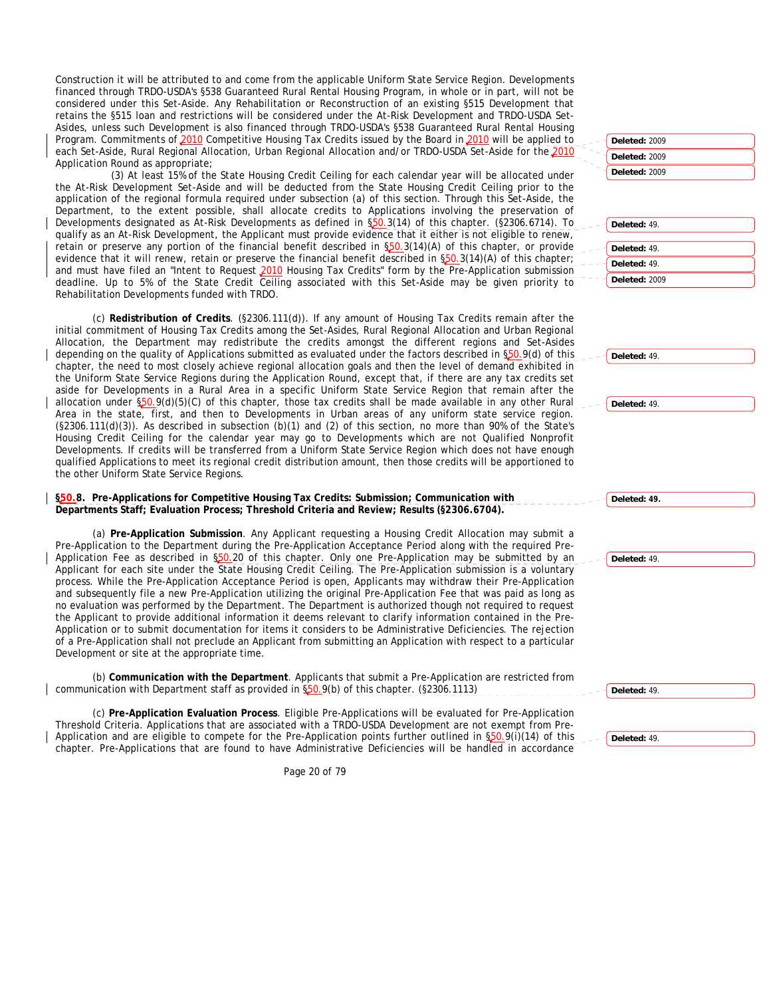Construction it will be attributed to and come from the applicable Uniform State Service Region. Developments financed through TRDO-USDA's §538 Guaranteed Rural Rental Housing Program, in whole or in part, will not be considered under this Set-Aside. Any Rehabilitation or Reconstruction of an existing §515 Development that retains the §515 loan and restrictions will be considered under the At-Risk Development and TRDO-USDA Set-Asides, unless such Development is also financed through TRDO-USDA's §538 Guaranteed Rural Rental Housing Program. Commitments of 2010 Competitive Housing Tax Credits issued by the Board in 2010 will be applied to each Set-Aside, Rural Regional Allocation, Urban Regional Allocation and/or TRDO-USDA Set-Aside for the 2010 Application Round as appropriate;

(3) At least 15% of the State Housing Credit Ceiling for each calendar year will be allocated under the At-Risk Development Set-Aside and will be deducted from the State Housing Credit Ceiling prior to the application of the regional formula required under subsection (a) of this section. Through this Set-Aside, the Department, to the extent possible, shall allocate credits to Applications involving the preservation of Developments designated as At-Risk Developments as defined in §50.3(14) of this chapter. (§2306.6714). To qualify as an At-Risk Development, the Applicant must provide evidence that it either is not eligible to renew, retain or preserve any portion of the financial benefit described in \$50.3(14)(A) of this chapter, or provide evidence that it will renew, retain or preserve the financial benefit described in  $\S50.3(14)(A)$  of this chapter; and must have filed an "Intent to Request 2010 Housing Tax Credits" form by the Pre-Application submission deadline. Up to 5% of the State Credit Ceiling associated with this Set-Aside may be given priority to Rehabilitation Developments funded with TRDO.

(c) **Redistribution of Credits**. (§2306.111(d)). If any amount of Housing Tax Credits remain after the initial commitment of Housing Tax Credits among the Set-Asides, Rural Regional Allocation and Urban Regional Allocation, the Department may redistribute the credits amongst the different regions and Set-Asides depending on the quality of Applications submitted as evaluated under the factors described in §50.9(d) of this chapter, the need to most closely achieve regional allocation goals and then the level of demand exhibited in the Uniform State Service Regions during the Application Round, except that, if there are any tax credits set aside for Developments in a Rural Area in a specific Uniform State Service Region that remain after the allocation under §50.9(d)(5)(C) of this chapter, those tax credits shall be made available in any other Rural Area in the state, first, and then to Developments in Urban areas of any uniform state service region. (§2306.111(d)(3)). As described in subsection (b)(1) and (2) of this section, no more than 90% of the State's Housing Credit Ceiling for the calendar year may go to Developments which are not Qualified Nonprofit Developments. If credits will be transferred from a Uniform State Service Region which does not have enough qualified Applications to meet its regional credit distribution amount, then those credits will be apportioned to the other Uniform State Service Regions.

## **§50.8. Pre-Applications for Competitive Housing Tax Credits: Submission; Communication with Departments Staff; Evaluation Process; Threshold Criteria and Review; Results (§2306.6704).**

(a) **Pre-Application Submission**. Any Applicant requesting a Housing Credit Allocation may submit a Pre-Application to the Department during the Pre-Application Acceptance Period along with the required Pre-Application Fee as described in §50.20 of this chapter. Only one Pre-Application may be submitted by an Applicant for each site under the State Housing Credit Ceiling. The Pre-Application submission is a voluntary process. While the Pre-Application Acceptance Period is open, Applicants may withdraw their Pre-Application and subsequently file a new Pre-Application utilizing the original Pre-Application Fee that was paid as long as no evaluation was performed by the Department. The Department is authorized though not required to request the Applicant to provide additional information it deems relevant to clarify information contained in the Pre-Application or to submit documentation for items it considers to be Administrative Deficiencies. The rejection of a Pre-Application shall not preclude an Applicant from submitting an Application with respect to a particular Development or site at the appropriate time.

(b) **Communication with the Department**. Applicants that submit a Pre-Application are restricted from communication with Department staff as provided in §50.9(b) of this chapter. (§2306.1113)

(c) **Pre-Application Evaluation Process**. Eligible Pre-Applications will be evaluated for Pre-Application Threshold Criteria. Applications that are associated with a TRDO-USDA Development are not exempt from Pre-Application and are eligible to compete for the Pre-Application points further outlined in §50.9(i)(14) of this chapter. Pre-Applications that are found to have Administrative Deficiencies will be handled in accordance

**Deleted:** 2009 **Deleted:** 2009

**Deleted:** 2009

**Deleted:** 49. **Deleted:** 49. **Deleted:** 49. **Deleted:** 2009

**Deleted:** 49.

**Deleted:** 49.

**Deleted: 49.**

**Deleted:** 49.

**Deleted:** 49.

**Deleted:** 49.

Page 20 of 79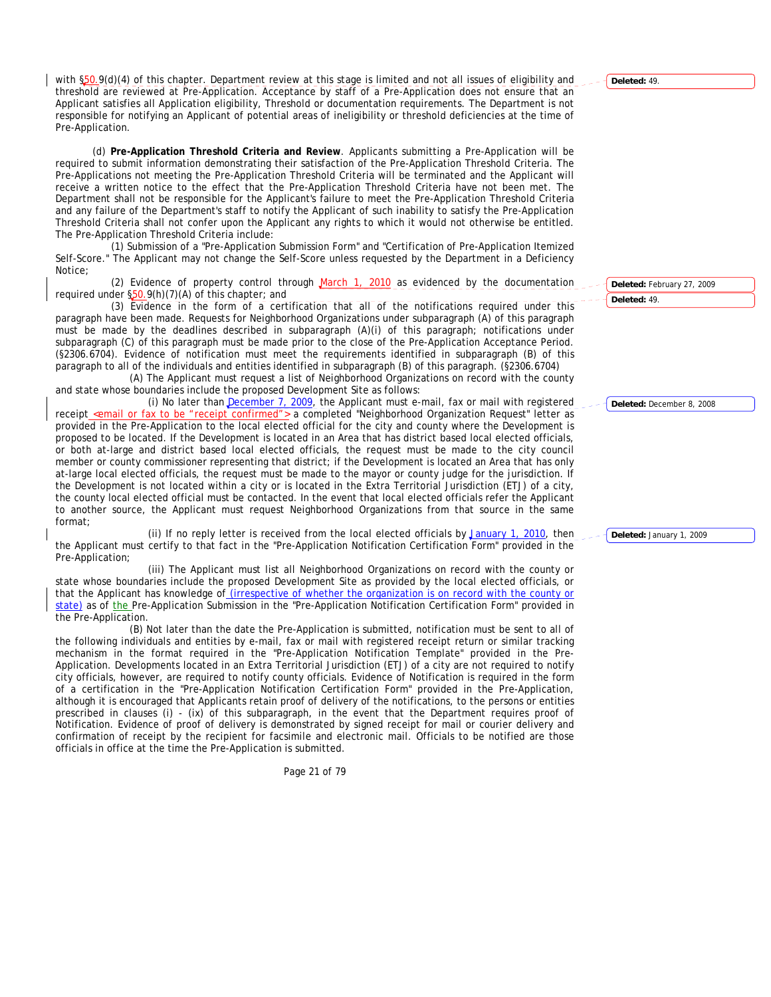with  $\S50.9(d)(4)$  of this chapter. Department review at this stage is limited and not all issues of eligibility and threshold are reviewed at Pre-Application. Acceptance by staff of a Pre-Application does not ensure that an Applicant satisfies all Application eligibility, Threshold or documentation requirements. The Department is not responsible for notifying an Applicant of potential areas of ineligibility or threshold deficiencies at the time of Pre-Application.

(d) **Pre-Application Threshold Criteria and Review**. Applicants submitting a Pre-Application will be required to submit information demonstrating their satisfaction of the Pre-Application Threshold Criteria. The Pre-Applications not meeting the Pre-Application Threshold Criteria will be terminated and the Applicant will receive a written notice to the effect that the Pre-Application Threshold Criteria have not been met. The Department shall not be responsible for the Applicant's failure to meet the Pre-Application Threshold Criteria and any failure of the Department's staff to notify the Applicant of such inability to satisfy the Pre-Application Threshold Criteria shall not confer upon the Applicant any rights to which it would not otherwise be entitled. The Pre-Application Threshold Criteria include:

(1) Submission of a "Pre-Application Submission Form" and "Certification of Pre-Application Itemized Self-Score." The Applicant may not change the Self-Score unless requested by the Department in a Deficiency Notice;

(2) Evidence of property control through  $March 1$ , 2010 as evidenced by the documentation required under §50.9(h)(7)(A) of this chapter; and

(3) Evidence in the form of a certification that all of the notifications required under this paragraph have been made. Requests for Neighborhood Organizations under subparagraph (A) of this paragraph must be made by the deadlines described in subparagraph (A)(i) of this paragraph; notifications under subparagraph (C) of this paragraph must be made prior to the close of the Pre-Application Acceptance Period. (§2306.6704). Evidence of notification must meet the requirements identified in subparagraph (B) of this paragraph to all of the individuals and entities identified in subparagraph (B) of this paragraph. (§2306.6704)

(A) The Applicant must request a list of Neighborhood Organizations on record with the county and state whose boundaries include the proposed Development Site as follows:

(i) No later than December 7, 2009, the Applicant must e-mail, fax or mail with registered receipt cemail or fax to be "receipt confirmed"> a completed "Neighborhood Organization Request" letter as provided in the Pre-Application to the local elected official for the city and county where the Development is proposed to be located. If the Development is located in an Area that has district based local elected officials, or both at-large and district based local elected officials, the request must be made to the city council member or county commissioner representing that district; if the Development is located an Area that has only at-large local elected officials, the request must be made to the mayor or county judge for the jurisdiction. If the Development is not located within a city or is located in the Extra Territorial Jurisdiction (ETJ) of a city, the county local elected official must be contacted. In the event that local elected officials refer the Applicant to another source, the Applicant must request Neighborhood Organizations from that source in the same format;

(ii) If no reply letter is received from the local elected officials by January 1, 2010, then the Applicant must certify to that fact in the "Pre-Application Notification Certification Form" provided in the Pre-Application;

(iii) The Applicant must list all Neighborhood Organizations on record with the county or state whose boundaries include the proposed Development Site as provided by the local elected officials, or that the Applicant has knowledge of (irrespective of whether the organization is on record with the county or state) as of the Pre-Application Submission in the "Pre-Application Notification Certification Form" provided in the Pre-Application.

(B) Not later than the date the Pre-Application is submitted, notification must be sent to all of the following individuals and entities by e-mail, fax or mail with registered receipt return or similar tracking mechanism in the format required in the "Pre-Application Notification Template" provided in the Pre-Application. Developments located in an Extra Territorial Jurisdiction (ETJ) of a city are not required to notify city officials, however, are required to notify county officials. Evidence of Notification is required in the form of a certification in the "Pre-Application Notification Certification Form" provided in the Pre-Application, although it is encouraged that Applicants retain proof of delivery of the notifications, to the persons or entities prescribed in clauses (i) - (ix) of this subparagraph, in the event that the Department requires proof of Notification. Evidence of proof of delivery is demonstrated by signed receipt for mail or courier delivery and confirmation of receipt by the recipient for facsimile and electronic mail. Officials to be notified are those officials in office at the time the Pre-Application is submitted.

Page 21 of 79

**Deleted:** 49.

**Deleted:** February 27, 2009 **Deleted:** 49.

**Deleted:** December 8, 2008

**Deleted:** January 1, 2009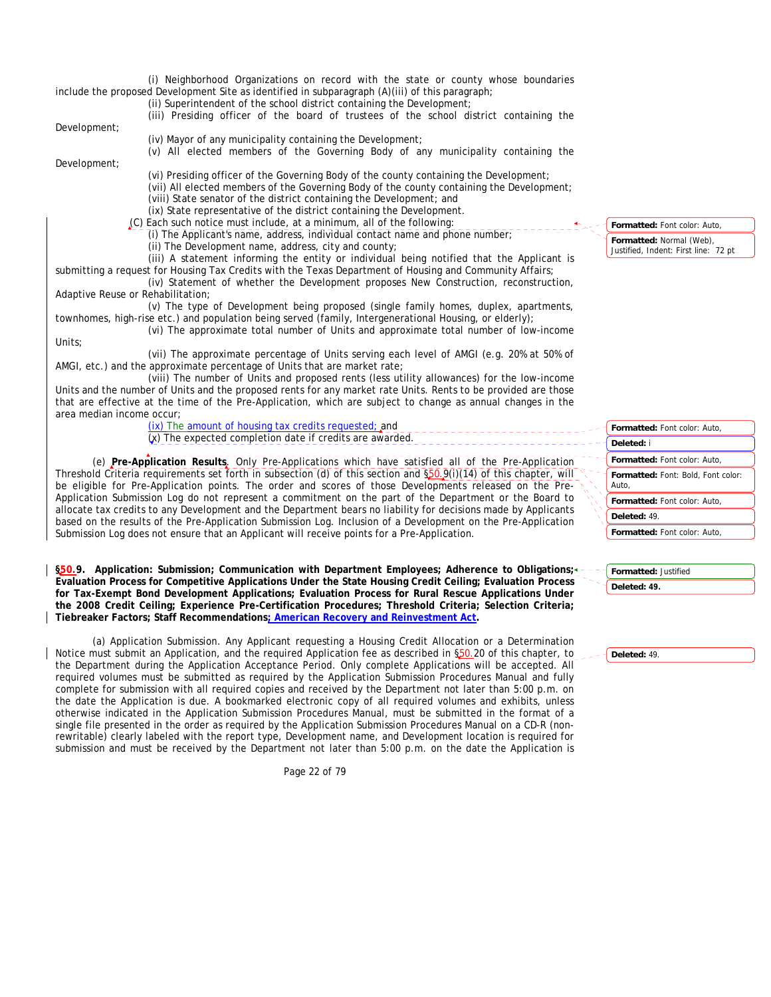(i) Neighborhood Organizations on record with the state or county whose boundaries include the proposed Development Site as identified in subparagraph (A)(iii) of this paragraph; (ii) Superintendent of the school district containing the Development; (iii) Presiding officer of the board of trustees of the school district containing the Development; (iv) Mayor of any municipality containing the Development; (v) All elected members of the Governing Body of any municipality containing the Development; (vi) Presiding officer of the Governing Body of the county containing the Development; (vii) All elected members of the Governing Body of the county containing the Development; (viii) State senator of the district containing the Development; and (ix) State representative of the district containing the Development. (C) Each such notice must include, at a minimum, all of the following: (i) The Applicant's name, address, individual contact name and phone number; (ii) The Development name, address, city and county; (iii) A statement informing the entity or individual being notified that the Applicant is submitting a request for Housing Tax Credits with the Texas Department of Housing and Community Affairs; (iv) Statement of whether the Development proposes New Construction, reconstruction, Adaptive Reuse or Rehabilitation; (v) The type of Development being proposed (single family homes, duplex, apartments, townhomes, high-rise etc.) and population being served (family, Intergenerational Housing, or elderly); (vi) The approximate total number of Units and approximate total number of low-income Units; (vii) The approximate percentage of Units serving each level of AMGI (e.g. 20% at 50% of AMGI, etc.) and the approximate percentage of Units that are market rate; (viii) The number of Units and proposed rents (less utility allowances) for the low-income **Formatted:** Font color: Auto,

Units and the number of Units and the proposed rents for any market rate Units. Rents to be provided are those that are effective at the time of the Pre-Application, which are subject to change as annual changes in the area median income occur;

(ix) The amount of housing tax credits requested; and (x) The expected completion date if credits are awarded.

(e) **Pre-Application Results**. Only Pre-Applications which have satisfied all of the Pre-Application Threshold Criteria requirements set forth in subsection (d) of this section and  $\S50.9$ (i)(14) of this chapter, will be eligible for Pre-Application points. The order and scores of those Developments released on the Pre-Application Submission Log do not represent a commitment on the part of the Department or the Board to allocate tax credits to any Development and the Department bears no liability for decisions made by Applicants based on the results of the Pre-Application Submission Log. Inclusion of a Development on the Pre-Application Submission Log does not ensure that an Applicant will receive points for a Pre-Application.

**§50.9. Application: Submission; Communication with Department Employees; Adherence to Obligations; Evaluation Process for Competitive Applications Under the State Housing Credit Ceiling; Evaluation Process for Tax-Exempt Bond Development Applications; Evaluation Process for Rural Rescue Applications Under the 2008 Credit Ceiling; Experience Pre-Certification Procedures; Threshold Criteria; Selection Criteria; Tiebreaker Factors; Staff Recommendations; American Recovery and Reinvestment Act.** 

(a) Application Submission. Any Applicant requesting a Housing Credit Allocation or a Determination Notice must submit an Application, and the required Application fee as described in §50.20 of this chapter, to the Department during the Application Acceptance Period. Only complete Applications will be accepted. All required volumes must be submitted as required by the Application Submission Procedures Manual and fully complete for submission with all required copies and received by the Department not later than 5:00 p.m. on the date the Application is due. A bookmarked electronic copy of all required volumes and exhibits, unless otherwise indicated in the Application Submission Procedures Manual, must be submitted in the format of a single file presented in the order as required by the Application Submission Procedures Manual on a CD-R (nonrewritable) clearly labeled with the report type, Development name, and Development location is required for submission and must be received by the Department not later than 5:00 p.m. on the date the Application is

Page 22 of 79

**Formatted:** Font color: Auto, **Formatted:** Font color: Auto, **Formatted:** Font: Bold, Font color: Auto, **Formatted:** Font color: Auto, **Formatted:** Font color: Auto, **Deleted:** i **Deleted:** 49.

**Formatted:** Justified **Deleted: 49.**

**Deleted:** 49.

**Formatted:** Normal (Web), Justified, Indent: First line: 72 pt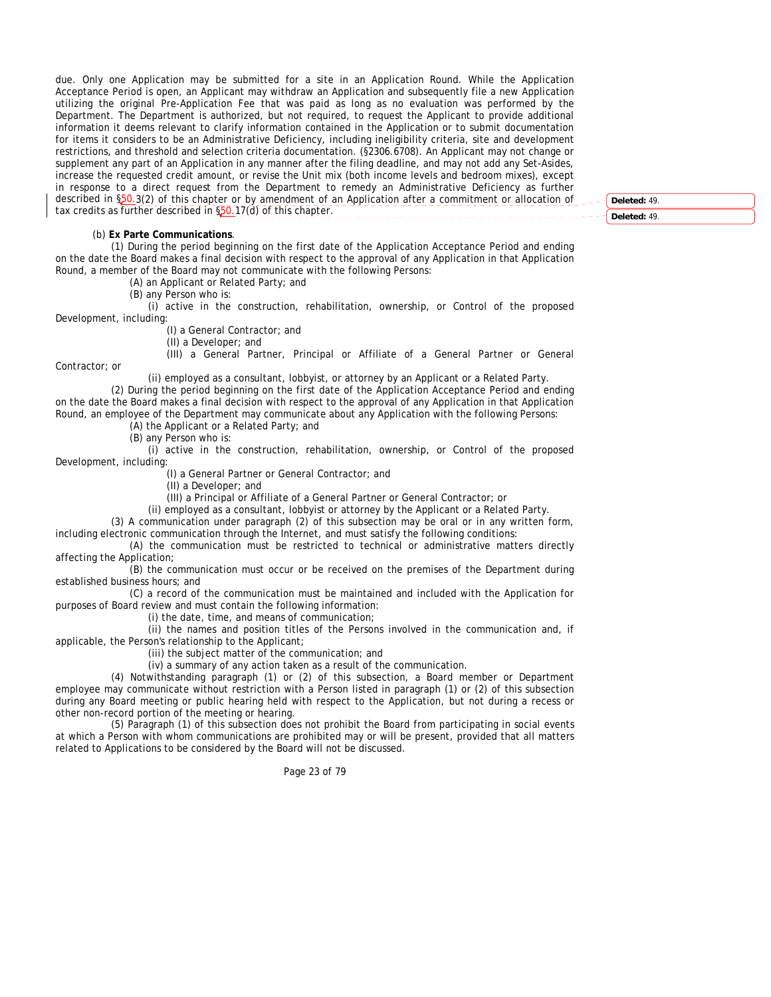due. Only one Application may be submitted for a site in an Application Round. While the Application Acceptance Period is open, an Applicant may withdraw an Application and subsequently file a new Application utilizing the original Pre-Application Fee that was paid as long as no evaluation was performed by the Department. The Department is authorized, but not required, to request the Applicant to provide additional information it deems relevant to clarify information contained in the Application or to submit documentation for items it considers to be an Administrative Deficiency, including ineligibility criteria, site and development restrictions, and threshold and selection criteria documentation. (§2306.6708). An Applicant may not change or supplement any part of an Application in any manner after the filing deadline, and may not add any Set-Asides, increase the requested credit amount, or revise the Unit mix (both income levels and bedroom mixes), except in response to a direct request from the Department to remedy an Administrative Deficiency as further described in §50.3(2) of this chapter or by amendment of an Application after a commitment or allocation of tax credits as further described in §50.17(d) of this chapter.

**Deleted:** 49. **Deleted:** 49.

## (b) **Ex Parte Communications**.

Contractor; or

(1) During the period beginning on the first date of the Application Acceptance Period and ending on the date the Board makes a final decision with respect to the approval of any Application in that Application Round, a member of the Board may not communicate with the following Persons:

(A) an Applicant or Related Party; and

(B) any Person who is:

(i) active in the construction, rehabilitation, ownership, or Control of the proposed Development, including:

(I) a General Contractor; and

(II) a Developer; and

(III) a General Partner, Principal or Affiliate of a General Partner or General

(ii) employed as a consultant, lobbyist, or attorney by an Applicant or a Related Party.

(2) During the period beginning on the first date of the Application Acceptance Period and ending on the date the Board makes a final decision with respect to the approval of any Application in that Application Round, an employee of the Department may communicate about any Application with the following Persons: (A) the Applicant or a Related Party; and

(B) any Person who is:

(i) active in the construction, rehabilitation, ownership, or Control of the proposed Development, including:

(I) a General Partner or General Contractor; and

(II) a Developer; and

(III) a Principal or Affiliate of a General Partner or General Contractor; or

(ii) employed as a consultant, lobbyist or attorney by the Applicant or a Related Party.

(3) A communication under paragraph (2) of this subsection may be oral or in any written form, including electronic communication through the Internet, and must satisfy the following conditions:

(A) the communication must be restricted to technical or administrative matters directly affecting the Application;

(B) the communication must occur or be received on the premises of the Department during established business hours; and

(C) a record of the communication must be maintained and included with the Application for purposes of Board review and must contain the following information:

(i) the date, time, and means of communication;

(ii) the names and position titles of the Persons involved in the communication and, if applicable, the Person's relationship to the Applicant;

(iii) the subject matter of the communication; and

(iv) a summary of any action taken as a result of the communication.

(4) Notwithstanding paragraph (1) or (2) of this subsection, a Board member or Department employee may communicate without restriction with a Person listed in paragraph (1) or (2) of this subsection during any Board meeting or public hearing held with respect to the Application, but not during a recess or other non-record portion of the meeting or hearing.

(5) Paragraph (1) of this subsection does not prohibit the Board from participating in social events at which a Person with whom communications are prohibited may or will be present, provided that all matters related to Applications to be considered by the Board will not be discussed.

Page 23 of 79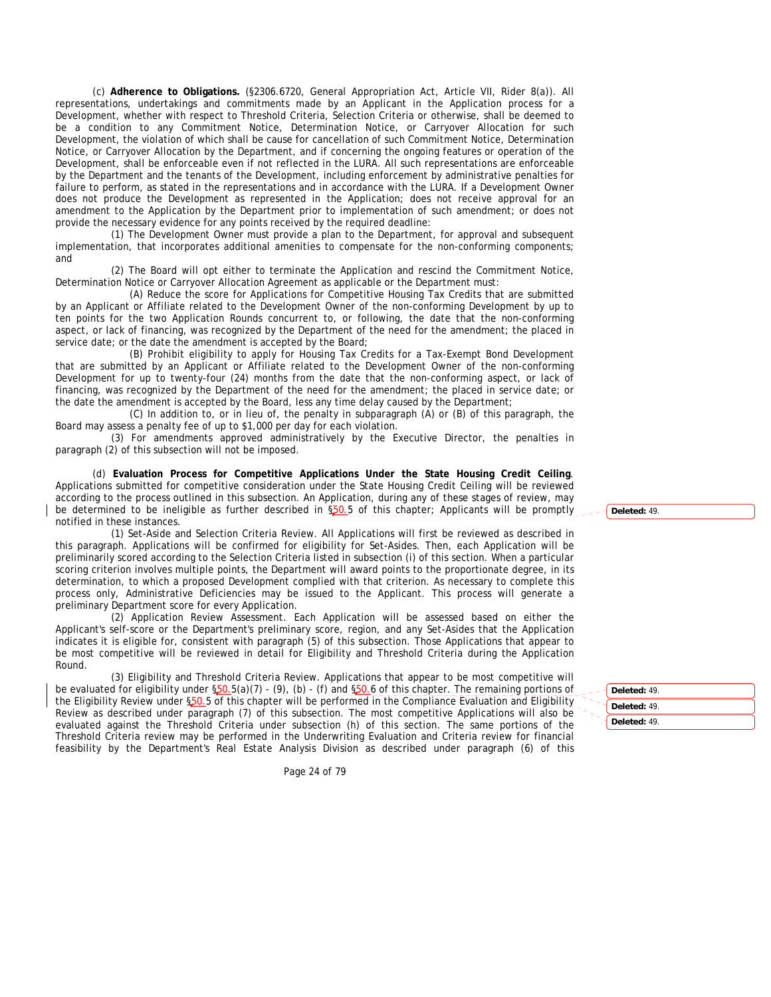(c) **Adherence to Obligations.** (§2306.6720, General Appropriation Act, Article VII, Rider 8(a)). All representations, undertakings and commitments made by an Applicant in the Application process for a Development, whether with respect to Threshold Criteria, Selection Criteria or otherwise, shall be deemed to be a condition to any Commitment Notice, Determination Notice, or Carryover Allocation for such Development, the violation of which shall be cause for cancellation of such Commitment Notice, Determination Notice, or Carryover Allocation by the Department, and if concerning the ongoing features or operation of the Development, shall be enforceable even if not reflected in the LURA. All such representations are enforceable by the Department and the tenants of the Development, including enforcement by administrative penalties for failure to perform, as stated in the representations and in accordance with the LURA. If a Development Owner does not produce the Development as represented in the Application; does not receive approval for an amendment to the Application by the Department prior to implementation of such amendment; or does not provide the necessary evidence for any points received by the required deadline:

(1) The Development Owner must provide a plan to the Department, for approval and subsequent implementation, that incorporates additional amenities to compensate for the non-conforming components; and

(2) The Board will opt either to terminate the Application and rescind the Commitment Notice, Determination Notice or Carryover Allocation Agreement as applicable or the Department must:

(A) Reduce the score for Applications for Competitive Housing Tax Credits that are submitted by an Applicant or Affiliate related to the Development Owner of the non-conforming Development by up to ten points for the two Application Rounds concurrent to, or following, the date that the non-conforming aspect, or lack of financing, was recognized by the Department of the need for the amendment; the placed in service date; or the date the amendment is accepted by the Board;

(B) Prohibit eligibility to apply for Housing Tax Credits for a Tax-Exempt Bond Development that are submitted by an Applicant or Affiliate related to the Development Owner of the non-conforming Development for up to twenty-four (24) months from the date that the non-conforming aspect, or lack of financing, was recognized by the Department of the need for the amendment; the placed in service date; or the date the amendment is accepted by the Board, less any time delay caused by the Department;

(C) In addition to, or in lieu of, the penalty in subparagraph (A) or (B) of this paragraph, the Board may assess a penalty fee of up to \$1,000 per day for each violation.

(3) For amendments approved administratively by the Executive Director, the penalties in paragraph (2) of this subsection will not be imposed.

(d) **Evaluation Process for Competitive Applications Under the State Housing Credit Ceiling**. Applications submitted for competitive consideration under the State Housing Credit Ceiling will be reviewed according to the process outlined in this subsection. An Application, during any of these stages of review, may be determined to be ineligible as further described in \$50.5 of this chapter; Applicants will be promptly notified in these instances.

(1) Set-Aside and Selection Criteria Review. All Applications will first be reviewed as described in this paragraph. Applications will be confirmed for eligibility for Set-Asides. Then, each Application will be preliminarily scored according to the Selection Criteria listed in subsection (i) of this section. When a particular scoring criterion involves multiple points, the Department will award points to the proportionate degree, in its determination, to which a proposed Development complied with that criterion. As necessary to complete this process only, Administrative Deficiencies may be issued to the Applicant. This process will generate a preliminary Department score for every Application.

(2) Application Review Assessment. Each Application will be assessed based on either the Applicant's self-score or the Department's preliminary score, region, and any Set-Asides that the Application indicates it is eligible for, consistent with paragraph (5) of this subsection. Those Applications that appear to be most competitive will be reviewed in detail for Eligibility and Threshold Criteria during the Application Round.

(3) Eligibility and Threshold Criteria Review. Applications that appear to be most competitive will be evaluated for eligibility under §50.5(a)(7) - (9), (b) - (f) and §50.6 of this chapter. The remaining portions of the Eligibility Review under §50.5 of this chapter will be performed in the Compliance Evaluation and Eligibility Review as described under paragraph (7) of this subsection. The most competitive Applications will also be evaluated against the Threshold Criteria under subsection (h) of this section. The same portions of the Threshold Criteria review may be performed in the Underwriting Evaluation and Criteria review for financial feasibility by the Department's Real Estate Analysis Division as described under paragraph (6) of this

Page 24 of 79

**Deleted:** 49.

**Deleted:** 49. **Deleted:** 49. **Deleted:** 49.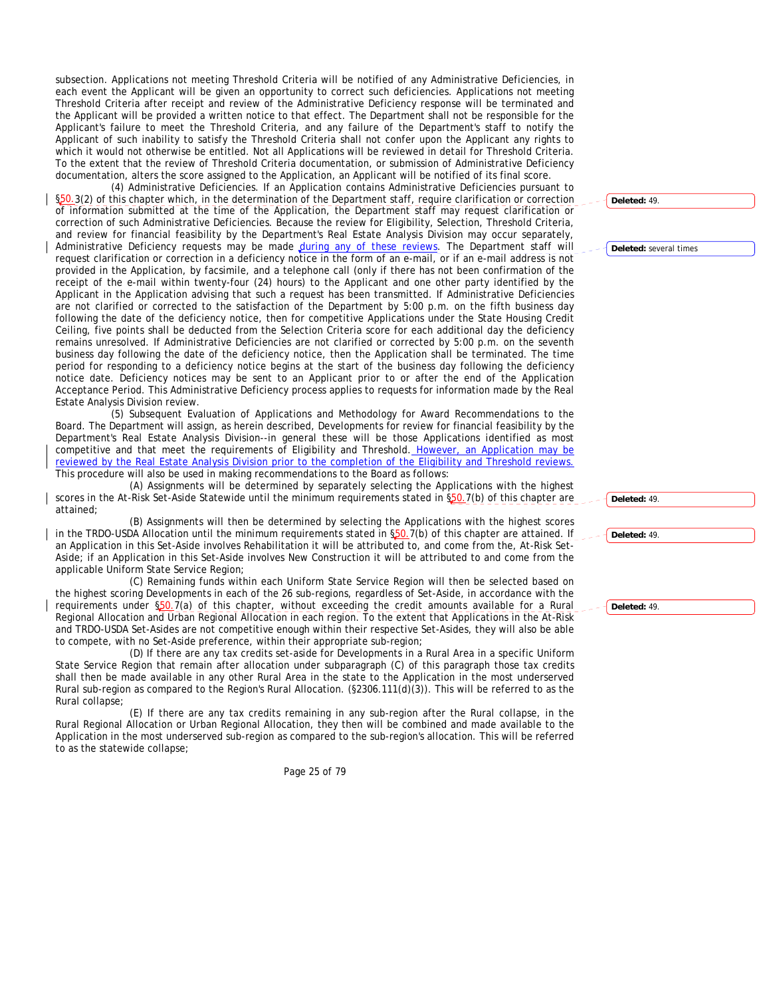subsection. Applications not meeting Threshold Criteria will be notified of any Administrative Deficiencies, in each event the Applicant will be given an opportunity to correct such deficiencies. Applications not meeting Threshold Criteria after receipt and review of the Administrative Deficiency response will be terminated and the Applicant will be provided a written notice to that effect. The Department shall not be responsible for the Applicant's failure to meet the Threshold Criteria, and any failure of the Department's staff to notify the Applicant of such inability to satisfy the Threshold Criteria shall not confer upon the Applicant any rights to which it would not otherwise be entitled. Not all Applications will be reviewed in detail for Threshold Criteria. To the extent that the review of Threshold Criteria documentation, or submission of Administrative Deficiency documentation, alters the score assigned to the Application, an Applicant will be notified of its final score.

(4) Administrative Deficiencies. If an Application contains Administrative Deficiencies pursuant to §50.3(2) of this chapter which, in the determination of the Department staff, require clarification or correction of information submitted at the time of the Application, the Department staff may request clarification or correction of such Administrative Deficiencies. Because the review for Eligibility, Selection, Threshold Criteria, and review for financial feasibility by the Department's Real Estate Analysis Division may occur separately, Administrative Deficiency requests may be made during any of these reviews. The Department staff will request clarification or correction in a deficiency notice in the form of an e-mail, or if an e-mail address is not provided in the Application, by facsimile, and a telephone call (only if there has not been confirmation of the receipt of the e-mail within twenty-four (24) hours) to the Applicant and one other party identified by the Applicant in the Application advising that such a request has been transmitted. If Administrative Deficiencies are not clarified or corrected to the satisfaction of the Department by 5:00 p.m. on the fifth business day following the date of the deficiency notice, then for competitive Applications under the State Housing Credit Ceiling, five points shall be deducted from the Selection Criteria score for each additional day the deficiency remains unresolved. If Administrative Deficiencies are not clarified or corrected by 5:00 p.m. on the seventh business day following the date of the deficiency notice, then the Application shall be terminated. The time period for responding to a deficiency notice begins at the start of the business day following the deficiency notice date. Deficiency notices may be sent to an Applicant prior to or after the end of the Application Acceptance Period. This Administrative Deficiency process applies to requests for information made by the Real Estate Analysis Division review.

(5) Subsequent Evaluation of Applications and Methodology for Award Recommendations to the Board. The Department will assign, as herein described, Developments for review for financial feasibility by the Department's Real Estate Analysis Division--in general these will be those Applications identified as most competitive and that meet the requirements of Eligibility and Threshold. However, an Application may be reviewed by the Real Estate Analysis Division prior to the completion of the Eligibility and Threshold reviews. This procedure will also be used in making recommendations to the Board as follows:

(A) Assignments will be determined by separately selecting the Applications with the highest scores in the At-Risk Set-Aside Statewide until the minimum requirements stated in §50.7(b) of this chapter are attained;

(B) Assignments will then be determined by selecting the Applications with the highest scores in the TRDO-USDA Allocation until the minimum requirements stated in  $\S50.7(b)$  of this chapter are attained. If an Application in this Set-Aside involves Rehabilitation it will be attributed to, and come from the, At-Risk Set-Aside; if an Application in this Set-Aside involves New Construction it will be attributed to and come from the applicable Uniform State Service Region;

(C) Remaining funds within each Uniform State Service Region will then be selected based on the highest scoring Developments in each of the 26 sub-regions, regardless of Set-Aside, in accordance with the requirements under §50.7(a) of this chapter, without exceeding the credit amounts available for a Rural Regional Allocation and Urban Regional Allocation in each region. To the extent that Applications in the At-Risk and TRDO-USDA Set-Asides are not competitive enough within their respective Set-Asides, they will also be able to compete, with no Set-Aside preference, within their appropriate sub-region;

(D) If there are any tax credits set-aside for Developments in a Rural Area in a specific Uniform State Service Region that remain after allocation under subparagraph (C) of this paragraph those tax credits shall then be made available in any other Rural Area in the state to the Application in the most underserved Rural sub-region as compared to the Region's Rural Allocation. (§2306.111(d)(3)). This will be referred to as the Rural collapse;

(E) If there are any tax credits remaining in any sub-region after the Rural collapse, in the Rural Regional Allocation or Urban Regional Allocation, they then will be combined and made available to the Application in the most underserved sub-region as compared to the sub-region's allocation. This will be referred to as the statewide collapse;

Page 25 of 79

**Deleted:** 49.

**Deleted:** several times

**Deleted:** 49.

**Deleted:** 49.

**Deleted:** 49.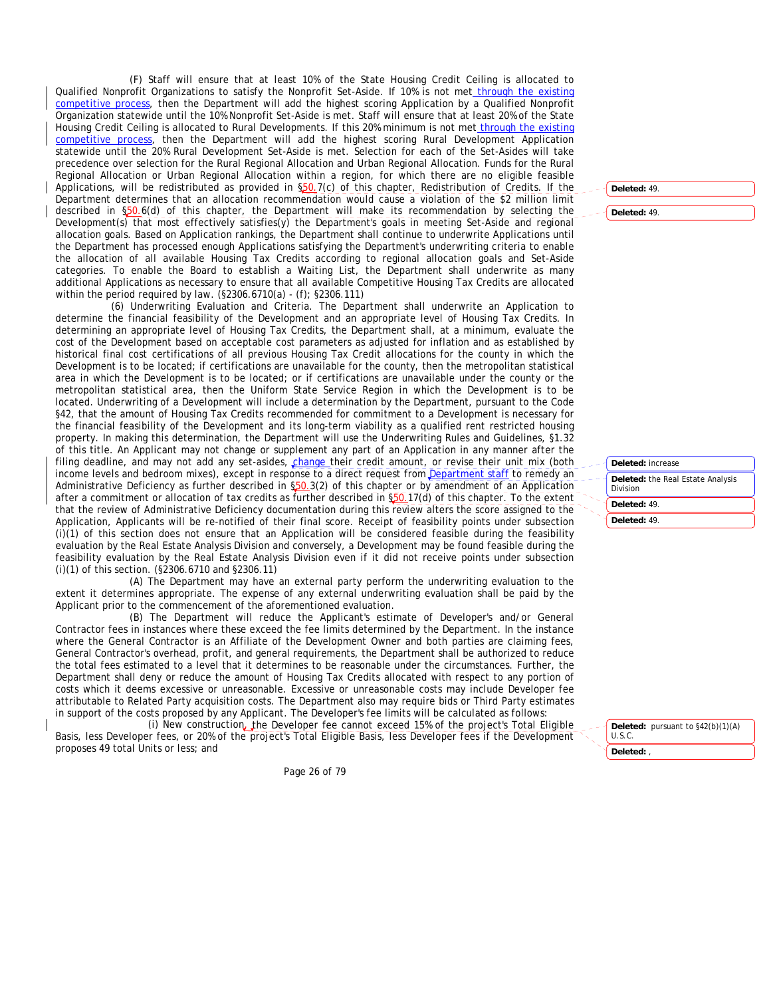(F) Staff will ensure that at least 10% of the State Housing Credit Ceiling is allocated to Qualified Nonprofit Organizations to satisfy the Nonprofit Set-Aside. If 10% is not met through the existing competitive process, then the Department will add the highest scoring Application by a Qualified Nonprofit Organization statewide until the 10% Nonprofit Set-Aside is met. Staff will ensure that at least 20% of the State Housing Credit Ceiling is allocated to Rural Developments. If this 20% minimum is not met through the existing competitive process, then the Department will add the highest scoring Rural Development Application statewide until the 20% Rural Development Set-Aside is met. Selection for each of the Set-Asides will take precedence over selection for the Rural Regional Allocation and Urban Regional Allocation. Funds for the Rural Regional Allocation or Urban Regional Allocation within a region, for which there are no eligible feasible Applications, will be redistributed as provided in §50.7(c) of this chapter, Redistribution of Credits. If the Department determines that an allocation recommendation would cause a violation of the \$2 million limit described in §50.6(d) of this chapter, the Department will make its recommendation by selecting the Development(s) that most effectively satisfies(y) the Department's goals in meeting Set-Aside and regional allocation goals. Based on Application rankings, the Department shall continue to underwrite Applications until the Department has processed enough Applications satisfying the Department's underwriting criteria to enable the allocation of all available Housing Tax Credits according to regional allocation goals and Set-Aside categories. To enable the Board to establish a Waiting List, the Department shall underwrite as many additional Applications as necessary to ensure that all available Competitive Housing Tax Credits are allocated within the period required by law. (§2306.6710(a) - (f); §2306.111)

(6) Underwriting Evaluation and Criteria. The Department shall underwrite an Application to determine the financial feasibility of the Development and an appropriate level of Housing Tax Credits. In determining an appropriate level of Housing Tax Credits, the Department shall, at a minimum, evaluate the cost of the Development based on acceptable cost parameters as adjusted for inflation and as established by historical final cost certifications of all previous Housing Tax Credit allocations for the county in which the Development is to be located; if certifications are unavailable for the county, then the metropolitan statistical area in which the Development is to be located; or if certifications are unavailable under the county or the metropolitan statistical area, then the Uniform State Service Region in which the Development is to be located. Underwriting of a Development will include a determination by the Department, pursuant to the Code §42, that the amount of Housing Tax Credits recommended for commitment to a Development is necessary for the financial feasibility of the Development and its long-term viability as a qualified rent restricted housing property. In making this determination, the Department will use the Underwriting Rules and Guidelines, §1.32 of this title. An Applicant may not change or supplement any part of an Application in any manner after the filing deadline, and may not add any set-asides, *change* their credit amount, or revise their unit mix (both income levels and bedroom mixes), except in response to a direct request from **Department staff** to remedy an Administrative Deficiency as further described in §50.3(2) of this chapter or by amendment of an Application after a commitment or allocation of tax credits as further described in §50.17(d) of this chapter. To the extent that the review of Administrative Deficiency documentation during this review alters the score assigned to the Application, Applicants will be re-notified of their final score. Receipt of feasibility points under subsection (i)(1) of this section does not ensure that an Application will be considered feasible during the feasibility evaluation by the Real Estate Analysis Division and conversely, a Development may be found feasible during the feasibility evaluation by the Real Estate Analysis Division even if it did not receive points under subsection (i)(1) of this section. (§2306.6710 and §2306.11)

(A) The Department may have an external party perform the underwriting evaluation to the extent it determines appropriate. The expense of any external underwriting evaluation shall be paid by the Applicant prior to the commencement of the aforementioned evaluation.

(B) The Department will reduce the Applicant's estimate of Developer's and/or General Contractor fees in instances where these exceed the fee limits determined by the Department. In the instance where the General Contractor is an Affiliate of the Development Owner and both parties are claiming fees, General Contractor's overhead, profit, and general requirements, the Department shall be authorized to reduce the total fees estimated to a level that it determines to be reasonable under the circumstances. Further, the Department shall deny or reduce the amount of Housing Tax Credits allocated with respect to any portion of costs which it deems excessive or unreasonable. Excessive or unreasonable costs may include Developer fee attributable to Related Party acquisition costs. The Department also may require bids or Third Party estimates in support of the costs proposed by any Applicant. The Developer's fee limits will be calculated as follows:

(i) New construction, the Developer fee cannot exceed 15% of the project's Total Eligible Basis, less Developer fees, or 20% of the project's Total Eligible Basis, less Developer fees if the Development proposes 49 total Units or less; and

Page 26 of 79

**Deleted:** 49.

**Deleted:** 49.

**Deleted:** increase **Deleted:** the Real Estate Analysis Division

**Deleted:** 49. **Deleted:** 49.

**Deleted:** pursuant to §42(b)(1)(A) U.S.C. **Deleted:** ,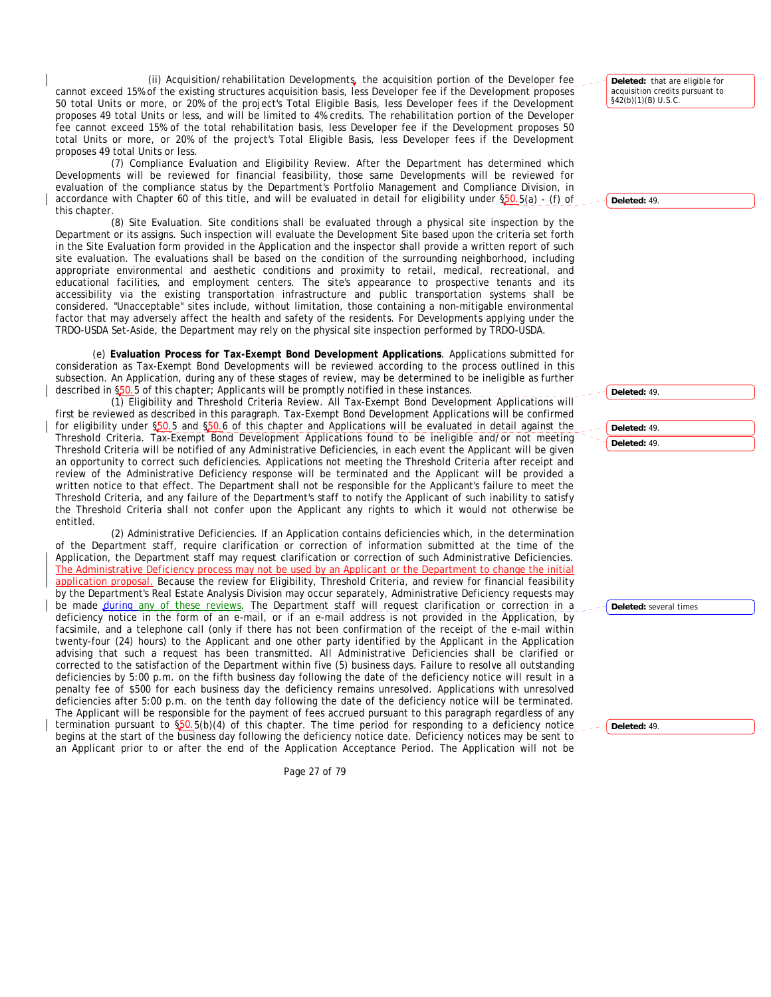(ii) Acquisition/rehabilitation Developments, the acquisition portion of the Developer fee cannot exceed 15% of the existing structures acquisition basis, less Developer fee if the Development proposes 50 total Units or more, or 20% of the project's Total Eligible Basis, less Developer fees if the Development proposes 49 total Units or less, and will be limited to 4% credits. The rehabilitation portion of the Developer fee cannot exceed 15% of the total rehabilitation basis, less Developer fee if the Development proposes 50 total Units or more, or 20% of the project's Total Eligible Basis, less Developer fees if the Development proposes 49 total Units or less.

(7) Compliance Evaluation and Eligibility Review. After the Department has determined which Developments will be reviewed for financial feasibility, those same Developments will be reviewed for evaluation of the compliance status by the Department's Portfolio Management and Compliance Division, in accordance with Chapter 60 of this title, and will be evaluated in detail for eligibility under §50.5(a) - (f) of this chapter.

(8) Site Evaluation. Site conditions shall be evaluated through a physical site inspection by the Department or its assigns. Such inspection will evaluate the Development Site based upon the criteria set forth in the Site Evaluation form provided in the Application and the inspector shall provide a written report of such site evaluation. The evaluations shall be based on the condition of the surrounding neighborhood, including appropriate environmental and aesthetic conditions and proximity to retail, medical, recreational, and educational facilities, and employment centers. The site's appearance to prospective tenants and its accessibility via the existing transportation infrastructure and public transportation systems shall be considered. "Unacceptable" sites include, without limitation, those containing a non-mitigable environmental factor that may adversely affect the health and safety of the residents. For Developments applying under the TRDO-USDA Set-Aside, the Department may rely on the physical site inspection performed by TRDO-USDA.

(e) **Evaluation Process for Tax-Exempt Bond Development Applications**. Applications submitted for consideration as Tax-Exempt Bond Developments will be reviewed according to the process outlined in this subsection. An Application, during any of these stages of review, may be determined to be ineligible as further described in \$50.5 of this chapter; Applicants will be promptly notified in these instances.

(1) Eligibility and Threshold Criteria Review. All Tax-Exempt Bond Development Applications will first be reviewed as described in this paragraph. Tax-Exempt Bond Development Applications will be confirmed for eligibility under \$50.5 and \$50.6 of this chapter and Applications will be evaluated in detail against the Threshold Criteria. Tax-Exempt Bond Development Applications found to be ineligible and/or not meeting Threshold Criteria will be notified of any Administrative Deficiencies, in each event the Applicant will be given an opportunity to correct such deficiencies. Applications not meeting the Threshold Criteria after receipt and review of the Administrative Deficiency response will be terminated and the Applicant will be provided a written notice to that effect. The Department shall not be responsible for the Applicant's failure to meet the Threshold Criteria, and any failure of the Department's staff to notify the Applicant of such inability to satisfy the Threshold Criteria shall not confer upon the Applicant any rights to which it would not otherwise be entitled.

(2) Administrative Deficiencies. If an Application contains deficiencies which, in the determination of the Department staff, require clarification or correction of information submitted at the time of the Application, the Department staff may request clarification or correction of such Administrative Deficiencies. The Administrative Deficiency process may not be used by an Applicant or the Department to change the initial application proposal. Because the review for Eligibility, Threshold Criteria, and review for financial feasibility by the Department's Real Estate Analysis Division may occur separately, Administrative Deficiency requests may be made during any of these reviews. The Department staff will request clarification or correction in a deficiency notice in the form of an e-mail, or if an e-mail address is not provided in the Application, by facsimile, and a telephone call (only if there has not been confirmation of the receipt of the e-mail within twenty-four (24) hours) to the Applicant and one other party identified by the Applicant in the Application advising that such a request has been transmitted. All Administrative Deficiencies shall be clarified or corrected to the satisfaction of the Department within five (5) business days. Failure to resolve all outstanding deficiencies by 5:00 p.m. on the fifth business day following the date of the deficiency notice will result in a penalty fee of \$500 for each business day the deficiency remains unresolved. Applications with unresolved deficiencies after 5:00 p.m. on the tenth day following the date of the deficiency notice will be terminated. The Applicant will be responsible for the payment of fees accrued pursuant to this paragraph regardless of any termination pursuant to §50.5(b)(4) of this chapter. The time period for responding to a deficiency notice begins at the start of the business day following the deficiency notice date. Deficiency notices may be sent to an Applicant prior to or after the end of the Application Acceptance Period. The Application will not be

**Deleted:** that are eligible for acquisition credits pursuant to §42(b)(1)(B) U.S.C.

**Deleted:** 49.

**Deleted:** 49. **Deleted:** 49. **Deleted:** 49.

**Deleted:** several times

**Deleted:** 49.

Page 27 of 79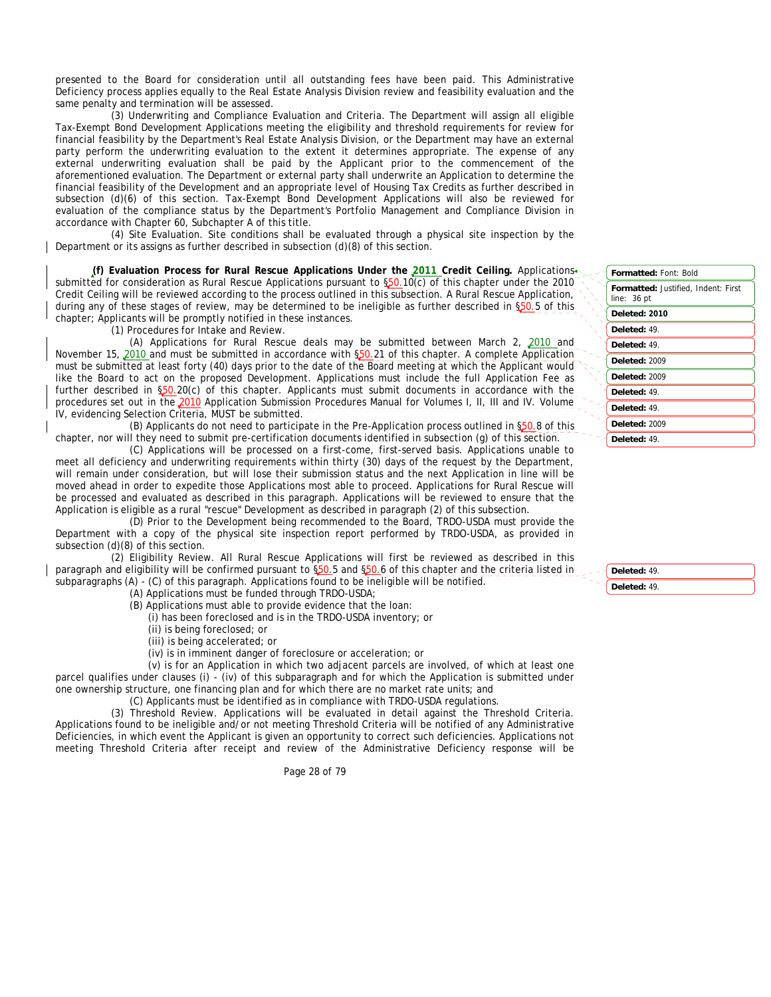presented to the Board for consideration until all outstanding fees have been paid. This Administrative Deficiency process applies equally to the Real Estate Analysis Division review and feasibility evaluation and the same penalty and termination will be assessed.

(3) Underwriting and Compliance Evaluation and Criteria. The Department will assign all eligible Tax-Exempt Bond Development Applications meeting the eligibility and threshold requirements for review for financial feasibility by the Department's Real Estate Analysis Division, or the Department may have an external party perform the underwriting evaluation to the extent it determines appropriate. The expense of any external underwriting evaluation shall be paid by the Applicant prior to the commencement of the aforementioned evaluation. The Department or external party shall underwrite an Application to determine the financial feasibility of the Development and an appropriate level of Housing Tax Credits as further described in subsection (d)(6) of this section. Tax-Exempt Bond Development Applications will also be reviewed for evaluation of the compliance status by the Department's Portfolio Management and Compliance Division in accordance with Chapter 60, Subchapter A of this title.

(4) Site Evaluation. Site conditions shall be evaluated through a physical site inspection by the Department or its assigns as further described in subsection (d)(8) of this section.

**(f) Evaluation Process for Rural Rescue Applications Under the 2011 Credit Ceiling.** Applications submitted for consideration as Rural Rescue Applications pursuant to §50.10(c) of this chapter under the 2010 Credit Ceiling will be reviewed according to the process outlined in this subsection. A Rural Rescue Application, during any of these stages of review, may be determined to be ineligible as further described in §50.5 of this chapter; Applicants will be promptly notified in these instances.

(1) Procedures for Intake and Review.

(A) Applications for Rural Rescue deals may be submitted between March 2, 2010 and November 15, 2010 and must be submitted in accordance with §50.21 of this chapter. A complete Application must be submitted at least forty (40) days prior to the date of the Board meeting at which the Applicant would like the Board to act on the proposed Development. Applications must include the full Application Fee as further described in §50.20(c) of this chapter. Applicants must submit documents in accordance with the procedures set out in the 2010 Application Submission Procedures Manual for Volumes I, II, III and IV. Volume IV, evidencing Selection Criteria, MUST be submitted.

(B) Applicants do not need to participate in the Pre-Application process outlined in §50.8 of this chapter, nor will they need to submit pre-certification documents identified in subsection (g) of this section.

(C) Applications will be processed on a first-come, first-served basis. Applications unable to meet all deficiency and underwriting requirements within thirty (30) days of the request by the Department, will remain under consideration, but will lose their submission status and the next Application in line will be moved ahead in order to expedite those Applications most able to proceed. Applications for Rural Rescue will be processed and evaluated as described in this paragraph. Applications will be reviewed to ensure that the Application is eligible as a rural "rescue" Development as described in paragraph (2) of this subsection.

(D) Prior to the Development being recommended to the Board, TRDO-USDA must provide the Department with a copy of the physical site inspection report performed by TRDO-USDA, as provided in subsection (d)(8) of this section.

(2) Eligibility Review. All Rural Rescue Applications will first be reviewed as described in this paragraph and eligibility will be confirmed pursuant to \$50.5 and \$50.6 of this chapter and the criteria listed in subparagraphs (A) - (C) of this paragraph. Applications found to be ineligible will be notified.

(A) Applications must be funded through TRDO-USDA;

(B) Applications must able to provide evidence that the loan:

(i) has been foreclosed and is in the TRDO-USDA inventory; or

(ii) is being foreclosed; or

(iii) is being accelerated; or

(iv) is in imminent danger of foreclosure or acceleration; or

(v) is for an Application in which two adjacent parcels are involved, of which at least one parcel qualifies under clauses (i) - (iv) of this subparagraph and for which the Application is submitted under one ownership structure, one financing plan and for which there are no market rate units; and

(C) Applicants must be identified as in compliance with TRDO-USDA regulations.

(3) Threshold Review. Applications will be evaluated in detail against the Threshold Criteria. Applications found to be ineligible and/or not meeting Threshold Criteria will be notified of any Administrative Deficiencies, in which event the Applicant is given an opportunity to correct such deficiencies. Applications not meeting Threshold Criteria after receipt and review of the Administrative Deficiency response will be

Page 28 of 79

| <b>Formatted: Font: Bold</b>                       |  |  |
|----------------------------------------------------|--|--|
| Formatted: Justified, Indent: First<br>line: 36 pt |  |  |
| Deleted: 2010                                      |  |  |
| Deleted: 49.                                       |  |  |
| Deleted: 49.                                       |  |  |
| Deleted: 2009                                      |  |  |
| Deleted: 2009                                      |  |  |
| Deleted: 49.                                       |  |  |
| Deleted: 49.                                       |  |  |
| Deleted: 2009                                      |  |  |
| Deleted: 49.                                       |  |  |
|                                                    |  |  |

**Deleted:** 49. **Deleted:** 49.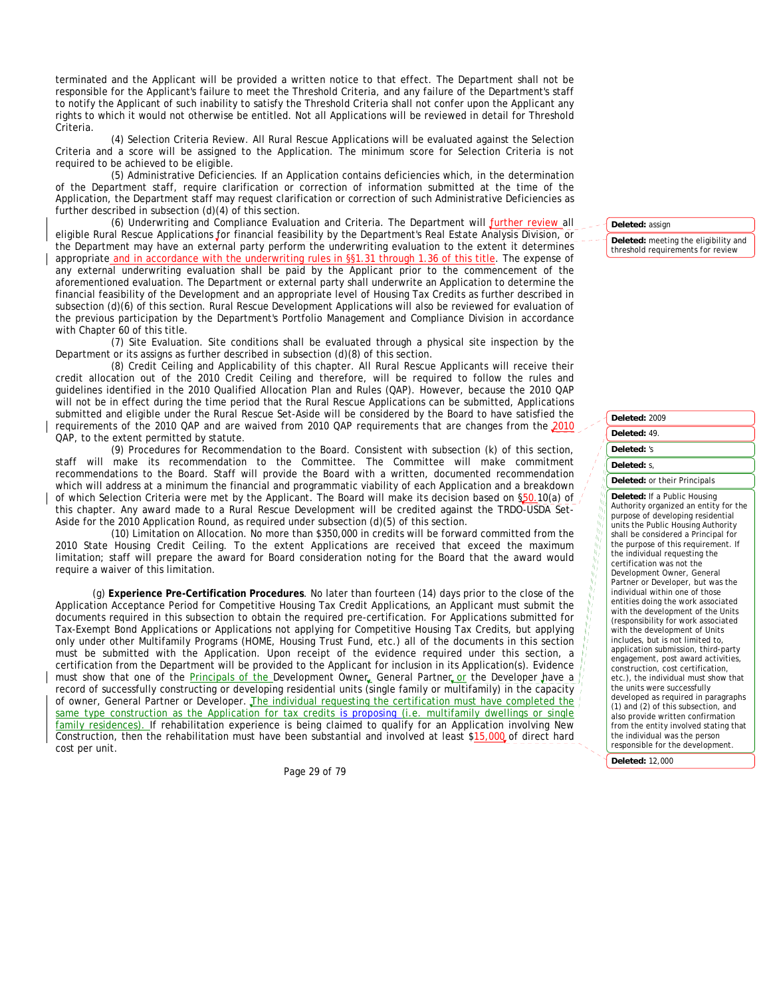terminated and the Applicant will be provided a written notice to that effect. The Department shall not be responsible for the Applicant's failure to meet the Threshold Criteria, and any failure of the Department's staff to notify the Applicant of such inability to satisfy the Threshold Criteria shall not confer upon the Applicant any rights to which it would not otherwise be entitled. Not all Applications will be reviewed in detail for Threshold Criteria.

(4) Selection Criteria Review. All Rural Rescue Applications will be evaluated against the Selection Criteria and a score will be assigned to the Application. The minimum score for Selection Criteria is not required to be achieved to be eligible.

(5) Administrative Deficiencies. If an Application contains deficiencies which, in the determination of the Department staff, require clarification or correction of information submitted at the time of the Application, the Department staff may request clarification or correction of such Administrative Deficiencies as further described in subsection (d)(4) of this section.

(6) Underwriting and Compliance Evaluation and Criteria. The Department will further review all eligible Rural Rescue Applications for financial feasibility by the Department's Real Estate Analysis Division, or the Department may have an external party perform the underwriting evaluation to the extent it determines appropriate and in accordance with the underwriting rules in §§1.31 through 1.36 of this title. The expense of any external underwriting evaluation shall be paid by the Applicant prior to the commencement of the aforementioned evaluation. The Department or external party shall underwrite an Application to determine the financial feasibility of the Development and an appropriate level of Housing Tax Credits as further described in subsection (d)(6) of this section. Rural Rescue Development Applications will also be reviewed for evaluation of the previous participation by the Department's Portfolio Management and Compliance Division in accordance with Chapter 60 of this title.

(7) Site Evaluation. Site conditions shall be evaluated through a physical site inspection by the Department or its assigns as further described in subsection (d)(8) of this section.

(8) Credit Ceiling and Applicability of this chapter. All Rural Rescue Applicants will receive their credit allocation out of the 2010 Credit Ceiling and therefore, will be required to follow the rules and guidelines identified in the 2010 Qualified Allocation Plan and Rules (QAP). However, because the 2010 QAP will not be in effect during the time period that the Rural Rescue Applications can be submitted, Applications submitted and eligible under the Rural Rescue Set-Aside will be considered by the Board to have satisfied the requirements of the 2010 QAP and are waived from 2010 QAP requirements that are changes from the 2010 QAP, to the extent permitted by statute.

(9) Procedures for Recommendation to the Board. Consistent with subsection (k) of this section, staff will make its recommendation to the Committee. The Committee will make commitment recommendations to the Board. Staff will provide the Board with a written, documented recommendation which will address at a minimum the financial and programmatic viability of each Application and a breakdown of which Selection Criteria were met by the Applicant. The Board will make its decision based on §50.10(a) of this chapter. Any award made to a Rural Rescue Development will be credited against the TRDO-USDA Set-Aside for the 2010 Application Round, as required under subsection (d)(5) of this section.

(10) Limitation on Allocation. No more than \$350,000 in credits will be forward committed from the 2010 State Housing Credit Ceiling. To the extent Applications are received that exceed the maximum limitation; staff will prepare the award for Board consideration noting for the Board that the award would require a waiver of this limitation.

(g) **Experience Pre-Certification Procedures**. No later than fourteen (14) days prior to the close of the Application Acceptance Period for Competitive Housing Tax Credit Applications, an Applicant must submit the documents required in this subsection to obtain the required pre-certification. For Applications submitted for Tax-Exempt Bond Applications or Applications not applying for Competitive Housing Tax Credits, but applying only under other Multifamily Programs (HOME, Housing Trust Fund, etc.) all of the documents in this section must be submitted with the Application. Upon receipt of the evidence required under this section, a certification from the Department will be provided to the Applicant for inclusion in its Application(s). Evidence must show that one of the <u>Principals of the D</u>evelopment Owner, General Partner or the Developer have a record of successfully constructing or developing residential units (single family or multifamily) in the capacity of owner, General Partner or Developer. The individual requesting the certification must have completed the same type construction as the Application for tax credits is proposing (i.e. multifamily dwellings or single family residences). If rehabilitation experience is being claimed to qualify for an Application involving New Construction, then the rehabilitation must have been substantial and involved at least \$15,000 of direct hard cost per unit.

Page 29 of 79

**Deleted:** assign

**Deleted:** meeting the eligibility and threshold requirements for review

**Deleted:** 2009 **Deleted:** 49. **Deleted:** 's **Deleted:** s, **Deleted:** or their Principals **Deleted:** If a Public Housing Authority organized an entity for the purpose of developing residential units the Public Housing Authority shall be considered a Principal for the purpose of this requirement. If the individual requesting the certification was not the Development Owner, General Partner or Developer, but was the individual within one of those entities doing the work associated with the development of the Units (responsibility for work associated with the development of Units includes, but is not limited to, application submission, third-party engagement, post award activities, construction, cost certification, etc.), the individual must show that the units were successfully developed as required in paragraphs (1) and (2) of this subsection, and also provide written confirmation from the entity involved stating that the individual was the person responsible for the development.

**Deleted:** 12,000

 $\frac{b_{11}}{b_{11}}$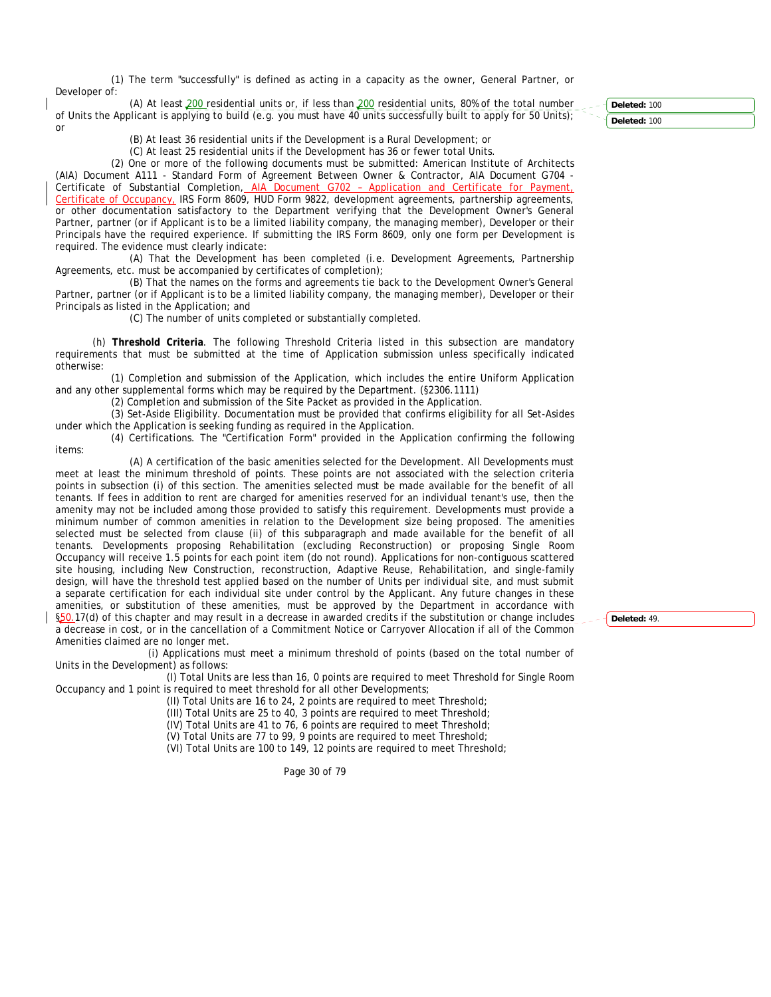(1) The term "successfully" is defined as acting in a capacity as the owner, General Partner, or Developer of:

(A) At least 200 residential units or, if less than 200 residential units, 80% of the total number of Units the Applicant is applying to build (e.g. you must have 40 units successfully built to apply for 50 Units); or

(B) At least 36 residential units if the Development is a Rural Development; or

(C) At least 25 residential units if the Development has 36 or fewer total Units.

(2) One or more of the following documents must be submitted: American Institute of Architects (AIA) Document A111 - Standard Form of Agreement Between Owner & Contractor, AIA Document G704 - Certificate of Substantial Completion, AIA Document G702 - Application and Certificate for Payment, Certificate of Occupancy, IRS Form 8609, HUD Form 9822, development agreements, partnership agreements, or other documentation satisfactory to the Department verifying that the Development Owner's General Partner, partner (or if Applicant is to be a limited liability company, the managing member), Developer or their Principals have the required experience. If submitting the IRS Form 8609, only one form per Development is required. The evidence must clearly indicate:

(A) That the Development has been completed (i.e. Development Agreements, Partnership Agreements, etc. must be accompanied by certificates of completion);

(B) That the names on the forms and agreements tie back to the Development Owner's General Partner, partner (or if Applicant is to be a limited liability company, the managing member), Developer or their Principals as listed in the Application; and

(C) The number of units completed or substantially completed.

(h) **Threshold Criteria**. The following Threshold Criteria listed in this subsection are mandatory requirements that must be submitted at the time of Application submission unless specifically indicated otherwise:

(1) Completion and submission of the Application, which includes the entire Uniform Application and any other supplemental forms which may be required by the Department. (§2306.1111)

(2) Completion and submission of the Site Packet as provided in the Application.

(3) Set-Aside Eligibility. Documentation must be provided that confirms eligibility for all Set-Asides under which the Application is seeking funding as required in the Application.

(4) Certifications. The "Certification Form" provided in the Application confirming the following items:

(A) A certification of the basic amenities selected for the Development. All Developments must meet at least the minimum threshold of points. These points are not associated with the selection criteria points in subsection (i) of this section. The amenities selected must be made available for the benefit of all tenants. If fees in addition to rent are charged for amenities reserved for an individual tenant's use, then the amenity may not be included among those provided to satisfy this requirement. Developments must provide a minimum number of common amenities in relation to the Development size being proposed. The amenities selected must be selected from clause (ii) of this subparagraph and made available for the benefit of all tenants. Developments proposing Rehabilitation (excluding Reconstruction) or proposing Single Room Occupancy will receive 1.5 points for each point item (do not round). Applications for non-contiguous scattered site housing, including New Construction, reconstruction, Adaptive Reuse, Rehabilitation, and single-family design, will have the threshold test applied based on the number of Units per individual site, and must submit a separate certification for each individual site under control by the Applicant. Any future changes in these amenities, or substitution of these amenities, must be approved by the Department in accordance with §50.17(d) of this chapter and may result in a decrease in awarded credits if the substitution or change includes a decrease in cost, or in the cancellation of a Commitment Notice or Carryover Allocation if all of the Common Amenities claimed are no longer met.

(i) Applications must meet a minimum threshold of points (based on the total number of Units in the Development) as follows:

(I) Total Units are less than 16, 0 points are required to meet Threshold for Single Room Occupancy and 1 point is required to meet threshold for all other Developments;

(II) Total Units are 16 to 24, 2 points are required to meet Threshold;

(III) Total Units are 25 to 40, 3 points are required to meet Threshold;

(IV) Total Units are 41 to 76, 6 points are required to meet Threshold;

(V) Total Units are 77 to 99, 9 points are required to meet Threshold;

(VI) Total Units are 100 to 149, 12 points are required to meet Threshold;

Page 30 of 79

**Deleted:** 100 **Deleted:** 100

**Deleted:** 49.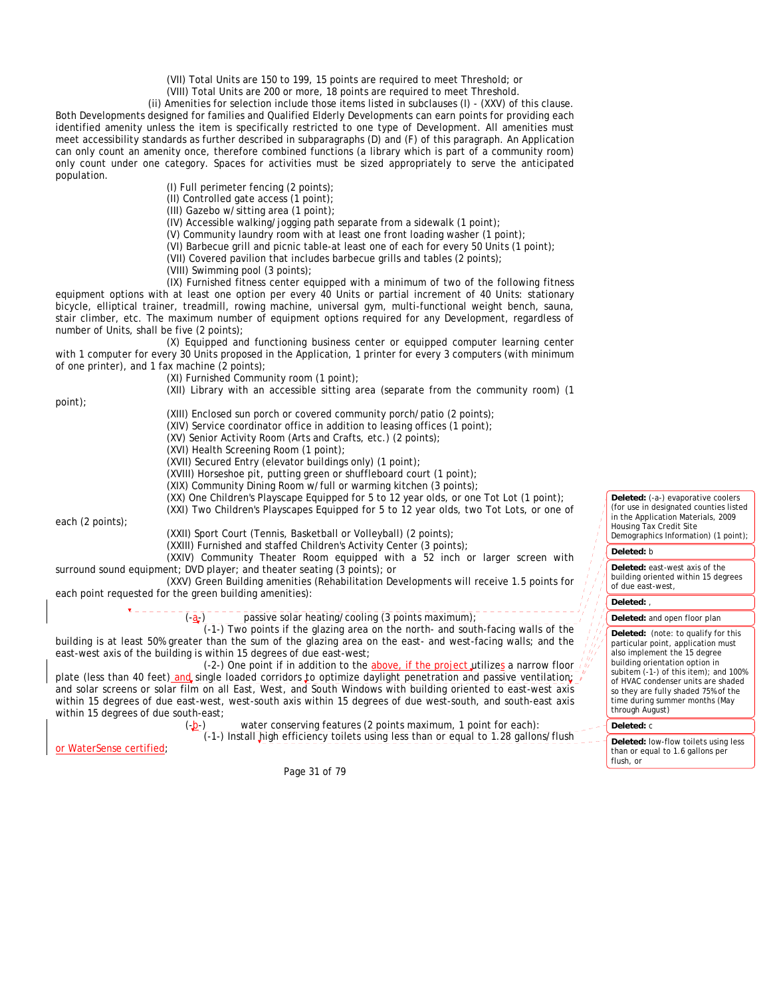(VII) Total Units are 150 to 199, 15 points are required to meet Threshold; or

(VIII) Total Units are 200 or more, 18 points are required to meet Threshold.

(ii) Amenities for selection include those items listed in subclauses (I) - (XXV) of this clause. Both Developments designed for families and Qualified Elderly Developments can earn points for providing each identified amenity unless the item is specifically restricted to one type of Development. All amenities must meet accessibility standards as further described in subparagraphs (D) and (F) of this paragraph. An Application can only count an amenity once, therefore combined functions (a library which is part of a community room) only count under one category. Spaces for activities must be sized appropriately to serve the anticipated population.

(I) Full perimeter fencing (2 points);

(II) Controlled gate access (1 point);

(III) Gazebo w/sitting area (1 point);

(IV) Accessible walking/jogging path separate from a sidewalk (1 point);

(V) Community laundry room with at least one front loading washer (1 point);

(VI) Barbecue grill and picnic table-at least one of each for every 50 Units (1 point);

(VII) Covered pavilion that includes barbecue grills and tables (2 points);

(VIII) Swimming pool (3 points);

(IX) Furnished fitness center equipped with a minimum of two of the following fitness equipment options with at least one option per every 40 Units or partial increment of 40 Units: stationary bicycle, elliptical trainer, treadmill, rowing machine, universal gym, multi-functional weight bench, sauna, stair climber, etc. The maximum number of equipment options required for any Development, regardless of number of Units, shall be five (2 points);

(X) Equipped and functioning business center or equipped computer learning center with 1 computer for every 30 Units proposed in the Application, 1 printer for every 3 computers (with minimum of one printer), and 1 fax machine (2 points);

(XI) Furnished Community room (1 point);

(XII) Library with an accessible sitting area (separate from the community room) (1

point);

(XIII) Enclosed sun porch or covered community porch/patio (2 points);

(XIV) Service coordinator office in addition to leasing offices (1 point);

(XV) Senior Activity Room (Arts and Crafts, etc.) (2 points);

(XVI) Health Screening Room (1 point);

(XVII) Secured Entry (elevator buildings only) (1 point);

(XVIII) Horseshoe pit, putting green or shuffleboard court (1 point);

(XIX) Community Dining Room w/full or warming kitchen (3 points);

(XX) One Children's Playscape Equipped for 5 to 12 year olds, or one Tot Lot (1 point);

(XXI) Two Children's Playscapes Equipped for 5 to 12 year olds, two Tot Lots, or one of

each (2 points);

(XXII) Sport Court (Tennis, Basketball or Volleyball) (2 points);

(XXIII) Furnished and staffed Children's Activity Center (3 points);

(XXIV) Community Theater Room equipped with a 52 inch or larger screen with surround sound equipment; DVD player; and theater seating (3 points); or

(XXV) Green Building amenities (Rehabilitation Developments will receive 1.5 points for each point requested for the green building amenities):

passive solar heating/cooling  $(3 \text{ points maximum})$ ;

(-1-) Two points if the glazing area on the north- and south-facing walls of the building is at least 50% greater than the sum of the glazing area on the east- and west-facing walls; and the east-west axis of the building is within 15 degrees of due east-west;

(-2-) One point if in addition to the  $above$ , if the project utilizes a narrow floor plate (less than 40 feet) and single loaded corridors to optimize daylight penetration and passive ventilation; and solar screens or solar film on all East, West, and South Windows with building oriented to east-west axis within 15 degrees of due east-west, west-south axis within 15 degrees of due west-south, and south-east axis within 15 degrees of due south-east;

(-b-) water conserving features (2 points maximum, 1 point for each): (-1-) Install high efficiency toilets using less than or equal to 1.28 gallons/flush

or WaterSense certified;

Page 31 of 79

Deleted: (-a-) evaporative coolers (for use in designated counties listed in the Application Materials, 2009 Housing Tax Credit Site Demographics Information) (1 point);

## **Deleted:** b

**Deleted:** east-west axis of the building oriented within 15 degrees of due east-west,

#### **Deleted:** ,

#### **Deleted:** and open floor plan

**Deleted:** (note: to qualify for this particular point, application must also implement the 15 degree building orientation option in subitem (-1-) of this item); and 100% of HVAC condenser units are shaded so they are fully shaded 75% of the time during summer months (May through August)

# **Deleted:** c

**Deleted:** low-flow toilets using less than or equal to 1.6 gallons per flush, or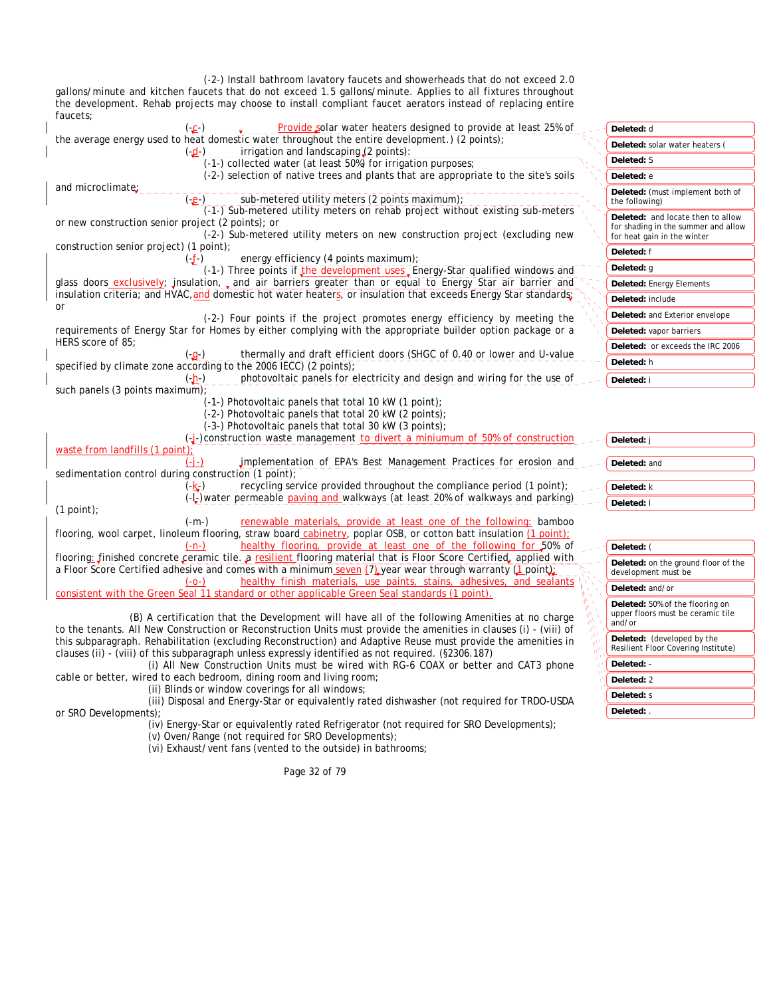(-2-) Install bathroom lavatory faucets and showerheads that do not exceed 2.0 gallons/minute and kitchen faucets that do not exceed 1.5 gallons/minute. Applies to all fixtures throughout the development. Rehab projects may choose to install compliant faucet aerators instead of replacing entire faucets;

| .                                                                                                                                                                                                                                |                                                                                                         |
|----------------------------------------------------------------------------------------------------------------------------------------------------------------------------------------------------------------------------------|---------------------------------------------------------------------------------------------------------|
| Provide solar water heaters designed to provide at least 25% of<br>$(-2)$                                                                                                                                                        | Deleted: d                                                                                              |
| the average energy used to heat domestic water throughout the entire development.) (2 points);<br>irrigation and landscaping (2 points):<br>$(-d-)$                                                                              | Deleted: solar water heaters (                                                                          |
| (-1-) collected water (at least 50%) for irrigation purposes;                                                                                                                                                                    | Deleted: S                                                                                              |
| (-2-) selection of native trees and plants that are appropriate to the site's soils                                                                                                                                              | Deleted: e                                                                                              |
| and microclimate:<br>sub-metered utility meters (2 points maximum);<br>$(-e^{-})$                                                                                                                                                | Deleted: (must implement both of<br>the following)                                                      |
| (-1-) Sub-metered utility meters on rehab project without existing sub-meters<br>or new construction senior project (2 points); or<br>(-2) Sub-metered utility meters on new construction project (excluding new                 | Deleted: and locate then to allow<br>for shading in the summer and allow<br>for heat gain in the winter |
| construction senior project) (1 point);                                                                                                                                                                                          | Deleted: f                                                                                              |
| energy efficiency (4 points maximum);<br>$(-f-)$<br>(-1-) Three points if the development uses Energy-Star qualified windows and                                                                                                 | Deleted: q                                                                                              |
| glass doors exclusively; jnsulation, and air barriers greater than or equal to Energy Star air barrier and                                                                                                                       | <b>Deleted:</b> Energy Elements                                                                         |
| insulation criteria; and HVAC, and domestic hot water heaters, or insulation that exceeds Energy Star standards;                                                                                                                 | Deleted: include                                                                                        |
| or<br>(-2-) Four points if the project promotes energy efficiency by meeting the                                                                                                                                                 | Deleted: and Exterior envelope                                                                          |
| requirements of Energy Star for Homes by either complying with the appropriate builder option package or a                                                                                                                       | Deleted: vapor barriers                                                                                 |
| HERS score of 85:                                                                                                                                                                                                                | Deleted: or exceeds the IRC 2006                                                                        |
| thermally and draft efficient doors (SHGC of 0.40 or lower and U-value<br>$(-q^{-})$<br>specified by climate zone according to the 2006 IECC) (2 points);                                                                        | Deleted: h                                                                                              |
| photovoltaic panels for electricity and design and wiring for the use of<br>$(-h)$                                                                                                                                               | Deleted: i                                                                                              |
| such panels (3 points maximum);<br>(-1-) Photovoltaic panels that total 10 kW (1 point);<br>(-2-) Photovoltaic panels that total 20 kW (2 points);<br>(-3-) Photovoltaic panels that total 30 kW (3 points);                     |                                                                                                         |
| $\left(\frac{1}{2}\right)$ -construction waste management to divert a miniumum of 50% of construction                                                                                                                            | Deleted: j                                                                                              |
| waste from landfills (1 point);<br>implementation of EPA's Best Management Practices for erosion and                                                                                                                             | Deleted: and                                                                                            |
| sedimentation control during construction (1 point);                                                                                                                                                                             |                                                                                                         |
| recycling service provided throughout the compliance period (1 point);<br>(-k-)                                                                                                                                                  | Deleted: k                                                                                              |
| (--,) water permeable paving and walkways (at least 20% of walkways and parking)<br>$(1$ point);                                                                                                                                 | Deleted: I                                                                                              |
| $(-m-)$<br>renewable materials, provide at least one of the following: bamboo                                                                                                                                                    |                                                                                                         |
| flooring, wool carpet, linoleum flooring, straw board cabinetry, poplar OSB, or cotton batt insulation (1 point);                                                                                                                |                                                                                                         |
| healthy flooring, provide at least one of the following for 50% of<br>$(-n-)$                                                                                                                                                    | Deleted: (                                                                                              |
| flooring: finished concrete ceramic tile. a resilient flooring material that is Floor Score Certified, applied with<br>a Floor Score Certified adhesive and comes with a minimum seven (7) year wear through warranty (1 point); | Deleted: on the ground floor of the<br>development must be                                              |
| healthy finish materials, use paints, stains, adhesives, and sealants<br>$(-0-)$<br>consistent with the Green Seal 11 standard or other applicable Green Seal standards (1 point).                                               | Deleted: and/or                                                                                         |
| (R) A cortification that the Development will have all of the following Amerities at no charge                                                                                                                                   | Deleted: 50% of the flooring on<br>upper floors must be ceramic tile                                    |

and/or

**Deleted:** - **Deleted:** 2 **Deleted:** s **Deleted:** .

**Deleted:** (developed by the Resilient Floor Covering Institute)

(B) A certification that the Development will have all of the following Amenities at no charge to the tenants. All New Construction or Reconstruction Units must provide the amenities in clauses (i) - (viii) of this subparagraph. Rehabilitation (excluding Reconstruction) and Adaptive Reuse must provide the amenities in clauses (ii) - (viii) of this subparagraph unless expressly identified as not required. (§2306.187)

(i) All New Construction Units must be wired with RG-6 COAX or better and CAT3 phone cable or better, wired to each bedroom, dining room and living room;

(ii) Blinds or window coverings for all windows;

(iii) Disposal and Energy-Star or equivalently rated dishwasher (not required for TRDO-USDA or SRO Developments);

(iv) Energy-Star or equivalently rated Refrigerator (not required for SRO Developments);

(v) Oven/Range (not required for SRO Developments);

(vi) Exhaust/vent fans (vented to the outside) in bathrooms;

Page 32 of 79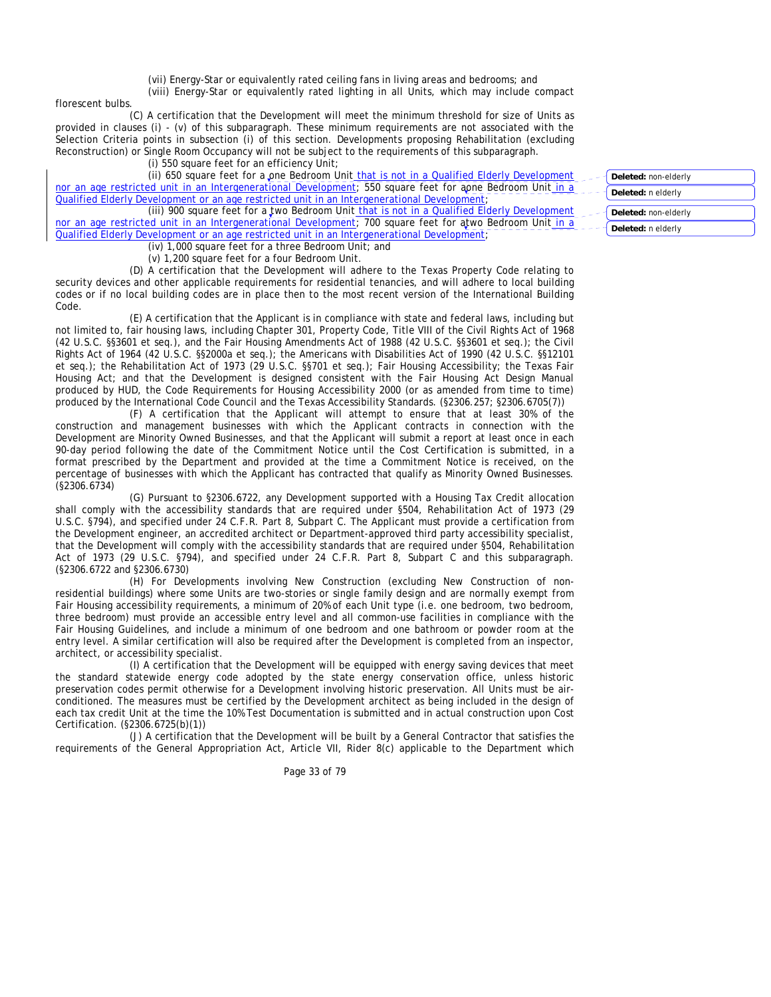(vii) Energy-Star or equivalently rated ceiling fans in living areas and bedrooms; and

(viii) Energy-Star or equivalently rated lighting in all Units, which may include compact

florescent bulbs.

(C) A certification that the Development will meet the minimum threshold for size of Units as provided in clauses (i) - (v) of this subparagraph. These minimum requirements are not associated with the Selection Criteria points in subsection (i) of this section. Developments proposing Rehabilitation (excluding Reconstruction) or Single Room Occupancy will not be subject to the requirements of this subparagraph.

(i) 550 square feet for an efficiency Unit;

(ii) 650 square feet for a one Bedroom Unit that is not in a Qualified Elderly Development nor an age restricted unit in an Intergenerational Development; 550 square feet for aone Bedroom Unit in a Qualified Elderly Development or an age restricted unit in an Intergenerational Development;

(iii) 900 square feet for a two Bedroom Unit that is not in a Qualified Elderly Development nor an age restricted unit in an Intergenerational Development; 700 square feet for atwo Bedroom Unit in a Qualified Elderly Development or an age restricted unit in an Intergenerational Development;

(iv) 1,000 square feet for a three Bedroom Unit; and

(v) 1,200 square feet for a four Bedroom Unit.

(D) A certification that the Development will adhere to the Texas Property Code relating to security devices and other applicable requirements for residential tenancies, and will adhere to local building codes or if no local building codes are in place then to the most recent version of the International Building Code.

(E) A certification that the Applicant is in compliance with state and federal laws, including but not limited to, fair housing laws, including Chapter 301, Property Code, Title VIII of the Civil Rights Act of 1968 (42 U.S.C. §§3601 et seq.), and the Fair Housing Amendments Act of 1988 (42 U.S.C. §§3601 et seq.); the Civil Rights Act of 1964 (42 U.S.C. §§2000a et seq.); the Americans with Disabilities Act of 1990 (42 U.S.C. §§12101 et seq.); the Rehabilitation Act of 1973 (29 U.S.C. §§701 et seq.); Fair Housing Accessibility; the Texas Fair Housing Act; and that the Development is designed consistent with the Fair Housing Act Design Manual produced by HUD, the Code Requirements for Housing Accessibility 2000 (or as amended from time to time) produced by the International Code Council and the Texas Accessibility Standards. (§2306.257; §2306.6705(7))

(F) A certification that the Applicant will attempt to ensure that at least 30% of the construction and management businesses with which the Applicant contracts in connection with the Development are Minority Owned Businesses, and that the Applicant will submit a report at least once in each 90-day period following the date of the Commitment Notice until the Cost Certification is submitted, in a format prescribed by the Department and provided at the time a Commitment Notice is received, on the percentage of businesses with which the Applicant has contracted that qualify as Minority Owned Businesses. (§2306.6734)

(G) Pursuant to §2306.6722, any Development supported with a Housing Tax Credit allocation shall comply with the accessibility standards that are required under §504, Rehabilitation Act of 1973 (29 U.S.C. §794), and specified under 24 C.F.R. Part 8, Subpart C. The Applicant must provide a certification from the Development engineer, an accredited architect or Department-approved third party accessibility specialist, that the Development will comply with the accessibility standards that are required under §504, Rehabilitation Act of 1973 (29 U.S.C. §794), and specified under 24 C.F.R. Part 8, Subpart C and this subparagraph. (§2306.6722 and §2306.6730)

(H) For Developments involving New Construction (excluding New Construction of nonresidential buildings) where some Units are two-stories or single family design and are normally exempt from Fair Housing accessibility requirements, a minimum of 20% of each Unit type (i.e. one bedroom, two bedroom, three bedroom) must provide an accessible entry level and all common-use facilities in compliance with the Fair Housing Guidelines, and include a minimum of one bedroom and one bathroom or powder room at the entry level. A similar certification will also be required after the Development is completed from an inspector, architect, or accessibility specialist.

(I) A certification that the Development will be equipped with energy saving devices that meet the standard statewide energy code adopted by the state energy conservation office, unless historic preservation codes permit otherwise for a Development involving historic preservation. All Units must be airconditioned. The measures must be certified by the Development architect as being included in the design of each tax credit Unit at the time the 10% Test Documentation is submitted and in actual construction upon Cost Certification. (§2306.6725(b)(1))

(J) A certification that the Development will be built by a General Contractor that satisfies the requirements of the General Appropriation Act, Article VII, Rider 8(c) applicable to the Department which

Page 33 of 79

- **Deleted:** non-elderly
- **Deleted:** n elderly
- **Deleted:** non-elderly

**Deleted:** n elderly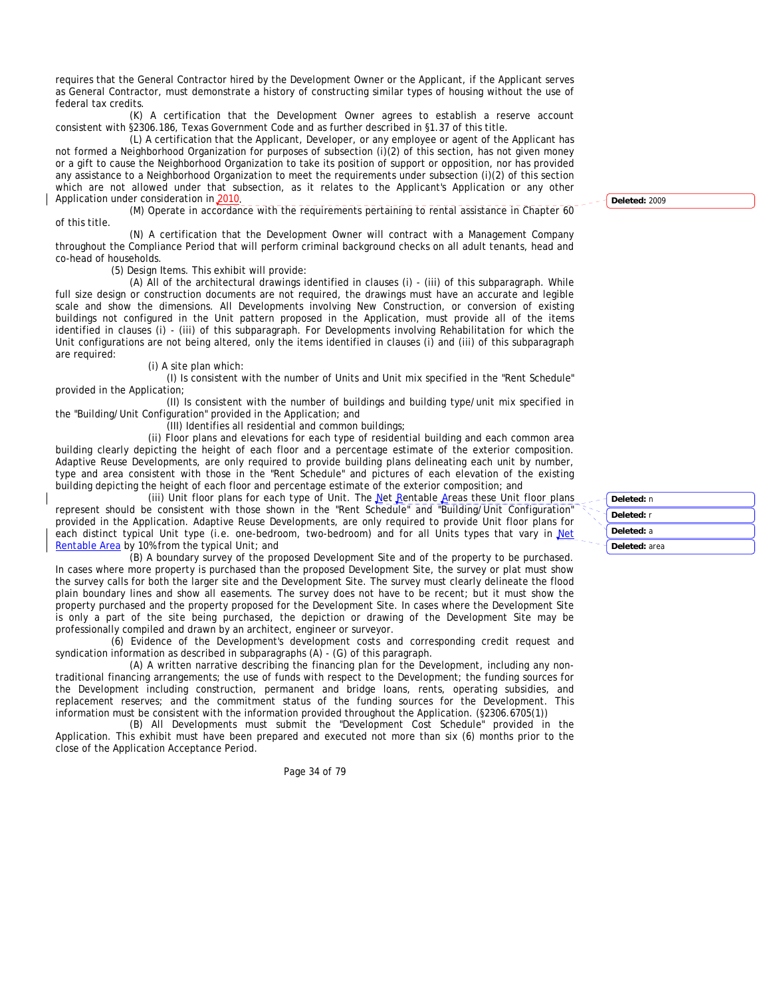requires that the General Contractor hired by the Development Owner or the Applicant, if the Applicant serves as General Contractor, must demonstrate a history of constructing similar types of housing without the use of federal tax credits.

(K) A certification that the Development Owner agrees to establish a reserve account consistent with §2306.186, Texas Government Code and as further described in §1.37 of this title.

(L) A certification that the Applicant, Developer, or any employee or agent of the Applicant has not formed a Neighborhood Organization for purposes of subsection (i)(2) of this section, has not given money or a gift to cause the Neighborhood Organization to take its position of support or opposition, nor has provided any assistance to a Neighborhood Organization to meet the requirements under subsection (i)(2) of this section which are not allowed under that subsection, as it relates to the Applicant's Application or any other Application under consideration in 2010.

(M) Operate in accordance with the requirements pertaining to rental assistance in Chapter 60 of this title.

(N) A certification that the Development Owner will contract with a Management Company throughout the Compliance Period that will perform criminal background checks on all adult tenants, head and co-head of households.

(5) Design Items. This exhibit will provide:

(A) All of the architectural drawings identified in clauses (i) - (iii) of this subparagraph. While full size design or construction documents are not required, the drawings must have an accurate and legible scale and show the dimensions. All Developments involving New Construction, or conversion of existing buildings not configured in the Unit pattern proposed in the Application, must provide all of the items identified in clauses (i) - (iii) of this subparagraph. For Developments involving Rehabilitation for which the Unit configurations are not being altered, only the items identified in clauses (i) and (iii) of this subparagraph are required:

### (i) A site plan which:

(I) Is consistent with the number of Units and Unit mix specified in the "Rent Schedule" provided in the Application;

(II) Is consistent with the number of buildings and building type/unit mix specified in the "Building/Unit Configuration" provided in the Application; and

(III) Identifies all residential and common buildings;

(ii) Floor plans and elevations for each type of residential building and each common area building clearly depicting the height of each floor and a percentage estimate of the exterior composition. Adaptive Reuse Developments, are only required to provide building plans delineating each unit by number, type and area consistent with those in the "Rent Schedule" and pictures of each elevation of the existing building depicting the height of each floor and percentage estimate of the exterior composition; and

(iii) Unit floor plans for each type of Unit. The Net Rentable Areas these Unit floor plans represent should be consistent with those shown in the "Rent Schedule" and "Building/Unit Configuration" provided in the Application. Adaptive Reuse Developments, are only required to provide Unit floor plans for each distinct typical Unit type (i.e. one-bedroom, two-bedroom) and for all Units types that vary in Net Rentable Area by 10% from the typical Unit; and

(B) A boundary survey of the proposed Development Site and of the property to be purchased. In cases where more property is purchased than the proposed Development Site, the survey or plat must show the survey calls for both the larger site and the Development Site. The survey must clearly delineate the flood plain boundary lines and show all easements. The survey does not have to be recent; but it must show the property purchased and the property proposed for the Development Site. In cases where the Development Site is only a part of the site being purchased, the depiction or drawing of the Development Site may be professionally compiled and drawn by an architect, engineer or surveyor.

(6) Evidence of the Development's development costs and corresponding credit request and syndication information as described in subparagraphs (A) - (G) of this paragraph.

(A) A written narrative describing the financing plan for the Development, including any nontraditional financing arrangements; the use of funds with respect to the Development; the funding sources for the Development including construction, permanent and bridge loans, rents, operating subsidies, and replacement reserves; and the commitment status of the funding sources for the Development. This information must be consistent with the information provided throughout the Application. (§2306.6705(1))

(B) All Developments must submit the "Development Cost Schedule" provided in the Application. This exhibit must have been prepared and executed not more than six (6) months prior to the close of the Application Acceptance Period.

Page 34 of 79

**Deleted:** 2009

**Deleted:** n **Deleted:** r **Deleted:** a **Deleted:** area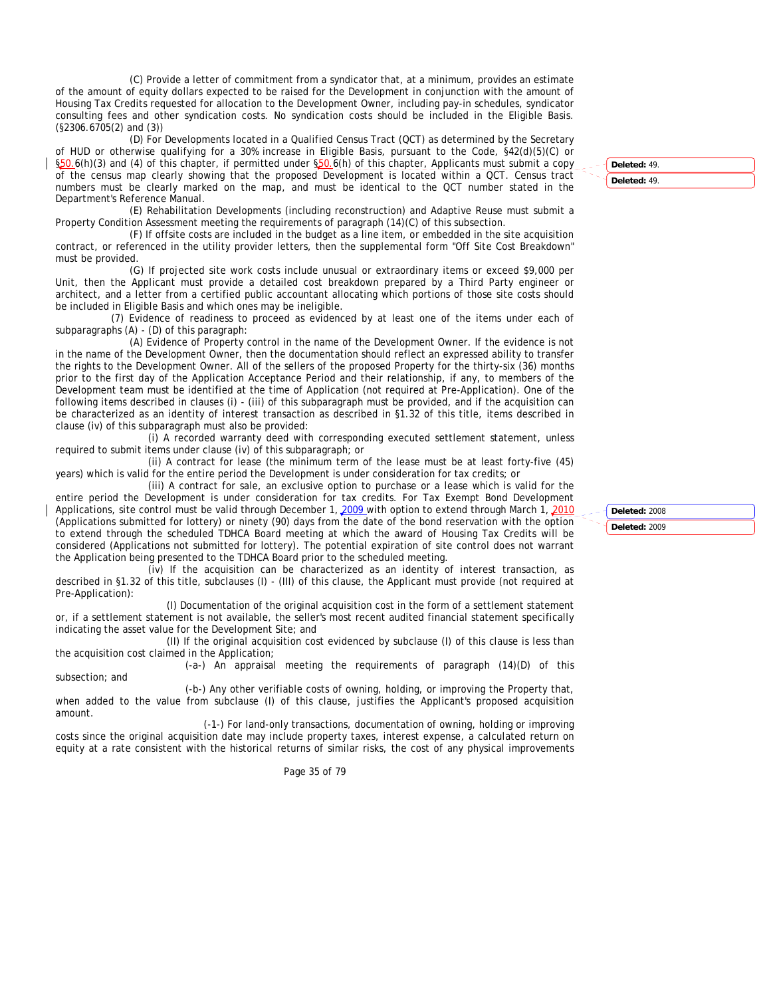(C) Provide a letter of commitment from a syndicator that, at a minimum, provides an estimate of the amount of equity dollars expected to be raised for the Development in conjunction with the amount of Housing Tax Credits requested for allocation to the Development Owner, including pay-in schedules, syndicator consulting fees and other syndication costs. No syndication costs should be included in the Eligible Basis. (§2306.6705(2) and (3))

(D) For Developments located in a Qualified Census Tract (QCT) as determined by the Secretary of HUD or otherwise qualifying for a 30% increase in Eligible Basis, pursuant to the Code, §42(d)(5)(C) or §50.6(h)(3) and (4) of this chapter, if permitted under §50.6(h) of this chapter, Applicants must submit a copy of the census map clearly showing that the proposed Development is located within a QCT. Census tract numbers must be clearly marked on the map, and must be identical to the QCT number stated in the Department's Reference Manual.

(E) Rehabilitation Developments (including reconstruction) and Adaptive Reuse must submit a Property Condition Assessment meeting the requirements of paragraph (14)(C) of this subsection.

(F) If offsite costs are included in the budget as a line item, or embedded in the site acquisition contract, or referenced in the utility provider letters, then the supplemental form "Off Site Cost Breakdown" must be provided.

(G) If projected site work costs include unusual or extraordinary items or exceed \$9,000 per Unit, then the Applicant must provide a detailed cost breakdown prepared by a Third Party engineer or architect, and a letter from a certified public accountant allocating which portions of those site costs should be included in Eligible Basis and which ones may be ineligible.

(7) Evidence of readiness to proceed as evidenced by at least one of the items under each of subparagraphs (A) - (D) of this paragraph:

(A) Evidence of Property control in the name of the Development Owner. If the evidence is not in the name of the Development Owner, then the documentation should reflect an expressed ability to transfer the rights to the Development Owner. All of the sellers of the proposed Property for the thirty-six (36) months prior to the first day of the Application Acceptance Period and their relationship, if any, to members of the Development team must be identified at the time of Application (not required at Pre-Application). One of the following items described in clauses (i) - (iii) of this subparagraph must be provided, and if the acquisition can be characterized as an identity of interest transaction as described in §1.32 of this title, items described in clause (iv) of this subparagraph must also be provided:

(i) A recorded warranty deed with corresponding executed settlement statement, unless required to submit items under clause (iv) of this subparagraph; or

(ii) A contract for lease (the minimum term of the lease must be at least forty-five (45) years) which is valid for the entire period the Development is under consideration for tax credits; or

(iii) A contract for sale, an exclusive option to purchase or a lease which is valid for the entire period the Development is under consideration for tax credits. For Tax Exempt Bond Development Applications, site control must be valid through December 1, 2009 with option to extend through March 1, 2010 (Applications submitted for lottery) or ninety (90) days from the date of the bond reservation with the option to extend through the scheduled TDHCA Board meeting at which the award of Housing Tax Credits will be considered (Applications not submitted for lottery). The potential expiration of site control does not warrant the Application being presented to the TDHCA Board prior to the scheduled meeting.

 $(iv)$  If the acquisition can be characterized as an identity of interest transaction, as described in §1.32 of this title, subclauses (I) - (III) of this clause, the Applicant must provide (not required at Pre-Application):

(I) Documentation of the original acquisition cost in the form of a settlement statement or, if a settlement statement is not available, the seller's most recent audited financial statement specifically indicating the asset value for the Development Site; and

(II) If the original acquisition cost evidenced by subclause (I) of this clause is less than the acquisition cost claimed in the Application;

(-a-) An appraisal meeting the requirements of paragraph (14)(D) of this subsection; and

(-b-) Any other verifiable costs of owning, holding, or improving the Property that, when added to the value from subclause (I) of this clause, justifies the Applicant's proposed acquisition amount.

(-1-) For land-only transactions, documentation of owning, holding or improving costs since the original acquisition date may include property taxes, interest expense, a calculated return on equity at a rate consistent with the historical returns of similar risks, the cost of any physical improvements

Page 35 of 79

**Deleted:** 49. **Deleted:** 49.

**Deleted:** 2008 **Deleted:** 2009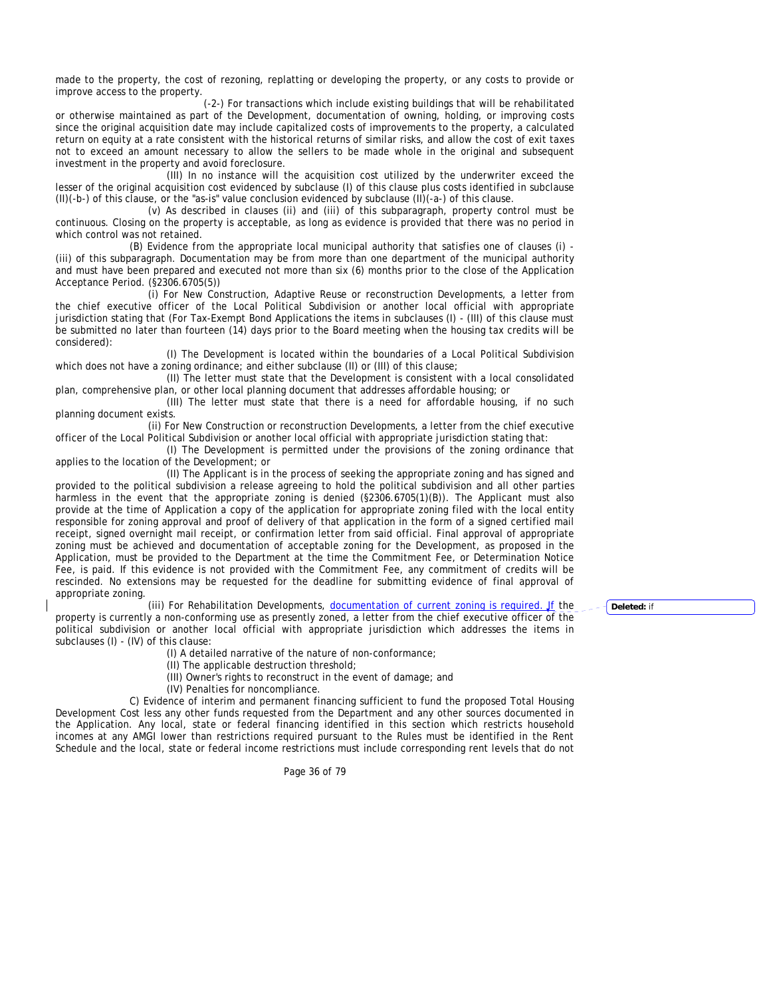made to the property, the cost of rezoning, replatting or developing the property, or any costs to provide or improve access to the property.

(-2-) For transactions which include existing buildings that will be rehabilitated or otherwise maintained as part of the Development, documentation of owning, holding, or improving costs since the original acquisition date may include capitalized costs of improvements to the property, a calculated return on equity at a rate consistent with the historical returns of similar risks, and allow the cost of exit taxes not to exceed an amount necessary to allow the sellers to be made whole in the original and subsequent investment in the property and avoid foreclosure.

(III) In no instance will the acquisition cost utilized by the underwriter exceed the lesser of the original acquisition cost evidenced by subclause (I) of this clause plus costs identified in subclause (II)(-b-) of this clause, or the "as-is" value conclusion evidenced by subclause (II)(-a-) of this clause.

(v) As described in clauses (ii) and (iii) of this subparagraph, property control must be continuous. Closing on the property is acceptable, as long as evidence is provided that there was no period in which control was not retained.

(B) Evidence from the appropriate local municipal authority that satisfies one of clauses (i) - (iii) of this subparagraph. Documentation may be from more than one department of the municipal authority and must have been prepared and executed not more than six (6) months prior to the close of the Application Acceptance Period. (§2306.6705(5))

(i) For New Construction, Adaptive Reuse or reconstruction Developments, a letter from the chief executive officer of the Local Political Subdivision or another local official with appropriate jurisdiction stating that (For Tax-Exempt Bond Applications the items in subclauses (I) - (III) of this clause must be submitted no later than fourteen (14) days prior to the Board meeting when the housing tax credits will be considered):

(I) The Development is located within the boundaries of a Local Political Subdivision which does not have a zoning ordinance; and either subclause (II) or (III) of this clause;

(II) The letter must state that the Development is consistent with a local consolidated plan, comprehensive plan, or other local planning document that addresses affordable housing; or

(III) The letter must state that there is a need for affordable housing, if no such planning document exists.

(ii) For New Construction or reconstruction Developments, a letter from the chief executive officer of the Local Political Subdivision or another local official with appropriate jurisdiction stating that:

(I) The Development is permitted under the provisions of the zoning ordinance that applies to the location of the Development; or

(II) The Applicant is in the process of seeking the appropriate zoning and has signed and provided to the political subdivision a release agreeing to hold the political subdivision and all other parties harmless in the event that the appropriate zoning is denied (§2306.6705(1)(B)). The Applicant must also provide at the time of Application a copy of the application for appropriate zoning filed with the local entity responsible for zoning approval and proof of delivery of that application in the form of a signed certified mail receipt, signed overnight mail receipt, or confirmation letter from said official. Final approval of appropriate zoning must be achieved and documentation of acceptable zoning for the Development, as proposed in the Application, must be provided to the Department at the time the Commitment Fee, or Determination Notice Fee, is paid. If this evidence is not provided with the Commitment Fee, any commitment of credits will be rescinded. No extensions may be requested for the deadline for submitting evidence of final approval of appropriate zoning.

(iii) For Rehabilitation Developments, documentation of current zoning is required. If the property is currently a non-conforming use as presently zoned, a letter from the chief executive officer of the political subdivision or another local official with appropriate jurisdiction which addresses the items in subclauses (I) - (IV) of this clause:

- (I) A detailed narrative of the nature of non-conformance;
- (II) The applicable destruction threshold;
- (III) Owner's rights to reconstruct in the event of damage; and

(IV) Penalties for noncompliance.

C) Evidence of interim and permanent financing sufficient to fund the proposed Total Housing Development Cost less any other funds requested from the Department and any other sources documented in the Application. Any local, state or federal financing identified in this section which restricts household incomes at any AMGI lower than restrictions required pursuant to the Rules must be identified in the Rent Schedule and the local, state or federal income restrictions must include corresponding rent levels that do not

Page 36 of 79

**Deleted:** if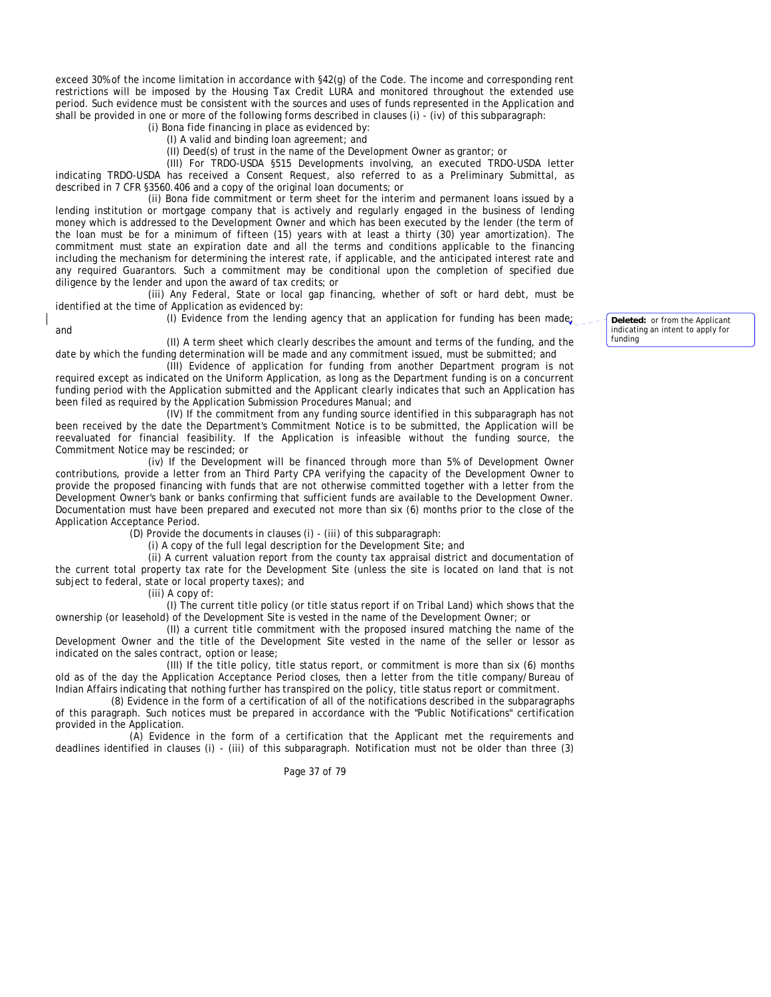exceed 30% of the income limitation in accordance with §42(g) of the Code. The income and corresponding rent restrictions will be imposed by the Housing Tax Credit LURA and monitored throughout the extended use period. Such evidence must be consistent with the sources and uses of funds represented in the Application and shall be provided in one or more of the following forms described in clauses (i) - (iv) of this subparagraph:

(i) Bona fide financing in place as evidenced by:

(I) A valid and binding loan agreement; and

(II) Deed(s) of trust in the name of the Development Owner as grantor; or

(III) For TRDO-USDA §515 Developments involving, an executed TRDO-USDA letter indicating TRDO-USDA has received a Consent Request, also referred to as a Preliminary Submittal, as described in 7 CFR §3560.406 and a copy of the original loan documents; or

(ii) Bona fide commitment or term sheet for the interim and permanent loans issued by a lending institution or mortgage company that is actively and regularly engaged in the business of lending money which is addressed to the Development Owner and which has been executed by the lender (the term of the loan must be for a minimum of fifteen (15) years with at least a thirty (30) year amortization). The commitment must state an expiration date and all the terms and conditions applicable to the financing including the mechanism for determining the interest rate, if applicable, and the anticipated interest rate and any required Guarantors. Such a commitment may be conditional upon the completion of specified due diligence by the lender and upon the award of tax credits; or

(iii) Any Federal, State or local gap financing, whether of soft or hard debt, must be identified at the time of Application as evidenced by:

(I) Evidence from the lending agency that an application for funding has been made;

(II) A term sheet which clearly describes the amount and terms of the funding, and the date by which the funding determination will be made and any commitment issued, must be submitted; and

(III) Evidence of application for funding from another Department program is not required except as indicated on the Uniform Application, as long as the Department funding is on a concurrent funding period with the Application submitted and the Applicant clearly indicates that such an Application has been filed as required by the Application Submission Procedures Manual; and

(IV) If the commitment from any funding source identified in this subparagraph has not been received by the date the Department's Commitment Notice is to be submitted, the Application will be reevaluated for financial feasibility. If the Application is infeasible without the funding source, the Commitment Notice may be rescinded; or

(iv) If the Development will be financed through more than 5% of Development Owner contributions, provide a letter from an Third Party CPA verifying the capacity of the Development Owner to provide the proposed financing with funds that are not otherwise committed together with a letter from the Development Owner's bank or banks confirming that sufficient funds are available to the Development Owner. Documentation must have been prepared and executed not more than six (6) months prior to the close of the Application Acceptance Period.

(D) Provide the documents in clauses (i) - (iii) of this subparagraph:

(i) A copy of the full legal description for the Development Site; and

(ii) A current valuation report from the county tax appraisal district and documentation of the current total property tax rate for the Development Site (unless the site is located on land that is not subject to federal, state or local property taxes); and

(iii) A copy of:

and

(I) The current title policy (or title status report if on Tribal Land) which shows that the ownership (or leasehold) of the Development Site is vested in the name of the Development Owner; or

(II) a current title commitment with the proposed insured matching the name of the Development Owner and the title of the Development Site vested in the name of the seller or lessor as indicated on the sales contract, option or lease;

(III) If the title policy, title status report, or commitment is more than six (6) months old as of the day the Application Acceptance Period closes, then a letter from the title company/Bureau of Indian Affairs indicating that nothing further has transpired on the policy, title status report or commitment.

(8) Evidence in the form of a certification of all of the notifications described in the subparagraphs of this paragraph. Such notices must be prepared in accordance with the "Public Notifications" certification provided in the Application.

(A) Evidence in the form of a certification that the Applicant met the requirements and deadlines identified in clauses (i) - (iii) of this subparagraph. Notification must not be older than three (3)

Page 37 of 79

**Deleted:** or from the Applicant indicating an intent to apply for funding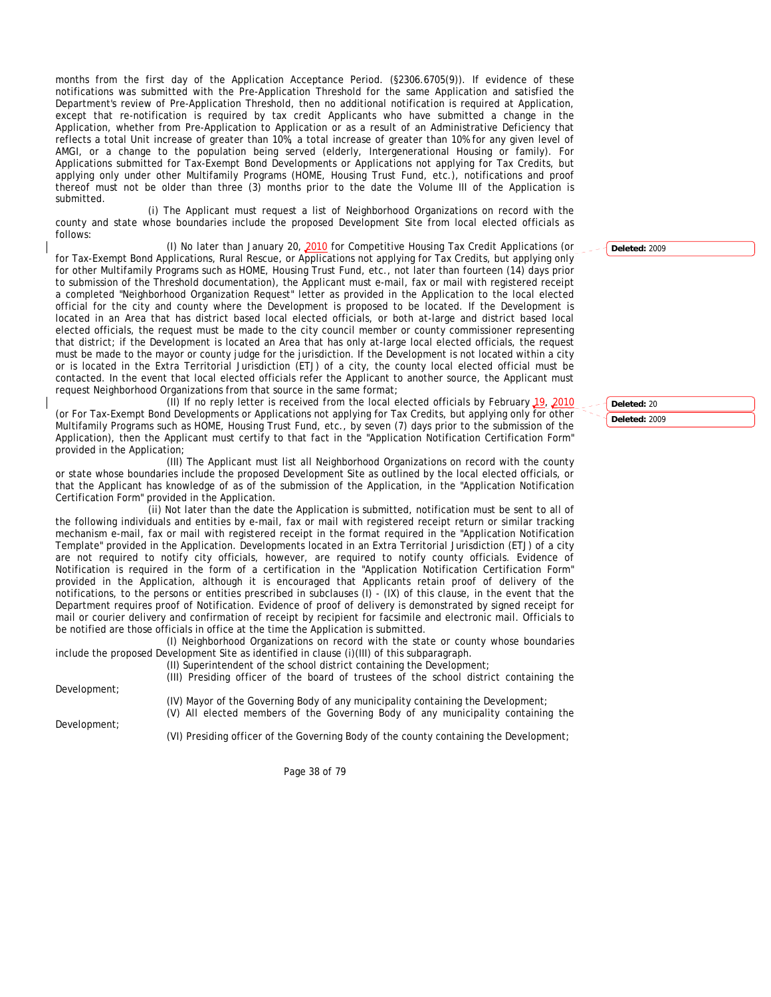months from the first day of the Application Acceptance Period. (§2306.6705(9)). If evidence of these notifications was submitted with the Pre-Application Threshold for the same Application and satisfied the Department's review of Pre-Application Threshold, then no additional notification is required at Application, except that re-notification is required by tax credit Applicants who have submitted a change in the Application, whether from Pre-Application to Application or as a result of an Administrative Deficiency that reflects a total Unit increase of greater than 10%, a total increase of greater than 10% for any given level of AMGI, or a change to the population being served (elderly, Intergenerational Housing or family). For Applications submitted for Tax-Exempt Bond Developments or Applications not applying for Tax Credits, but applying only under other Multifamily Programs (HOME, Housing Trust Fund, etc.), notifications and proof thereof must not be older than three (3) months prior to the date the Volume III of the Application is submitted.

(i) The Applicant must request a list of Neighborhood Organizations on record with the county and state whose boundaries include the proposed Development Site from local elected officials as follows:

(I) No later than January 20, 2010 for Competitive Housing Tax Credit Applications (or for Tax-Exempt Bond Applications, Rural Rescue, or Applications not applying for Tax Credits, but applying only for other Multifamily Programs such as HOME, Housing Trust Fund, etc., not later than fourteen (14) days prior to submission of the Threshold documentation), the Applicant must e-mail, fax or mail with registered receipt a completed "Neighborhood Organization Request" letter as provided in the Application to the local elected official for the city and county where the Development is proposed to be located. If the Development is located in an Area that has district based local elected officials, or both at-large and district based local elected officials, the request must be made to the city council member or county commissioner representing that district; if the Development is located an Area that has only at-large local elected officials, the request must be made to the mayor or county judge for the jurisdiction. If the Development is not located within a city or is located in the Extra Territorial Jurisdiction (ETJ) of a city, the county local elected official must be contacted. In the event that local elected officials refer the Applicant to another source, the Applicant must request Neighborhood Organizations from that source in the same format;

(II) If no reply letter is received from the local elected officials by February 19, 2010 (or For Tax-Exempt Bond Developments or Applications not applying for Tax Credits, but applying only for other Multifamily Programs such as HOME, Housing Trust Fund, etc., by seven (7) days prior to the submission of the Application), then the Applicant must certify to that fact in the "Application Notification Certification Form" provided in the Application;

(III) The Applicant must list all Neighborhood Organizations on record with the county or state whose boundaries include the proposed Development Site as outlined by the local elected officials, or that the Applicant has knowledge of as of the submission of the Application, in the "Application Notification Certification Form" provided in the Application.

(ii) Not later than the date the Application is submitted, notification must be sent to all of the following individuals and entities by e-mail, fax or mail with registered receipt return or similar tracking mechanism e-mail, fax or mail with registered receipt in the format required in the "Application Notification Template" provided in the Application. Developments located in an Extra Territorial Jurisdiction (ETJ) of a city are not required to notify city officials, however, are required to notify county officials. Evidence of Notification is required in the form of a certification in the "Application Notification Certification Form" provided in the Application, although it is encouraged that Applicants retain proof of delivery of the notifications, to the persons or entities prescribed in subclauses (I) - (IX) of this clause, in the event that the Department requires proof of Notification. Evidence of proof of delivery is demonstrated by signed receipt for mail or courier delivery and confirmation of receipt by recipient for facsimile and electronic mail. Officials to be notified are those officials in office at the time the Application is submitted.

(I) Neighborhood Organizations on record with the state or county whose boundaries include the proposed Development Site as identified in clause (i)(III) of this subparagraph.

Development;

Development;

(II) Superintendent of the school district containing the Development;

(III) Presiding officer of the board of trustees of the school district containing the

(IV) Mayor of the Governing Body of any municipality containing the Development;

(V) All elected members of the Governing Body of any municipality containing the

(VI) Presiding officer of the Governing Body of the county containing the Development;

Page 38 of 79

**Deleted:** 20 **Deleted:** 2009

**Deleted:** 2009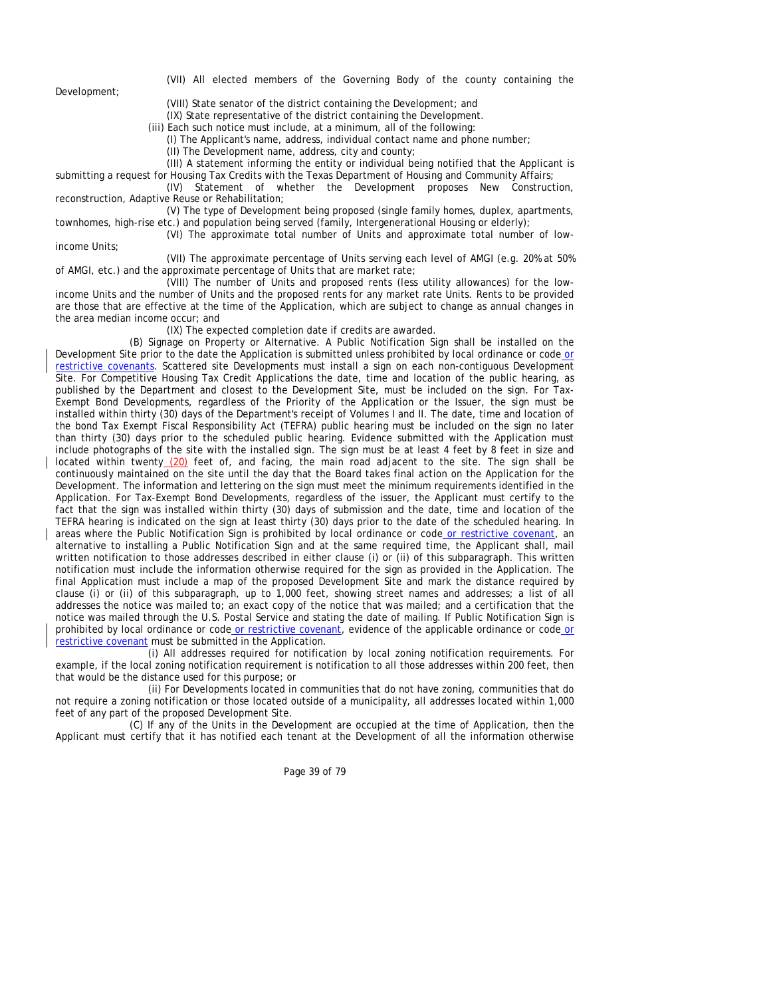Development;

(VII) All elected members of the Governing Body of the county containing the

(VIII) State senator of the district containing the Development; and

(IX) State representative of the district containing the Development.

(iii) Each such notice must include, at a minimum, all of the following:

(I) The Applicant's name, address, individual contact name and phone number;

(II) The Development name, address, city and county;

(III) A statement informing the entity or individual being notified that the Applicant is

submitting a request for Housing Tax Credits with the Texas Department of Housing and Community Affairs;

(IV) Statement of whether the Development proposes New Construction, reconstruction, Adaptive Reuse or Rehabilitation;

(V) The type of Development being proposed (single family homes, duplex, apartments, townhomes, high-rise etc.) and population being served (family, Intergenerational Housing or elderly);

(VI) The approximate total number of Units and approximate total number of low-

income Units;

(VII) The approximate percentage of Units serving each level of AMGI (e.g. 20% at 50% of AMGI, etc.) and the approximate percentage of Units that are market rate;

(VIII) The number of Units and proposed rents (less utility allowances) for the lowincome Units and the number of Units and the proposed rents for any market rate Units. Rents to be provided are those that are effective at the time of the Application, which are subject to change as annual changes in the area median income occur; and

(IX) The expected completion date if credits are awarded.

(B) Signage on Property or Alternative. A Public Notification Sign shall be installed on the Development Site prior to the date the Application is submitted unless prohibited by local ordinance or code or restrictive covenants. Scattered site Developments must install a sign on each non-contiguous Development Site. For Competitive Housing Tax Credit Applications the date, time and location of the public hearing, as published by the Department and closest to the Development Site, must be included on the sign. For Tax-Exempt Bond Developments, regardless of the Priority of the Application or the Issuer, the sign must be installed within thirty (30) days of the Department's receipt of Volumes I and II. The date, time and location of the bond Tax Exempt Fiscal Responsibility Act (TEFRA) public hearing must be included on the sign no later than thirty (30) days prior to the scheduled public hearing. Evidence submitted with the Application must include photographs of the site with the installed sign. The sign must be at least 4 feet by 8 feet in size and located within twenty (20) feet of, and facing, the main road adjacent to the site. The sign shall be continuously maintained on the site until the day that the Board takes final action on the Application for the Development. The information and lettering on the sign must meet the minimum requirements identified in the Application. For Tax-Exempt Bond Developments, regardless of the issuer, the Applicant must certify to the fact that the sign was installed within thirty (30) days of submission and the date, time and location of the TEFRA hearing is indicated on the sign at least thirty (30) days prior to the date of the scheduled hearing. In areas where the Public Notification Sign is prohibited by local ordinance or code or restrictive covenant, an alternative to installing a Public Notification Sign and at the same required time, the Applicant shall, mail written notification to those addresses described in either clause (i) or (ii) of this subparagraph. This written notification must include the information otherwise required for the sign as provided in the Application. The final Application must include a map of the proposed Development Site and mark the distance required by clause (i) or (ii) of this subparagraph, up to 1,000 feet, showing street names and addresses; a list of all addresses the notice was mailed to; an exact copy of the notice that was mailed; and a certification that the notice was mailed through the U.S. Postal Service and stating the date of mailing. If Public Notification Sign is prohibited by local ordinance or code or restrictive covenant, evidence of the applicable ordinance or code or restrictive covenant must be submitted in the Application.

(i) All addresses required for notification by local zoning notification requirements. For example, if the local zoning notification requirement is notification to all those addresses within 200 feet, then that would be the distance used for this purpose; or

(ii) For Developments located in communities that do not have zoning, communities that do not require a zoning notification or those located outside of a municipality, all addresses located within 1,000 feet of any part of the proposed Development Site.

(C) If any of the Units in the Development are occupied at the time of Application, then the Applicant must certify that it has notified each tenant at the Development of all the information otherwise

Page 39 of 79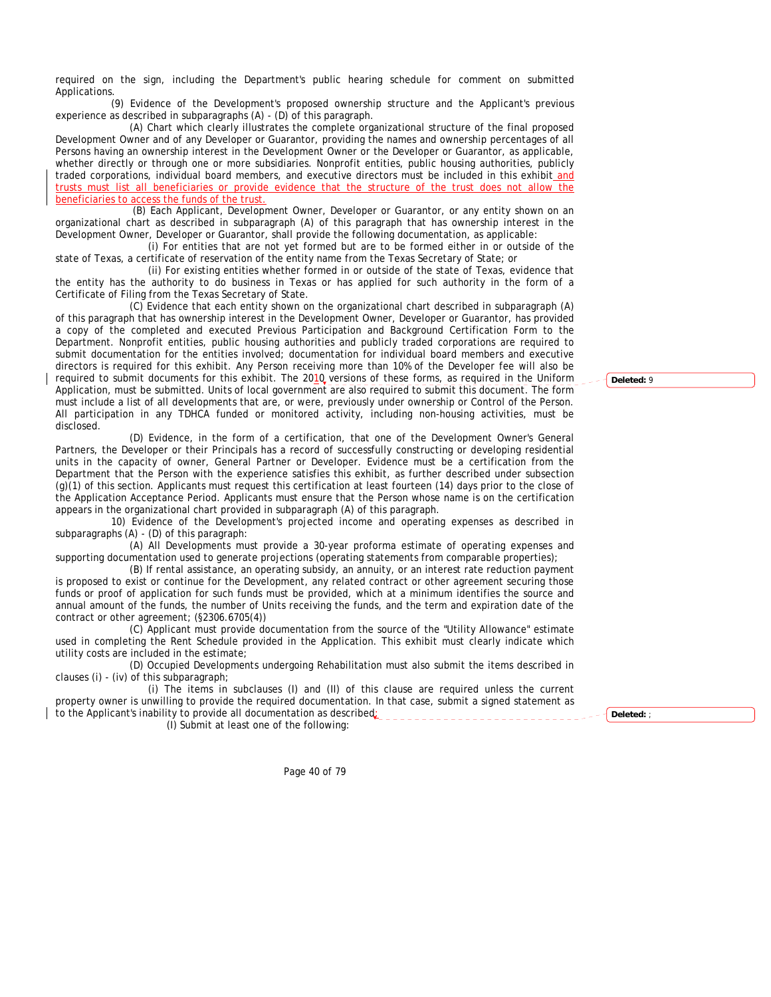required on the sign, including the Department's public hearing schedule for comment on submitted Applications.

(9) Evidence of the Development's proposed ownership structure and the Applicant's previous experience as described in subparagraphs (A) - (D) of this paragraph.

(A) Chart which clearly illustrates the complete organizational structure of the final proposed Development Owner and of any Developer or Guarantor, providing the names and ownership percentages of all Persons having an ownership interest in the Development Owner or the Developer or Guarantor, as applicable, whether directly or through one or more subsidiaries. Nonprofit entities, public housing authorities, publicly traded corporations, individual board members, and executive directors must be included in this exhibit and trusts must list all beneficiaries or provide evidence that the structure of the trust does not allow the beneficiaries to access the funds of the trust.

 (B) Each Applicant, Development Owner, Developer or Guarantor, or any entity shown on an organizational chart as described in subparagraph (A) of this paragraph that has ownership interest in the Development Owner, Developer or Guarantor, shall provide the following documentation, as applicable:

(i) For entities that are not yet formed but are to be formed either in or outside of the state of Texas, a certificate of reservation of the entity name from the Texas Secretary of State; or

(ii) For existing entities whether formed in or outside of the state of Texas, evidence that the entity has the authority to do business in Texas or has applied for such authority in the form of a Certificate of Filing from the Texas Secretary of State.

(C) Evidence that each entity shown on the organizational chart described in subparagraph (A) of this paragraph that has ownership interest in the Development Owner, Developer or Guarantor, has provided a copy of the completed and executed Previous Participation and Background Certification Form to the Department. Nonprofit entities, public housing authorities and publicly traded corporations are required to submit documentation for the entities involved; documentation for individual board members and executive directors is required for this exhibit. Any Person receiving more than 10% of the Developer fee will also be required to submit documents for this exhibit. The 2010 versions of these forms, as required in the Uniform Application, must be submitted. Units of local government are also required to submit this document. The form must include a list of all developments that are, or were, previously under ownership or Control of the Person. All participation in any TDHCA funded or monitored activity, including non-housing activities, must be disclosed.

(D) Evidence, in the form of a certification, that one of the Development Owner's General Partners, the Developer or their Principals has a record of successfully constructing or developing residential units in the capacity of owner, General Partner or Developer. Evidence must be a certification from the Department that the Person with the experience satisfies this exhibit, as further described under subsection (g)(1) of this section. Applicants must request this certification at least fourteen (14) days prior to the close of the Application Acceptance Period. Applicants must ensure that the Person whose name is on the certification appears in the organizational chart provided in subparagraph (A) of this paragraph.

10) Evidence of the Development's projected income and operating expenses as described in subparagraphs (A) - (D) of this paragraph:

(A) All Developments must provide a 30-year proforma estimate of operating expenses and supporting documentation used to generate projections (operating statements from comparable properties);

(B) If rental assistance, an operating subsidy, an annuity, or an interest rate reduction payment is proposed to exist or continue for the Development, any related contract or other agreement securing those funds or proof of application for such funds must be provided, which at a minimum identifies the source and annual amount of the funds, the number of Units receiving the funds, and the term and expiration date of the contract or other agreement; (§2306.6705(4))

(C) Applicant must provide documentation from the source of the "Utility Allowance" estimate used in completing the Rent Schedule provided in the Application. This exhibit must clearly indicate which utility costs are included in the estimate;

(D) Occupied Developments undergoing Rehabilitation must also submit the items described in clauses (i) - (iv) of this subparagraph;

(i) The items in subclauses (I) and (II) of this clause are required unless the current property owner is unwilling to provide the required documentation. In that case, submit a signed statement as to the Applicant's inability to provide all documentation as described:

(I) Submit at least one of the following:

**Deleted:** ;

**Deleted:** 9

Page 40 of 79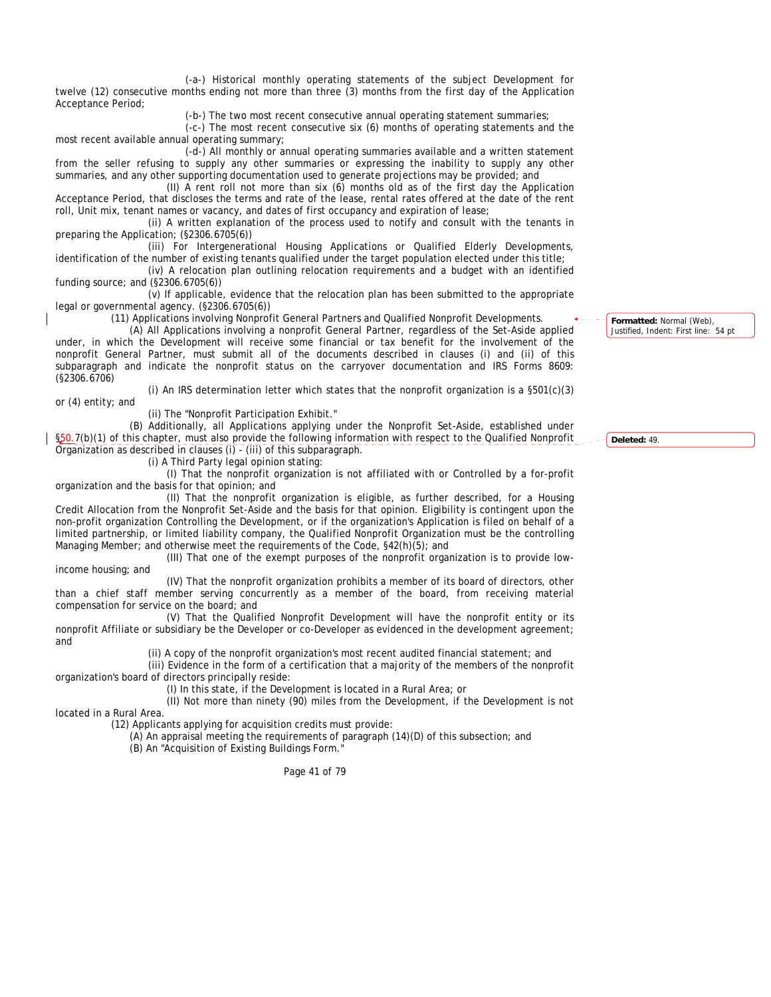(-a-) Historical monthly operating statements of the subject Development for twelve (12) consecutive months ending not more than three (3) months from the first day of the Application Acceptance Period;

(-b-) The two most recent consecutive annual operating statement summaries;

(-c-) The most recent consecutive six (6) months of operating statements and the most recent available annual operating summary;

(-d-) All monthly or annual operating summaries available and a written statement from the seller refusing to supply any other summaries or expressing the inability to supply any other summaries, and any other supporting documentation used to generate projections may be provided; and

(II) A rent roll not more than six (6) months old as of the first day the Application Acceptance Period, that discloses the terms and rate of the lease, rental rates offered at the date of the rent roll, Unit mix, tenant names or vacancy, and dates of first occupancy and expiration of lease;

(ii) A written explanation of the process used to notify and consult with the tenants in preparing the Application; (§2306.6705(6))

(iii) For Intergenerational Housing Applications or Qualified Elderly Developments, identification of the number of existing tenants qualified under the target population elected under this title;

(iv) A relocation plan outlining relocation requirements and a budget with an identified funding source; and (§2306.6705(6))

(v) If applicable, evidence that the relocation plan has been submitted to the appropriate legal or governmental agency. (§2306.6705(6))

(11) Applications involving Nonprofit General Partners and Qualified Nonprofit Developments.

(i) An IRS determination letter which states that the nonprofit organization is a  $\S501(c)(3)$ 

(A) All Applications involving a nonprofit General Partner, regardless of the Set-Aside applied under, in which the Development will receive some financial or tax benefit for the involvement of the nonprofit General Partner, must submit all of the documents described in clauses (i) and (ii) of this subparagraph and indicate the nonprofit status on the carryover documentation and IRS Forms 8609: (§2306.6706)

or (4) entity; and

(ii) The "Nonprofit Participation Exhibit."

(B) Additionally, all Applications applying under the Nonprofit Set-Aside, established under §50.7(b)(1) of this chapter, must also provide the following information with respect to the Qualified Nonprofit Organization as described in clauses (i) - (iii) of this subparagraph.

(i) A Third Party legal opinion stating:

(I) That the nonprofit organization is not affiliated with or Controlled by a for-profit organization and the basis for that opinion; and

(II) That the nonprofit organization is eligible, as further described, for a Housing Credit Allocation from the Nonprofit Set-Aside and the basis for that opinion. Eligibility is contingent upon the non-profit organization Controlling the Development, or if the organization's Application is filed on behalf of a limited partnership, or limited liability company, the Qualified Nonprofit Organization must be the controlling Managing Member; and otherwise meet the requirements of the Code, §42(h)(5); and

(III) That one of the exempt purposes of the nonprofit organization is to provide lowincome housing; and

(IV) That the nonprofit organization prohibits a member of its board of directors, other than a chief staff member serving concurrently as a member of the board, from receiving material compensation for service on the board; and

(V) That the Qualified Nonprofit Development will have the nonprofit entity or its nonprofit Affiliate or subsidiary be the Developer or co-Developer as evidenced in the development agreement; and

(ii) A copy of the nonprofit organization's most recent audited financial statement; and

(iii) Evidence in the form of a certification that a majority of the members of the nonprofit organization's board of directors principally reside:

(I) In this state, if the Development is located in a Rural Area; or

(II) Not more than ninety (90) miles from the Development, if the Development is not

located in a Rural Area.

(12) Applicants applying for acquisition credits must provide:

(A) An appraisal meeting the requirements of paragraph (14)(D) of this subsection; and (B) An "Acquisition of Existing Buildings Form."

Page 41 of 79

**Formatted:** Normal (Web), Justified, Indent: First line: 54 pt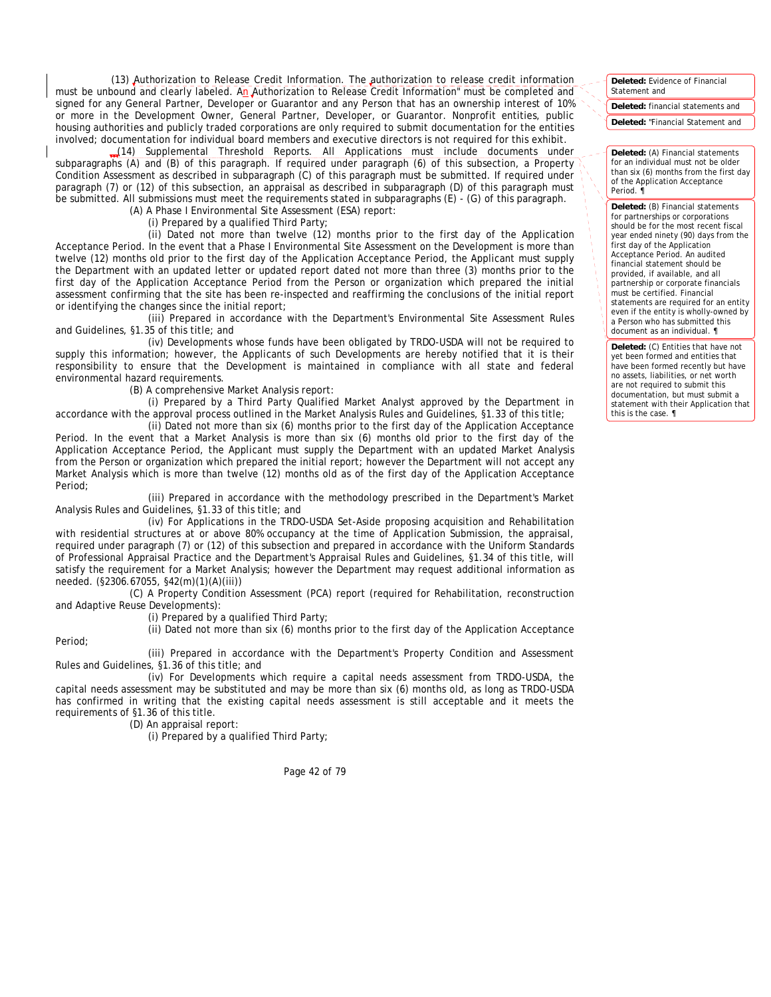(13) Authorization to Release Credit Information. The authorization to release credit information must be unbound and clearly labeled. An Authorization to Release Credit Information" must be completed and signed for any General Partner, Developer or Guarantor and any Person that has an ownership interest of 10% or more in the Development Owner, General Partner, Developer, or Guarantor. Nonprofit entities, public housing authorities and publicly traded corporations are only required to submit documentation for the entities involved; documentation for individual board members and executive directors is not required for this exhibit.

 (14) Supplemental Threshold Reports. All Applications must include documents under subparagraphs (A) and (B) of this paragraph. If required under paragraph (6) of this subsection, a Property Condition Assessment as described in subparagraph (C) of this paragraph must be submitted. If required under paragraph (7) or (12) of this subsection, an appraisal as described in subparagraph (D) of this paragraph must be submitted. All submissions must meet the requirements stated in subparagraphs (E) - (G) of this paragraph. (A) A Phase I Environmental Site Assessment (ESA) report:

(i) Prepared by a qualified Third Party;

(ii) Dated not more than twelve (12) months prior to the first day of the Application Acceptance Period. In the event that a Phase I Environmental Site Assessment on the Development is more than twelve (12) months old prior to the first day of the Application Acceptance Period, the Applicant must supply the Department with an updated letter or updated report dated not more than three (3) months prior to the first day of the Application Acceptance Period from the Person or organization which prepared the initial assessment confirming that the site has been re-inspected and reaffirming the conclusions of the initial report or identifying the changes since the initial report;

(iii) Prepared in accordance with the Department's Environmental Site Assessment Rules and Guidelines, §1.35 of this title; and

(iv) Developments whose funds have been obligated by TRDO-USDA will not be required to supply this information; however, the Applicants of such Developments are hereby notified that it is their responsibility to ensure that the Development is maintained in compliance with all state and federal environmental hazard requirements.

(B) A comprehensive Market Analysis report:

(i) Prepared by a Third Party Qualified Market Analyst approved by the Department in accordance with the approval process outlined in the Market Analysis Rules and Guidelines, §1.33 of this title;

(ii) Dated not more than six (6) months prior to the first day of the Application Acceptance Period. In the event that a Market Analysis is more than six (6) months old prior to the first day of the Application Acceptance Period, the Applicant must supply the Department with an updated Market Analysis from the Person or organization which prepared the initial report; however the Department will not accept any Market Analysis which is more than twelve (12) months old as of the first day of the Application Acceptance Period;

(iii) Prepared in accordance with the methodology prescribed in the Department's Market Analysis Rules and Guidelines, §1.33 of this title; and

(iv) For Applications in the TRDO-USDA Set-Aside proposing acquisition and Rehabilitation with residential structures at or above 80% occupancy at the time of Application Submission, the appraisal, required under paragraph (7) or (12) of this subsection and prepared in accordance with the Uniform Standards of Professional Appraisal Practice and the Department's Appraisal Rules and Guidelines, §1.34 of this title, will satisfy the requirement for a Market Analysis; however the Department may request additional information as needed. (§2306.67055, §42(m)(1)(A)(iii))

(C) A Property Condition Assessment (PCA) report (required for Rehabilitation, reconstruction and Adaptive Reuse Developments):

(i) Prepared by a qualified Third Party;

(ii) Dated not more than six (6) months prior to the first day of the Application Acceptance

Period;

(iii) Prepared in accordance with the Department's Property Condition and Assessment Rules and Guidelines, §1.36 of this title; and

(iv) For Developments which require a capital needs assessment from TRDO-USDA, the capital needs assessment may be substituted and may be more than six (6) months old, as long as TRDO-USDA has confirmed in writing that the existing capital needs assessment is still acceptable and it meets the requirements of §1.36 of this title.

(D) An appraisal report:

(i) Prepared by a qualified Third Party;

Page 42 of 79

**Deleted:** Evidence of Financial Statement and

**Deleted:** financial statements and

**Deleted:** "Financial Statement and

**Deleted:** (A) Financial statements for an individual must not be older than six (6) months from the first day of the Application Acceptance Period. ¶

**Deleted:** (B) Financial statements for partnerships or corporations should be for the most recent fiscal year ended ninety (90) days from the first day of the Application Acceptance Period. An audited financial statement should be provided, if available, and all partnership or corporate financials must be certified. Financial statements are required for an entity even if the entity is wholly-owned by a Person who has submitted this document as an individual. ¶

**Deleted:** (C) Entities that have not yet been formed and entities that have been formed recently but have no assets, liabilities, or net worth are not required to submit this documentation, but must submit a statement with their Application that this is the case. ¶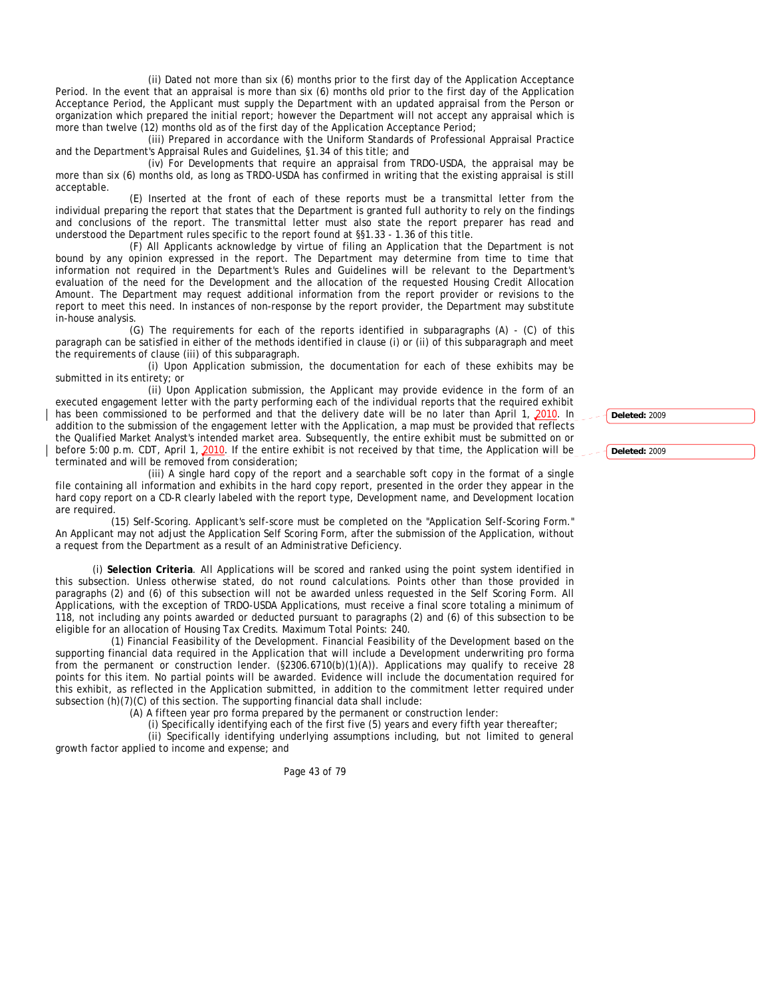(ii) Dated not more than six (6) months prior to the first day of the Application Acceptance Period. In the event that an appraisal is more than six (6) months old prior to the first day of the Application Acceptance Period, the Applicant must supply the Department with an updated appraisal from the Person or organization which prepared the initial report; however the Department will not accept any appraisal which is more than twelve (12) months old as of the first day of the Application Acceptance Period;

(iii) Prepared in accordance with the Uniform Standards of Professional Appraisal Practice and the Department's Appraisal Rules and Guidelines, §1.34 of this title; and

(iv) For Developments that require an appraisal from TRDO-USDA, the appraisal may be more than six (6) months old, as long as TRDO-USDA has confirmed in writing that the existing appraisal is still acceptable.

(E) Inserted at the front of each of these reports must be a transmittal letter from the individual preparing the report that states that the Department is granted full authority to rely on the findings and conclusions of the report. The transmittal letter must also state the report preparer has read and understood the Department rules specific to the report found at §§1.33 - 1.36 of this title.

(F) All Applicants acknowledge by virtue of filing an Application that the Department is not bound by any opinion expressed in the report. The Department may determine from time to time that information not required in the Department's Rules and Guidelines will be relevant to the Department's evaluation of the need for the Development and the allocation of the requested Housing Credit Allocation Amount. The Department may request additional information from the report provider or revisions to the report to meet this need. In instances of non-response by the report provider, the Department may substitute in-house analysis.

(G) The requirements for each of the reports identified in subparagraphs (A) - (C) of this paragraph can be satisfied in either of the methods identified in clause (i) or (ii) of this subparagraph and meet the requirements of clause (iii) of this subparagraph.

(i) Upon Application submission, the documentation for each of these exhibits may be submitted in its entirety; or

(ii) Upon Application submission, the Applicant may provide evidence in the form of an executed engagement letter with the party performing each of the individual reports that the required exhibit has been commissioned to be performed and that the delivery date will be no later than April 1, 2010. In addition to the submission of the engagement letter with the Application, a map must be provided that reflects the Qualified Market Analyst's intended market area. Subsequently, the entire exhibit must be submitted on or before 5:00 p.m. CDT, April 1, 2010. If the entire exhibit is not received by that time, the Application will be terminated and will be removed from consideration;

(iii) A single hard copy of the report and a searchable soft copy in the format of a single file containing all information and exhibits in the hard copy report, presented in the order they appear in the hard copy report on a CD-R clearly labeled with the report type, Development name, and Development location are required.

(15) Self-Scoring. Applicant's self-score must be completed on the "Application Self-Scoring Form." An Applicant may not adjust the Application Self Scoring Form, after the submission of the Application, without a request from the Department as a result of an Administrative Deficiency.

(i) **Selection Criteria**. All Applications will be scored and ranked using the point system identified in this subsection. Unless otherwise stated, do not round calculations. Points other than those provided in paragraphs (2) and (6) of this subsection will not be awarded unless requested in the Self Scoring Form. All Applications, with the exception of TRDO-USDA Applications, must receive a final score totaling a minimum of 118, not including any points awarded or deducted pursuant to paragraphs (2) and (6) of this subsection to be eligible for an allocation of Housing Tax Credits. Maximum Total Points: 240.

(1) Financial Feasibility of the Development. Financial Feasibility of the Development based on the supporting financial data required in the Application that will include a Development underwriting pro forma from the permanent or construction lender. (§2306.6710(b)(1)(A)). Applications may qualify to receive 28 points for this item. No partial points will be awarded. Evidence will include the documentation required for this exhibit, as reflected in the Application submitted, in addition to the commitment letter required under subsection (h)(7)(C) of this section. The supporting financial data shall include:

(A) A fifteen year pro forma prepared by the permanent or construction lender:

(i) Specifically identifying each of the first five (5) years and every fifth year thereafter; (ii) Specifically identifying underlying assumptions including, but not limited to general

growth factor applied to income and expense; and

Page 43 of 79

**Deleted:** 2009

**Deleted:** 2009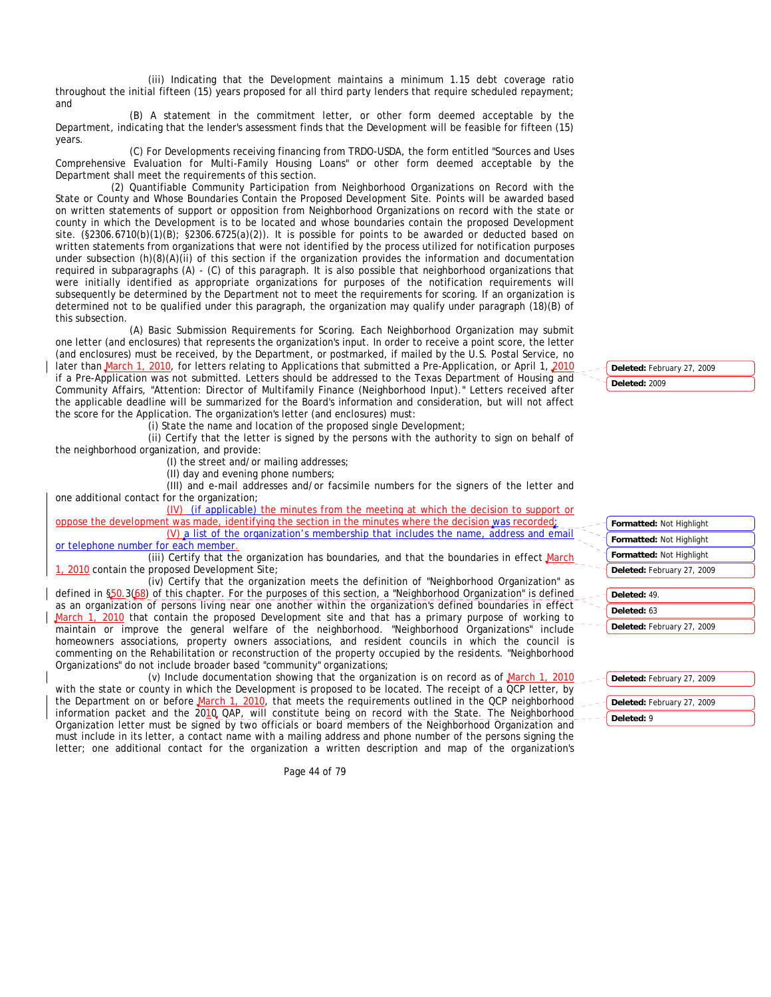(iii) Indicating that the Development maintains a minimum 1.15 debt coverage ratio throughout the initial fifteen (15) years proposed for all third party lenders that require scheduled repayment; and

(B) A statement in the commitment letter, or other form deemed acceptable by the Department, indicating that the lender's assessment finds that the Development will be feasible for fifteen (15) years.

(C) For Developments receiving financing from TRDO-USDA, the form entitled "Sources and Uses Comprehensive Evaluation for Multi-Family Housing Loans" or other form deemed acceptable by the Department shall meet the requirements of this section.

(2) Quantifiable Community Participation from Neighborhood Organizations on Record with the State or County and Whose Boundaries Contain the Proposed Development Site. Points will be awarded based on written statements of support or opposition from Neighborhood Organizations on record with the state or county in which the Development is to be located and whose boundaries contain the proposed Development site. (§2306.6710(b)(1)(B); §2306.6725(a)(2)). It is possible for points to be awarded or deducted based on written statements from organizations that were not identified by the process utilized for notification purposes under subsection (h)(8)(A)(ii) of this section if the organization provides the information and documentation required in subparagraphs (A) - (C) of this paragraph. It is also possible that neighborhood organizations that were initially identified as appropriate organizations for purposes of the notification requirements will subsequently be determined by the Department not to meet the requirements for scoring. If an organization is determined not to be qualified under this paragraph, the organization may qualify under paragraph (18)(B) of this subsection.

(A) Basic Submission Requirements for Scoring. Each Neighborhood Organization may submit one letter (and enclosures) that represents the organization's input. In order to receive a point score, the letter (and enclosures) must be received, by the Department, or postmarked, if mailed by the U.S. Postal Service, no later than March 1, 2010, for letters relating to Applications that submitted a Pre-Application, or April 1, 2010 if a Pre-Application was not submitted. Letters should be addressed to the Texas Department of Housing and Community Affairs, "Attention: Director of Multifamily Finance (Neighborhood Input)." Letters received after the applicable deadline will be summarized for the Board's information and consideration, but will not affect the score for the Application. The organization's letter (and enclosures) must:

(i) State the name and location of the proposed single Development;

(ii) Certify that the letter is signed by the persons with the authority to sign on behalf of the neighborhood organization, and provide:

(I) the street and/or mailing addresses;

(II) day and evening phone numbers;

(III) and e-mail addresses and/or facsimile numbers for the signers of the letter and one additional contact for the organization;

(IV) (if applicable) the minutes from the meeting at which the decision to support or oppose the development was made, identifying the section in the minutes where the decision was recorded;

(V) a list of the organization's membership that includes the name, address and email or telephone number for each member.

(iii) Certify that the organization has boundaries, and that the boundaries in effect March 2010 contain the proposed Development Site;

(iv) Certify that the organization meets the definition of "Neighborhood Organization" as defined in §50.3(68) of this chapter. For the purposes of this section, a "Neighborhood Organization" is defined as an organization of persons living near one another within the organization's defined boundaries in effect March 1, 2010 that contain the proposed Development site and that has a primary purpose of working to maintain or improve the general welfare of the neighborhood. "Neighborhood Organizations" include homeowners associations, property owners associations, and resident councils in which the council is commenting on the Rehabilitation or reconstruction of the property occupied by the residents. "Neighborhood Organizations" do not include broader based "community" organizations;

(v) Include documentation showing that the organization is on record as of March 1, 2010 with the state or county in which the Development is proposed to be located. The receipt of a OCP letter, by the Department on or before March 1, 2010, that meets the requirements outlined in the QCP neighborhood information packet and the 2010 QAP, will constitute being on record with the State. The Neighborhood Organization letter must be signed by two officials or board members of the Neighborhood Organization and must include in its letter, a contact name with a mailing address and phone number of the persons signing the letter; one additional contact for the organization a written description and map of the organization's

Page 44 of 79

**Deleted:** February 27, 2009 **Deleted:** 2009

- **Formatted:** Not Highlight **Formatted:** Not Highlight **Formatted:** Not Highlight
- **Deleted:** February 27, 2009
- **Deleted:** 49.
- 
- -
- **Deleted:** 9
- **Deleted:** February 27, 2009
- 
- **Deleted:** February 27, 2009
- **Deleted:** 63 **Deleted:** February 27, 2009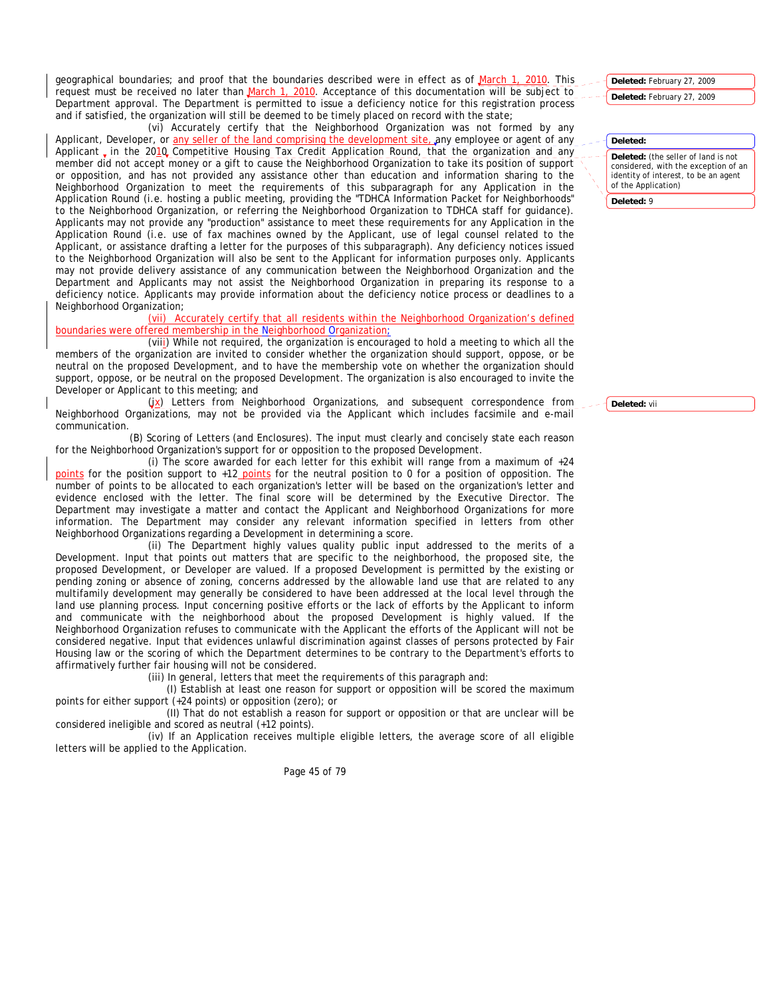geographical boundaries; and proof that the boundaries described were in effect as of March 1, 2010. This request must be received no later than March 1, 2010. Acceptance of this documentation will be subject to Department approval. The Department is permitted to issue a deficiency notice for this registration process and if satisfied, the organization will still be deemed to be timely placed on record with the state;

(vi) Accurately certify that the Neighborhood Organization was not formed by any Applicant, Developer, or any seller of the land comprising the development site, any employee or agent of any Applicant, in the 2010 Competitive Housing Tax Credit Application Round, that the organization and any member did not accept money or a gift to cause the Neighborhood Organization to take its position of support or opposition, and has not provided any assistance other than education and information sharing to the Neighborhood Organization to meet the requirements of this subparagraph for any Application in the Application Round (i.e. hosting a public meeting, providing the "TDHCA Information Packet for Neighborhoods" to the Neighborhood Organization, or referring the Neighborhood Organization to TDHCA staff for guidance). Applicants may not provide any "production" assistance to meet these requirements for any Application in the Application Round (i.e. use of fax machines owned by the Applicant, use of legal counsel related to the Applicant, or assistance drafting a letter for the purposes of this subparagraph). Any deficiency notices issued to the Neighborhood Organization will also be sent to the Applicant for information purposes only. Applicants may not provide delivery assistance of any communication between the Neighborhood Organization and the Department and Applicants may not assist the Neighborhood Organization in preparing its response to a deficiency notice. Applicants may provide information about the deficiency notice process or deadlines to a Neighborhood Organization;

(vii) Accurately certify that all residents within the Neighborhood Organization's defined boundaries were offered membership in the Neighborhood Organization;

(viii) While not required, the organization is encouraged to hold a meeting to which all the members of the organization are invited to consider whether the organization should support, oppose, or be neutral on the proposed Development, and to have the membership vote on whether the organization should support, oppose, or be neutral on the proposed Development. The organization is also encouraged to invite the Developer or Applicant to this meeting; and

(ix) Letters from Neighborhood Organizations, and subsequent correspondence from Neighborhood Organizations, may not be provided via the Applicant which includes facsimile and e-mail communication.

(B) Scoring of Letters (and Enclosures). The input must clearly and concisely state each reason for the Neighborhood Organization's support for or opposition to the proposed Development.

(i) The score awarded for each letter for this exhibit will range from a maximum of  $+24$ points for the position support to +12 points for the neutral position to 0 for a position of opposition. The number of points to be allocated to each organization's letter will be based on the organization's letter and evidence enclosed with the letter. The final score will be determined by the Executive Director. The Department may investigate a matter and contact the Applicant and Neighborhood Organizations for more information. The Department may consider any relevant information specified in letters from other Neighborhood Organizations regarding a Development in determining a score.

(ii) The Department highly values quality public input addressed to the merits of a Development. Input that points out matters that are specific to the neighborhood, the proposed site, the proposed Development, or Developer are valued. If a proposed Development is permitted by the existing or pending zoning or absence of zoning, concerns addressed by the allowable land use that are related to any multifamily development may generally be considered to have been addressed at the local level through the land use planning process. Input concerning positive efforts or the lack of efforts by the Applicant to inform and communicate with the neighborhood about the proposed Development is highly valued. If the Neighborhood Organization refuses to communicate with the Applicant the efforts of the Applicant will not be considered negative. Input that evidences unlawful discrimination against classes of persons protected by Fair Housing law or the scoring of which the Department determines to be contrary to the Department's efforts to affirmatively further fair housing will not be considered.

(iii) In general, letters that meet the requirements of this paragraph and:

(I) Establish at least one reason for support or opposition will be scored the maximum points for either support (+24 points) or opposition (zero); or

(II) That do not establish a reason for support or opposition or that are unclear will be considered ineligible and scored as neutral (+12 points).

(iv) If an Application receives multiple eligible letters, the average score of all eligible letters will be applied to the Application.

Page 45 of 79

**Deleted:** February 27, 2009

**Deleted:** February 27, 2009

# **Deleted:**

**Deleted:** (the seller of land is not considered, with the exception of an identity of interest, to be an agent of the Application)

**Deleted:** 9

**Deleted:** vii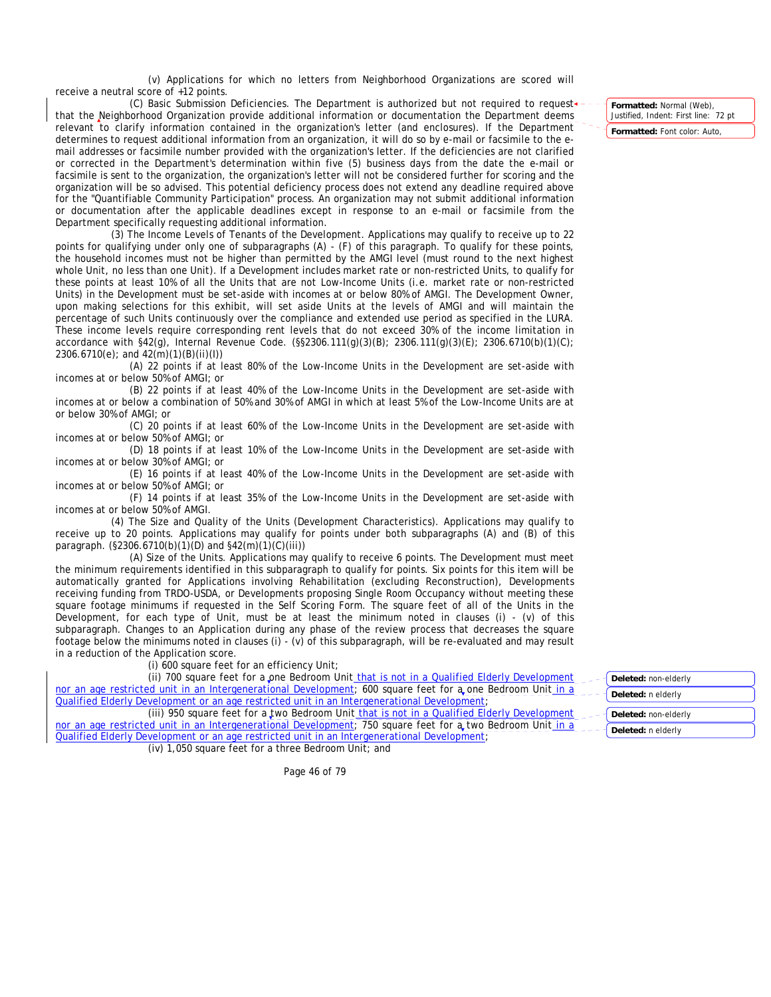(v) Applications for which no letters from Neighborhood Organizations are scored will receive a neutral score of +12 points.

(C) Basic Submission Deficiencies. The Department is authorized but not required to request that the Neighborhood Organization provide additional information or documentation the Department deems relevant to clarify information contained in the organization's letter (and enclosures). If the Department determines to request additional information from an organization, it will do so by e-mail or facsimile to the email addresses or facsimile number provided with the organization's letter. If the deficiencies are not clarified or corrected in the Department's determination within five (5) business days from the date the e-mail or facsimile is sent to the organization, the organization's letter will not be considered further for scoring and the organization will be so advised. This potential deficiency process does not extend any deadline required above for the "Quantifiable Community Participation" process. An organization may not submit additional information or documentation after the applicable deadlines except in response to an e-mail or facsimile from the Department specifically requesting additional information.

(3) The Income Levels of Tenants of the Development. Applications may qualify to receive up to 22 points for qualifying under only one of subparagraphs (A) - (F) of this paragraph. To qualify for these points, the household incomes must not be higher than permitted by the AMGI level (must round to the next highest whole Unit, no less than one Unit). If a Development includes market rate or non-restricted Units, to qualify for these points at least 10% of all the Units that are not Low-Income Units (i.e. market rate or non-restricted Units) in the Development must be set-aside with incomes at or below 80% of AMGI. The Development Owner, upon making selections for this exhibit, will set aside Units at the levels of AMGI and will maintain the percentage of such Units continuously over the compliance and extended use period as specified in the LURA. These income levels require corresponding rent levels that do not exceed 30% of the income limitation in accordance with §42(g), Internal Revenue Code. (§§2306.111(g)(3)(B); 2306.111(g)(3)(E); 2306.6710(b)(1)(C); 2306.6710(e); and 42(m)(1)(B)(ii)(I))

(A) 22 points if at least 80% of the Low-Income Units in the Development are set-aside with incomes at or below 50% of AMGI; or

(B) 22 points if at least 40% of the Low-Income Units in the Development are set-aside with incomes at or below a combination of 50% and 30% of AMGI in which at least 5% of the Low-Income Units are at or below 30% of AMGI; or

(C) 20 points if at least 60% of the Low-Income Units in the Development are set-aside with incomes at or below 50% of AMGI; or

(D) 18 points if at least 10% of the Low-Income Units in the Development are set-aside with incomes at or below 30% of AMGI; or

(E) 16 points if at least 40% of the Low-Income Units in the Development are set-aside with incomes at or below 50% of AMGI; or

(F) 14 points if at least 35% of the Low-Income Units in the Development are set-aside with incomes at or below 50% of AMGI.

(4) The Size and Quality of the Units (Development Characteristics). Applications may qualify to receive up to 20 points. Applications may qualify for points under both subparagraphs (A) and (B) of this paragraph. (§2306.6710(b)(1)(D) and §42(m)(1)(C)(iii))

(A) Size of the Units. Applications may qualify to receive 6 points. The Development must meet the minimum requirements identified in this subparagraph to qualify for points. Six points for this item will be automatically granted for Applications involving Rehabilitation (excluding Reconstruction), Developments receiving funding from TRDO-USDA, or Developments proposing Single Room Occupancy without meeting these square footage minimums if requested in the Self Scoring Form. The square feet of all of the Units in the Development, for each type of Unit, must be at least the minimum noted in clauses (i) - (v) of this subparagraph. Changes to an Application during any phase of the review process that decreases the square footage below the minimums noted in clauses (i) - (v) of this subparagraph, will be re-evaluated and may result in a reduction of the Application score.

(i) 600 square feet for an efficiency Unit;

(ii) 700 square feet for a one Bedroom Unit that is not in a Qualified Elderly Development nor an age restricted unit in an Intergenerational Development; 600 square feet for a one Bedroom Unit in a Qualified Elderly Development or an age restricted unit in an Intergenerational Development;

(iii) 950 square feet for a two Bedroom Unit that is not in a Qualified Elderly Development nor an age restricted unit in an Intergenerational Development; 750 square feet for a two Bedroom Unit in a Qualified Elderly Development or an age restricted unit in an Intergenerational Development;

(iv) 1,050 square feet for a three Bedroom Unit; and

Page 46 of 79

**Formatted:** Normal (Web), Justified, Indent: First line: 72 pt **Formatted:** Font color: Auto,

**Deleted:** non-elderly **Deleted:** n elderly **Deleted:** non-elderly **Deleted:** n elderly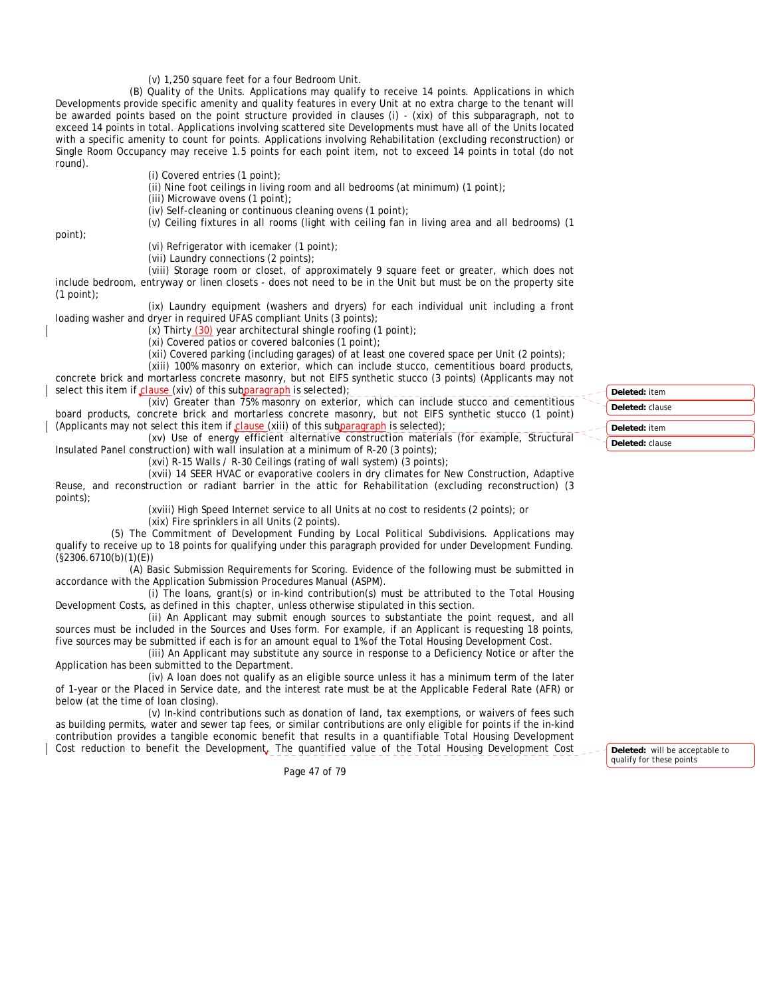(v) 1,250 square feet for a four Bedroom Unit.

(B) Quality of the Units. Applications may qualify to receive 14 points. Applications in which Developments provide specific amenity and quality features in every Unit at no extra charge to the tenant will be awarded points based on the point structure provided in clauses (i) - (xix) of this subparagraph, not to exceed 14 points in total. Applications involving scattered site Developments must have all of the Units located with a specific amenity to count for points. Applications involving Rehabilitation (excluding reconstruction) or Single Room Occupancy may receive 1.5 points for each point item, not to exceed 14 points in total (do not round).

(i) Covered entries (1 point);

(ii) Nine foot ceilings in living room and all bedrooms (at minimum) (1 point);

(iii) Microwave ovens (1 point);

(iv) Self-cleaning or continuous cleaning ovens (1 point);

(v) Ceiling fixtures in all rooms (light with ceiling fan in living area and all bedrooms) (1

point);

(vi) Refrigerator with icemaker (1 point);

(vii) Laundry connections (2 points);

(viii) Storage room or closet, of approximately 9 square feet or greater, which does not include bedroom, entryway or linen closets - does not need to be in the Unit but must be on the property site (1 point);

(ix) Laundry equipment (washers and dryers) for each individual unit including a front loading washer and dryer in required UFAS compliant Units (3 points);

(x) Thirty  $(30)$  year architectural shingle roofing  $(1 \text{ point})$ ;

(xi) Covered patios or covered balconies (1 point);

(xii) Covered parking (including garages) of at least one covered space per Unit (2 points);

(xiii) 100% masonry on exterior, which can include stucco, cementitious board products, concrete brick and mortarless concrete masonry, but not EIFS synthetic stucco (3 points) (Applicants may not select this item if clause (xiv) of this subparagraph is selected);

(xiv) Greater than 75% masonry on exterior, which can include stucco and cementitious board products, concrete brick and mortarless concrete masonry, but not EIFS synthetic stucco (1 point) (Applicants may not select this item if  $\text{ clause}(xiii)$  of this subparagraph is selected);

(xv) Use of energy efficient alternative construction materials (for example, Structural Insulated Panel construction) with wall insulation at a minimum of R-20 (3 points);

(xvi) R-15 Walls / R-30 Ceilings (rating of wall system) (3 points);

(xvii) 14 SEER HVAC or evaporative coolers in dry climates for New Construction, Adaptive Reuse, and reconstruction or radiant barrier in the attic for Rehabilitation (excluding reconstruction) (3 points);

> (xviii) High Speed Internet service to all Units at no cost to residents (2 points); or (xix) Fire sprinklers in all Units (2 points).

(5) The Commitment of Development Funding by Local Political Subdivisions. Applications may qualify to receive up to 18 points for qualifying under this paragraph provided for under Development Funding. (§2306.6710(b)(1)(E))

(A) Basic Submission Requirements for Scoring. Evidence of the following must be submitted in accordance with the Application Submission Procedures Manual (ASPM).

(i) The loans, grant(s) or in-kind contribution(s) must be attributed to the Total Housing Development Costs, as defined in this chapter, unless otherwise stipulated in this section.

(ii) An Applicant may submit enough sources to substantiate the point request, and all sources must be included in the Sources and Uses form. For example, if an Applicant is requesting 18 points, five sources may be submitted if each is for an amount equal to 1% of the Total Housing Development Cost.

(iii) An Applicant may substitute any source in response to a Deficiency Notice or after the Application has been submitted to the Department.

(iv) A loan does not qualify as an eligible source unless it has a minimum term of the later of 1-year or the Placed in Service date, and the interest rate must be at the Applicable Federal Rate (AFR) or below (at the time of loan closing).

(v) In-kind contributions such as donation of land, tax exemptions, or waivers of fees such as building permits, water and sewer tap fees, or similar contributions are only eligible for points if the in-kind contribution provides a tangible economic benefit that results in a quantifiable Total Housing Development Cost reduction to benefit the Development. The quantified value of the Total Housing Development Cost

Page 47 of 79

| Deleted: item   |
|-----------------|
| Deleted: clause |
| Deleted: item   |
| Deleted: clause |

**Deleted:** will be acceptable to qualify for these points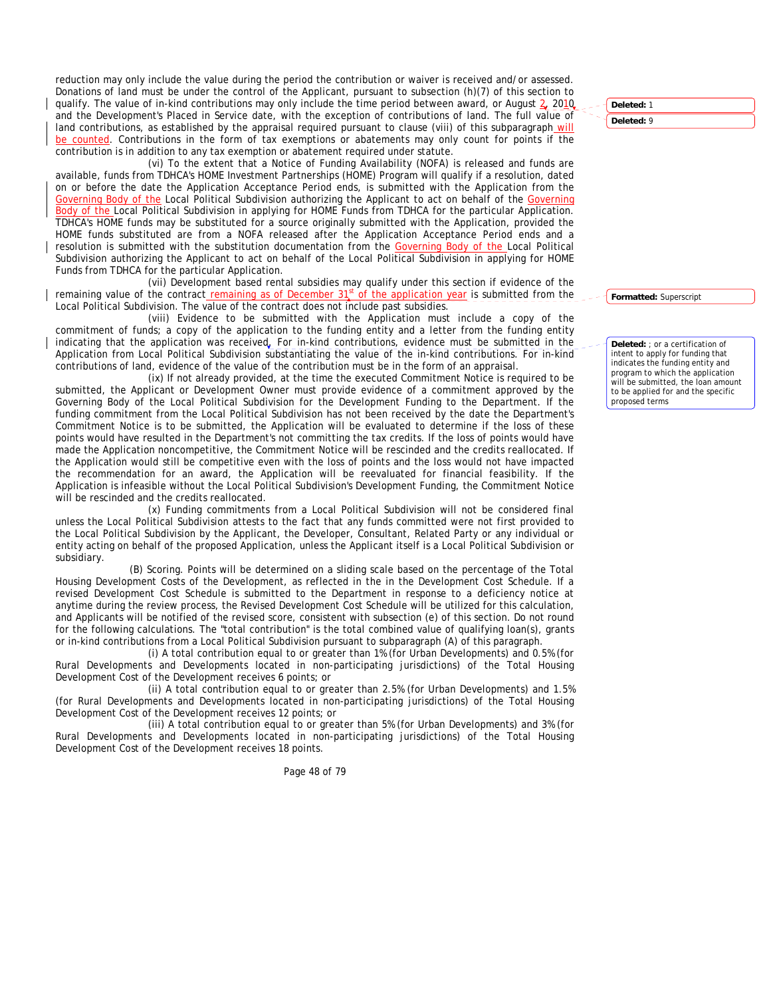reduction may only include the value during the period the contribution or waiver is received and/or assessed. Donations of land must be under the control of the Applicant, pursuant to subsection (h)(7) of this section to qualify. The value of in-kind contributions may only include the time period between award, or August 2, 2010 and the Development's Placed in Service date, with the exception of contributions of land. The full value of land contributions, as established by the appraisal required pursuant to clause (viii) of this subparagraph will be counted. Contributions in the form of tax exemptions or abatements may only count for points if the contribution is in addition to any tax exemption or abatement required under statute.

(vi) To the extent that a Notice of Funding Availability (NOFA) is released and funds are available, funds from TDHCA's HOME Investment Partnerships (HOME) Program will qualify if a resolution, dated on or before the date the Application Acceptance Period ends, is submitted with the Application from the Governing Body of the Local Political Subdivision authorizing the Applicant to act on behalf of the Governing Body of the Local Political Subdivision in applying for HOME Funds from TDHCA for the particular Application. TDHCA's HOME funds may be substituted for a source originally submitted with the Application, provided the HOME funds substituted are from a NOFA released after the Application Acceptance Period ends and a resolution is submitted with the substitution documentation from the Governing Body of the Local Political Subdivision authorizing the Applicant to act on behalf of the Local Political Subdivision in applying for HOME Funds from TDHCA for the particular Application.

(vii) Development based rental subsidies may qualify under this section if evidence of the remaining value of the contract remaining as of December  $31<sup>st</sup>$  of the application year is submitted from the Local Political Subdivision. The value of the contract does not include past subsidies.

(viii) Evidence to be submitted with the Application must include a copy of the commitment of funds; a copy of the application to the funding entity and a letter from the funding entity indicating that the application was received. For in-kind contributions, evidence must be submitted in the Application from Local Political Subdivision substantiating the value of the in-kind contributions. For in-kind contributions of land, evidence of the value of the contribution must be in the form of an appraisal.

(ix) If not already provided, at the time the executed Commitment Notice is required to be submitted, the Applicant or Development Owner must provide evidence of a commitment approved by the Governing Body of the Local Political Subdivision for the Development Funding to the Department. If the funding commitment from the Local Political Subdivision has not been received by the date the Department's Commitment Notice is to be submitted, the Application will be evaluated to determine if the loss of these points would have resulted in the Department's not committing the tax credits. If the loss of points would have made the Application noncompetitive, the Commitment Notice will be rescinded and the credits reallocated. If the Application would still be competitive even with the loss of points and the loss would not have impacted the recommendation for an award, the Application will be reevaluated for financial feasibility. If the Application is infeasible without the Local Political Subdivision's Development Funding, the Commitment Notice will be rescinded and the credits reallocated.

(x) Funding commitments from a Local Political Subdivision will not be considered final unless the Local Political Subdivision attests to the fact that any funds committed were not first provided to the Local Political Subdivision by the Applicant, the Developer, Consultant, Related Party or any individual or entity acting on behalf of the proposed Application, unless the Applicant itself is a Local Political Subdivision or subsidiary.

(B) Scoring. Points will be determined on a sliding scale based on the percentage of the Total Housing Development Costs of the Development, as reflected in the in the Development Cost Schedule. If a revised Development Cost Schedule is submitted to the Department in response to a deficiency notice at anytime during the review process, the Revised Development Cost Schedule will be utilized for this calculation, and Applicants will be notified of the revised score, consistent with subsection (e) of this section. Do not round for the following calculations. The "total contribution" is the total combined value of qualifying loan(s), grants or in-kind contributions from a Local Political Subdivision pursuant to subparagraph (A) of this paragraph.

(i) A total contribution equal to or greater than 1% (for Urban Developments) and 0.5% (for Rural Developments and Developments located in non-participating jurisdictions) of the Total Housing Development Cost of the Development receives 6 points; or

(ii) A total contribution equal to or greater than 2.5% (for Urban Developments) and 1.5% (for Rural Developments and Developments located in non-participating jurisdictions) of the Total Housing Development Cost of the Development receives 12 points; or

(iii) A total contribution equal to or greater than 5% (for Urban Developments) and 3% (for Rural Developments and Developments located in non-participating jurisdictions) of the Total Housing Development Cost of the Development receives 18 points.

Page 48 of 79



**Formatted:** Superscript

**Deleted:** ; or a certification of intent to apply for funding that indicates the funding entity and program to which the application will be submitted, the loan amount to be applied for and the specific proposed terms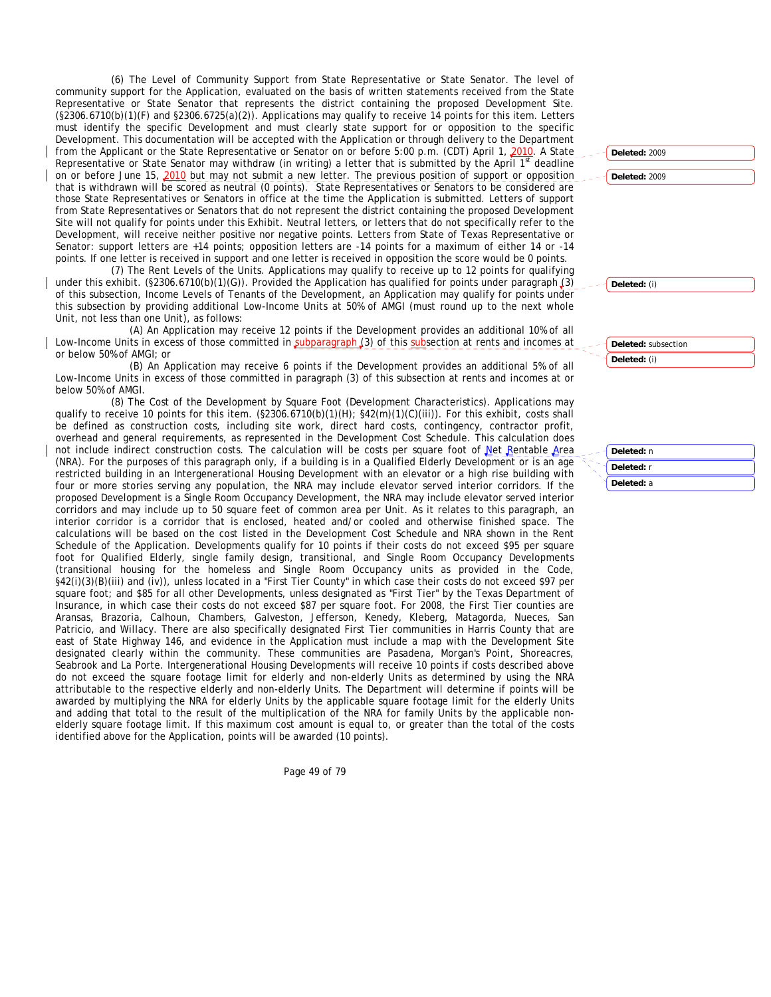(6) The Level of Community Support from State Representative or State Senator. The level of community support for the Application, evaluated on the basis of written statements received from the State Representative or State Senator that represents the district containing the proposed Development Site. (§2306.6710(b)(1)(F) and §2306.6725(a)(2)). Applications may qualify to receive 14 points for this item. Letters must identify the specific Development and must clearly state support for or opposition to the specific Development. This documentation will be accepted with the Application or through delivery to the Department from the Applicant or the State Representative or Senator on or before 5:00 p.m. (CDT) April 1, 2010. A State Representative or State Senator may withdraw (in writing) a letter that is submitted by the April 1st deadline on or before June 15, 2010 but may not submit a new letter. The previous position of support or opposition that is withdrawn will be scored as neutral (0 points). State Representatives or Senators to be considered are those State Representatives or Senators in office at the time the Application is submitted. Letters of support from State Representatives or Senators that do not represent the district containing the proposed Development Site will not qualify for points under this Exhibit. Neutral letters, or letters that do not specifically refer to the Development, will receive neither positive nor negative points. Letters from State of Texas Representative or Senator: support letters are +14 points; opposition letters are -14 points for a maximum of either 14 or -14 points. If one letter is received in support and one letter is received in opposition the score would be 0 points.

(7) The Rent Levels of the Units. Applications may qualify to receive up to 12 points for qualifying under this exhibit. (§2306.6710(b)(1)(G)). Provided the Application has qualified for points under paragraph (3) of this subsection, Income Levels of Tenants of the Development, an Application may qualify for points under this subsection by providing additional Low-Income Units at 50% of AMGI (must round up to the next whole Unit, not less than one Unit), as follows:

(A) An Application may receive 12 points if the Development provides an additional 10% of all Low-Income Units in excess of those committed in subparagraph (3) of this subsection at rents and incomes at or below 50% of AMGI; or

(B) An Application may receive 6 points if the Development provides an additional 5% of all Low-Income Units in excess of those committed in paragraph (3) of this subsection at rents and incomes at or below 50% of AMGI.

(8) The Cost of the Development by Square Foot (Development Characteristics). Applications may qualify to receive 10 points for this item. (§2306.6710(b)(1)(H); §42(m)(1)(C)(iii)). For this exhibit, costs shall be defined as construction costs, including site work, direct hard costs, contingency, contractor profit, overhead and general requirements, as represented in the Development Cost Schedule. This calculation does not include indirect construction costs. The calculation will be costs per square foot of Net Rentable Area (NRA). For the purposes of this paragraph only, if a building is in a Qualified Elderly Development or is an age restricted building in an Intergenerational Housing Development with an elevator or a high rise building with four or more stories serving any population, the NRA may include elevator served interior corridors. If the proposed Development is a Single Room Occupancy Development, the NRA may include elevator served interior corridors and may include up to 50 square feet of common area per Unit. As it relates to this paragraph, an interior corridor is a corridor that is enclosed, heated and/or cooled and otherwise finished space. The calculations will be based on the cost listed in the Development Cost Schedule and NRA shown in the Rent Schedule of the Application. Developments qualify for 10 points if their costs do not exceed \$95 per square foot for Qualified Elderly, single family design, transitional, and Single Room Occupancy Developments (transitional housing for the homeless and Single Room Occupancy units as provided in the Code, §42(i)(3)(B)(iii) and (iv)), unless located in a "First Tier County" in which case their costs do not exceed \$97 per square foot; and \$85 for all other Developments, unless designated as "First Tier" by the Texas Department of Insurance, in which case their costs do not exceed \$87 per square foot. For 2008, the First Tier counties are Aransas, Brazoria, Calhoun, Chambers, Galveston, Jefferson, Kenedy, Kleberg, Matagorda, Nueces, San Patricio, and Willacy. There are also specifically designated First Tier communities in Harris County that are east of State Highway 146, and evidence in the Application must include a map with the Development Site designated clearly within the community. These communities are Pasadena, Morgan's Point, Shoreacres, Seabrook and La Porte. Intergenerational Housing Developments will receive 10 points if costs described above do not exceed the square footage limit for elderly and non-elderly Units as determined by using the NRA attributable to the respective elderly and non-elderly Units. The Department will determine if points will be awarded by multiplying the NRA for elderly Units by the applicable square footage limit for the elderly Units and adding that total to the result of the multiplication of the NRA for family Units by the applicable nonelderly square footage limit. If this maximum cost amount is equal to, or greater than the total of the costs identified above for the Application, points will be awarded (10 points).

Page 49 of 79

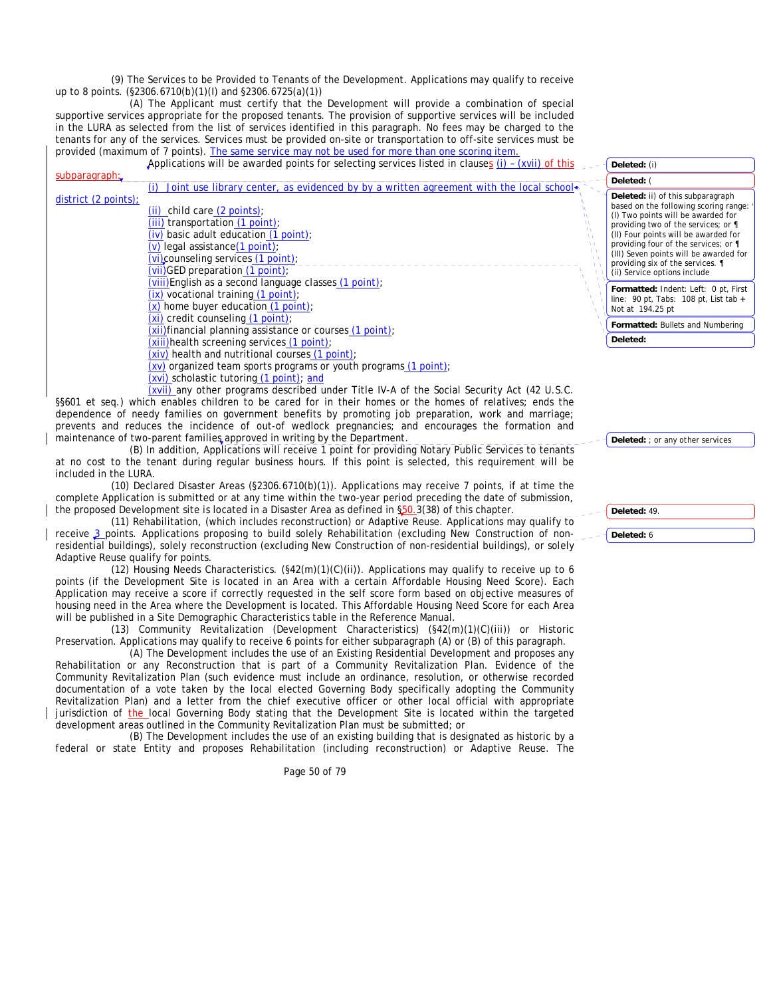(9) The Services to be Provided to Tenants of the Development. Applications may qualify to receive up to 8 points. (§2306.6710(b)(1)(I) and §2306.6725(a)(1))

(A) The Applicant must certify that the Development will provide a combination of special supportive services appropriate for the proposed tenants. The provision of supportive services will be included in the LURA as selected from the list of services identified in this paragraph. No fees may be charged to the tenants for any of the services. Services must be provided on-site or transportation to off-site services must be provided (maximum of 7 points). The same service may not be used for more than one scoring item.

|                                 | Applications will be awarded points for selecting services listed in clauses $(i)$ - (xvii) of this                                                                                                                                                                             | Deleted: (i)                                                                                                                                                                                                                                                                                                                                          |
|---------------------------------|---------------------------------------------------------------------------------------------------------------------------------------------------------------------------------------------------------------------------------------------------------------------------------|-------------------------------------------------------------------------------------------------------------------------------------------------------------------------------------------------------------------------------------------------------------------------------------------------------------------------------------------------------|
| subparagraph:                   | Joint use library center, as evidenced by by a written agreement with the local school                                                                                                                                                                                          | Deleted: (                                                                                                                                                                                                                                                                                                                                            |
| district $(2 \text{ points})$ ; | $(ii)$ child care $(2$ points);<br>(iii) transportation (1 point);<br>$(iv)$ basic adult education $(1 point)$ :<br>$(v)$ legal assistance $(1$ point);<br>$(vi)$ counseling services $(1$ point);<br>$(vii)\overline{GED}$ preparation $(1 \text{ point})$ ;                   | Deleted: ii) of this subparagraph<br>based on the following scoring range:<br>(I) Two points will be awarded for<br>providing two of the services; or ¶<br>(II) Four points will be awarded for<br>providing four of the services; or ¶<br>(III) Seven points will be awarded for<br>providing six of the services. 1<br>(ii) Service options include |
|                                 | (viii) English as a second language classes (1 point);<br>$(ix)$ vocational training $(1 \text{ point})$ ;<br>$(x)$ home buyer education $(1 point)$ ;                                                                                                                          | Formatted: Indent: Left: 0 pt, First<br>line: 90 pt, Tabs: 108 pt, List tab $+$<br>Not at 194.25 pt                                                                                                                                                                                                                                                   |
|                                 | $(xi)$ credit counseling $(1 \text{ point})$ ;<br>(xii) financial planning assistance or courses (1 point);                                                                                                                                                                     | Formatted: Bullets and Numbering                                                                                                                                                                                                                                                                                                                      |
|                                 | (xiii) health screening services (1 point);                                                                                                                                                                                                                                     | Deleted:                                                                                                                                                                                                                                                                                                                                              |
|                                 | $(xiv)$ health and nutritional courses $(1 point)$ :<br>$(xv)$ organized team sports programs or youth programs $(1 \text{ point})$ ;<br>(xvi) scholastic tutoring (1 point); and<br>(xvii) any other programs described under Title IV-A of the Social Security Act (42 U.S.C. |                                                                                                                                                                                                                                                                                                                                                       |

§§601 et seq.) which enables children to be cared for in their homes or the homes of relatives; ends the dependence of needy families on government benefits by promoting job preparation, work and marriage; prevents and reduces the incidence of out-of wedlock pregnancies; and encourages the formation and maintenance of two-parent families approved in writing by the Department.

(B) In addition, Applications will receive 1 point for providing Notary Public Services to tenants at no cost to the tenant during regular business hours. If this point is selected, this requirement will be included in the LURA.

(10) Declared Disaster Areas (§2306.6710(b)(1)). Applications may receive 7 points, if at time the complete Application is submitted or at any time within the two-year period preceding the date of submission, the proposed Development site is located in a Disaster Area as defined in §50.3(38) of this chapter.

(11) Rehabilitation, (which includes reconstruction) or Adaptive Reuse. Applications may qualify to receive 3 points. Applications proposing to build solely Rehabilitation (excluding New Construction of nonresidential buildings), solely reconstruction (excluding New Construction of non-residential buildings), or solely Adaptive Reuse qualify for points.

(12) Housing Needs Characteristics.  $(\frac{642(m)(1)(C)(ii)}{2})$ . Applications may qualify to receive up to 6 points (if the Development Site is located in an Area with a certain Affordable Housing Need Score). Each Application may receive a score if correctly requested in the self score form based on objective measures of housing need in the Area where the Development is located. This Affordable Housing Need Score for each Area will be published in a Site Demographic Characteristics table in the Reference Manual.

(13) Community Revitalization (Development Characteristics) (§42(m)(1)(C)(iii)) or Historic Preservation. Applications may qualify to receive 6 points for either subparagraph (A) or (B) of this paragraph.

(A) The Development includes the use of an Existing Residential Development and proposes any Rehabilitation or any Reconstruction that is part of a Community Revitalization Plan. Evidence of the Community Revitalization Plan (such evidence must include an ordinance, resolution, or otherwise recorded documentation of a vote taken by the local elected Governing Body specifically adopting the Community Revitalization Plan) and a letter from the chief executive officer or other local official with appropriate jurisdiction of the local Governing Body stating that the Development Site is located within the targeted development areas outlined in the Community Revitalization Plan must be submitted; or

(B) The Development includes the use of an existing building that is designated as historic by a federal or state Entity and proposes Rehabilitation (including reconstruction) or Adaptive Reuse. The

Page 50 of 79

Deleted: ; or any other services

**Deleted:** 49. **Deleted:** 6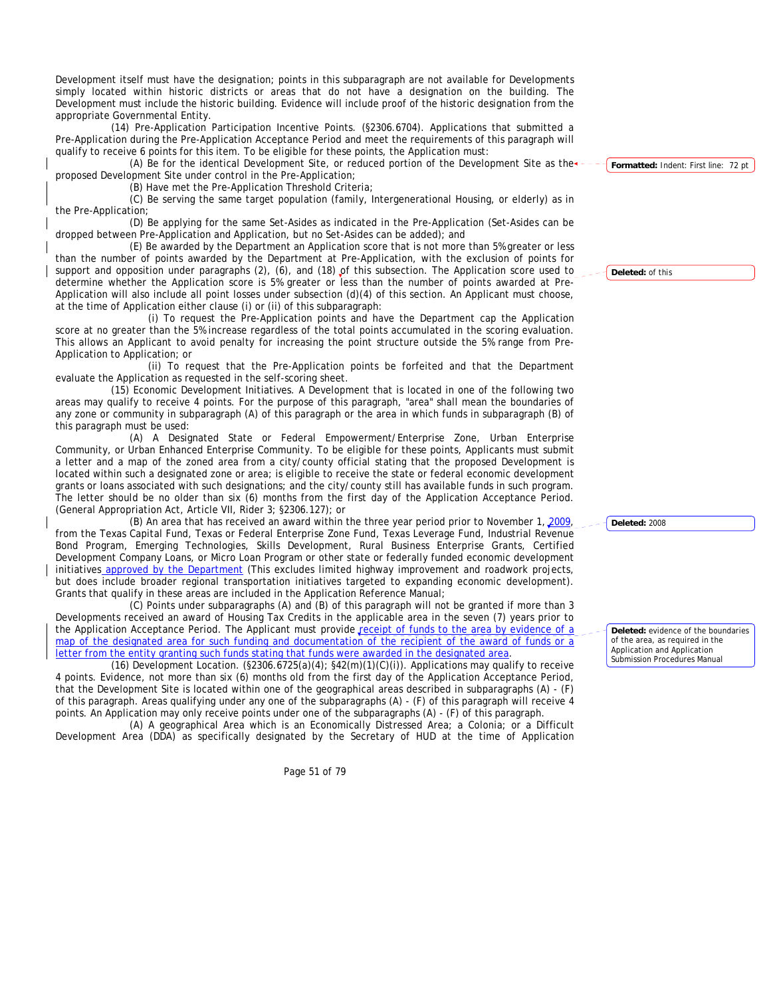Development itself must have the designation; points in this subparagraph are not available for Developments simply located within historic districts or areas that do not have a designation on the building. The Development must include the historic building. Evidence will include proof of the historic designation from the appropriate Governmental Entity.

(14) Pre-Application Participation Incentive Points. (§2306.6704). Applications that submitted a Pre-Application during the Pre-Application Acceptance Period and meet the requirements of this paragraph will qualify to receive 6 points for this item. To be eligible for these points, the Application must:

(A) Be for the identical Development Site, or reduced portion of the Development Site as the proposed Development Site under control in the Pre-Application;

(B) Have met the Pre-Application Threshold Criteria;

(C) Be serving the same target population (family, Intergenerational Housing, or elderly) as in the Pre-Application;

(D) Be applying for the same Set-Asides as indicated in the Pre-Application (Set-Asides can be dropped between Pre-Application and Application, but no Set-Asides can be added); and

(E) Be awarded by the Department an Application score that is not more than 5% greater or less than the number of points awarded by the Department at Pre-Application, with the exclusion of points for support and opposition under paragraphs (2), (6), and (18) of this subsection. The Application score used to determine whether the Application score is 5% greater or less than the number of points awarded at Pre-Application will also include all point losses under subsection (d)(4) of this section. An Applicant must choose, at the time of Application either clause (i) or (ii) of this subparagraph:

(i) To request the Pre-Application points and have the Department cap the Application score at no greater than the 5% increase regardless of the total points accumulated in the scoring evaluation. This allows an Applicant to avoid penalty for increasing the point structure outside the 5% range from Pre-Application to Application; or

(ii) To request that the Pre-Application points be forfeited and that the Department evaluate the Application as requested in the self-scoring sheet.

(15) Economic Development Initiatives. A Development that is located in one of the following two areas may qualify to receive 4 points. For the purpose of this paragraph, "area" shall mean the boundaries of any zone or community in subparagraph (A) of this paragraph or the area in which funds in subparagraph (B) of this paragraph must be used:

(A) A Designated State or Federal Empowerment/Enterprise Zone, Urban Enterprise Community, or Urban Enhanced Enterprise Community. To be eligible for these points, Applicants must submit a letter and a map of the zoned area from a city/county official stating that the proposed Development is located within such a designated zone or area; is eligible to receive the state or federal economic development grants or loans associated with such designations; and the city/county still has available funds in such program. The letter should be no older than six (6) months from the first day of the Application Acceptance Period. (General Appropriation Act, Article VII, Rider 3; §2306.127); or

(B) An area that has received an award within the three year period prior to November 1, 2009, from the Texas Capital Fund, Texas or Federal Enterprise Zone Fund, Texas Leverage Fund, Industrial Revenue Bond Program, Emerging Technologies, Skills Development, Rural Business Enterprise Grants, Certified Development Company Loans, or Micro Loan Program or other state or federally funded economic development initiatives approved by the Department (This excludes limited highway improvement and roadwork projects, but does include broader regional transportation initiatives targeted to expanding economic development). Grants that qualify in these areas are included in the Application Reference Manual;

(C) Points under subparagraphs (A) and (B) of this paragraph will not be granted if more than 3 Developments received an award of Housing Tax Credits in the applicable area in the seven (7) years prior to the Application Acceptance Period. The Applicant must provide receipt of funds to the area by evidence of a map of the designated area for such funding and documentation of the recipient of the award of funds or a letter from the entity granting such funds stating that funds were awarded in the designated area.

(16) Development Location. (§2306.6725(a)(4); §42(m)(1)(C)(i)). Applications may qualify to receive 4 points. Evidence, not more than six (6) months old from the first day of the Application Acceptance Period, that the Development Site is located within one of the geographical areas described in subparagraphs (A) - (F) of this paragraph. Areas qualifying under any one of the subparagraphs (A) - (F) of this paragraph will receive 4 points. An Application may only receive points under one of the subparagraphs (A) - (F) of this paragraph.

(A) A geographical Area which is an Economically Distressed Area; a Colonia; or a Difficult Development Area (DDA) as specifically designated by the Secretary of HUD at the time of Application

Page 51 of 79

**Formatted:** Indent: First line: 72 pt

**Deleted:** of this

**Deleted:** 2008

**Deleted:** evidence of the boundaries of the area, as required in the Application and Application Submission Procedures Manual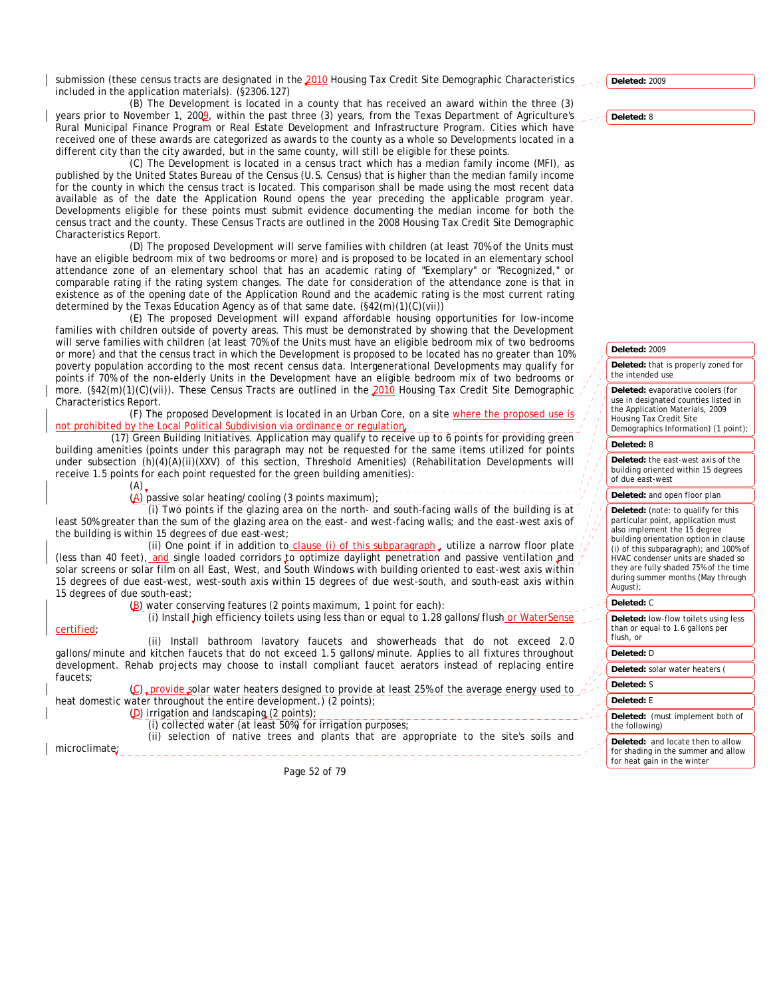submission (these census tracts are designated in the 2010 Housing Tax Credit Site Demographic Characteristics included in the application materials). (§2306.127)

(B) The Development is located in a county that has received an award within the three (3) years prior to November 1, 2009, within the past three (3) years, from the Texas Department of Agriculture's Rural Municipal Finance Program or Real Estate Development and Infrastructure Program. Cities which have received one of these awards are categorized as awards to the county as a whole so Developments located in a different city than the city awarded, but in the same county, will still be eligible for these points.

(C) The Development is located in a census tract which has a median family income (MFI), as published by the United States Bureau of the Census (U.S. Census) that is higher than the median family income for the county in which the census tract is located. This comparison shall be made using the most recent data available as of the date the Application Round opens the year preceding the applicable program year. Developments eligible for these points must submit evidence documenting the median income for both the census tract and the county. These Census Tracts are outlined in the 2008 Housing Tax Credit Site Demographic Characteristics Report.

(D) The proposed Development will serve families with children (at least 70% of the Units must have an eligible bedroom mix of two bedrooms or more) and is proposed to be located in an elementary school attendance zone of an elementary school that has an academic rating of "Exemplary" or "Recognized," or comparable rating if the rating system changes. The date for consideration of the attendance zone is that in existence as of the opening date of the Application Round and the academic rating is the most current rating determined by the Texas Education Agency as of that same date. (§42(m)(1)(C)(vii))

(E) The proposed Development will expand affordable housing opportunities for low-income families with children outside of poverty areas. This must be demonstrated by showing that the Development will serve families with children (at least 70% of the Units must have an eligible bedroom mix of two bedrooms or more) and that the census tract in which the Development is proposed to be located has no greater than 10% poverty population according to the most recent census data. Intergenerational Developments may qualify for points if 70% of the non-elderly Units in the Development have an eligible bedroom mix of two bedrooms or more. (§42(m)(1)(C)(vii)). These Census Tracts are outlined in the 2010 Housing Tax Credit Site Demographic Characteristics Report.

(F) The proposed Development is located in an Urban Core, on a site where the proposed use is not prohibited by the Local Political Subdivision via ordinance or regulation.

(17) Green Building Initiatives. Application may qualify to receive up to 6 points for providing green building amenities (points under this paragraph may not be requested for the same items utilized for points under subsection (h)(4)(A)(ii)(XXV) of this section, Threshold Amenities) (Rehabilitation Developments will receive 1.5 points for each point requested for the green building amenities):

 $(A)$ (A) passive solar heating/cooling (3 points maximum);

(i) Two points if the glazing area on the north- and south-facing walls of the building is at least 50% greater than the sum of the glazing area on the east- and west-facing walls; and the east-west axis of the building is within 15 degrees of due east-west;

(ii) One point if in addition to clause (i) of this subparagraph  $_{v}$  utilize a narrow floor plate (less than 40 feet), and single loaded corridors to optimize daylight penetration and passive ventilation and solar screens or solar film on all East, West, and South Windows with building oriented to east-west axis within 15 degrees of due east-west, west-south axis within 15 degrees of due west-south, and south-east axis within 15 degrees of due south-east;

(B) water conserving features (2 points maximum, 1 point for each):

(i) Install high efficiency toilets using less than or equal to 1.28 gallons/flush or W

(ii) Install bathroom lavatory faucets and showerheads that do not exceed 2.0 gallons/minute and kitchen faucets that do not exceed 1.5 gallons/minute. Applies to all fixtures throughout development. Rehab projects may choose to install compliant faucet aerators instead of replacing entire faucets;

(C) provide solar water heaters designed to provide at least 25% of the average energy used to heat domestic water throughout the entire development.) (2 points); (D) irrigation and landscaping (2 points);

(i) collected water (at least 50%) for irrigation purposes;

(ii) selection of native trees and plants that are appropriate to the site's soils and

microclimate;

certified;

Page 52 of 79

**Deleted:** 2009

**Deleted:** 2009

## **Deleted:** that is properly zoned for the intended use

**Deleted:** evaporative coolers (for use in designated counties listed in the Application Materials, 2009 Housing Tax Credit Site

Demographics Information) (1 point);

# **Deleted:** B

**Deleted:** the east-west axis of the building oriented within 15 degrees of due east-west

#### **Deleted:** and open floor plan

**Deleted:** (note: to qualify for this particular point, application must also implement the 15 degree building orientation option in clause (i) of this subparagraph); and 100% of HVAC condenser units are shaded so they are fully shaded 75% of the time during summer months (May through August);

#### **Deleted:** C

**Deleted:** low-flow toilets using less than or equal to 1.6 gallons per flush, or

### **Deleted:** D

**Deleted:** solar water heaters (

# **Deleted:** S

**Deleted:** E

#### **Deleted:** (must implement both of the following)

**Deleted:** and locate then to allow for shading in the summer and allow for heat gain in the winter

**Deleted:** 8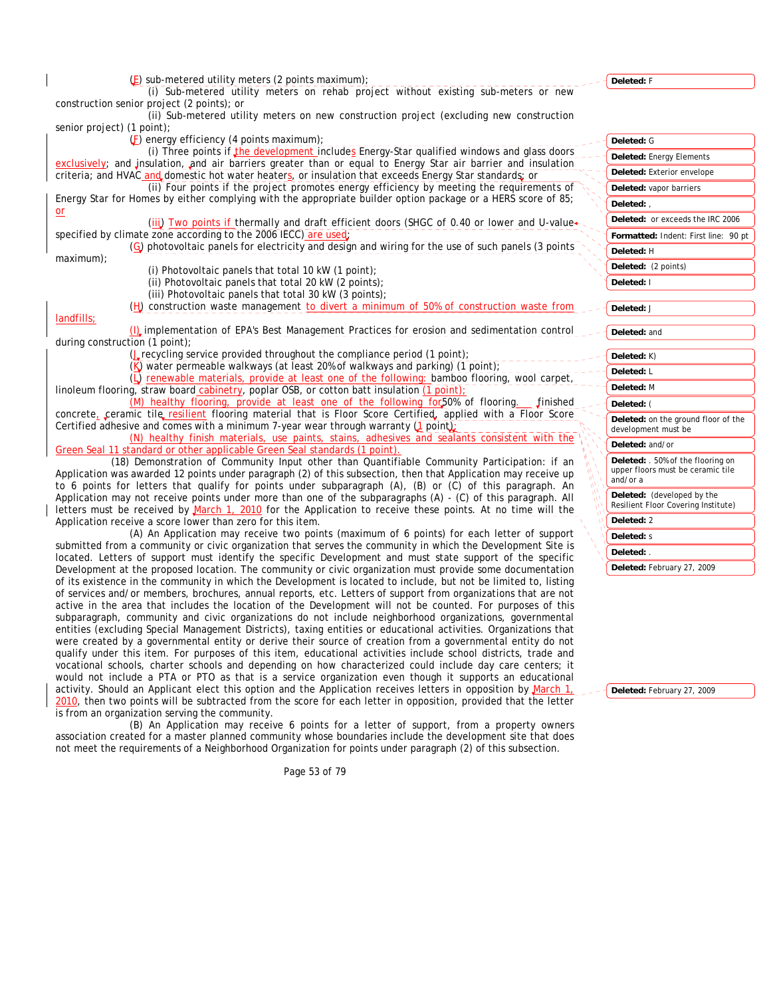| $(E)$ sub-metered utility meters (2 points maximum);                                                                                                                                                                          | Deleted: F                                                             |
|-------------------------------------------------------------------------------------------------------------------------------------------------------------------------------------------------------------------------------|------------------------------------------------------------------------|
| (i) Sub-metered utility meters on rehab project without existing sub-meters or new                                                                                                                                            |                                                                        |
| construction senior project (2 points); or<br>(ii) Sub-metered utility meters on new construction project (excluding new construction                                                                                         |                                                                        |
| senior project) (1 point);                                                                                                                                                                                                    |                                                                        |
| $(F)$ energy efficiency (4 points maximum);                                                                                                                                                                                   | Deleted: G                                                             |
| (i) Three points if the development includes Energy-Star qualified windows and glass doors                                                                                                                                    |                                                                        |
| exclusively; and insulation, and air barriers greater than or equal to Energy Star air barrier and insulation                                                                                                                 | <b>Deleted: Energy Elements</b>                                        |
| criteria; and HVAC and domestic hot water heaters, or insulation that exceeds Energy Star standards; or                                                                                                                       | Deleted: Exterior envelope                                             |
| (ii) Four points if the project promotes energy efficiency by meeting the requirements of                                                                                                                                     | Deleted: vapor barriers                                                |
| Energy Star for Homes by either complying with the appropriate builder option package or a HERS score of 85;                                                                                                                  | Deleted:                                                               |
| or<br>(iii) Two points if thermally and draft efficient doors (SHGC of 0.40 or lower and U-value $\leftarrow$                                                                                                                 | Deleted: or exceeds the IRC 2006                                       |
| specified by climate zone according to the 2006 IECC) are used.                                                                                                                                                               | Formatted: Indent: First line: 90 pt                                   |
| (G) photovoltaic panels for electricity and design and wiring for the use of such panels (3 points                                                                                                                            | Deleted: H                                                             |
| maximum);                                                                                                                                                                                                                     |                                                                        |
| (i) Photovoltaic panels that total 10 kW (1 point);                                                                                                                                                                           | Deleted: (2 points)                                                    |
| (ii) Photovoltaic panels that total 20 kW (2 points);                                                                                                                                                                         | Deleted: I                                                             |
| (iii) Photovoltaic panels that total 30 kW (3 points);                                                                                                                                                                        |                                                                        |
| (H) construction waste management to divert a minimum of 50% of construction waste from<br>landfills;                                                                                                                         | Deleted: J                                                             |
| (I) implementation of EPA's Best Management Practices for erosion and sedimentation control                                                                                                                                   | Deleted: and                                                           |
| during construction $(1$ point);                                                                                                                                                                                              |                                                                        |
| ( <i>L</i> recycling service provided throughout the compliance period (1 point);                                                                                                                                             | Deleted: K)                                                            |
| (K) water permeable walkways (at least 20% of walkways and parking) (1 point);                                                                                                                                                | Deleted: L                                                             |
| (L) renewable materials, provide at least one of the following: bamboo flooring, wool carpet,                                                                                                                                 | Deleted: M                                                             |
| linoleum flooring, straw board cabinetry, poplar OSB, or cotton batt insulation (1 point);<br>(M) healthy flooring, provide at least one of the following for 50% of flooring.<br>finished                                    |                                                                        |
| concrete, ceramic tile resilient flooring material that is Floor Score Certified, applied with a Floor Score                                                                                                                  | Deleted: (                                                             |
| Certified adhesive and comes with a minimum 7-year wear through warranty (1 point);                                                                                                                                           | Deleted: on the ground floor of the<br>development must be             |
| (N) healthy finish materials, use paints, stains, adhesives and sealants consistent with the                                                                                                                                  |                                                                        |
| Green Seal 11 standard or other applicable Green Seal standards (1 point).                                                                                                                                                    | Deleted: and/or                                                        |
| (18) Demonstration of Community Input other than Quantifiable Community Participation: if an                                                                                                                                  | Deleted: . 50% of the flooring on<br>upper floors must be ceramic tile |
| Application was awarded 12 points under paragraph (2) of this subsection, then that Application may receive up                                                                                                                | and/or a                                                               |
| to 6 points for letters that qualify for points under subparagraph (A), (B) or (C) of this paragraph. An<br>Application may not receive points under more than one of the subparagraphs (A) - (C) of this paragraph. All      | Deleted: (developed by the                                             |
| letters must be received by March 1, 2010 for the Application to receive these points. At no time will the                                                                                                                    | Resilient Floor Covering Institute)                                    |
| Application receive a score lower than zero for this item.                                                                                                                                                                    | Deleted: 2                                                             |
| (A) An Application may receive two points (maximum of 6 points) for each letter of support                                                                                                                                    | <b>Deleted: s</b>                                                      |
| submitted from a community or civic organization that serves the community in which the Development Site is                                                                                                                   | Deleted:                                                               |
| located. Letters of support must identify the specific Development and must state support of the specific                                                                                                                     | Deleted: February 27, 2009                                             |
| Development at the proposed location. The community or civic organization must provide some documentation<br>of its existence in the community in which the Development is located to include, but not be limited to, listing |                                                                        |
| of services and/or members, brochures, annual reports, etc. Letters of support from organizations that are not                                                                                                                |                                                                        |
| active in the area that includes the location of the Development will not be counted. For purposes of this                                                                                                                    |                                                                        |
| subparagraph, community and civic organizations do not include neighborhood organizations, governmental                                                                                                                       |                                                                        |
| entities (excluding Special Management Districts), taxing entities or educational activities. Organizations that                                                                                                              |                                                                        |
| were created by a governmental entity or derive their source of creation from a governmental entity do not                                                                                                                    |                                                                        |

**Deleted:** February 27, 2009

Page 53 of 79

association created for a master planned community whose boundaries include the development site that does not meet the requirements of a Neighborhood Organization for points under paragraph (2) of this subsection.

(B) An Application may receive 6 points for a letter of support, from a property owners

is from an organization serving the community.

qualify under this item. For purposes of this item, educational activities include school districts, trade and vocational schools, charter schools and depending on how characterized could include day care centers; it would not include a PTA or PTO as that is a service organization even though it supports an educational activity. Should an Applicant elect this option and the Application receives letters in opposition by March 1, 2010, then two points will be subtracted from the score for each letter in opposition, provided that the letter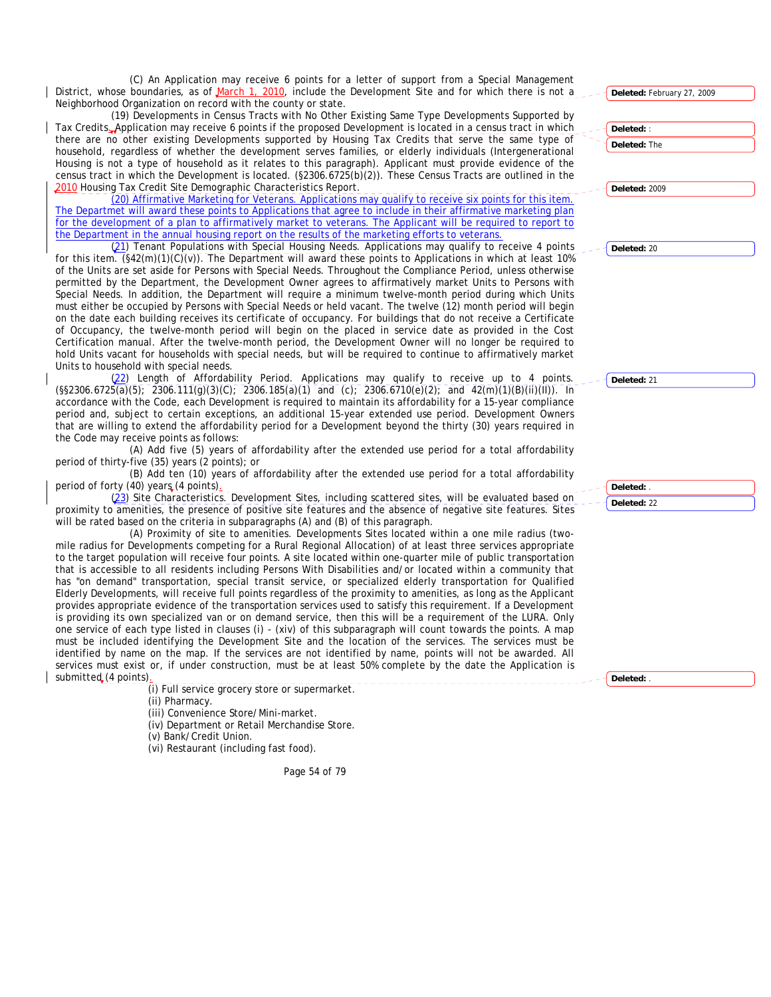(C) An Application may receive 6 points for a letter of support from a Special Management District, whose boundaries, as of March 1, 2010, include the Development Site and for which there is not Neighborhood Organization on record with the county or state.

(19) Developments in Census Tracts with No Other Existing Same Type Developments Supported by Tax Credits. Application may receive 6 points if the proposed Development is located in a census tract in which there are no other existing Developments supported by Housing Tax Credits that serve the same type household, regardless of whether the development serves families, or elderly individuals (Intergeneration Housing is not a type of household as it relates to this paragraph). Applicant must provide evidence of the census tract in which the Development is located. (§2306.6725(b)(2)). These Census Tracts are outlined in the 2010 Housing Tax Credit Site Demographic Characteristics Report.

(20) Affirmative Marketing for Veterans. Applications may qualify to receive six points for this item. The Departmet will award these points to Applications that agree to include in their affirmative marketing pla for the development of a plan to affirmatively market to veterans. The Applicant will be required to report the Department in the annual housing report on the results of the marketing efforts to veterans.

(21) Tenant Populations with Special Housing Needs. Applications may qualify to receive 4 poin for this item.  $(\frac{642(m)(1)(C)}{v})$ . The Department will award these points to Applications in which at least 10 of the Units are set aside for Persons with Special Needs. Throughout the Compliance Period, unless otherwis permitted by the Department, the Development Owner agrees to affirmatively market Units to Persons with Special Needs. In addition, the Department will require a minimum twelve-month period during which Uni must either be occupied by Persons with Special Needs or held vacant. The twelve (12) month period will beg on the date each building receives its certificate of occupancy. For buildings that do not receive a Certificat of Occupancy, the twelve-month period will begin on the placed in service date as provided in the Co Certification manual. After the twelve-month period, the Development Owner will no longer be required hold Units vacant for households with special needs, but will be required to continue to affirmatively market Units to household with special needs.

(22) Length of Affordability Period. Applications may qualify to receive up to 4 points.  $(S_{52}306.6725(a)(5); 2306.111(g)(3)(C); 2306.185(a)(1)$  and  $(c); 2306.6710(e)(2);$  and  $42(m)(1)(B)(ii)(II)).$  In accordance with the Code, each Development is required to maintain its affordability for a 15-year compliance period and, subject to certain exceptions, an additional 15-year extended use period. Development Owne that are willing to extend the affordability period for a Development beyond the thirty (30) years required the Code may receive points as follows:

(A) Add five (5) years of affordability after the extended use period for a total affordabili period of thirty-five (35) years (2 points); or

(B) Add ten (10) years of affordability after the extended use period for a total affordabili period of forty (40) years (4 points).

(23) Site Characteristics. Development Sites, including scattered sites, will be evaluated based on proximity to amenities, the presence of positive site features and the absence of negative site features. Site will be rated based on the criteria in subparagraphs (A) and (B) of this paragraph.

(A) Proximity of site to amenities. Developments Sites located within a one mile radius (tw mile radius for Developments competing for a Rural Regional Allocation) of at least three services appropriation to the target population will receive four points. A site located within one-quarter mile of public transportation that is accessible to all residents including Persons With Disabilities and/or located within a community that has "on demand" transportation, special transit service, or specialized elderly transportation for Qualifie Elderly Developments, will receive full points regardless of the proximity to amenities, as long as the Applicant provides appropriate evidence of the transportation services used to satisfy this requirement. If a Development is providing its own specialized van or on demand service, then this will be a requirement of the LURA. On one service of each type listed in clauses (i) - (xiv) of this subparagraph will count towards the points. A ma must be included identifying the Development Site and the location of the services. The services must be identified by name on the map. If the services are not identified by name, points will not be awarded. All services must exist or, if under construction, must be at least 50% complete by the date the Application is submitted (4 points)

(i) Full service grocery store or supermarket.

(ii) Pharmacy.

(iii) Convenience Store/Mini-market.

(iv) Department or Retail Merchandise Store.

(v) Bank/Credit Union.

(vi) Restaurant (including fast food).

Page 54 of 79

| . .                     |                            |
|-------------------------|----------------------------|
| a                       | Deleted: February 27, 2009 |
| by                      |                            |
| ch                      | Deleted: :                 |
| οf                      | Deleted: The               |
| ıal                     |                            |
| he                      |                            |
| he                      |                            |
|                         | Deleted: 2009              |
| <u>n.</u>               |                            |
| an                      |                            |
| <u>to</u>               |                            |
|                         |                            |
| ıts<br>$\overline{9\%}$ | Deleted: 20                |
| se                      |                            |
| th                      |                            |
| its                     |                            |
| յin                     |                            |
| te                      |                            |
| ıst                     |                            |
| to                      |                            |
| et                      |                            |
|                         |                            |
| ts.                     | Deleted: 21                |
| In                      |                            |
| cе                      |                            |
| ers:<br>in              |                            |
|                         |                            |
| ty                      |                            |
|                         |                            |
| ty                      |                            |
|                         | Deleted: .                 |
| on                      | Deleted: 22                |
| es                      |                            |
|                         |                            |
| Ό-                      |                            |
| te                      |                            |
| on                      |                            |
| at<br>эd                |                            |
| nt                      |                            |
| nt                      |                            |
| ıly                     |                            |
|                         |                            |
|                         |                            |
| aр<br>be                |                            |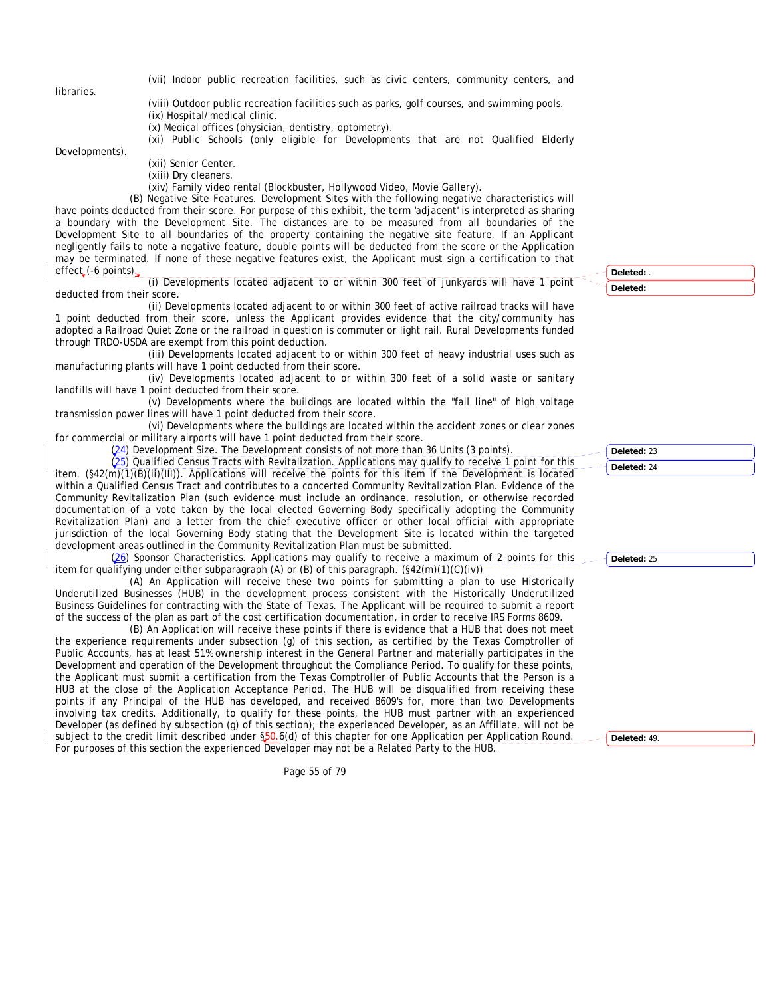libraries.

(vii) Indoor public recreation facilities, such as civic centers, community centers, and

(viii) Outdoor public recreation facilities such as parks, golf courses, and swimming pools.

(ix) Hospital/medical clinic.

(x) Medical offices (physician, dentistry, optometry).

(xi) Public Schools (only eligible for Developments that are not Qualified Elderly

Developments).

(xii) Senior Center.

(xiii) Dry cleaners.

(xiv) Family video rental (Blockbuster, Hollywood Video, Movie Gallery).

(B) Negative Site Features. Development Sites with the following negative characteristics will have points deducted from their score. For purpose of this exhibit, the term 'adjacent' is interpreted as sharing a boundary with the Development Site. The distances are to be measured from all boundaries of the Development Site to all boundaries of the property containing the negative site feature. If an Applicant negligently fails to note a negative feature, double points will be deducted from the score or the Application may be terminated. If none of these negative features exist, the Applicant must sign a certification to that effect (-6 points).

(i) Developments located adjacent to or within 300 feet of junkyards will have 1 point deducted from their score.

(ii) Developments located adjacent to or within 300 feet of active railroad tracks will have 1 point deducted from their score, unless the Applicant provides evidence that the city/community has adopted a Railroad Quiet Zone or the railroad in question is commuter or light rail. Rural Developments funded through TRDO-USDA are exempt from this point deduction.

(iii) Developments located adjacent to or within 300 feet of heavy industrial uses such as manufacturing plants will have 1 point deducted from their score.

(iv) Developments located adjacent to or within 300 feet of a solid waste or sanitary landfills will have 1 point deducted from their score.

(v) Developments where the buildings are located within the "fall line" of high voltage transmission power lines will have 1 point deducted from their score.

(vi) Developments where the buildings are located within the accident zones or clear zones for commercial or military airports will have 1 point deducted from their score.

 $(24)$  Development Size. The Development consists of not more than 36 Units (3 points).

(25) Qualified Census Tracts with Revitalization. Applications may qualify to receive 1 point for this item. (§42(m)(1)(B)(ii)(III)). Applications will receive the points for this item if the Development is located within a Qualified Census Tract and contributes to a concerted Community Revitalization Plan. Evidence of the Community Revitalization Plan (such evidence must include an ordinance, resolution, or otherwise recorded documentation of a vote taken by the local elected Governing Body specifically adopting the Community Revitalization Plan) and a letter from the chief executive officer or other local official with appropriate jurisdiction of the local Governing Body stating that the Development Site is located within the targeted development areas outlined in the Community Revitalization Plan must be submitted.

(26) Sponsor Characteristics. Applications may qualify to receive a maximum of 2 points for this item for qualifying under either subparagraph (A) or (B) of this paragraph.  $(\frac{242(m)}{(1)}(\overline{c})(\overline{iv}))$ 

(A) An Application will receive these two points for submitting a plan to use Historically Underutilized Businesses (HUB) in the development process consistent with the Historically Underutilized Business Guidelines for contracting with the State of Texas. The Applicant will be required to submit a report of the success of the plan as part of the cost certification documentation, in order to receive IRS Forms 8609.

(B) An Application will receive these points if there is evidence that a HUB that does not meet the experience requirements under subsection (g) of this section, as certified by the Texas Comptroller of Public Accounts, has at least 51% ownership interest in the General Partner and materially participates in the Development and operation of the Development throughout the Compliance Period. To qualify for these points, the Applicant must submit a certification from the Texas Comptroller of Public Accounts that the Person is a HUB at the close of the Application Acceptance Period. The HUB will be disqualified from receiving these points if any Principal of the HUB has developed, and received 8609's for, more than two Developments involving tax credits. Additionally, to qualify for these points, the HUB must partner with an experienced Developer (as defined by subsection (g) of this section); the experienced Developer, as an Affiliate, will not be subject to the credit limit described under §50.6(d) of this chapter for one Application per Application Round. For purposes of this section the experienced Developer may not be a Related Party to the HUB.

Page 55 of 79

**Deleted:** . **Deleted:** 

**Deleted:** 23 **Deleted:** 24

**Deleted:** 25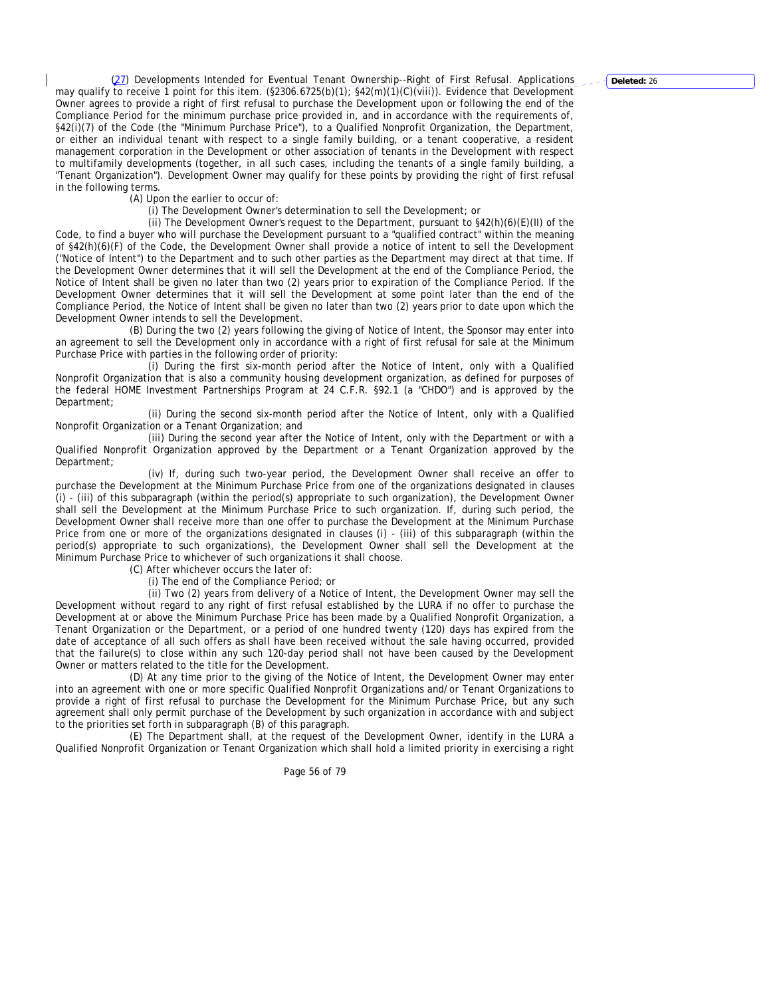(27) Developments Intended for Eventual Tenant Ownership--Right of First Refusal. Applications may qualify to receive 1 point for this item. (§2306.6725(b)(1); §42(m)(1)(C)(viii)). Evidence that Development Owner agrees to provide a right of first refusal to purchase the Development upon or following the end of the Compliance Period for the minimum purchase price provided in, and in accordance with the requirements of, §42(i)(7) of the Code (the "Minimum Purchase Price"), to a Qualified Nonprofit Organization, the Department, or either an individual tenant with respect to a single family building, or a tenant cooperative, a resident management corporation in the Development or other association of tenants in the Development with respect to multifamily developments (together, in all such cases, including the tenants of a single family building, a "Tenant Organization"). Development Owner may qualify for these points by providing the right of first refusal in the following terms.

(A) Upon the earlier to occur of:

(i) The Development Owner's determination to sell the Development; or

(ii) The Development Owner's request to the Department, pursuant to  $$42(h)(6)(E)(II)$  of the Code, to find a buyer who will purchase the Development pursuant to a "qualified contract" within the meaning of §42(h)(6)(F) of the Code, the Development Owner shall provide a notice of intent to sell the Development ("Notice of Intent") to the Department and to such other parties as the Department may direct at that time. If the Development Owner determines that it will sell the Development at the end of the Compliance Period, the Notice of Intent shall be given no later than two (2) years prior to expiration of the Compliance Period. If the Development Owner determines that it will sell the Development at some point later than the end of the Compliance Period, the Notice of Intent shall be given no later than two (2) years prior to date upon which the Development Owner intends to sell the Development.

(B) During the two (2) years following the giving of Notice of Intent, the Sponsor may enter into an agreement to sell the Development only in accordance with a right of first refusal for sale at the Minimum Purchase Price with parties in the following order of priority:

(i) During the first six-month period after the Notice of Intent, only with a Qualified Nonprofit Organization that is also a community housing development organization, as defined for purposes of the federal HOME Investment Partnerships Program at 24 C.F.R. §92.1 (a "CHDO") and is approved by the Department;

(ii) During the second six-month period after the Notice of Intent, only with a Qualified Nonprofit Organization or a Tenant Organization; and

(iii) During the second year after the Notice of Intent, only with the Department or with a Qualified Nonprofit Organization approved by the Department or a Tenant Organization approved by the Department;

(iv) If, during such two-year period, the Development Owner shall receive an offer to purchase the Development at the Minimum Purchase Price from one of the organizations designated in clauses (i) - (iii) of this subparagraph (within the period(s) appropriate to such organization), the Development Owner shall sell the Development at the Minimum Purchase Price to such organization. If, during such period, the Development Owner shall receive more than one offer to purchase the Development at the Minimum Purchase Price from one or more of the organizations designated in clauses (i) - (iii) of this subparagraph (within the period(s) appropriate to such organizations), the Development Owner shall sell the Development at the Minimum Purchase Price to whichever of such organizations it shall choose.

(C) After whichever occurs the later of:

(i) The end of the Compliance Period; or

(ii) Two (2) years from delivery of a Notice of Intent, the Development Owner may sell the Development without regard to any right of first refusal established by the LURA if no offer to purchase the Development at or above the Minimum Purchase Price has been made by a Qualified Nonprofit Organization, a Tenant Organization or the Department, or a period of one hundred twenty (120) days has expired from the date of acceptance of all such offers as shall have been received without the sale having occurred, provided that the failure(s) to close within any such 120-day period shall not have been caused by the Development Owner or matters related to the title for the Development.

(D) At any time prior to the giving of the Notice of Intent, the Development Owner may enter into an agreement with one or more specific Qualified Nonprofit Organizations and/or Tenant Organizations to provide a right of first refusal to purchase the Development for the Minimum Purchase Price, but any such agreement shall only permit purchase of the Development by such organization in accordance with and subject to the priorities set forth in subparagraph (B) of this paragraph.

(E) The Department shall, at the request of the Development Owner, identify in the LURA a Qualified Nonprofit Organization or Tenant Organization which shall hold a limited priority in exercising a right

Page 56 of 79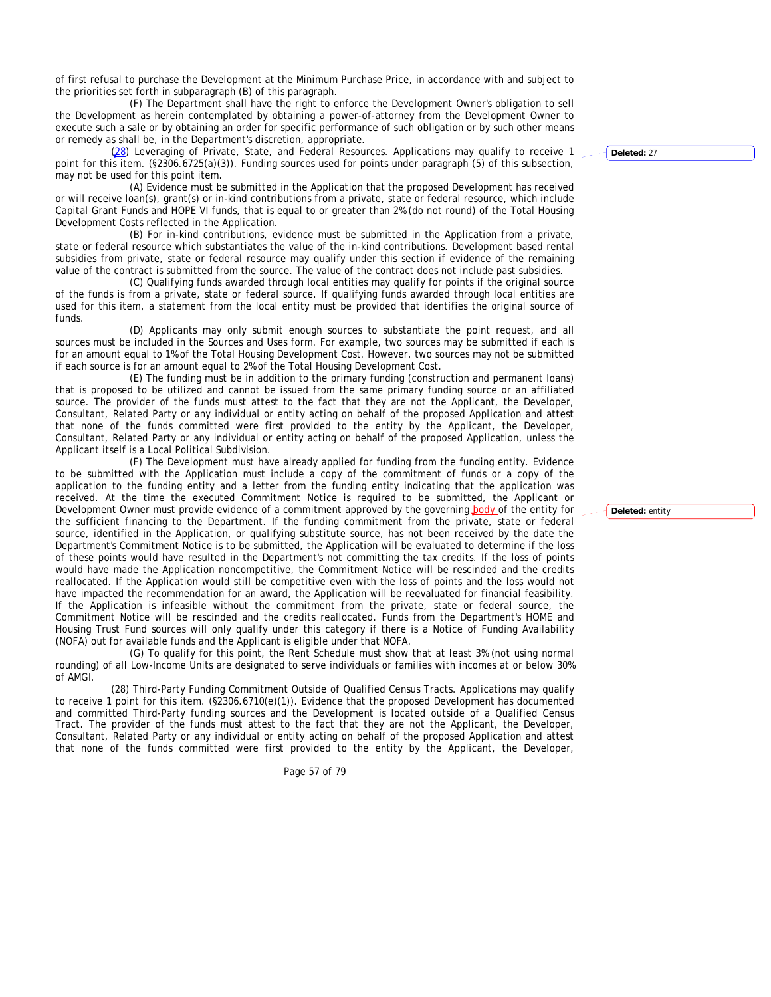of first refusal to purchase the Development at the Minimum Purchase Price, in accordance with and subject to the priorities set forth in subparagraph (B) of this paragraph.

(F) The Department shall have the right to enforce the Development Owner's obligation to sell the Development as herein contemplated by obtaining a power-of-attorney from the Development Owner to execute such a sale or by obtaining an order for specific performance of such obligation or by such other means or remedy as shall be, in the Department's discretion, appropriate.

(28) Leveraging of Private, State, and Federal Resources. Applications may qualify to receive 1 point for this item. (§2306.6725(a)(3)). Funding sources used for points under paragraph (5) of this subsection, may not be used for this point item.

(A) Evidence must be submitted in the Application that the proposed Development has received or will receive loan(s), grant(s) or in-kind contributions from a private, state or federal resource, which include Capital Grant Funds and HOPE VI funds, that is equal to or greater than 2% (do not round) of the Total Housing Development Costs reflected in the Application.

(B) For in-kind contributions, evidence must be submitted in the Application from a private, state or federal resource which substantiates the value of the in-kind contributions. Development based rental subsidies from private, state or federal resource may qualify under this section if evidence of the remaining value of the contract is submitted from the source. The value of the contract does not include past subsidies.

(C) Qualifying funds awarded through local entities may qualify for points if the original source of the funds is from a private, state or federal source. If qualifying funds awarded through local entities are used for this item, a statement from the local entity must be provided that identifies the original source of funds.

(D) Applicants may only submit enough sources to substantiate the point request, and all sources must be included in the Sources and Uses form. For example, two sources may be submitted if each is for an amount equal to 1% of the Total Housing Development Cost. However, two sources may not be submitted if each source is for an amount equal to 2% of the Total Housing Development Cost.

(E) The funding must be in addition to the primary funding (construction and permanent loans) that is proposed to be utilized and cannot be issued from the same primary funding source or an affiliated source. The provider of the funds must attest to the fact that they are not the Applicant, the Developer, Consultant, Related Party or any individual or entity acting on behalf of the proposed Application and attest that none of the funds committed were first provided to the entity by the Applicant, the Developer, Consultant, Related Party or any individual or entity acting on behalf of the proposed Application, unless the Applicant itself is a Local Political Subdivision.

(F) The Development must have already applied for funding from the funding entity. Evidence to be submitted with the Application must include a copy of the commitment of funds or a copy of the application to the funding entity and a letter from the funding entity indicating that the application was received. At the time the executed Commitment Notice is required to be submitted, the Applicant or Development Owner must provide evidence of a commitment approved by the governing body of the entity for the sufficient financing to the Department. If the funding commitment from the private, state or federal source, identified in the Application, or qualifying substitute source, has not been received by the date the Department's Commitment Notice is to be submitted, the Application will be evaluated to determine if the loss of these points would have resulted in the Department's not committing the tax credits. If the loss of points would have made the Application noncompetitive, the Commitment Notice will be rescinded and the credits reallocated. If the Application would still be competitive even with the loss of points and the loss would not have impacted the recommendation for an award, the Application will be reevaluated for financial feasibility. If the Application is infeasible without the commitment from the private, state or federal source, the Commitment Notice will be rescinded and the credits reallocated. Funds from the Department's HOME and Housing Trust Fund sources will only qualify under this category if there is a Notice of Funding Availability (NOFA) out for available funds and the Applicant is eligible under that NOFA.

(G) To qualify for this point, the Rent Schedule must show that at least 3% (not using normal rounding) of all Low-Income Units are designated to serve individuals or families with incomes at or below 30% of AMGI.

(28) Third-Party Funding Commitment Outside of Qualified Census Tracts. Applications may qualify to receive 1 point for this item. (§2306.6710(e)(1)). Evidence that the proposed Development has documented and committed Third-Party funding sources and the Development is located outside of a Qualified Census Tract. The provider of the funds must attest to the fact that they are not the Applicant, the Developer, Consultant, Related Party or any individual or entity acting on behalf of the proposed Application and attest that none of the funds committed were first provided to the entity by the Applicant, the Developer,

Page 57 of 79

**Deleted:** 27

**Deleted:** entity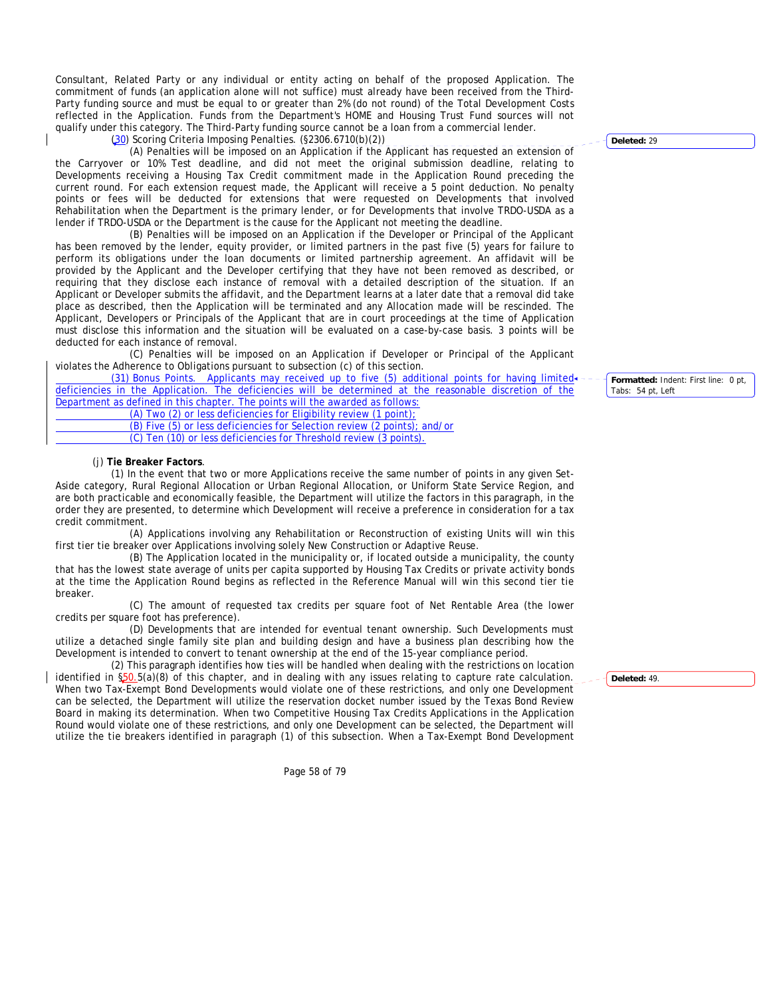Consultant, Related Party or any individual or entity acting on behalf of the proposed Application. The commitment of funds (an application alone will not suffice) must already have been received from the Third-Party funding source and must be equal to or greater than 2% (do not round) of the Total Development Costs reflected in the Application. Funds from the Department's HOME and Housing Trust Fund sources will not qualify under this category. The Third-Party funding source cannot be a loan from a commercial lender.

(30) Scoring Criteria Imposing Penalties. (§2306.6710(b)(2))

(A) Penalties will be imposed on an Application if the Applicant has requested an extension of the Carryover or 10% Test deadline, and did not meet the original submission deadline, relating to Developments receiving a Housing Tax Credit commitment made in the Application Round preceding the current round. For each extension request made, the Applicant will receive a 5 point deduction. No penalty points or fees will be deducted for extensions that were requested on Developments that involved Rehabilitation when the Department is the primary lender, or for Developments that involve TRDO-USDA as a lender if TRDO-USDA or the Department is the cause for the Applicant not meeting the deadline.

(B) Penalties will be imposed on an Application if the Developer or Principal of the Applicant has been removed by the lender, equity provider, or limited partners in the past five (5) years for failure to perform its obligations under the loan documents or limited partnership agreement. An affidavit will be provided by the Applicant and the Developer certifying that they have not been removed as described, or requiring that they disclose each instance of removal with a detailed description of the situation. If an Applicant or Developer submits the affidavit, and the Department learns at a later date that a removal did take place as described, then the Application will be terminated and any Allocation made will be rescinded. The Applicant, Developers or Principals of the Applicant that are in court proceedings at the time of Application must disclose this information and the situation will be evaluated on a case-by-case basis. 3 points will be deducted for each instance of removal.

(C) Penalties will be imposed on an Application if Developer or Principal of the Applicant violates the Adherence to Obligations pursuant to subsection (c) of this section.

 $(31)$  Bonus Points. Applicants may received up to five  $(5)$  additional points for having limited. deficiencies in the Application. The deficiencies will be determined at the reasonable discretion of the Department as defined in this chapter. The points will the awarded as follows:

(A) Two (2) or less deficiencies for Eligibility review (1 point);

 (B) Five (5) or less deficiencies for Selection review (2 points); and/or (C) Ten (10) or less deficiencies for Threshold review (3 points).

## (j) **Tie Breaker Factors**.

(1) In the event that two or more Applications receive the same number of points in any given Set-Aside category, Rural Regional Allocation or Urban Regional Allocation, or Uniform State Service Region, and are both practicable and economically feasible, the Department will utilize the factors in this paragraph, in the order they are presented, to determine which Development will receive a preference in consideration for a tax credit commitment.

(A) Applications involving any Rehabilitation or Reconstruction of existing Units will win this first tier tie breaker over Applications involving solely New Construction or Adaptive Reuse.

(B) The Application located in the municipality or, if located outside a municipality, the county that has the lowest state average of units per capita supported by Housing Tax Credits or private activity bonds at the time the Application Round begins as reflected in the Reference Manual will win this second tier tie breaker.

(C) The amount of requested tax credits per square foot of Net Rentable Area (the lower credits per square foot has preference).

(D) Developments that are intended for eventual tenant ownership. Such Developments must utilize a detached single family site plan and building design and have a business plan describing how the Development is intended to convert to tenant ownership at the end of the 15-year compliance period.

(2) This paragraph identifies how ties will be handled when dealing with the restrictions on location identified in §50.5(a)(8) of this chapter, and in dealing with any issues relating to capture rate calculation. When two Tax-Exempt Bond Developments would violate one of these restrictions, and only one Development can be selected, the Department will utilize the reservation docket number issued by the Texas Bond Review Board in making its determination. When two Competitive Housing Tax Credits Applications in the Application Round would violate one of these restrictions, and only one Development can be selected, the Department will utilize the tie breakers identified in paragraph (1) of this subsection. When a Tax-Exempt Bond Development

Page 58 of 79

**Deleted:** 29

**Formatted:** Indent: First line: 0 pt, Tabs: 54 pt, Left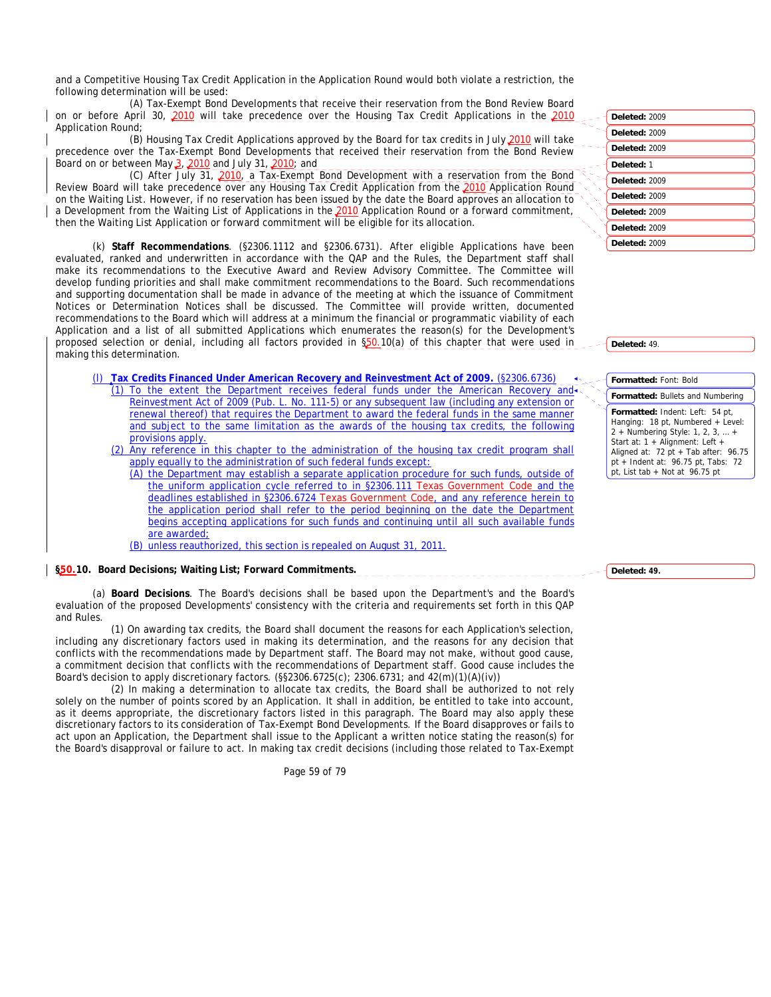and a Competitive Housing Tax Credit Application in the Application Round would both violate a restriction, the following determination will be used:

(A) Tax-Exempt Bond Developments that receive their reservation from the Bond Review Board on or before April 30, 2010 will take precedence over the Housing Tax Credit Applications in the 2010 Application Round;

(B) Housing Tax Credit Applications approved by the Board for tax credits in July 2010 will take precedence over the Tax-Exempt Bond Developments that received their reservation from the Bond Review Board on or between May  $3,2010$  and July 31,  $2010$ ; and

(C) After July 31, 2010, a Tax-Exempt Bond Development with a reservation from the Bond Review Board will take precedence over any Housing Tax Credit Application from the 2010 Application Round on the Waiting List. However, if no reservation has been issued by the date the Board approves an allocation to a Development from the Waiting List of Applications in the 2010 Application Round or a forward commitment, then the Waiting List Application or forward commitment will be eligible for its allocation.

(k) **Staff Recommendations**. (§2306.1112 and §2306.6731). After eligible Applications have been evaluated, ranked and underwritten in accordance with the QAP and the Rules, the Department staff shall make its recommendations to the Executive Award and Review Advisory Committee. The Committee will develop funding priorities and shall make commitment recommendations to the Board. Such recommendations and supporting documentation shall be made in advance of the meeting at which the issuance of Commitment Notices or Determination Notices shall be discussed. The Committee will provide written, documented recommendations to the Board which will address at a minimum the financial or programmatic viability of each Application and a list of all submitted Applications which enumerates the reason(s) for the Development's proposed selection or denial, including all factors provided in \$50.10(a) of this chapter that were used in making this determination.

- (l) **Tax Credits Financed Under American Recovery and Reinvestment Act of 2009.** (§2306.6736) (1) To the extent the Department receives federal funds under the American Recovery and Reinvestment Act of 2009 (Pub. L. No. 111-5) or any subsequent law (including any extension or renewal thereof) that requires the Department to award the federal funds in the same manner and subject to the same limitation as the awards of the housing tax credits, the following provisions apply.
	- (2) Any reference in this chapter to the administration of the housing tax credit program shall apply equally to the administration of such federal funds except:
		- (A) the Department may establish a separate application procedure for such funds, outside of the uniform application cycle referred to in §2306.111 Texas Government Code and the deadlines established in §2306.6724 Texas Government Code, and any reference herein to the application period shall refer to the period beginning on the date the Department begins accepting applications for such funds and continuing until all such available funds are awarded;

(B) unless reauthorized, this section is repealed on August 31, 2011.

### **§50.10. Board Decisions; Waiting List; Forward Commitments.**

(a) **Board Decisions**. The Board's decisions shall be based upon the Department's and the Board's evaluation of the proposed Developments' consistency with the criteria and requirements set forth in this QAP and Rules.

(1) On awarding tax credits, the Board shall document the reasons for each Application's selection, including any discretionary factors used in making its determination, and the reasons for any decision that conflicts with the recommendations made by Department staff. The Board may not make, without good cause, a commitment decision that conflicts with the recommendations of Department staff. Good cause includes the Board's decision to apply discretionary factors. (§§2306.6725(c); 2306.6731; and 42(m)(1)(A)(iv))

(2) In making a determination to allocate tax credits, the Board shall be authorized to not rely solely on the number of points scored by an Application. It shall in addition, be entitled to take into account, as it deems appropriate, the discretionary factors listed in this paragraph. The Board may also apply these discretionary factors to its consideration of Tax-Exempt Bond Developments. If the Board disapproves or fails to act upon an Application, the Department shall issue to the Applicant a written notice stating the reason(s) for the Board's disapproval or failure to act. In making tax credit decisions (including those related to Tax-Exempt

Page 59 of 79

| Deleted: 2009 |  |
|---------------|--|
| Deleted: 2009 |  |
| Deleted: 2009 |  |
| Deleted: 1    |  |
| Deleted: 2009 |  |
| Deleted: 2009 |  |
| Deleted: 2009 |  |
| Deleted: 2009 |  |
| Deleted: 2009 |  |

**Deleted:** 49.

#### **Formatted:** Font: Bold

**Formatted:** Bullets and Numbering **Formatted:** Indent: Left: 54 pt, Hanging: 18 pt, Numbered + Level: 2 + Numbering Style: 1, 2, 3, … + Start at: 1 + Alignment: Left + Aligned at:  $72$  pt + Tab after:  $96.75$ pt + Indent at: 96.75 pt, Tabs: 72 pt, List tab + Not at 96.75 pt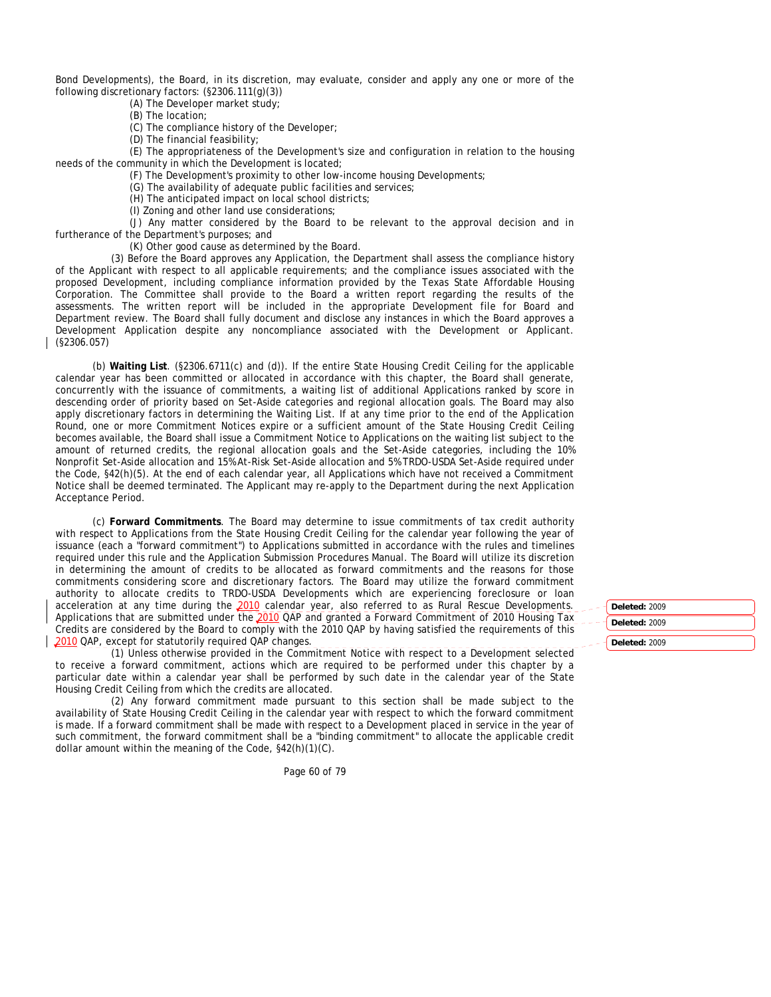Bond Developments), the Board, in its discretion, may evaluate, consider and apply any one or more of the following discretionary factors: (§2306.111(g)(3))

(A) The Developer market study;

(B) The location;

(C) The compliance history of the Developer;

(D) The financial feasibility;

(E) The appropriateness of the Development's size and configuration in relation to the housing needs of the community in which the Development is located;

(F) The Development's proximity to other low-income housing Developments;

(G) The availability of adequate public facilities and services;

(H) The anticipated impact on local school districts;

(I) Zoning and other land use considerations;

(J) Any matter considered by the Board to be relevant to the approval decision and in furtherance of the Department's purposes; and

(K) Other good cause as determined by the Board.

(3) Before the Board approves any Application, the Department shall assess the compliance history of the Applicant with respect to all applicable requirements; and the compliance issues associated with the proposed Development, including compliance information provided by the Texas State Affordable Housing Corporation. The Committee shall provide to the Board a written report regarding the results of the assessments. The written report will be included in the appropriate Development file for Board and Department review. The Board shall fully document and disclose any instances in which the Board approves a Development Application despite any noncompliance associated with the Development or Applicant. (§2306.057)

(b) **Waiting List**. (§2306.6711(c) and (d)). If the entire State Housing Credit Ceiling for the applicable calendar year has been committed or allocated in accordance with this chapter, the Board shall generate, concurrently with the issuance of commitments, a waiting list of additional Applications ranked by score in descending order of priority based on Set-Aside categories and regional allocation goals. The Board may also apply discretionary factors in determining the Waiting List. If at any time prior to the end of the Application Round, one or more Commitment Notices expire or a sufficient amount of the State Housing Credit Ceiling becomes available, the Board shall issue a Commitment Notice to Applications on the waiting list subject to the amount of returned credits, the regional allocation goals and the Set-Aside categories, including the 10% Nonprofit Set-Aside allocation and 15% At-Risk Set-Aside allocation and 5% TRDO-USDA Set-Aside required under the Code, §42(h)(5). At the end of each calendar year, all Applications which have not received a Commitment Notice shall be deemed terminated. The Applicant may re-apply to the Department during the next Application Acceptance Period.

(c) **Forward Commitments**. The Board may determine to issue commitments of tax credit authority with respect to Applications from the State Housing Credit Ceiling for the calendar year following the year of issuance (each a "forward commitment") to Applications submitted in accordance with the rules and timelines required under this rule and the Application Submission Procedures Manual. The Board will utilize its discretion in determining the amount of credits to be allocated as forward commitments and the reasons for those commitments considering score and discretionary factors. The Board may utilize the forward commitment authority to allocate credits to TRDO-USDA Developments which are experiencing foreclosure or loan acceleration at any time during the 2010 calendar year, also referred to as Rural Rescue Developments. Applications that are submitted under the 2010 QAP and granted a Forward Commitment of 2010 Housing Tax Credits are considered by the Board to comply with the 2010 QAP by having satisfied the requirements of this 2010 OAP, except for statutorily required OAP changes.

(1) Unless otherwise provided in the Commitment Notice with respect to a Development selected to receive a forward commitment, actions which are required to be performed under this chapter by a particular date within a calendar year shall be performed by such date in the calendar year of the State Housing Credit Ceiling from which the credits are allocated.

(2) Any forward commitment made pursuant to this section shall be made subject to the availability of State Housing Credit Ceiling in the calendar year with respect to which the forward commitment is made. If a forward commitment shall be made with respect to a Development placed in service in the year of such commitment, the forward commitment shall be a "binding commitment" to allocate the applicable credit dollar amount within the meaning of the Code, §42(h)(1)(C).

Page 60 of 79

**Deleted:** 2009 **Deleted:** 2009 **Deleted:** 2009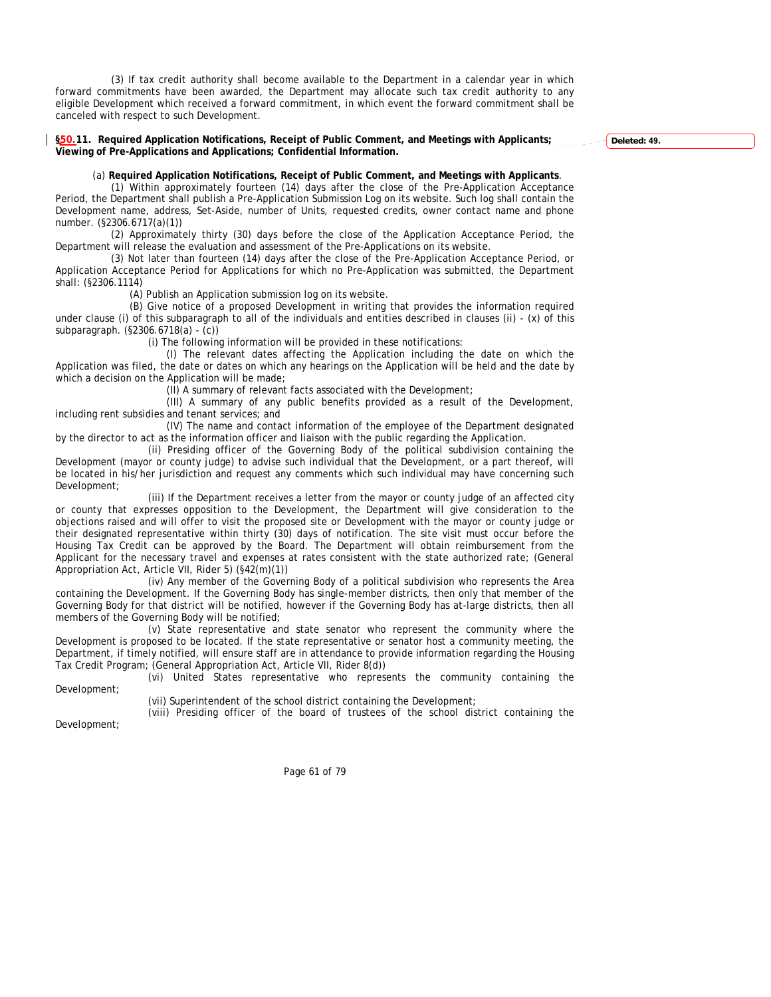(3) If tax credit authority shall become available to the Department in a calendar year in which forward commitments have been awarded, the Department may allocate such tax credit authority to any eligible Development which received a forward commitment, in which event the forward commitment shall be canceled with respect to such Development.

**§50.11. Required Application Notifications, Receipt of Public Comment, and Meetings with Applicants; Viewing of Pre-Applications and Applications; Confidential Information.** 

**Deleted: 49.**

#### (a) **Required Application Notifications, Receipt of Public Comment, and Meetings with Applicants**.

(1) Within approximately fourteen (14) days after the close of the Pre-Application Acceptance Period, the Department shall publish a Pre-Application Submission Log on its website. Such log shall contain the Development name, address, Set-Aside, number of Units, requested credits, owner contact name and phone number. (§2306.6717(a)(1))

(2) Approximately thirty (30) days before the close of the Application Acceptance Period, the Department will release the evaluation and assessment of the Pre-Applications on its website.

(3) Not later than fourteen (14) days after the close of the Pre-Application Acceptance Period, or Application Acceptance Period for Applications for which no Pre-Application was submitted, the Department shall: (§2306.1114)

(A) Publish an Application submission log on its website.

(B) Give notice of a proposed Development in writing that provides the information required under clause (i) of this subparagraph to all of the individuals and entities described in clauses (ii) - (x) of this subparagraph. (§2306.6718(a) - (c))

(i) The following information will be provided in these notifications:

(I) The relevant dates affecting the Application including the date on which the Application was filed, the date or dates on which any hearings on the Application will be held and the date by which a decision on the Application will be made;

(II) A summary of relevant facts associated with the Development;

(III) A summary of any public benefits provided as a result of the Development, including rent subsidies and tenant services; and

(IV) The name and contact information of the employee of the Department designated by the director to act as the information officer and liaison with the public regarding the Application.

(ii) Presiding officer of the Governing Body of the political subdivision containing the Development (mayor or county judge) to advise such individual that the Development, or a part thereof, will be located in his/her jurisdiction and request any comments which such individual may have concerning such Development;

(iii) If the Department receives a letter from the mayor or county judge of an affected city or county that expresses opposition to the Development, the Department will give consideration to the objections raised and will offer to visit the proposed site or Development with the mayor or county judge or their designated representative within thirty (30) days of notification. The site visit must occur before the Housing Tax Credit can be approved by the Board. The Department will obtain reimbursement from the Applicant for the necessary travel and expenses at rates consistent with the state authorized rate; (General Appropriation Act, Article VII, Rider 5) (§42(m)(1))

(iv) Any member of the Governing Body of a political subdivision who represents the Area containing the Development. If the Governing Body has single-member districts, then only that member of the Governing Body for that district will be notified, however if the Governing Body has at-large districts, then all members of the Governing Body will be notified;

(v) State representative and state senator who represent the community where the Development is proposed to be located. If the state representative or senator host a community meeting, the Department, if timely notified, will ensure staff are in attendance to provide information regarding the Housing Tax Credit Program; (General Appropriation Act, Article VII, Rider 8(d))

(vi) United States representative who represents the community containing the Development;

(vii) Superintendent of the school district containing the Development;

(viii) Presiding officer of the board of trustees of the school district containing the

Development;

Page 61 of 79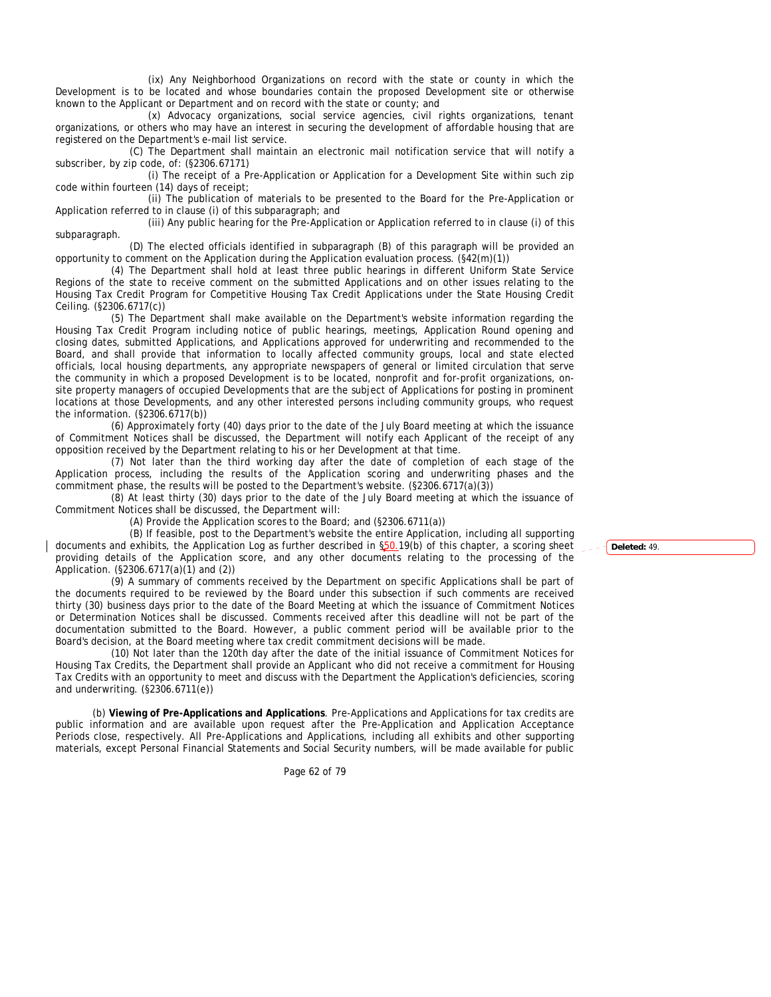(ix) Any Neighborhood Organizations on record with the state or county in which the Development is to be located and whose boundaries contain the proposed Development site or otherwise known to the Applicant or Department and on record with the state or county; and

(x) Advocacy organizations, social service agencies, civil rights organizations, tenant organizations, or others who may have an interest in securing the development of affordable housing that are registered on the Department's e-mail list service.

(C) The Department shall maintain an electronic mail notification service that will notify a subscriber, by zip code, of: (§2306.67171)

(i) The receipt of a Pre-Application or Application for a Development Site within such zip code within fourteen (14) days of receipt;

(ii) The publication of materials to be presented to the Board for the Pre-Application or Application referred to in clause (i) of this subparagraph; and

(iii) Any public hearing for the Pre-Application or Application referred to in clause (i) of this subparagraph.

(D) The elected officials identified in subparagraph (B) of this paragraph will be provided an opportunity to comment on the Application during the Application evaluation process. (§42(m)(1))

(4) The Department shall hold at least three public hearings in different Uniform State Service Regions of the state to receive comment on the submitted Applications and on other issues relating to the Housing Tax Credit Program for Competitive Housing Tax Credit Applications under the State Housing Credit Ceiling. (§2306.6717(c))

(5) The Department shall make available on the Department's website information regarding the Housing Tax Credit Program including notice of public hearings, meetings, Application Round opening and closing dates, submitted Applications, and Applications approved for underwriting and recommended to the Board, and shall provide that information to locally affected community groups, local and state elected officials, local housing departments, any appropriate newspapers of general or limited circulation that serve the community in which a proposed Development is to be located, nonprofit and for-profit organizations, onsite property managers of occupied Developments that are the subject of Applications for posting in prominent locations at those Developments, and any other interested persons including community groups, who request the information. (§2306.6717(b))

(6) Approximately forty (40) days prior to the date of the July Board meeting at which the issuance of Commitment Notices shall be discussed, the Department will notify each Applicant of the receipt of any opposition received by the Department relating to his or her Development at that time.

(7) Not later than the third working day after the date of completion of each stage of the Application process, including the results of the Application scoring and underwriting phases and the commitment phase, the results will be posted to the Department's website. (§2306.6717(a)(3))

(8) At least thirty (30) days prior to the date of the July Board meeting at which the issuance of Commitment Notices shall be discussed, the Department will:

(A) Provide the Application scores to the Board; and (§2306.6711(a))

(B) If feasible, post to the Department's website the entire Application, including all supporting documents and exhibits, the Application Log as further described in §50.19(b) of this chapter, a scoring sheet providing details of the Application score, and any other documents relating to the processing of the Application. (§2306.6717(a)(1) and (2))

(9) A summary of comments received by the Department on specific Applications shall be part of the documents required to be reviewed by the Board under this subsection if such comments are received thirty (30) business days prior to the date of the Board Meeting at which the issuance of Commitment Notices or Determination Notices shall be discussed. Comments received after this deadline will not be part of the documentation submitted to the Board. However, a public comment period will be available prior to the Board's decision, at the Board meeting where tax credit commitment decisions will be made.

(10) Not later than the 120th day after the date of the initial issuance of Commitment Notices for Housing Tax Credits, the Department shall provide an Applicant who did not receive a commitment for Housing Tax Credits with an opportunity to meet and discuss with the Department the Application's deficiencies, scoring and underwriting. (§2306.6711(e))

(b) **Viewing of Pre-Applications and Applications**. Pre-Applications and Applications for tax credits are public information and are available upon request after the Pre-Application and Application Acceptance Periods close, respectively. All Pre-Applications and Applications, including all exhibits and other supporting materials, except Personal Financial Statements and Social Security numbers, will be made available for public

Page 62 of 79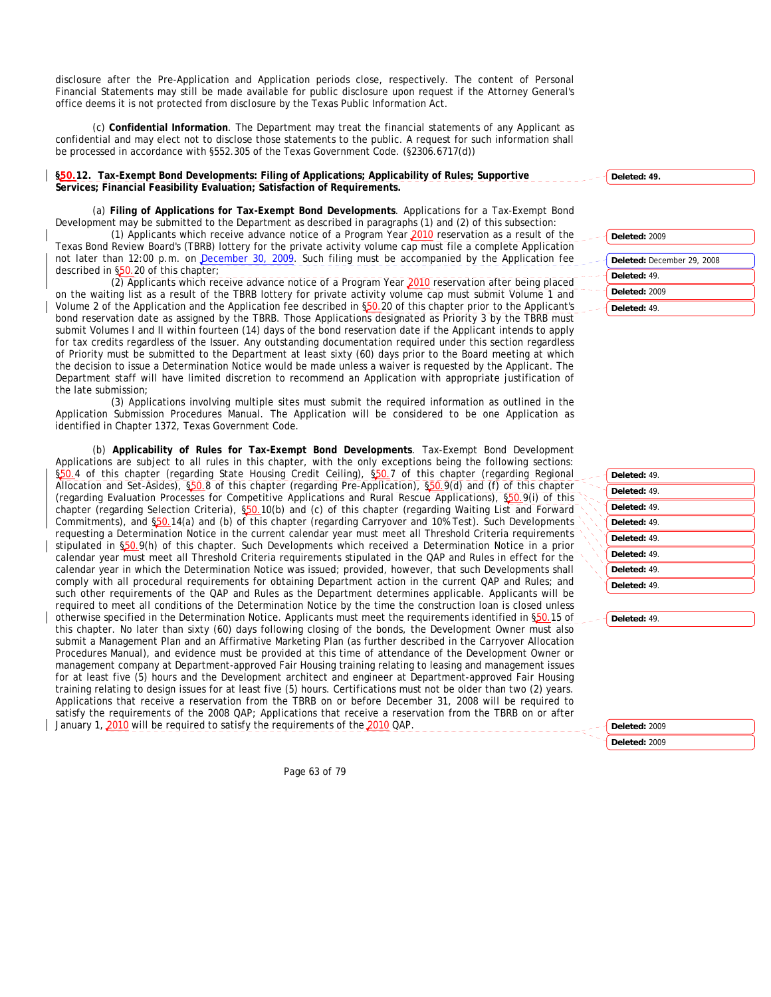disclosure after the Pre-Application and Application periods close, respectively. The content of Personal Financial Statements may still be made available for public disclosure upon request if the Attorney General's office deems it is not protected from disclosure by the Texas Public Information Act.

(c) **Confidential Information**. The Department may treat the financial statements of any Applicant as confidential and may elect not to disclose those statements to the public. A request for such information shall be processed in accordance with §552.305 of the Texas Government Code. (§2306.6717(d))

**§50.12. Tax-Exempt Bond Developments: Filing of Applications; Applicability of Rules; Supportive Services; Financial Feasibility Evaluation; Satisfaction of Requirements.** 

(a) **Filing of Applications for Tax-Exempt Bond Developments**. Applications for a Tax-Exempt Bond Development may be submitted to the Department as described in paragraphs (1) and (2) of this subsection:

(1) Applicants which receive advance notice of a Program Year 2010 reservation as a result of the Texas Bond Review Board's (TBRB) lottery for the private activity volume cap must file a complete Application not later than 12:00 p.m. on December 30, 2009. Such filing must be accompanied by the Application fee described in §50.20 of this chapter;

(2) Applicants which receive advance notice of a Program Year 2010 reservation after being placed on the waiting list as a result of the TBRB lottery for private activity volume cap must submit Volume 1 and Volume 2 of the Application and the Application fee described in §50.20 of this chapter prior to the Applicant's bond reservation date as assigned by the TBRB. Those Applications designated as Priority 3 by the TBRB must submit Volumes I and II within fourteen (14) days of the bond reservation date if the Applicant intends to apply for tax credits regardless of the Issuer. Any outstanding documentation required under this section regardless of Priority must be submitted to the Department at least sixty (60) days prior to the Board meeting at which the decision to issue a Determination Notice would be made unless a waiver is requested by the Applicant. The Department staff will have limited discretion to recommend an Application with appropriate justification of the late submission;

(3) Applications involving multiple sites must submit the required information as outlined in the Application Submission Procedures Manual. The Application will be considered to be one Application as identified in Chapter 1372, Texas Government Code.

(b) **Applicability of Rules for Tax-Exempt Bond Developments**. Tax-Exempt Bond Development Applications are subject to all rules in this chapter, with the only exceptions being the following sections: §50.4 of this chapter (regarding State Housing Credit Ceiling), §50.7 of this chapter (regarding Regional Allocation and Set-Asides), §50.8 of this chapter (regarding Pre-Application), §50.9(d) and (f) of this chapter (regarding Evaluation Processes for Competitive Applications and Rural Rescue Applications), §50.9(i) of this chapter (regarding Selection Criteria), \$50.10(b) and (c) of this chapter (regarding Waiting List and Forward Commitments), and §50.14(a) and (b) of this chapter (regarding Carryover and 10% Test). Such Developments requesting a Determination Notice in the current calendar year must meet all Threshold Criteria requirements stipulated in §50.9(h) of this chapter. Such Developments which received a Determination Notice in a prior calendar year must meet all Threshold Criteria requirements stipulated in the QAP and Rules in effect for the calendar year in which the Determination Notice was issued; provided, however, that such Developments shall comply with all procedural requirements for obtaining Department action in the current QAP and Rules; and such other requirements of the QAP and Rules as the Department determines applicable. Applicants will be required to meet all conditions of the Determination Notice by the time the construction loan is closed unless otherwise specified in the Determination Notice. Applicants must meet the requirements identified in §50.15 of this chapter. No later than sixty (60) days following closing of the bonds, the Development Owner must also submit a Management Plan and an Affirmative Marketing Plan (as further described in the Carryover Allocation Procedures Manual), and evidence must be provided at this time of attendance of the Development Owner or management company at Department-approved Fair Housing training relating to leasing and management issues for at least five (5) hours and the Development architect and engineer at Department-approved Fair Housing training relating to design issues for at least five (5) hours. Certifications must not be older than two (2) years. Applications that receive a reservation from the TBRB on or before December 31, 2008 will be required to satisfy the requirements of the 2008 QAP; Applications that receive a reservation from the TBRB on or after January 1, 2010 will be required to satisfy the requirements of the 2010 OAP.

Page 63 of 79

| Deleted: 2009              |
|----------------------------|
| Deleted: December 29, 2008 |
| Deleted: 49.               |
| Deleted: 2009              |

**Deleted: 49.**

**Deleted:** 49.

| Deleted: 49. |
|--------------|
| Deleted: 49. |
| Deleted: 49. |
| Deleted: 49. |
| Deleted: 49. |
| Deleted: 49. |
| Deleted: 49. |
| Deleted: 49. |
|              |

**Deleted:** 49.

**Deleted:** 2009 **Deleted:** 2009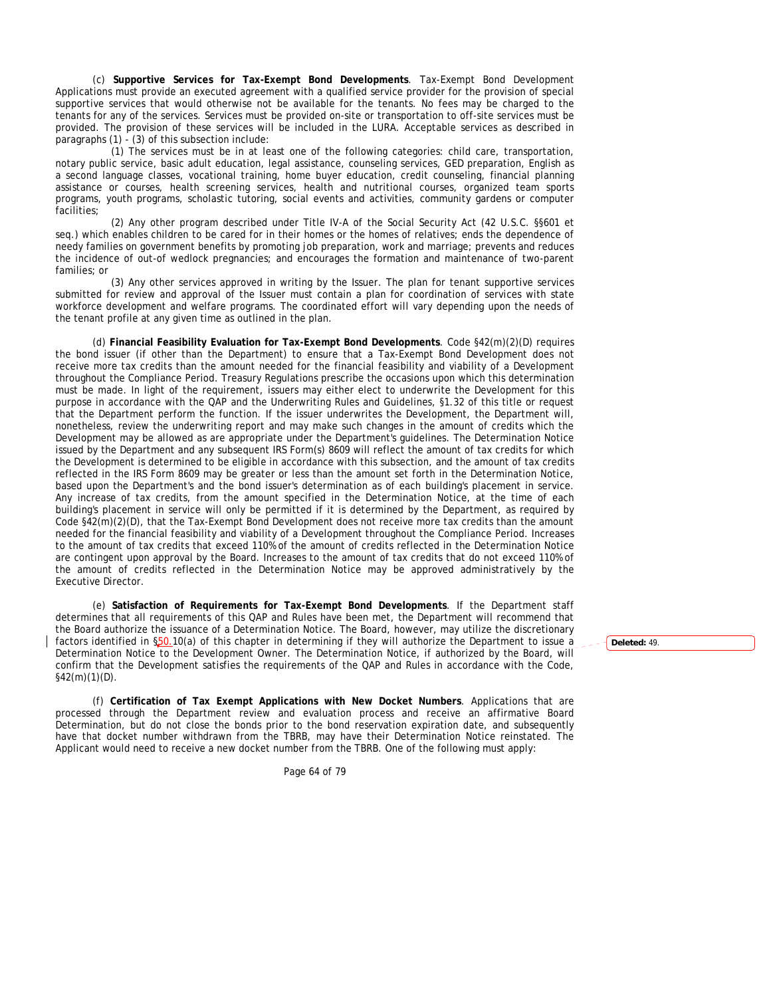(c) **Supportive Services for Tax-Exempt Bond Developments**. Tax-Exempt Bond Development Applications must provide an executed agreement with a qualified service provider for the provision of special supportive services that would otherwise not be available for the tenants. No fees may be charged to the tenants for any of the services. Services must be provided on-site or transportation to off-site services must be provided. The provision of these services will be included in the LURA. Acceptable services as described in paragraphs (1) - (3) of this subsection include:

(1) The services must be in at least one of the following categories: child care, transportation, notary public service, basic adult education, legal assistance, counseling services, GED preparation, English as a second language classes, vocational training, home buyer education, credit counseling, financial planning assistance or courses, health screening services, health and nutritional courses, organized team sports programs, youth programs, scholastic tutoring, social events and activities, community gardens or computer facilities;

(2) Any other program described under Title IV-A of the Social Security Act (42 U.S.C. §§601 et seq.) which enables children to be cared for in their homes or the homes of relatives; ends the dependence of needy families on government benefits by promoting job preparation, work and marriage; prevents and reduces the incidence of out-of wedlock pregnancies; and encourages the formation and maintenance of two-parent families; or

(3) Any other services approved in writing by the Issuer. The plan for tenant supportive services submitted for review and approval of the Issuer must contain a plan for coordination of services with state workforce development and welfare programs. The coordinated effort will vary depending upon the needs of the tenant profile at any given time as outlined in the plan.

(d) **Financial Feasibility Evaluation for Tax-Exempt Bond Developments**. Code §42(m)(2)(D) requires the bond issuer (if other than the Department) to ensure that a Tax-Exempt Bond Development does not receive more tax credits than the amount needed for the financial feasibility and viability of a Development throughout the Compliance Period. Treasury Regulations prescribe the occasions upon which this determination must be made. In light of the requirement, issuers may either elect to underwrite the Development for this purpose in accordance with the QAP and the Underwriting Rules and Guidelines, §1.32 of this title or request that the Department perform the function. If the issuer underwrites the Development, the Department will, nonetheless, review the underwriting report and may make such changes in the amount of credits which the Development may be allowed as are appropriate under the Department's guidelines. The Determination Notice issued by the Department and any subsequent IRS Form(s) 8609 will reflect the amount of tax credits for which the Development is determined to be eligible in accordance with this subsection, and the amount of tax credits reflected in the IRS Form 8609 may be greater or less than the amount set forth in the Determination Notice, based upon the Department's and the bond issuer's determination as of each building's placement in service. Any increase of tax credits, from the amount specified in the Determination Notice, at the time of each building's placement in service will only be permitted if it is determined by the Department, as required by Code §42(m)(2)(D), that the Tax-Exempt Bond Development does not receive more tax credits than the amount needed for the financial feasibility and viability of a Development throughout the Compliance Period. Increases to the amount of tax credits that exceed 110% of the amount of credits reflected in the Determination Notice are contingent upon approval by the Board. Increases to the amount of tax credits that do not exceed 110% of the amount of credits reflected in the Determination Notice may be approved administratively by the Executive Director.

(e) **Satisfaction of Requirements for Tax-Exempt Bond Developments**. If the Department staff determines that all requirements of this QAP and Rules have been met, the Department will recommend that the Board authorize the issuance of a Determination Notice. The Board, however, may utilize the discretionary factors identified in \$50.10(a) of this chapter in determining if they will authorize the Department to issue a Determination Notice to the Development Owner. The Determination Notice, if authorized by the Board, will confirm that the Development satisfies the requirements of the QAP and Rules in accordance with the Code,  $§42(m)(1)(D)$ .

(f) **Certification of Tax Exempt Applications with New Docket Numbers**. Applications that are processed through the Department review and evaluation process and receive an affirmative Board Determination, but do not close the bonds prior to the bond reservation expiration date, and subsequently have that docket number withdrawn from the TBRB, may have their Determination Notice reinstated. The Applicant would need to receive a new docket number from the TBRB. One of the following must apply:

Page 64 of 79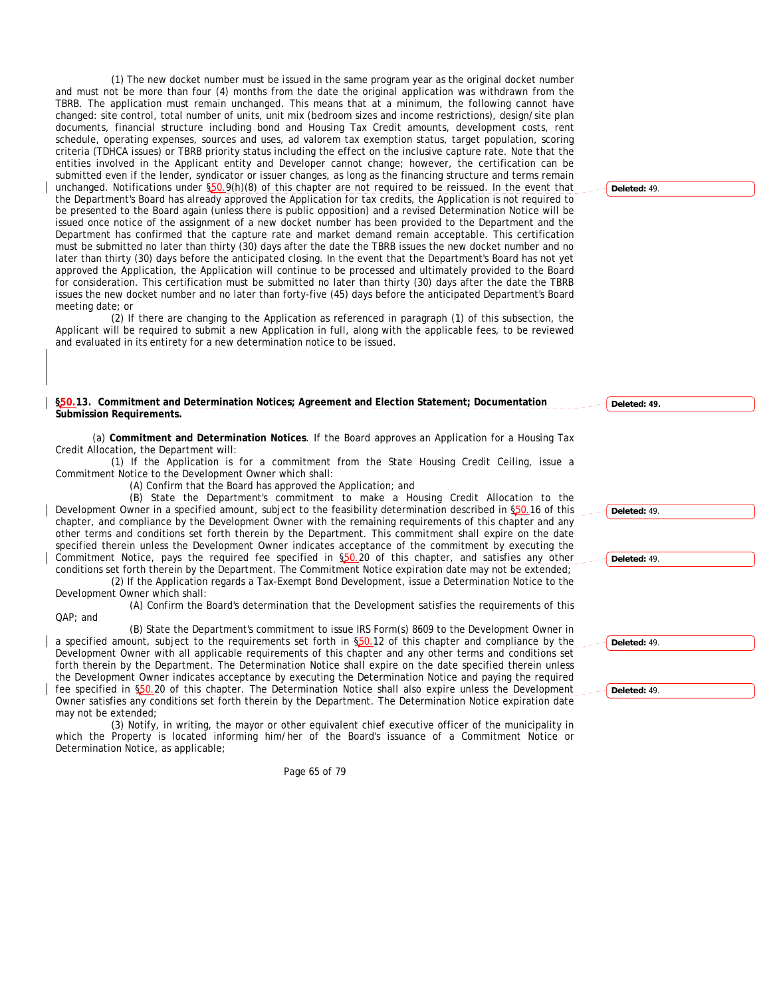(1) The new docket number must be issued in the same program year as the original docket number and must not be more than four (4) months from the date the original application was withdrawn from the TBRB. The application must remain unchanged. This means that at a minimum, the following cannot have changed: site control, total number of units, unit mix (bedroom sizes and income restrictions), design/site plan documents, financial structure including bond and Housing Tax Credit amounts, development costs, rent schedule, operating expenses, sources and uses, ad valorem tax exemption status, target population, scoring criteria (TDHCA issues) or TBRB priority status including the effect on the inclusive capture rate. Note that the entities involved in the Applicant entity and Developer cannot change; however, the certification can be submitted even if the lender, syndicator or issuer changes, as long as the financing structure and terms remain unchanged. Notifications under \$50.9(h)(8) of this chapter are not required to be reissued. In the event that the Department's Board has already approved the Application for tax credits, the Application is not required to be presented to the Board again (unless there is public opposition) and a revised Determination Notice will be issued once notice of the assignment of a new docket number has been provided to the Department and the Department has confirmed that the capture rate and market demand remain acceptable. This certification must be submitted no later than thirty (30) days after the date the TBRB issues the new docket number and no later than thirty (30) days before the anticipated closing. In the event that the Department's Board has not yet approved the Application, the Application will continue to be processed and ultimately provided to the Board for consideration. This certification must be submitted no later than thirty (30) days after the date the TBRB issues the new docket number and no later than forty-five (45) days before the anticipated Department's Board meeting date; or

(2) If there are changing to the Application as referenced in paragraph (1) of this subsection, the Applicant will be required to submit a new Application in full, along with the applicable fees, to be reviewed and evaluated in its entirety for a new determination notice to be issued.

### **§50.13. Commitment and Determination Notices; Agreement and Election Statement; Documentation Submission Requirements.**

(a) **Commitment and Determination Notices**. If the Board approves an Application for a Housing Tax Credit Allocation, the Department will:

(1) If the Application is for a commitment from the State Housing Credit Ceiling, issue a Commitment Notice to the Development Owner which shall:

(A) Confirm that the Board has approved the Application; and

(B) State the Department's commitment to make a Housing Credit Allocation to the Development Owner in a specified amount, subject to the feasibility determination described in §50.16 of this chapter, and compliance by the Development Owner with the remaining requirements of this chapter and any other terms and conditions set forth therein by the Department. This commitment shall expire on the date specified therein unless the Development Owner indicates acceptance of the commitment by executing the Commitment Notice, pays the required fee specified in §50.20 of this chapter, and satisfies any other conditions set forth therein by the Department. The Commitment Notice expiration date may not be extended;

(2) If the Application regards a Tax-Exempt Bond Development, issue a Determination Notice to the Development Owner which shall:

(A) Confirm the Board's determination that the Development satisfies the requirements of this QAP; and

(B) State the Department's commitment to issue IRS Form(s) 8609 to the Development Owner in a specified amount, subject to the requirements set forth in §50.12 of this chapter and compliance by the Development Owner with all applicable requirements of this chapter and any other terms and conditions set forth therein by the Department. The Determination Notice shall expire on the date specified therein unless the Development Owner indicates acceptance by executing the Determination Notice and paying the required fee specified in §50.20 of this chapter. The Determination Notice shall also expire unless the Development Owner satisfies any conditions set forth therein by the Department. The Determination Notice expiration date may not be extended;

(3) Notify, in writing, the mayor or other equivalent chief executive officer of the municipality in which the Property is located informing him/her of the Board's issuance of a Commitment Notice or Determination Notice, as applicable;

Page 65 of 79

**Deleted:** 49.

**Deleted: 49.**

**Deleted:** 49. **Deleted:** 49. **Deleted:** 49. **Deleted:** 49.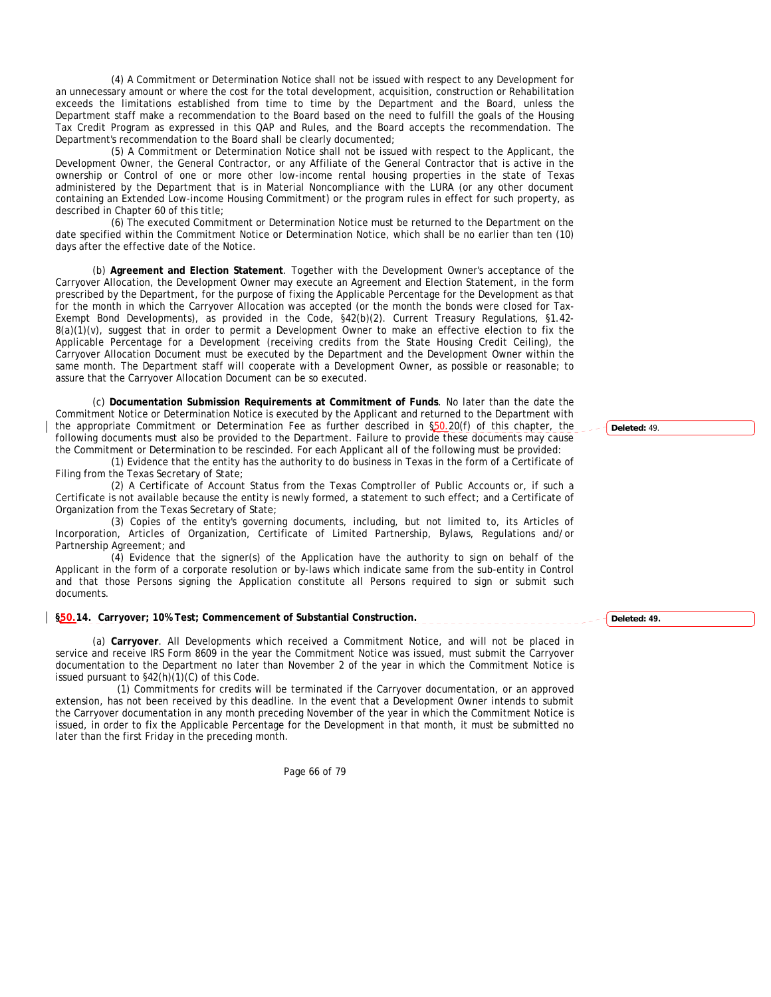(4) A Commitment or Determination Notice shall not be issued with respect to any Development for an unnecessary amount or where the cost for the total development, acquisition, construction or Rehabilitation exceeds the limitations established from time to time by the Department and the Board, unless the Department staff make a recommendation to the Board based on the need to fulfill the goals of the Housing Tax Credit Program as expressed in this QAP and Rules, and the Board accepts the recommendation. The Department's recommendation to the Board shall be clearly documented;

(5) A Commitment or Determination Notice shall not be issued with respect to the Applicant, the Development Owner, the General Contractor, or any Affiliate of the General Contractor that is active in the ownership or Control of one or more other low-income rental housing properties in the state of Texas administered by the Department that is in Material Noncompliance with the LURA (or any other document containing an Extended Low-income Housing Commitment) or the program rules in effect for such property, as described in Chapter 60 of this title;

(6) The executed Commitment or Determination Notice must be returned to the Department on the date specified within the Commitment Notice or Determination Notice, which shall be no earlier than ten (10) days after the effective date of the Notice.

(b) **Agreement and Election Statement**. Together with the Development Owner's acceptance of the Carryover Allocation, the Development Owner may execute an Agreement and Election Statement, in the form prescribed by the Department, for the purpose of fixing the Applicable Percentage for the Development as that for the month in which the Carryover Allocation was accepted (or the month the bonds were closed for Tax-Exempt Bond Developments), as provided in the Code, §42(b)(2). Current Treasury Regulations, §1.42-  $8(a)(1)(v)$ , suggest that in order to permit a Development Owner to make an effective election to fix the Applicable Percentage for a Development (receiving credits from the State Housing Credit Ceiling), the Carryover Allocation Document must be executed by the Department and the Development Owner within the same month. The Department staff will cooperate with a Development Owner, as possible or reasonable; to assure that the Carryover Allocation Document can be so executed.

(c) **Documentation Submission Requirements at Commitment of Funds**. No later than the date the Commitment Notice or Determination Notice is executed by the Applicant and returned to the Department with the appropriate Commitment or Determination Fee as further described in \$50.20(f) of this chapter, the following documents must also be provided to the Department. Failure to provide these documents may cause the Commitment or Determination to be rescinded. For each Applicant all of the following must be provided:

(1) Evidence that the entity has the authority to do business in Texas in the form of a Certificate of Filing from the Texas Secretary of State;

(2) A Certificate of Account Status from the Texas Comptroller of Public Accounts or, if such a Certificate is not available because the entity is newly formed, a statement to such effect; and a Certificate of Organization from the Texas Secretary of State;

(3) Copies of the entity's governing documents, including, but not limited to, its Articles of Incorporation, Articles of Organization, Certificate of Limited Partnership, Bylaws, Regulations and/or Partnership Agreement; and

(4) Evidence that the signer(s) of the Application have the authority to sign on behalf of the Applicant in the form of a corporate resolution or by-laws which indicate same from the sub-entity in Control and that those Persons signing the Application constitute all Persons required to sign or submit such documents.

**§50.14. Carryover; 10% Test; Commencement of Substantial Construction.** 

(a) **Carryover**. All Developments which received a Commitment Notice, and will not be placed in service and receive IRS Form 8609 in the year the Commitment Notice was issued, must submit the Carryover documentation to the Department no later than November 2 of the year in which the Commitment Notice is issued pursuant to §42(h)(1)(C) of this Code.

 (1) Commitments for credits will be terminated if the Carryover documentation, or an approved extension, has not been received by this deadline. In the event that a Development Owner intends to submit the Carryover documentation in any month preceding November of the year in which the Commitment Notice is issued, in order to fix the Applicable Percentage for the Development in that month, it must be submitted no later than the first Friday in the preceding month.

Page 66 of 79

**Deleted: 49.**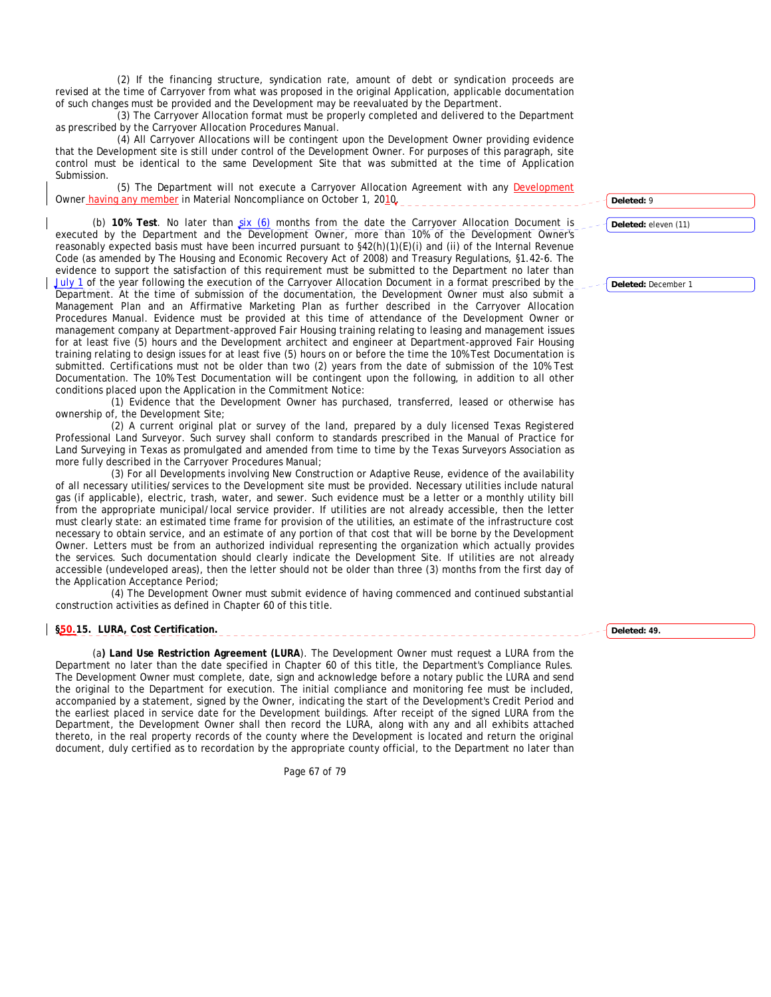(2) If the financing structure, syndication rate, amount of debt or syndication proceeds are revised at the time of Carryover from what was proposed in the original Application, applicable documentation of such changes must be provided and the Development may be reevaluated by the Department.

 (3) The Carryover Allocation format must be properly completed and delivered to the Department as prescribed by the Carryover Allocation Procedures Manual.

 (4) All Carryover Allocations will be contingent upon the Development Owner providing evidence that the Development site is still under control of the Development Owner. For purposes of this paragraph, site control must be identical to the same Development Site that was submitted at the time of Application Submission.

 (5) The Department will not execute a Carryover Allocation Agreement with any Development Owner having any member in Material Noncompliance on October 1, 2010.

(b) 10% Test. No later than  $\sin(6)$  months from the date the Carryover Allocation Document is executed by the Department and the Development Owner, more than 10% of the Development Owner's reasonably expected basis must have been incurred pursuant to §42(h)(1)(E)(i) and (ii) of the Internal Revenue Code (as amended by The Housing and Economic Recovery Act of 2008) and Treasury Regulations, §1.42-6. The evidence to support the satisfaction of this requirement must be submitted to the Department no later than July 1 of the year following the execution of the Carryover Allocation Document in a format prescribed by the Department. At the time of submission of the documentation, the Development Owner must also submit a Management Plan and an Affirmative Marketing Plan as further described in the Carryover Allocation Procedures Manual. Evidence must be provided at this time of attendance of the Development Owner or management company at Department-approved Fair Housing training relating to leasing and management issues for at least five (5) hours and the Development architect and engineer at Department-approved Fair Housing training relating to design issues for at least five (5) hours on or before the time the 10% Test Documentation is submitted. Certifications must not be older than two (2) years from the date of submission of the 10% Test Documentation. The 10% Test Documentation will be contingent upon the following, in addition to all other conditions placed upon the Application in the Commitment Notice:

(1) Evidence that the Development Owner has purchased, transferred, leased or otherwise has ownership of, the Development Site;

(2) A current original plat or survey of the land, prepared by a duly licensed Texas Registered Professional Land Surveyor. Such survey shall conform to standards prescribed in the Manual of Practice for Land Surveying in Texas as promulgated and amended from time to time by the Texas Surveyors Association as more fully described in the Carryover Procedures Manual;

(3) For all Developments involving New Construction or Adaptive Reuse, evidence of the availability of all necessary utilities/services to the Development site must be provided. Necessary utilities include natural gas (if applicable), electric, trash, water, and sewer. Such evidence must be a letter or a monthly utility bill from the appropriate municipal/local service provider. If utilities are not already accessible, then the letter must clearly state: an estimated time frame for provision of the utilities, an estimate of the infrastructure cost necessary to obtain service, and an estimate of any portion of that cost that will be borne by the Development Owner. Letters must be from an authorized individual representing the organization which actually provides the services. Such documentation should clearly indicate the Development Site. If utilities are not already accessible (undeveloped areas), then the letter should not be older than three (3) months from the first day of the Application Acceptance Period;

(4) The Development Owner must submit evidence of having commenced and continued substantial construction activities as defined in Chapter 60 of this title.

### **§50.15. LURA, Cost Certification.**

(a**) Land Use Restriction Agreement (LURA**). The Development Owner must request a LURA from the Department no later than the date specified in Chapter 60 of this title, the Department's Compliance Rules. The Development Owner must complete, date, sign and acknowledge before a notary public the LURA and send the original to the Department for execution. The initial compliance and monitoring fee must be included, accompanied by a statement, signed by the Owner, indicating the start of the Development's Credit Period and the earliest placed in service date for the Development buildings. After receipt of the signed LURA from the Department, the Development Owner shall then record the LURA, along with any and all exhibits attached thereto, in the real property records of the county where the Development is located and return the original document, duly certified as to recordation by the appropriate county official, to the Department no later than

Page 67 of 79

**Deleted:** 9

**Deleted:** eleven (11)

**Deleted:** December 1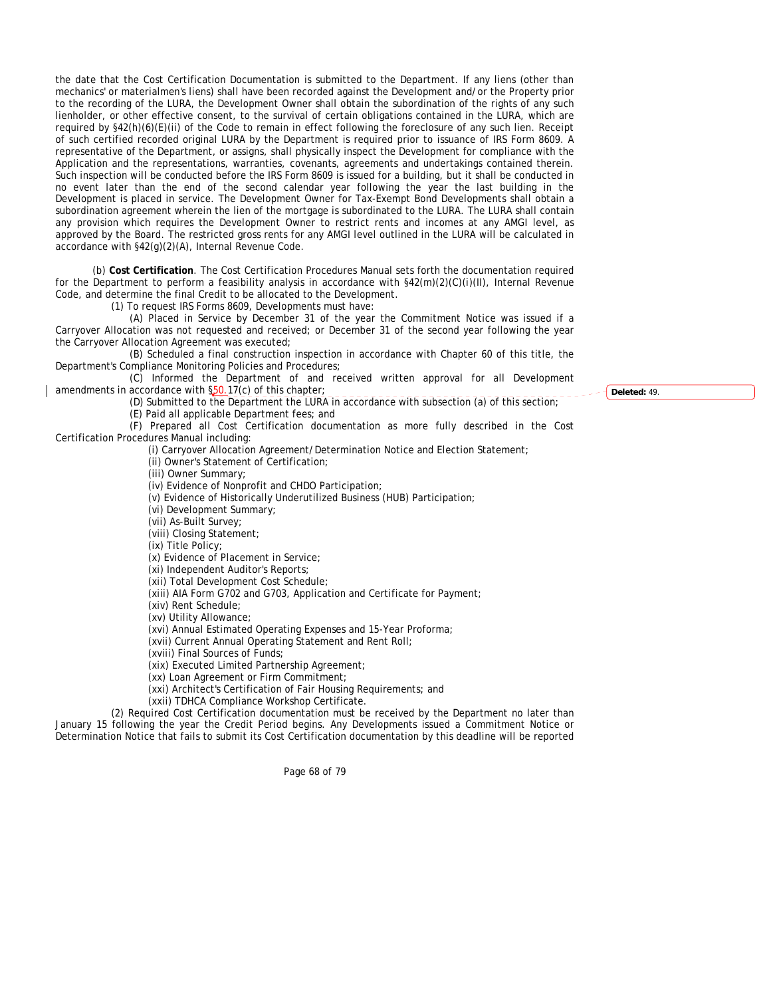the date that the Cost Certification Documentation is submitted to the Department. If any liens (other than mechanics' or materialmen's liens) shall have been recorded against the Development and/or the Property prior to the recording of the LURA, the Development Owner shall obtain the subordination of the rights of any such lienholder, or other effective consent, to the survival of certain obligations contained in the LURA, which are required by §42(h)(6)(E)(ii) of the Code to remain in effect following the foreclosure of any such lien. Receipt of such certified recorded original LURA by the Department is required prior to issuance of IRS Form 8609. A representative of the Department, or assigns, shall physically inspect the Development for compliance with the Application and the representations, warranties, covenants, agreements and undertakings contained therein. Such inspection will be conducted before the IRS Form 8609 is issued for a building, but it shall be conducted in no event later than the end of the second calendar year following the year the last building in the Development is placed in service. The Development Owner for Tax-Exempt Bond Developments shall obtain a subordination agreement wherein the lien of the mortgage is subordinated to the LURA. The LURA shall contain any provision which requires the Development Owner to restrict rents and incomes at any AMGI level, as approved by the Board. The restricted gross rents for any AMGI level outlined in the LURA will be calculated in accordance with §42(g)(2)(A), Internal Revenue Code.

(b) **Cost Certification**. The Cost Certification Procedures Manual sets forth the documentation required for the Department to perform a feasibility analysis in accordance with §42(m)(2)(C)(i)(II), Internal Revenue Code, and determine the final Credit to be allocated to the Development.

(1) To request IRS Forms 8609, Developments must have:

(A) Placed in Service by December 31 of the year the Commitment Notice was issued if a Carryover Allocation was not requested and received; or December 31 of the second year following the year the Carryover Allocation Agreement was executed;

(B) Scheduled a final construction inspection in accordance with Chapter 60 of this title, the Department's Compliance Monitoring Policies and Procedures;

(C) Informed the Department of and received written approval for all Development amendments in accordance with §50.17(c) of this chapter;

(D) Submitted to the Department the LURA in accordance with subsection (a) of this section; (E) Paid all applicable Department fees; and

(F) Prepared all Cost Certification documentation as more fully described in the Cost Certification Procedures Manual including:

(i) Carryover Allocation Agreement/Determination Notice and Election Statement;

(ii) Owner's Statement of Certification;

(iii) Owner Summary;

(iv) Evidence of Nonprofit and CHDO Participation;

(v) Evidence of Historically Underutilized Business (HUB) Participation;

(vi) Development Summary;

(vii) As-Built Survey;

(viii) Closing Statement;

(ix) Title Policy;

(x) Evidence of Placement in Service;

(xi) Independent Auditor's Reports;

(xii) Total Development Cost Schedule;

(xiii) AIA Form G702 and G703, Application and Certificate for Payment;

(xiv) Rent Schedule;

(xv) Utility Allowance;

(xvi) Annual Estimated Operating Expenses and 15-Year Proforma;

(xvii) Current Annual Operating Statement and Rent Roll;

(xviii) Final Sources of Funds;

(xix) Executed Limited Partnership Agreement;

(xx) Loan Agreement or Firm Commitment;

(xxi) Architect's Certification of Fair Housing Requirements; and

(xxii) TDHCA Compliance Workshop Certificate.

(2) Required Cost Certification documentation must be received by the Department no later than January 15 following the year the Credit Period begins. Any Developments issued a Commitment Notice or Determination Notice that fails to submit its Cost Certification documentation by this deadline will be reported

Page 68 of 79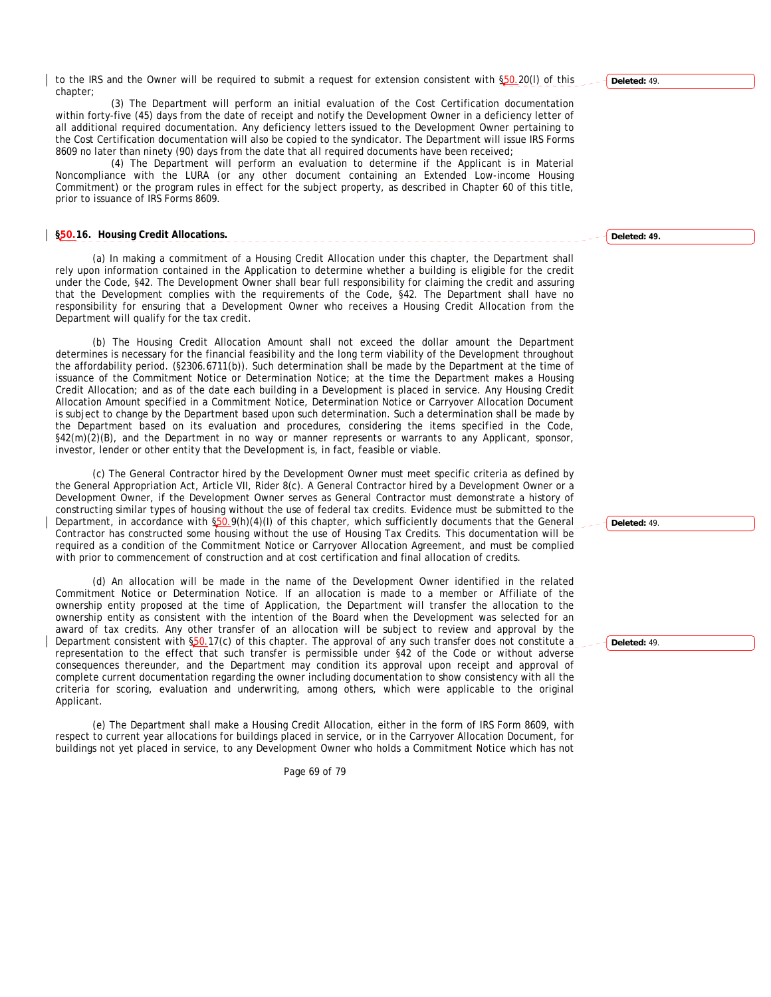to the IRS and the Owner will be required to submit a request for extension consistent with §50.20(I) of this chapter;

(3) The Department will perform an initial evaluation of the Cost Certification documentation within forty-five (45) days from the date of receipt and notify the Development Owner in a deficiency letter of all additional required documentation. Any deficiency letters issued to the Development Owner pertaining to the Cost Certification documentation will also be copied to the syndicator. The Department will issue IRS Forms 8609 no later than ninety (90) days from the date that all required documents have been received;

(4) The Department will perform an evaluation to determine if the Applicant is in Material Noncompliance with the LURA (or any other document containing an Extended Low-income Housing Commitment) or the program rules in effect for the subject property, as described in Chapter 60 of this title, prior to issuance of IRS Forms 8609.

## **§50.16. Housing Credit Allocations.**

(a) In making a commitment of a Housing Credit Allocation under this chapter, the Department shall rely upon information contained in the Application to determine whether a building is eligible for the credit under the Code, §42. The Development Owner shall bear full responsibility for claiming the credit and assuring that the Development complies with the requirements of the Code, §42. The Department shall have no responsibility for ensuring that a Development Owner who receives a Housing Credit Allocation from the Department will qualify for the tax credit.

(b) The Housing Credit Allocation Amount shall not exceed the dollar amount the Department determines is necessary for the financial feasibility and the long term viability of the Development throughout the affordability period. (§2306.6711(b)). Such determination shall be made by the Department at the time of issuance of the Commitment Notice or Determination Notice; at the time the Department makes a Housing Credit Allocation; and as of the date each building in a Development is placed in service. Any Housing Credit Allocation Amount specified in a Commitment Notice, Determination Notice or Carryover Allocation Document is subject to change by the Department based upon such determination. Such a determination shall be made by the Department based on its evaluation and procedures, considering the items specified in the Code, §42(m)(2)(B), and the Department in no way or manner represents or warrants to any Applicant, sponsor, investor, lender or other entity that the Development is, in fact, feasible or viable.

(c) The General Contractor hired by the Development Owner must meet specific criteria as defined by the General Appropriation Act, Article VII, Rider 8(c). A General Contractor hired by a Development Owner or a Development Owner, if the Development Owner serves as General Contractor must demonstrate a history of constructing similar types of housing without the use of federal tax credits. Evidence must be submitted to the Department, in accordance with §50.9(h)(4)(l) of this chapter, which sufficiently documents that the General Contractor has constructed some housing without the use of Housing Tax Credits. This documentation will be required as a condition of the Commitment Notice or Carryover Allocation Agreement, and must be complied with prior to commencement of construction and at cost certification and final allocation of credits.

(d) An allocation will be made in the name of the Development Owner identified in the related Commitment Notice or Determination Notice. If an allocation is made to a member or Affiliate of the ownership entity proposed at the time of Application, the Department will transfer the allocation to the ownership entity as consistent with the intention of the Board when the Development was selected for an award of tax credits. Any other transfer of an allocation will be subject to review and approval by the Department consistent with §50.17(c) of this chapter. The approval of any such transfer does not constitute a representation to the effect that such transfer is permissible under §42 of the Code or without adverse consequences thereunder, and the Department may condition its approval upon receipt and approval of complete current documentation regarding the owner including documentation to show consistency with all the criteria for scoring, evaluation and underwriting, among others, which were applicable to the original Applicant.

(e) The Department shall make a Housing Credit Allocation, either in the form of IRS Form 8609, with respect to current year allocations for buildings placed in service, or in the Carryover Allocation Document, for buildings not yet placed in service, to any Development Owner who holds a Commitment Notice which has not

Page 69 of 79

**Deleted:** 49.

**Deleted: 49.**

**Deleted:** 49.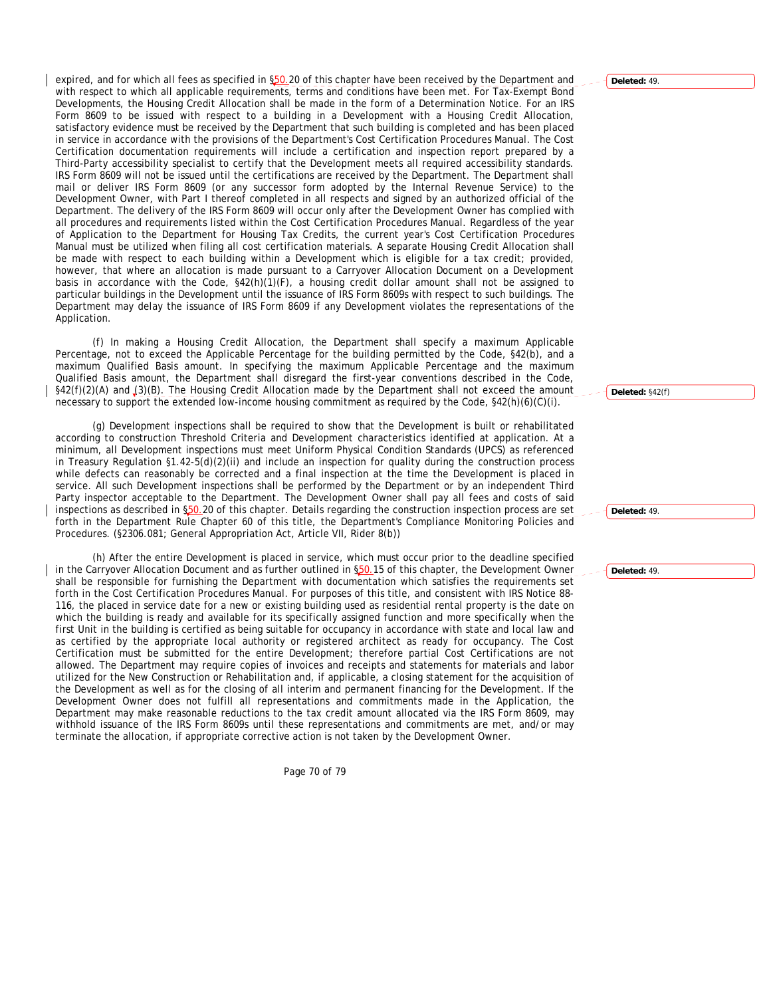expired, and for which all fees as specified in §50.20 of this chapter have been received by the Department and with respect to which all applicable requirements, terms and conditions have been met. For Tax-Exempt Bond Developments, the Housing Credit Allocation shall be made in the form of a Determination Notice. For an IRS Form 8609 to be issued with respect to a building in a Development with a Housing Credit Allocation, satisfactory evidence must be received by the Department that such building is completed and has been placed in service in accordance with the provisions of the Department's Cost Certification Procedures Manual. The Cost Certification documentation requirements will include a certification and inspection report prepared by a Third-Party accessibility specialist to certify that the Development meets all required accessibility standards. IRS Form 8609 will not be issued until the certifications are received by the Department. The Department shall mail or deliver IRS Form 8609 (or any successor form adopted by the Internal Revenue Service) to the Development Owner, with Part I thereof completed in all respects and signed by an authorized official of the Department. The delivery of the IRS Form 8609 will occur only after the Development Owner has complied with all procedures and requirements listed within the Cost Certification Procedures Manual. Regardless of the year of Application to the Department for Housing Tax Credits, the current year's Cost Certification Procedures Manual must be utilized when filing all cost certification materials. A separate Housing Credit Allocation shall be made with respect to each building within a Development which is eligible for a tax credit; provided, however, that where an allocation is made pursuant to a Carryover Allocation Document on a Development basis in accordance with the Code, §42(h)(1)(F), a housing credit dollar amount shall not be assigned to particular buildings in the Development until the issuance of IRS Form 8609s with respect to such buildings. The Department may delay the issuance of IRS Form 8609 if any Development violates the representations of the Application.

(f) In making a Housing Credit Allocation, the Department shall specify a maximum Applicable Percentage, not to exceed the Applicable Percentage for the building permitted by the Code, §42(b), and a maximum Qualified Basis amount. In specifying the maximum Applicable Percentage and the maximum Qualified Basis amount, the Department shall disregard the first-year conventions described in the Code, §42(f)(2)(A) and (3)(B). The Housing Credit Allocation made by the Department shall not exceed the amount necessary to support the extended low-income housing commitment as required by the Code,  $\frac{242(h)(6)(c)}{h}$ .

(g) Development inspections shall be required to show that the Development is built or rehabilitated according to construction Threshold Criteria and Development characteristics identified at application. At a minimum, all Development inspections must meet Uniform Physical Condition Standards (UPCS) as referenced in Treasury Regulation §1.42-5(d)(2)(ii) and include an inspection for quality during the construction process while defects can reasonably be corrected and a final inspection at the time the Development is placed in service. All such Development inspections shall be performed by the Department or by an independent Third Party inspector acceptable to the Department. The Development Owner shall pay all fees and costs of said inspections as described in §50.20 of this chapter. Details regarding the construction inspection process are set forth in the Department Rule Chapter 60 of this title, the Department's Compliance Monitoring Policies and Procedures. (§2306.081; General Appropriation Act, Article VII, Rider 8(b))

(h) After the entire Development is placed in service, which must occur prior to the deadline specified in the Carryover Allocation Document and as further outlined in \$50.15 of this chapter, the Development Owner shall be responsible for furnishing the Department with documentation which satisfies the requirements set forth in the Cost Certification Procedures Manual. For purposes of this title, and consistent with IRS Notice 88- 116, the placed in service date for a new or existing building used as residential rental property is the date on which the building is ready and available for its specifically assigned function and more specifically when the first Unit in the building is certified as being suitable for occupancy in accordance with state and local law and as certified by the appropriate local authority or registered architect as ready for occupancy. The Cost Certification must be submitted for the entire Development; therefore partial Cost Certifications are not allowed. The Department may require copies of invoices and receipts and statements for materials and labor utilized for the New Construction or Rehabilitation and, if applicable, a closing statement for the acquisition of the Development as well as for the closing of all interim and permanent financing for the Development. If the Development Owner does not fulfill all representations and commitments made in the Application, the Department may make reasonable reductions to the tax credit amount allocated via the IRS Form 8609, may withhold issuance of the IRS Form 8609s until these representations and commitments are met, and/or may terminate the allocation, if appropriate corrective action is not taken by the Development Owner.

Page 70 of 79

#### **Deleted:** 49.

**Deleted:** §42(f)

**Deleted:** 49.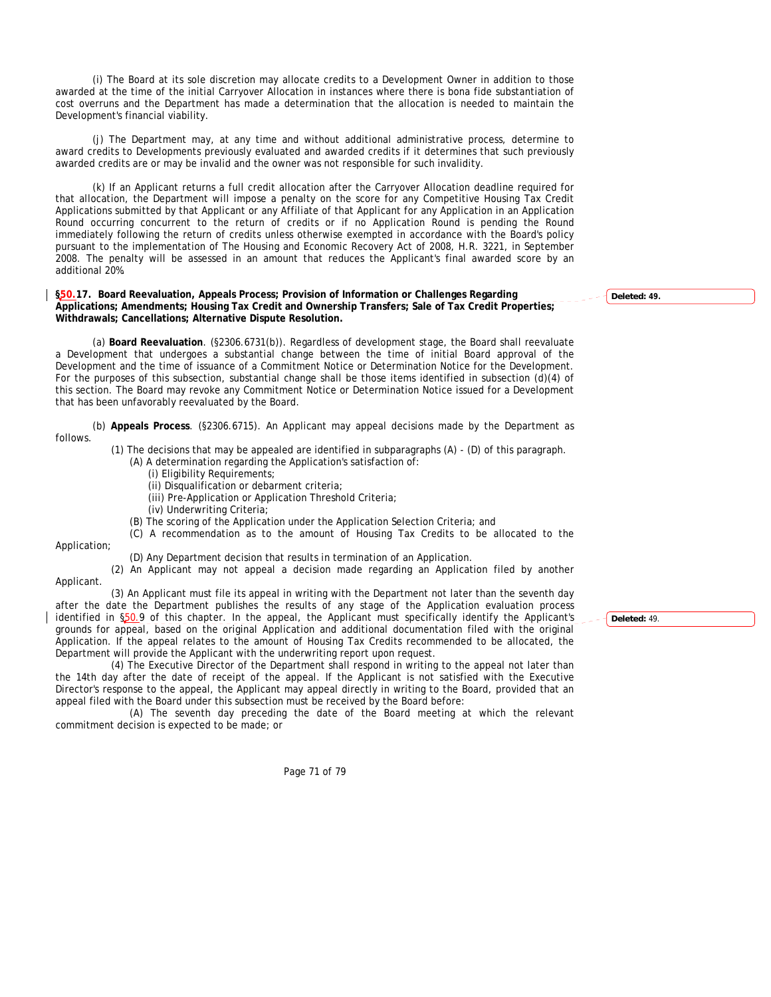(i) The Board at its sole discretion may allocate credits to a Development Owner in addition to those awarded at the time of the initial Carryover Allocation in instances where there is bona fide substantiation of cost overruns and the Department has made a determination that the allocation is needed to maintain the Development's financial viability.

(j) The Department may, at any time and without additional administrative process, determine to award credits to Developments previously evaluated and awarded credits if it determines that such previously awarded credits are or may be invalid and the owner was not responsible for such invalidity.

(k) If an Applicant returns a full credit allocation after the Carryover Allocation deadline required for that allocation, the Department will impose a penalty on the score for any Competitive Housing Tax Credit Applications submitted by that Applicant or any Affiliate of that Applicant for any Application in an Application Round occurring concurrent to the return of credits or if no Application Round is pending the Round immediately following the return of credits unless otherwise exempted in accordance with the Board's policy pursuant to the implementation of The Housing and Economic Recovery Act of 2008, H.R. 3221, in September 2008. The penalty will be assessed in an amount that reduces the Applicant's final awarded score by an additional 20%.

### **§50.17. Board Reevaluation, Appeals Process; Provision of Information or Challenges Regarding Applications; Amendments; Housing Tax Credit and Ownership Transfers; Sale of Tax Credit Properties; Withdrawals; Cancellations; Alternative Dispute Resolution.**

(a) **Board Reevaluation**. (§2306.6731(b)). Regardless of development stage, the Board shall reevaluate a Development that undergoes a substantial change between the time of initial Board approval of the Development and the time of issuance of a Commitment Notice or Determination Notice for the Development. For the purposes of this subsection, substantial change shall be those items identified in subsection (d)(4) of this section. The Board may revoke any Commitment Notice or Determination Notice issued for a Development that has been unfavorably reevaluated by the Board.

(b) **Appeals Process**. (§2306.6715). An Applicant may appeal decisions made by the Department as follows.

(1) The decisions that may be appealed are identified in subparagraphs (A) - (D) of this paragraph.

(A) A determination regarding the Application's satisfaction of:

- (i) Eligibility Requirements;
- (ii) Disqualification or debarment criteria;
- (iii) Pre-Application or Application Threshold Criteria;
- (iv) Underwriting Criteria;
- (B) The scoring of the Application under the Application Selection Criteria; and
- (C) A recommendation as to the amount of Housing Tax Credits to be allocated to the

Application;

Applicant.

(D) Any Department decision that results in termination of an Application.

(2) An Applicant may not appeal a decision made regarding an Application filed by another

(3) An Applicant must file its appeal in writing with the Department not later than the seventh day after the date the Department publishes the results of any stage of the Application evaluation process identified in §50.9 of this chapter. In the appeal, the Applicant must specifically identify the Applicant's grounds for appeal, based on the original Application and additional documentation filed with the original Application. If the appeal relates to the amount of Housing Tax Credits recommended to be allocated, the Department will provide the Applicant with the underwriting report upon request.

(4) The Executive Director of the Department shall respond in writing to the appeal not later than the 14th day after the date of receipt of the appeal. If the Applicant is not satisfied with the Executive Director's response to the appeal, the Applicant may appeal directly in writing to the Board, provided that an appeal filed with the Board under this subsection must be received by the Board before:

(A) The seventh day preceding the date of the Board meeting at which the relevant commitment decision is expected to be made; or

Page 71 of 79

**Deleted: 49.**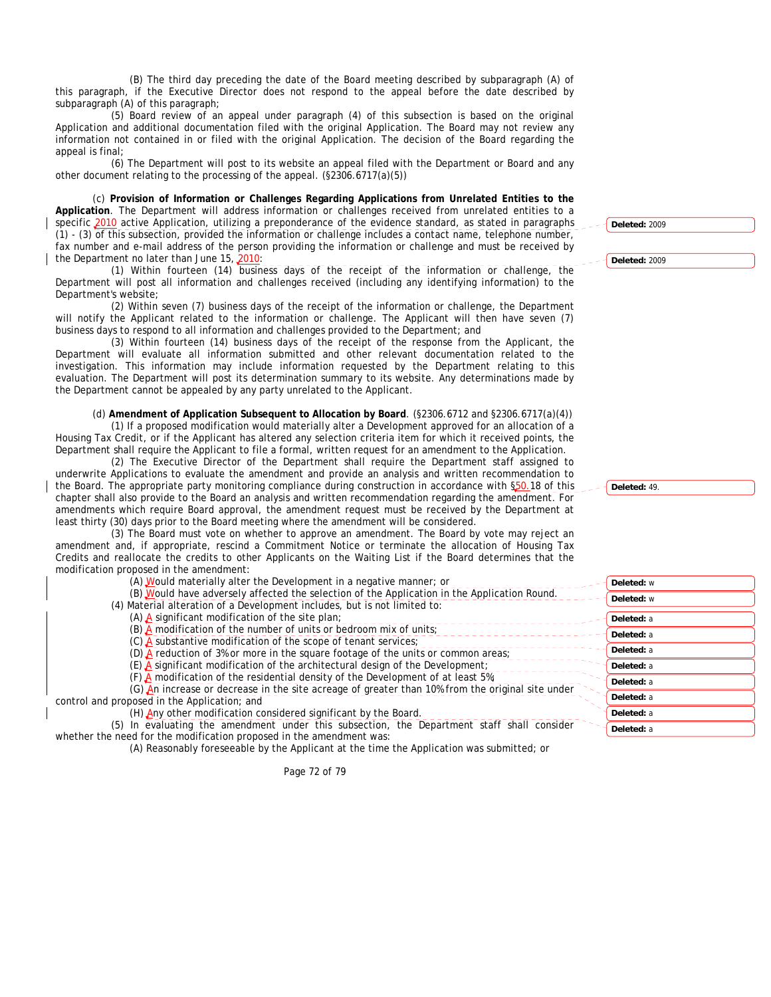(B) The third day preceding the date of the Board meeting described by subparagraph (A) of this paragraph, if the Executive Director does not respond to the appeal before the date described by subparagraph (A) of this paragraph;

(5) Board review of an appeal under paragraph (4) of this subsection is based on the original Application and additional documentation filed with the original Application. The Board may not review any information not contained in or filed with the original Application. The decision of the Board regarding the appeal is final;

(6) The Department will post to its website an appeal filed with the Department or Board and any other document relating to the processing of the appeal. (§2306.6717(a)(5))

(c) **Provision of Information or Challenges Regarding Applications from Unrelated Entities to the Application**. The Department will address information or challenges received from unrelated entities to a specific 2010 active Application, utilizing a preponderance of the evidence standard, as stated in paragraphs (1) - (3) of this subsection, provided the information or challenge includes a contact name, telephone number, fax number and e-mail address of the person providing the information or challenge and must be received by the Department no later than June 15, 2010:

(1) Within fourteen (14) business days of the receipt of the information or challenge, the Department will post all information and challenges received (including any identifying information) to the Department's website;

(2) Within seven (7) business days of the receipt of the information or challenge, the Department will notify the Applicant related to the information or challenge. The Applicant will then have seven (7) business days to respond to all information and challenges provided to the Department; and

(3) Within fourteen (14) business days of the receipt of the response from the Applicant, the Department will evaluate all information submitted and other relevant documentation related to the investigation. This information may include information requested by the Department relating to this evaluation. The Department will post its determination summary to its website. Any determinations made by the Department cannot be appealed by any party unrelated to the Applicant.

(d) **Amendment of Application Subsequent to Allocation by Board**. (§2306.6712 and §2306.6717(a)(4))

(1) If a proposed modification would materially alter a Development approved for an allocation of a Housing Tax Credit, or if the Applicant has altered any selection criteria item for which it received points, the Department shall require the Applicant to file a formal, written request for an amendment to the Application.

(2) The Executive Director of the Department shall require the Department staff assigned to underwrite Applications to evaluate the amendment and provide an analysis and written recommendation to the Board. The appropriate party monitoring compliance during construction in accordance with §50.18 of this chapter shall also provide to the Board an analysis and written recommendation regarding the amendment. For amendments which require Board approval, the amendment request must be received by the Department at least thirty (30) days prior to the Board meeting where the amendment will be considered.

(3) The Board must vote on whether to approve an amendment. The Board by vote may reject an amendment and, if appropriate, rescind a Commitment Notice or terminate the allocation of Housing Tax Credits and reallocate the credits to other Applicants on the Waiting List if the Board determines that the modification proposed in the amendment:

| (A) Would materially alter the Development in a negative manner; or                              |
|--------------------------------------------------------------------------------------------------|
| (B) Would have adversely affected the selection of the Application in the Application Round.     |
| (4) Material alteration of a Development includes, but is not limited to:                        |
| $(A)$ A significant modification of the site plan;                                               |
| $(B)$ . A modification of the number of units or bedroom mix of units;                           |
| $(C)$ . A substantive modification of the scope of tenant services;                              |
| (D) $\triangle$ reduction of 3% or more in the square footage of the units or common areas;      |
| $(E)$ A significant modification of the architectural design of the Development;                 |
| (F) A modification of the residential density of the Development of at least $5\%$ ;             |
| (G) An increase or decrease in the site acreage of greater than 10% from the original site under |
| control and proposed in the Application; and                                                     |
| (H) Any other modification considered significant by the Board.                                  |

(5) In evaluating the amendment under this subsection, the Department staff shall consider whether the need for the modification proposed in the amendment was:

(A) Reasonably foreseeable by the Applicant at the time the Application was submitted; or

| Deleted: w |  |
|------------|--|
| Deleted: w |  |
| Deleted: a |  |
| Deleted: a |  |
| Deleted: a |  |
| Deleted: a |  |
| Deleted: a |  |
| Deleted: a |  |
| Deleted: a |  |

**Deleted:** 2009

**Deleted:** 2009

**Deleted:** 49.

**Deleted:** a

Page 72 of 79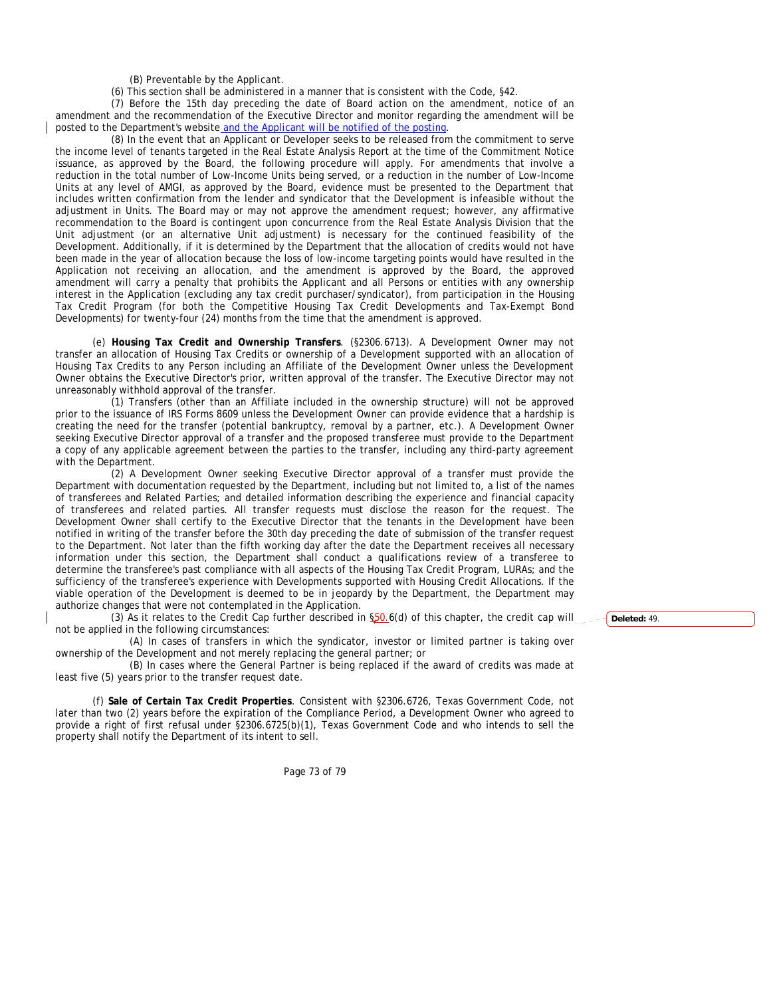(B) Preventable by the Applicant.

(6) This section shall be administered in a manner that is consistent with the Code, §42.

(7) Before the 15th day preceding the date of Board action on the amendment, notice of an amendment and the recommendation of the Executive Director and monitor regarding the amendment will be posted to the Department's website and the Applicant will be notified of the posting.

(8) In the event that an Applicant or Developer seeks to be released from the commitment to serve the income level of tenants targeted in the Real Estate Analysis Report at the time of the Commitment Notice issuance, as approved by the Board, the following procedure will apply. For amendments that involve a reduction in the total number of Low-Income Units being served, or a reduction in the number of Low-Income Units at any level of AMGI, as approved by the Board, evidence must be presented to the Department that includes written confirmation from the lender and syndicator that the Development is infeasible without the adjustment in Units. The Board may or may not approve the amendment request; however, any affirmative recommendation to the Board is contingent upon concurrence from the Real Estate Analysis Division that the Unit adjustment (or an alternative Unit adjustment) is necessary for the continued feasibility of the Development. Additionally, if it is determined by the Department that the allocation of credits would not have been made in the year of allocation because the loss of low-income targeting points would have resulted in the Application not receiving an allocation, and the amendment is approved by the Board, the approved amendment will carry a penalty that prohibits the Applicant and all Persons or entities with any ownership interest in the Application (excluding any tax credit purchaser/syndicator), from participation in the Housing Tax Credit Program (for both the Competitive Housing Tax Credit Developments and Tax-Exempt Bond Developments) for twenty-four (24) months from the time that the amendment is approved.

(e) **Housing Tax Credit and Ownership Transfers**. (§2306.6713). A Development Owner may not transfer an allocation of Housing Tax Credits or ownership of a Development supported with an allocation of Housing Tax Credits to any Person including an Affiliate of the Development Owner unless the Development Owner obtains the Executive Director's prior, written approval of the transfer. The Executive Director may not unreasonably withhold approval of the transfer.

(1) Transfers (other than an Affiliate included in the ownership structure) will not be approved prior to the issuance of IRS Forms 8609 unless the Development Owner can provide evidence that a hardship is creating the need for the transfer (potential bankruptcy, removal by a partner, etc.). A Development Owner seeking Executive Director approval of a transfer and the proposed transferee must provide to the Department a copy of any applicable agreement between the parties to the transfer, including any third-party agreement with the Department.

(2) A Development Owner seeking Executive Director approval of a transfer must provide the Department with documentation requested by the Department, including but not limited to, a list of the names of transferees and Related Parties; and detailed information describing the experience and financial capacity of transferees and related parties. All transfer requests must disclose the reason for the request. The Development Owner shall certify to the Executive Director that the tenants in the Development have been notified in writing of the transfer before the 30th day preceding the date of submission of the transfer request to the Department. Not later than the fifth working day after the date the Department receives all necessary information under this section, the Department shall conduct a qualifications review of a transferee to determine the transferee's past compliance with all aspects of the Housing Tax Credit Program, LURAs; and the sufficiency of the transferee's experience with Developments supported with Housing Credit Allocations. If the viable operation of the Development is deemed to be in jeopardy by the Department, the Department may authorize changes that were not contemplated in the Application.

(3) As it relates to the Credit Cap further described in §50.6(d) of this chapter, the credit cap will not be applied in the following circumstances:

(A) In cases of transfers in which the syndicator, investor or limited partner is taking over ownership of the Development and not merely replacing the general partner; or

(B) In cases where the General Partner is being replaced if the award of credits was made at least five (5) years prior to the transfer request date.

(f) **Sale of Certain Tax Credit Properties**. Consistent with §2306.6726, Texas Government Code, not later than two (2) years before the expiration of the Compliance Period, a Development Owner who agreed to provide a right of first refusal under §2306.6725(b)(1), Texas Government Code and who intends to sell the property shall notify the Department of its intent to sell.

Page 73 of 79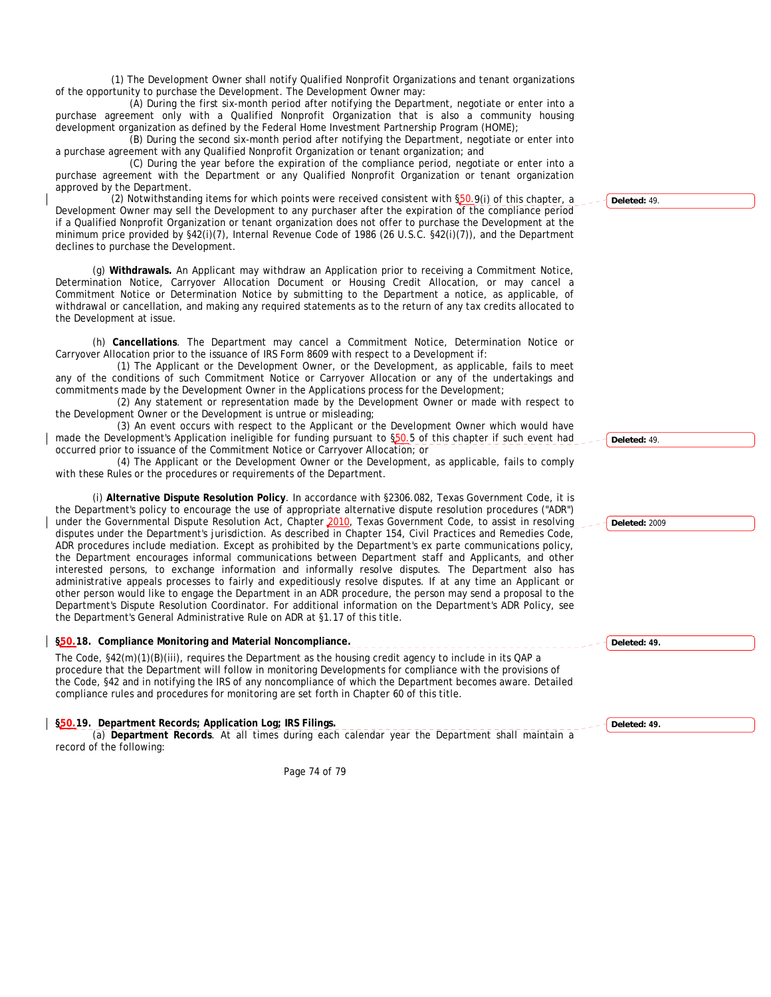(1) The Development Owner shall notify Qualified Nonprofit Organizations and tenant organizations of the opportunity to purchase the Development. The Development Owner may:

(A) During the first six-month period after notifying the Department, negotiate or enter into a purchase agreement only with a Qualified Nonprofit Organization that is also a community housing development organization as defined by the Federal Home Investment Partnership Program (HOME);

(B) During the second six-month period after notifying the Department, negotiate or enter into a purchase agreement with any Qualified Nonprofit Organization or tenant organization; and

(C) During the year before the expiration of the compliance period, negotiate or enter into a purchase agreement with the Department or any Qualified Nonprofit Organization or tenant organization approved by the Department.

(2) Notwithstanding items for which points were received consistent with §50.9(i) of this chapter, a Development Owner may sell the Development to any purchaser after the expiration of the compliance period if a Qualified Nonprofit Organization or tenant organization does not offer to purchase the Development at the minimum price provided by §42(i)(7), Internal Revenue Code of 1986 (26 U.S.C. §42(i)(7)), and the Department declines to purchase the Development.

(g) **Withdrawals.** An Applicant may withdraw an Application prior to receiving a Commitment Notice, Determination Notice, Carryover Allocation Document or Housing Credit Allocation, or may cancel a Commitment Notice or Determination Notice by submitting to the Department a notice, as applicable, of withdrawal or cancellation, and making any required statements as to the return of any tax credits allocated to the Development at issue.

(h) **Cancellations**. The Department may cancel a Commitment Notice, Determination Notice or Carryover Allocation prior to the issuance of IRS Form 8609 with respect to a Development if:

 (1) The Applicant or the Development Owner, or the Development, as applicable, fails to meet any of the conditions of such Commitment Notice or Carryover Allocation or any of the undertakings and commitments made by the Development Owner in the Applications process for the Development;

 (2) Any statement or representation made by the Development Owner or made with respect to the Development Owner or the Development is untrue or misleading;

 (3) An event occurs with respect to the Applicant or the Development Owner which would have made the Development's Application ineligible for funding pursuant to §50.5 of this chapter if such event had occurred prior to issuance of the Commitment Notice or Carryover Allocation; or

 (4) The Applicant or the Development Owner or the Development, as applicable, fails to comply with these Rules or the procedures or requirements of the Department.

(i) **Alternative Dispute Resolution Policy**. In accordance with §2306.082, Texas Government Code, it is the Department's policy to encourage the use of appropriate alternative dispute resolution procedures ("ADR") under the Governmental Dispute Resolution Act, Chapter 2010, Texas Government Code, to assist in resolving disputes under the Department's jurisdiction. As described in Chapter 154, Civil Practices and Remedies Code, ADR procedures include mediation. Except as prohibited by the Department's ex parte communications policy, the Department encourages informal communications between Department staff and Applicants, and other interested persons, to exchange information and informally resolve disputes. The Department also has administrative appeals processes to fairly and expeditiously resolve disputes. If at any time an Applicant or other person would like to engage the Department in an ADR procedure, the person may send a proposal to the Department's Dispute Resolution Coordinator. For additional information on the Department's ADR Policy, see the Department's General Administrative Rule on ADR at §1.17 of this title.

**§50.18. Compliance Monitoring and Material Noncompliance.**

The Code, §42(m)(1)(B)(iii), requires the Department as the housing credit agency to include in its QAP a procedure that the Department will follow in monitoring Developments for compliance with the provisions of the Code, §42 and in notifying the IRS of any noncompliance of which the Department becomes aware. Detailed compliance rules and procedures for monitoring are set forth in Chapter 60 of this title.

**§50.19. Department Records; Application Log; IRS Filings.**

(a) **Department Records**. At all times during each calendar year the Department shall maintain a record of the following:

Page 74 of 79

**Deleted:** 49.

**Deleted:** 49.

**Deleted:** 2009

**Deleted: 49.**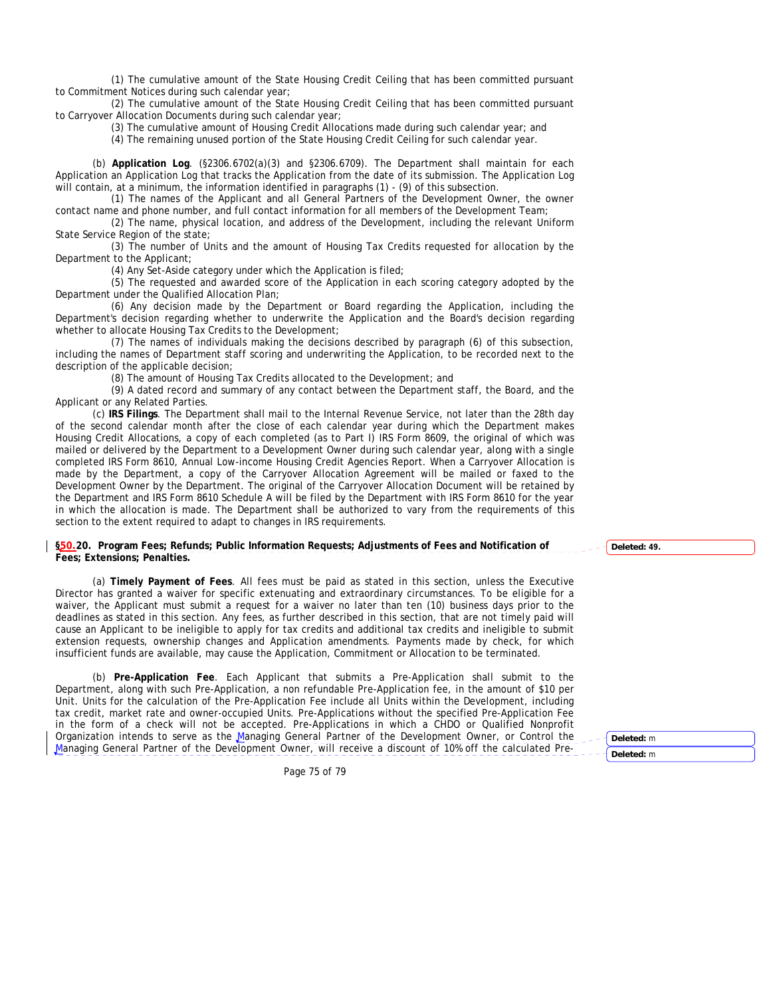(1) The cumulative amount of the State Housing Credit Ceiling that has been committed pursuant to Commitment Notices during such calendar year;

(2) The cumulative amount of the State Housing Credit Ceiling that has been committed pursuant to Carryover Allocation Documents during such calendar year;

(3) The cumulative amount of Housing Credit Allocations made during such calendar year; and

(4) The remaining unused portion of the State Housing Credit Ceiling for such calendar year.

(b) **Application Log**. (§2306.6702(a)(3) and §2306.6709). The Department shall maintain for each Application an Application Log that tracks the Application from the date of its submission. The Application Log will contain, at a minimum, the information identified in paragraphs (1) - (9) of this subsection.

(1) The names of the Applicant and all General Partners of the Development Owner, the owner contact name and phone number, and full contact information for all members of the Development Team;

(2) The name, physical location, and address of the Development, including the relevant Uniform State Service Region of the state;

(3) The number of Units and the amount of Housing Tax Credits requested for allocation by the Department to the Applicant;

(4) Any Set-Aside category under which the Application is filed;

(5) The requested and awarded score of the Application in each scoring category adopted by the Department under the Qualified Allocation Plan;

(6) Any decision made by the Department or Board regarding the Application, including the Department's decision regarding whether to underwrite the Application and the Board's decision regarding whether to allocate Housing Tax Credits to the Development;

(7) The names of individuals making the decisions described by paragraph (6) of this subsection, including the names of Department staff scoring and underwriting the Application, to be recorded next to the description of the applicable decision;

(8) The amount of Housing Tax Credits allocated to the Development; and

(9) A dated record and summary of any contact between the Department staff, the Board, and the Applicant or any Related Parties.

(c) **IRS Filings**. The Department shall mail to the Internal Revenue Service, not later than the 28th day of the second calendar month after the close of each calendar year during which the Department makes Housing Credit Allocations, a copy of each completed (as to Part I) IRS Form 8609, the original of which was mailed or delivered by the Department to a Development Owner during such calendar year, along with a single completed IRS Form 8610, Annual Low-income Housing Credit Agencies Report. When a Carryover Allocation is made by the Department, a copy of the Carryover Allocation Agreement will be mailed or faxed to the Development Owner by the Department. The original of the Carryover Allocation Document will be retained by the Department and IRS Form 8610 Schedule A will be filed by the Department with IRS Form 8610 for the year in which the allocation is made. The Department shall be authorized to vary from the requirements of this section to the extent required to adapt to changes in IRS requirements.

## **§50.20. Program Fees; Refunds; Public Information Requests; Adjustments of Fees and Notification of Fees; Extensions; Penalties.**

(a) **Timely Payment of Fees**. All fees must be paid as stated in this section, unless the Executive Director has granted a waiver for specific extenuating and extraordinary circumstances. To be eligible for a waiver, the Applicant must submit a request for a waiver no later than ten (10) business days prior to the deadlines as stated in this section. Any fees, as further described in this section, that are not timely paid will cause an Applicant to be ineligible to apply for tax credits and additional tax credits and ineligible to submit extension requests, ownership changes and Application amendments. Payments made by check, for which insufficient funds are available, may cause the Application, Commitment or Allocation to be terminated.

(b) **Pre-Application Fee**. Each Applicant that submits a Pre-Application shall submit to the Department, along with such Pre-Application, a non refundable Pre-Application fee, in the amount of \$10 per Unit. Units for the calculation of the Pre-Application Fee include all Units within the Development, including tax credit, market rate and owner-occupied Units. Pre-Applications without the specified Pre-Application Fee in the form of a check will not be accepted. Pre-Applications in which a CHDO or Qualified Nonprofit Organization intends to serve as the Managing General Partner of the Development Owner, or Control the Managing General Partner of the Development Owner, will receive a discount of 10% off the calculated Pre-

Page 75 of 79

**Deleted: 49.**

**Deleted:** m

**Deleted:** m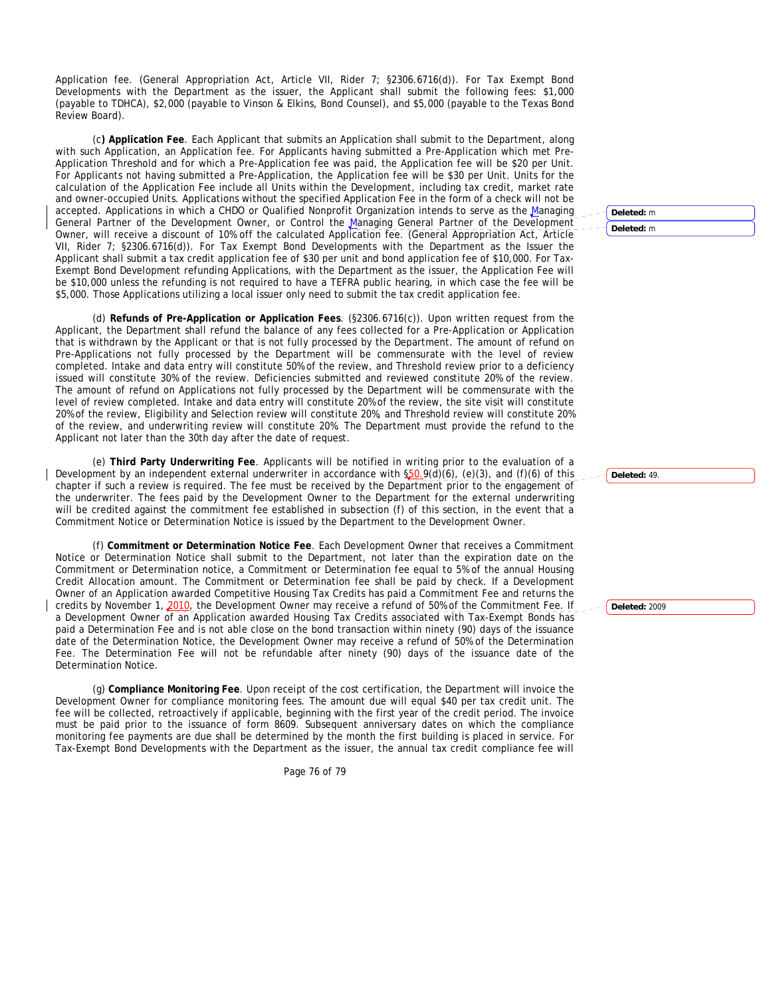Application fee. (General Appropriation Act, Article VII, Rider 7; §2306.6716(d)). For Tax Exempt Bond Developments with the Department as the issuer, the Applicant shall submit the following fees: \$1,000 (payable to TDHCA), \$2,000 (payable to Vinson & Elkins, Bond Counsel), and \$5,000 (payable to the Texas Bond Review Board).

(c**) Application Fee**. Each Applicant that submits an Application shall submit to the Department, along with such Application, an Application fee. For Applicants having submitted a Pre-Application which met Pre-Application Threshold and for which a Pre-Application fee was paid, the Application fee will be \$20 per Unit. For Applicants not having submitted a Pre-Application, the Application fee will be \$30 per Unit. Units for the calculation of the Application Fee include all Units within the Development, including tax credit, market rate and owner-occupied Units. Applications without the specified Application Fee in the form of a check will not be accepted. Applications in which a CHDO or Qualified Nonprofit Organization intends to serve as the Managing General Partner of the Development Owner, or Control the Managing General Partner of the Development Owner, will receive a discount of 10% off the calculated Application fee. (General Appropriation Act, Article VII, Rider 7; §2306.6716(d)). For Tax Exempt Bond Developments with the Department as the Issuer the Applicant shall submit a tax credit application fee of \$30 per unit and bond application fee of \$10,000. For Tax-Exempt Bond Development refunding Applications, with the Department as the issuer, the Application Fee will be \$10,000 unless the refunding is not required to have a TEFRA public hearing, in which case the fee will be \$5,000. Those Applications utilizing a local issuer only need to submit the tax credit application fee.

(d) **Refunds of Pre-Application or Application Fees**. (§2306.6716(c)). Upon written request from the Applicant, the Department shall refund the balance of any fees collected for a Pre-Application or Application that is withdrawn by the Applicant or that is not fully processed by the Department. The amount of refund on Pre-Applications not fully processed by the Department will be commensurate with the level of review completed. Intake and data entry will constitute 50% of the review, and Threshold review prior to a deficiency issued will constitute 30% of the review. Deficiencies submitted and reviewed constitute 20% of the review. The amount of refund on Applications not fully processed by the Department will be commensurate with the level of review completed. Intake and data entry will constitute 20% of the review, the site visit will constitute 20% of the review, Eligibility and Selection review will constitute 20%, and Threshold review will constitute 20% of the review, and underwriting review will constitute 20%. The Department must provide the refund to the Applicant not later than the 30th day after the date of request.

(e) **Third Party Underwriting Fee**. Applicants will be notified in writing prior to the evaluation of a Development by an independent external underwriter in accordance with  $\S50.9(d)(6)$ , (e)(3), and (f)(6) of this chapter if such a review is required. The fee must be received by the Department prior to the engagement of the underwriter. The fees paid by the Development Owner to the Department for the external underwriting will be credited against the commitment fee established in subsection (f) of this section, in the event that a Commitment Notice or Determination Notice is issued by the Department to the Development Owner.

(f) **Commitment or Determination Notice Fee**. Each Development Owner that receives a Commitment Notice or Determination Notice shall submit to the Department, not later than the expiration date on the Commitment or Determination notice, a Commitment or Determination fee equal to 5% of the annual Housing Credit Allocation amount. The Commitment or Determination fee shall be paid by check. If a Development Owner of an Application awarded Competitive Housing Tax Credits has paid a Commitment Fee and returns the credits by November 1, 2010, the Development Owner may receive a refund of 50% of the Commitment Fee. If a Development Owner of an Application awarded Housing Tax Credits associated with Tax-Exempt Bonds has paid a Determination Fee and is not able close on the bond transaction within ninety (90) days of the issuance date of the Determination Notice, the Development Owner may receive a refund of 50% of the Determination Fee. The Determination Fee will not be refundable after ninety (90) days of the issuance date of the Determination Notice.

(g) **Compliance Monitoring Fee**. Upon receipt of the cost certification, the Department will invoice the Development Owner for compliance monitoring fees. The amount due will equal \$40 per tax credit unit. The fee will be collected, retroactively if applicable, beginning with the first year of the credit period. The invoice must be paid prior to the issuance of form 8609. Subsequent anniversary dates on which the compliance monitoring fee payments are due shall be determined by the month the first building is placed in service. For Tax-Exempt Bond Developments with the Department as the issuer, the annual tax credit compliance fee will

Page 76 of 79

**Deleted:** m **Deleted:** m

**Deleted:** 49.

**Deleted:** 2009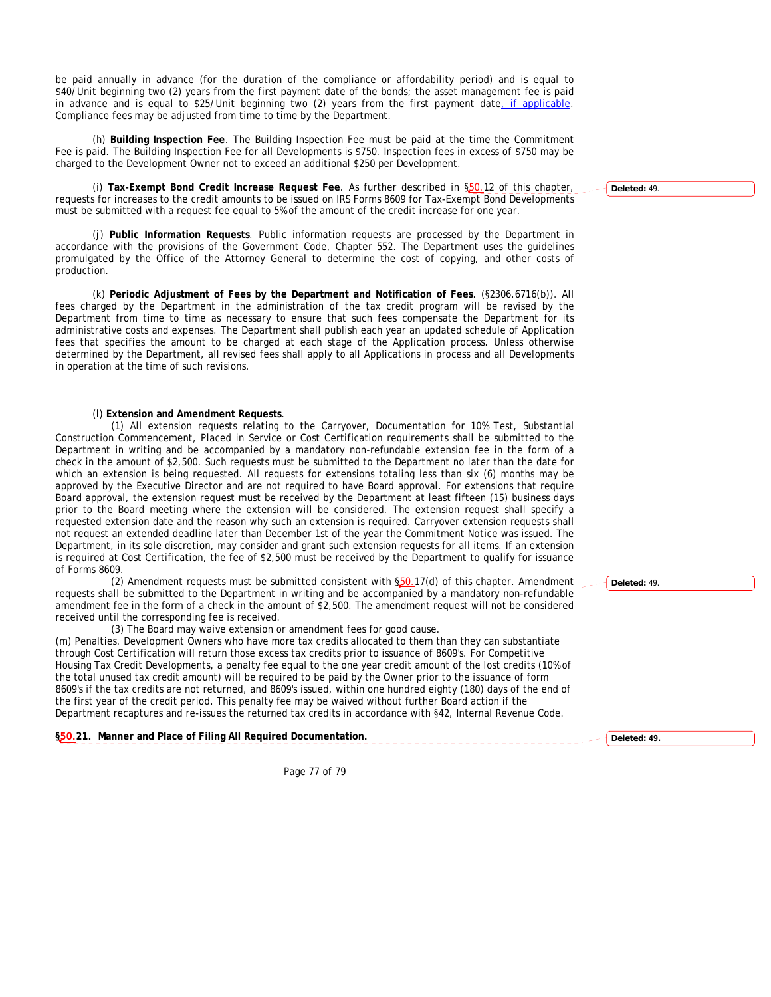be paid annually in advance (for the duration of the compliance or affordability period) and is equal to \$40/Unit beginning two (2) years from the first payment date of the bonds; the asset management fee is paid in advance and is equal to \$25/Unit beginning two (2) years from the first payment date, if applicable. Compliance fees may be adjusted from time to time by the Department.

(h) **Building Inspection Fee**. The Building Inspection Fee must be paid at the time the Commitment Fee is paid. The Building Inspection Fee for all Developments is \$750. Inspection fees in excess of \$750 may be charged to the Development Owner not to exceed an additional \$250 per Development.

(i) **Tax-Exempt Bond Credit Increase Request Fee**. As further described in §50.12 of this chapter, requests for increases to the credit amounts to be issued on IRS Forms 8609 for Tax-Exempt Bond Developments must be submitted with a request fee equal to 5% of the amount of the credit increase for one year.

(j) **Public Information Requests**. Public information requests are processed by the Department in accordance with the provisions of the Government Code, Chapter 552. The Department uses the guidelines promulgated by the Office of the Attorney General to determine the cost of copying, and other costs of production.

(k) **Periodic Adjustment of Fees by the Department and Notification of Fees**. (§2306.6716(b)). All fees charged by the Department in the administration of the tax credit program will be revised by the Department from time to time as necessary to ensure that such fees compensate the Department for its administrative costs and expenses. The Department shall publish each year an updated schedule of Application fees that specifies the amount to be charged at each stage of the Application process. Unless otherwise determined by the Department, all revised fees shall apply to all Applications in process and all Developments in operation at the time of such revisions.

## (l) **Extension and Amendment Requests**.

(1) All extension requests relating to the Carryover, Documentation for 10% Test, Substantial Construction Commencement, Placed in Service or Cost Certification requirements shall be submitted to the Department in writing and be accompanied by a mandatory non-refundable extension fee in the form of a check in the amount of \$2,500. Such requests must be submitted to the Department no later than the date for which an extension is being requested. All requests for extensions totaling less than six (6) months may be approved by the Executive Director and are not required to have Board approval. For extensions that require Board approval, the extension request must be received by the Department at least fifteen (15) business days prior to the Board meeting where the extension will be considered. The extension request shall specify a requested extension date and the reason why such an extension is required. Carryover extension requests shall not request an extended deadline later than December 1st of the year the Commitment Notice was issued. The Department, in its sole discretion, may consider and grant such extension requests for all items. If an extension is required at Cost Certification, the fee of \$2,500 must be received by the Department to qualify for issuance of Forms 8609.

(2) Amendment requests must be submitted consistent with  $$50.17(d)$  of this chapter. Amendment requests shall be submitted to the Department in writing and be accompanied by a mandatory non-refundable amendment fee in the form of a check in the amount of \$2,500. The amendment request will not be considered received until the corresponding fee is received.

(3) The Board may waive extension or amendment fees for good cause.

(m) Penalties. Development Owners who have more tax credits allocated to them than they can substantiate through Cost Certification will return those excess tax credits prior to issuance of 8609's. For Competitive Housing Tax Credit Developments, a penalty fee equal to the one year credit amount of the lost credits (10% of the total unused tax credit amount) will be required to be paid by the Owner prior to the issuance of form 8609's if the tax credits are not returned, and 8609's issued, within one hundred eighty (180) days of the end of the first year of the credit period. This penalty fee may be waived without further Board action if the Department recaptures and re-issues the returned tax credits in accordance with §42, Internal Revenue Code.

**§50.21. Manner and Place of Filing All Required Documentation.** 

Page 77 of 79

**Deleted:** 49.

**Deleted: 49.**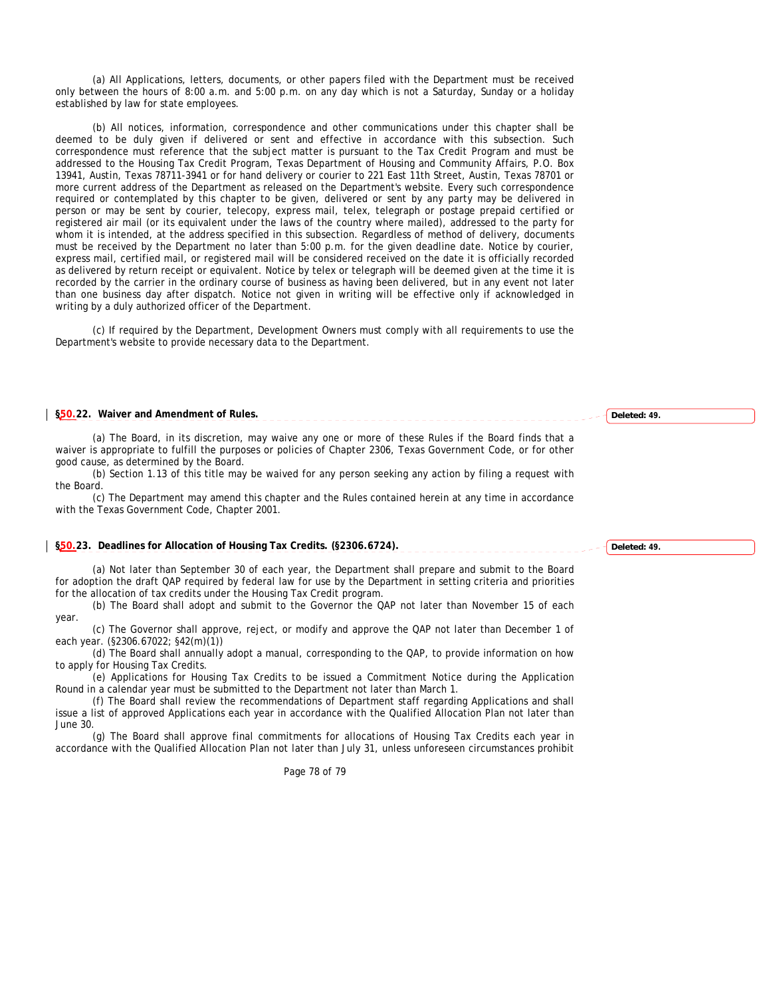(a) All Applications, letters, documents, or other papers filed with the Department must be received only between the hours of 8:00 a.m. and 5:00 p.m. on any day which is not a Saturday, Sunday or a holiday established by law for state employees.

(b) All notices, information, correspondence and other communications under this chapter shall be deemed to be duly given if delivered or sent and effective in accordance with this subsection. Such correspondence must reference that the subject matter is pursuant to the Tax Credit Program and must be addressed to the Housing Tax Credit Program, Texas Department of Housing and Community Affairs, P.O. Box 13941, Austin, Texas 78711-3941 or for hand delivery or courier to 221 East 11th Street, Austin, Texas 78701 or more current address of the Department as released on the Department's website. Every such correspondence required or contemplated by this chapter to be given, delivered or sent by any party may be delivered in person or may be sent by courier, telecopy, express mail, telex, telegraph or postage prepaid certified or registered air mail (or its equivalent under the laws of the country where mailed), addressed to the party for whom it is intended, at the address specified in this subsection. Regardless of method of delivery, documents must be received by the Department no later than 5:00 p.m. for the given deadline date. Notice by courier, express mail, certified mail, or registered mail will be considered received on the date it is officially recorded as delivered by return receipt or equivalent. Notice by telex or telegraph will be deemed given at the time it is recorded by the carrier in the ordinary course of business as having been delivered, but in any event not later than one business day after dispatch. Notice not given in writing will be effective only if acknowledged in writing by a duly authorized officer of the Department.

(c) If required by the Department, Development Owners must comply with all requirements to use the Department's website to provide necessary data to the Department.

## **§50.22. Waiver and Amendment of Rules.**

(a) The Board, in its discretion, may waive any one or more of these Rules if the Board finds that a waiver is appropriate to fulfill the purposes or policies of Chapter 2306, Texas Government Code, or for other good cause, as determined by the Board.

(b) Section 1.13 of this title may be waived for any person seeking any action by filing a request with the Board.

(c) The Department may amend this chapter and the Rules contained herein at any time in accordance with the Texas Government Code, Chapter 2001.

## **§50.23. Deadlines for Allocation of Housing Tax Credits. (§2306.6724).**

(a) Not later than September 30 of each year, the Department shall prepare and submit to the Board for adoption the draft QAP required by federal law for use by the Department in setting criteria and priorities for the allocation of tax credits under the Housing Tax Credit program.

(b) The Board shall adopt and submit to the Governor the QAP not later than November 15 of each year.

(c) The Governor shall approve, reject, or modify and approve the QAP not later than December 1 of each year. (§2306.67022; §42(m)(1))

(d) The Board shall annually adopt a manual, corresponding to the QAP, to provide information on how to apply for Housing Tax Credits.

(e) Applications for Housing Tax Credits to be issued a Commitment Notice during the Application Round in a calendar year must be submitted to the Department not later than March 1.

(f) The Board shall review the recommendations of Department staff regarding Applications and shall issue a list of approved Applications each year in accordance with the Qualified Allocation Plan not later than June 30.

(g) The Board shall approve final commitments for allocations of Housing Tax Credits each year in accordance with the Qualified Allocation Plan not later than July 31, unless unforeseen circumstances prohibit

Page 78 of 79

**Deleted: 49.**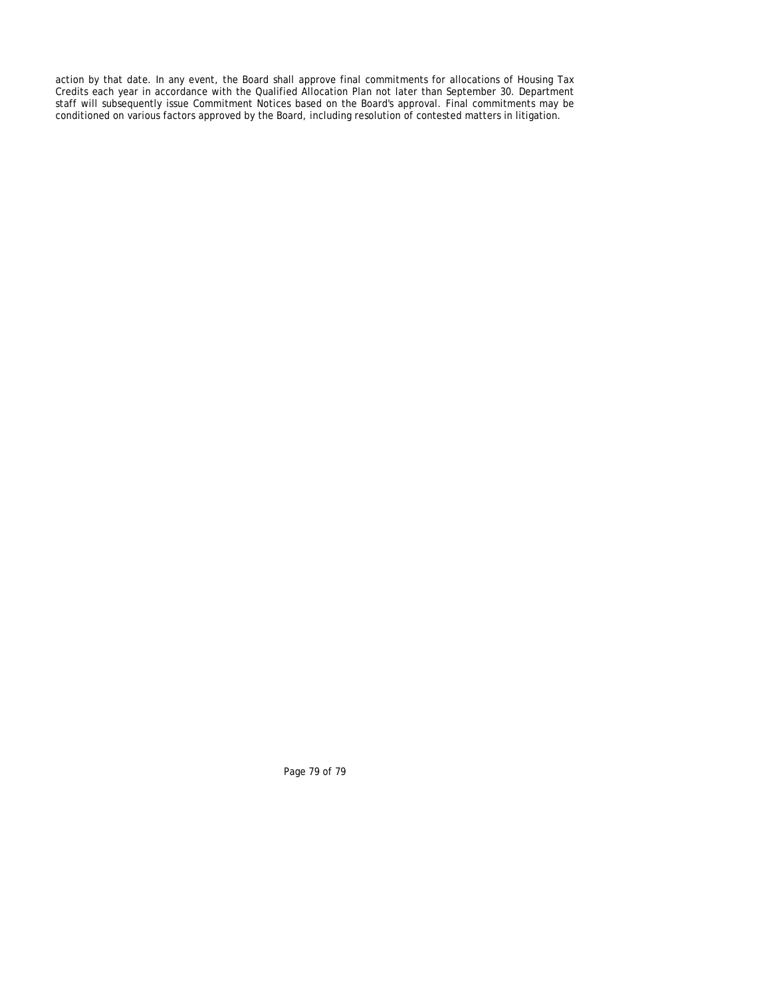action by that date. In any event, the Board shall approve final commitments for allocations of Housing Tax Credits each year in accordance with the Qualified Allocation Plan not later than September 30. Department staff will subsequently issue Commitment Notices based on the Board's approval. Final commitments may be conditioned on various factors approved by the Board, including resolution of contested matters in litigation.

Page 79 of 79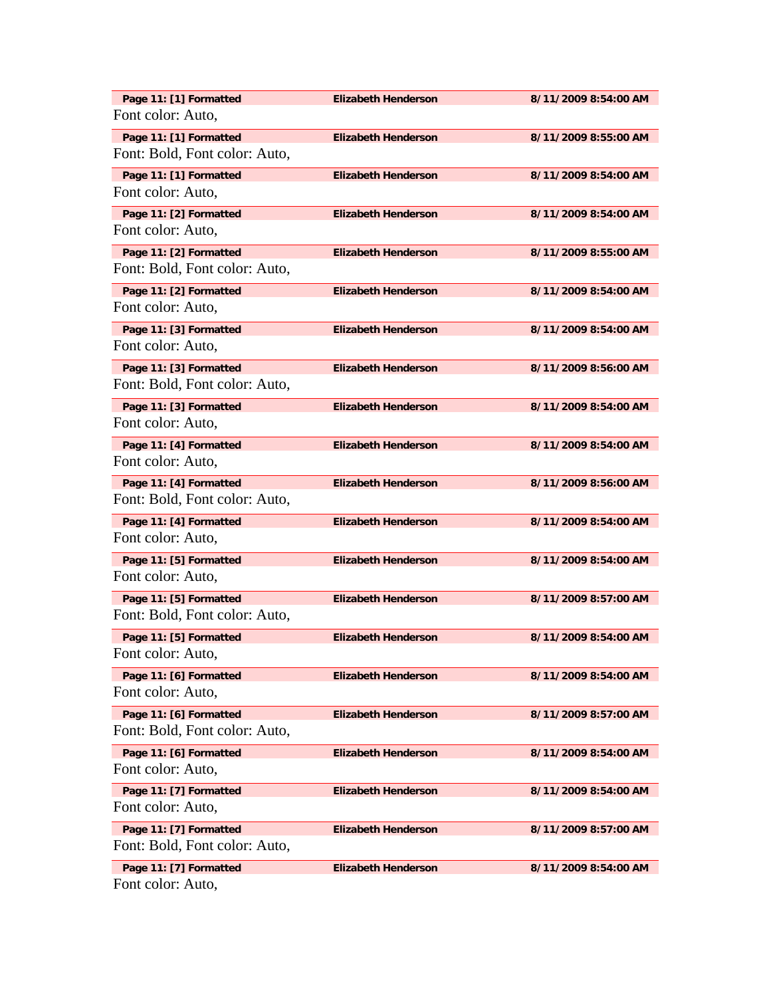| Page 11: [1] Formatted                                  | <b>Elizabeth Henderson</b> | 8/11/2009 8:54:00 AM |
|---------------------------------------------------------|----------------------------|----------------------|
| Font color: Auto,                                       |                            |                      |
| Page 11: [1] Formatted<br>Font: Bold, Font color: Auto, | <b>Elizabeth Henderson</b> | 8/11/2009 8:55:00 AM |
| Page 11: [1] Formatted<br>Font color: Auto,             | <b>Elizabeth Henderson</b> | 8/11/2009 8:54:00 AM |
| Page 11: [2] Formatted<br>Font color: Auto,             | <b>Elizabeth Henderson</b> | 8/11/2009 8:54:00 AM |
| Page 11: [2] Formatted<br>Font: Bold, Font color: Auto, | <b>Elizabeth Henderson</b> | 8/11/2009 8:55:00 AM |
| Page 11: [2] Formatted<br>Font color: Auto,             | <b>Elizabeth Henderson</b> | 8/11/2009 8:54:00 AM |
| Page 11: [3] Formatted<br>Font color: Auto,             | <b>Elizabeth Henderson</b> | 8/11/2009 8:54:00 AM |
| Page 11: [3] Formatted<br>Font: Bold, Font color: Auto, | <b>Elizabeth Henderson</b> | 8/11/2009 8:56:00 AM |
| Page 11: [3] Formatted<br>Font color: Auto,             | <b>Elizabeth Henderson</b> | 8/11/2009 8:54:00 AM |
| Page 11: [4] Formatted<br>Font color: Auto,             | <b>Elizabeth Henderson</b> | 8/11/2009 8:54:00 AM |
| Page 11: [4] Formatted<br>Font: Bold, Font color: Auto, | <b>Elizabeth Henderson</b> | 8/11/2009 8:56:00 AM |
| Page 11: [4] Formatted<br>Font color: Auto,             | <b>Elizabeth Henderson</b> | 8/11/2009 8:54:00 AM |
| Page 11: [5] Formatted<br>Font color: Auto,             | <b>Elizabeth Henderson</b> | 8/11/2009 8:54:00 AM |
| Page 11: [5] Formatted<br>Font: Bold, Font color: Auto, | <b>Elizabeth Henderson</b> | 8/11/2009 8:57:00 AM |
| Page 11: [5] Formatted<br>Font color: Auto,             | <b>Elizabeth Henderson</b> | 8/11/2009 8:54:00 AM |
| Page 11: [6] Formatted<br>Font color: Auto,             | <b>Elizabeth Henderson</b> | 8/11/2009 8:54:00 AM |
| Page 11: [6] Formatted<br>Font: Bold, Font color: Auto, | <b>Elizabeth Henderson</b> | 8/11/2009 8:57:00 AM |
| Page 11: [6] Formatted<br>Font color: Auto,             | <b>Elizabeth Henderson</b> | 8/11/2009 8:54:00 AM |
| Page 11: [7] Formatted<br>Font color: Auto,             | <b>Elizabeth Henderson</b> | 8/11/2009 8:54:00 AM |
| Page 11: [7] Formatted<br>Font: Bold, Font color: Auto, | <b>Elizabeth Henderson</b> | 8/11/2009 8:57:00 AM |
| Page 11: [7] Formatted<br>Font color: Auto,             | <b>Elizabeth Henderson</b> | 8/11/2009 8:54:00 AM |